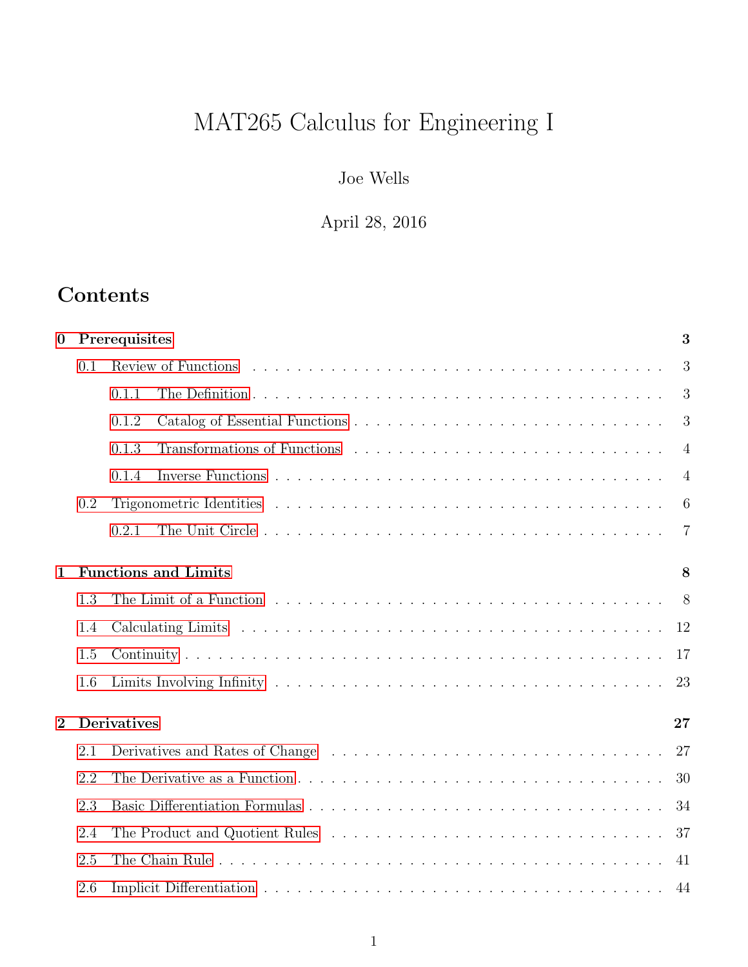# MAT265 Calculus for Engineering I

# Joe Wells

April 28, 2016

# Contents

|     |                                                                                                                 | 3                                                                                                                              |
|-----|-----------------------------------------------------------------------------------------------------------------|--------------------------------------------------------------------------------------------------------------------------------|
| 0.1 |                                                                                                                 | 3                                                                                                                              |
|     | 0.1.1                                                                                                           | 3                                                                                                                              |
|     | 0.1.2                                                                                                           | 3                                                                                                                              |
|     | 0.1.3                                                                                                           | $\overline{4}$                                                                                                                 |
|     | 0.1.4                                                                                                           | $\overline{4}$                                                                                                                 |
| 0.2 |                                                                                                                 | 6                                                                                                                              |
|     | 0.2.1                                                                                                           | $\overline{7}$                                                                                                                 |
|     |                                                                                                                 | 8                                                                                                                              |
| 1.3 | The Limit of a Function resources resources resources resources for the Limit of a Function resources resources | 8                                                                                                                              |
| 1.4 |                                                                                                                 |                                                                                                                                |
| 1.5 |                                                                                                                 |                                                                                                                                |
| 1.6 |                                                                                                                 |                                                                                                                                |
|     |                                                                                                                 |                                                                                                                                |
| 2.1 |                                                                                                                 |                                                                                                                                |
| 2.2 |                                                                                                                 |                                                                                                                                |
| 2.3 |                                                                                                                 |                                                                                                                                |
| 2.4 |                                                                                                                 |                                                                                                                                |
| 2.5 |                                                                                                                 |                                                                                                                                |
| 2.6 |                                                                                                                 |                                                                                                                                |
|     |                                                                                                                 | Prerequisites<br><b>Functions and Limits</b><br>12<br>17<br>23<br><b>Derivatives</b><br>27<br>27<br>30<br>34<br>37<br>41<br>44 |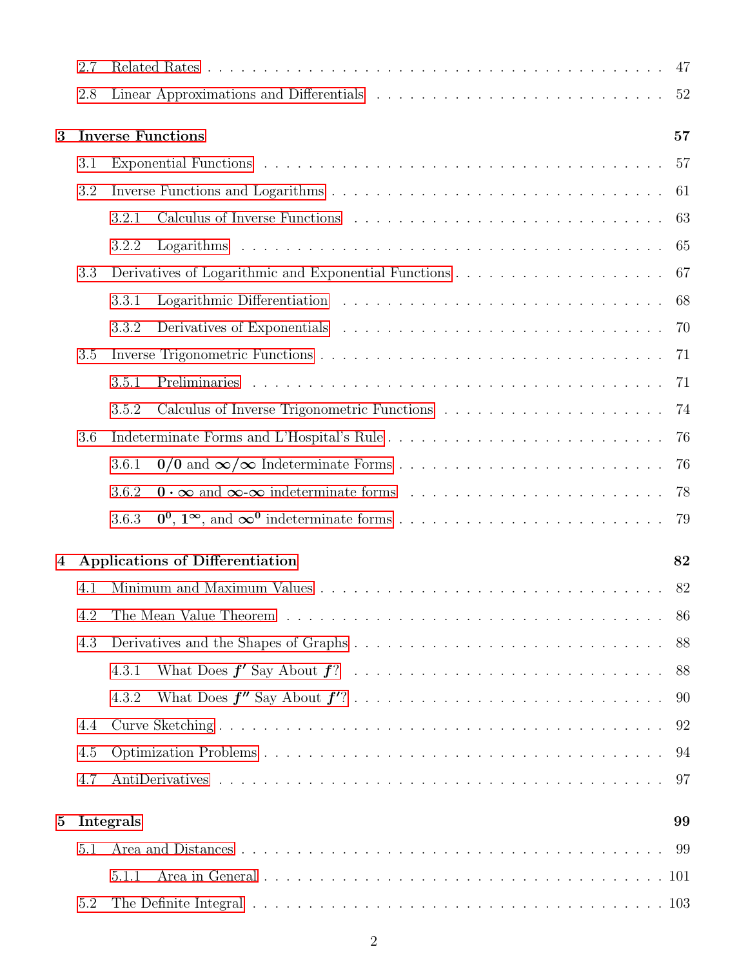|          | 2.7 | 47                                           |  |
|----------|-----|----------------------------------------------|--|
|          | 2.8 | 52                                           |  |
| 3        |     | <b>Inverse Functions</b><br>57               |  |
|          | 3.1 | 57                                           |  |
|          | 3.2 | 61                                           |  |
|          |     | 63<br>3.2.1                                  |  |
|          |     | 65<br>3.2.2                                  |  |
|          | 3.3 | 67                                           |  |
|          |     | 3.3.1<br>68                                  |  |
|          |     | 3.3.2<br>70                                  |  |
|          | 3.5 | 71                                           |  |
|          |     | 3.5.1<br>Preliminaries<br>71                 |  |
|          |     | 3.5.2<br>74                                  |  |
|          | 3.6 | 76                                           |  |
|          |     | 3.6.1<br>76                                  |  |
|          |     | 3.6.2<br>78                                  |  |
|          |     | 3.6.3<br>-79                                 |  |
| 4        |     | <b>Applications of Differentiation</b><br>82 |  |
|          | 4.1 | 82                                           |  |
|          | 4.2 | 86                                           |  |
|          | 4.3 | 88                                           |  |
|          |     | 88<br>4.3.1                                  |  |
|          |     | 4.3.2<br>90                                  |  |
|          | 4.4 | 92                                           |  |
|          | 4.5 | 94                                           |  |
|          | 4.7 | 97                                           |  |
| $\bf{5}$ |     | Integrals<br>99                              |  |
|          | 5.1 | 99                                           |  |
|          |     | 5.1.1                                        |  |
|          | 5.2 |                                              |  |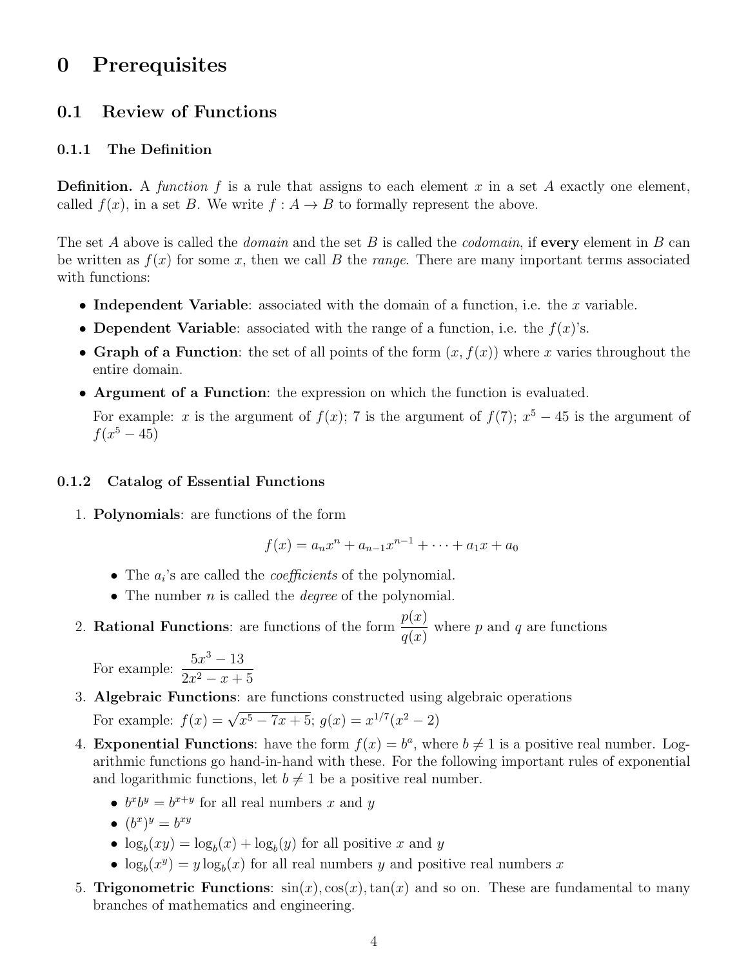# <span id="page-3-0"></span>0 Prerequisites

### <span id="page-3-1"></span>0.1 Review of Functions

#### <span id="page-3-2"></span>0.1.1 The Definition

**Definition.** A function f is a rule that assigns to each element x in a set A exactly one element, called  $f(x)$ , in a set B. We write  $f: A \rightarrow B$  to formally represent the above.

The set A above is called the *domain* and the set B is called the *codomain*, if **every** element in B can be written as  $f(x)$  for some x, then we call B the range. There are many important terms associated with functions:

- Independent Variable: associated with the domain of a function, i.e. the x variable.
- Dependent Variable: associated with the range of a function, i.e. the  $f(x)$ 's.
- Graph of a Function: the set of all points of the form  $(x, f(x))$  where x varies throughout the entire domain.
- Argument of a Function: the expression on which the function is evaluated.

For example: x is the argument of  $f(x)$ ; 7 is the argument of  $f(7)$ ;  $x^5 - 45$  is the argument of  $f(x^5 - 45)$ 

#### <span id="page-3-3"></span>0.1.2 Catalog of Essential Functions

1. Polynomials: are functions of the form

$$
f(x) = a_n x^n + a_{n-1} x^{n-1} + \dots + a_1 x + a_0
$$

- The  $a_i$ 's are called the *coefficients* of the polynomial.
- The number  $n$  is called the *degree* of the polynomial.

2. **Rational Functions**: are functions of the form  $\frac{p(x)}{y(x)}$  $q(x)$ where  $p$  and  $q$  are functions

For example:  $\frac{5x^3 - 13}{2}$  $2x^2 - x + 5$ 

3. Algebraic Functions: are functions constructed using algebraic operations

For example:  $f(x) = \sqrt{x^5 - 7x + 5}$ ;  $g(x) = x^{1/7}(x^2 - 2)$ 

- 4. **Exponential Functions**: have the form  $f(x) = b^a$ , where  $b \neq 1$  is a positive real number. Logarithmic functions go hand-in-hand with these. For the following important rules of exponential and logarithmic functions, let  $b \neq 1$  be a positive real number.
	- $b^x b^y = b^{x+y}$  for all real numbers x and y
	- $(b^x)^y = b^{xy}$
	- $\log_b(xy) = \log_b(x) + \log_b(y)$  for all positive x and y
	- $\log_b(x^y) = y \log_b(x)$  for all real numbers y and positive real numbers x
- 5. Trigonometric Functions:  $sin(x)$ ,  $cos(x)$ ,  $tan(x)$  and so on. These are fundamental to many branches of mathematics and engineering.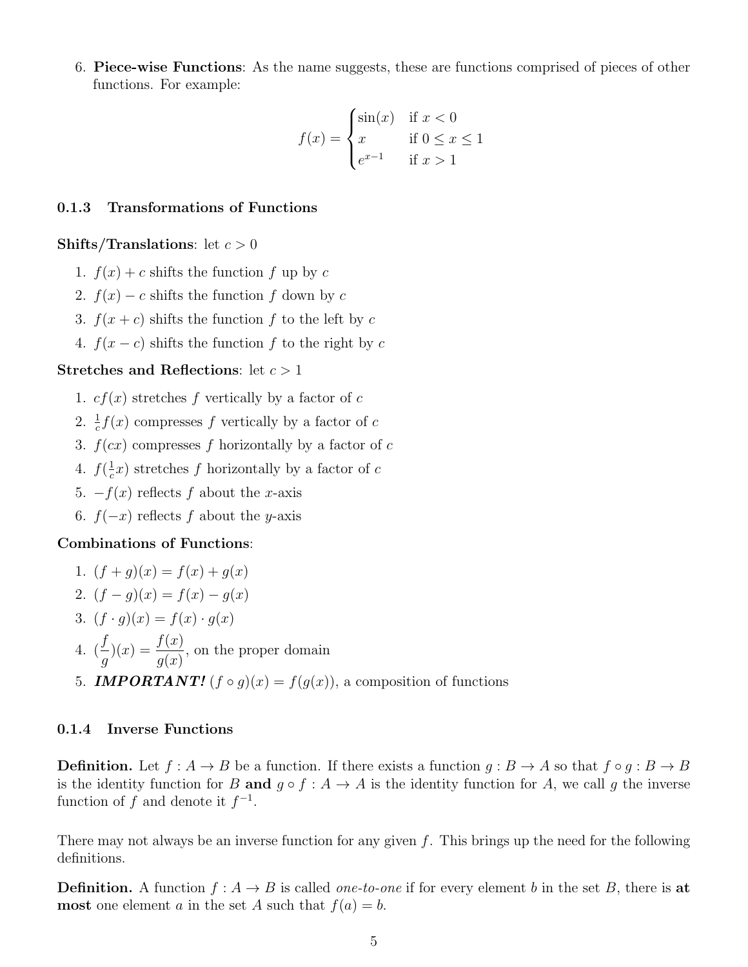6. Piece-wise Functions: As the name suggests, these are functions comprised of pieces of other functions. For example:

$$
f(x) = \begin{cases} \sin(x) & \text{if } x < 0\\ x & \text{if } 0 \le x \le 1\\ e^{x-1} & \text{if } x > 1 \end{cases}
$$

#### <span id="page-4-0"></span>0.1.3 Transformations of Functions

#### Shifts/Translations: let  $c > 0$

- 1.  $f(x) + c$  shifts the function f up by c
- 2.  $f(x) c$  shifts the function f down by c
- 3.  $f(x+c)$  shifts the function f to the left by c
- 4.  $f(x c)$  shifts the function f to the right by c

#### Stretches and Reflections: let  $c > 1$

- 1.  $cf(x)$  stretches f vertically by a factor of c
- 2.  $\frac{1}{c}f(x)$  compresses f vertically by a factor of c
- 3.  $f(cx)$  compresses f horizontally by a factor of c
- 4.  $f(\frac{1}{c})$  $\frac{1}{c}x$ ) stretches f horizontally by a factor of c
- 5.  $-f(x)$  reflects f about the x-axis
- 6.  $f(-x)$  reflects f about the y-axis

#### Combinations of Functions:

1. 
$$
(f+g)(x) = f(x) + g(x)
$$

2. 
$$
(f - g)(x) = f(x) - g(x)
$$

- 3.  $(f \cdot q)(x) = f(x) \cdot q(x)$
- 4. ( f g  $(x) = \frac{f(x)}{x}$  $g(x)$ , on the proper domain
- 5. **IMPORTANT!**  $(f \circ g)(x) = f(g(x))$ , a composition of functions

#### <span id="page-4-1"></span>0.1.4 Inverse Functions

**Definition.** Let  $f : A \to B$  be a function. If there exists a function  $g : B \to A$  so that  $f \circ g : B \to B$ is the identity function for B and  $g \circ f : A \to A$  is the identity function for A, we call g the inverse function of f and denote it  $f^{-1}$ .

There may not always be an inverse function for any given f. This brings up the need for the following definitions.

**Definition.** A function  $f : A \to B$  is called *one-to-one* if for every element b in the set B, there is at **most** one element a in the set A such that  $f(a) = b$ .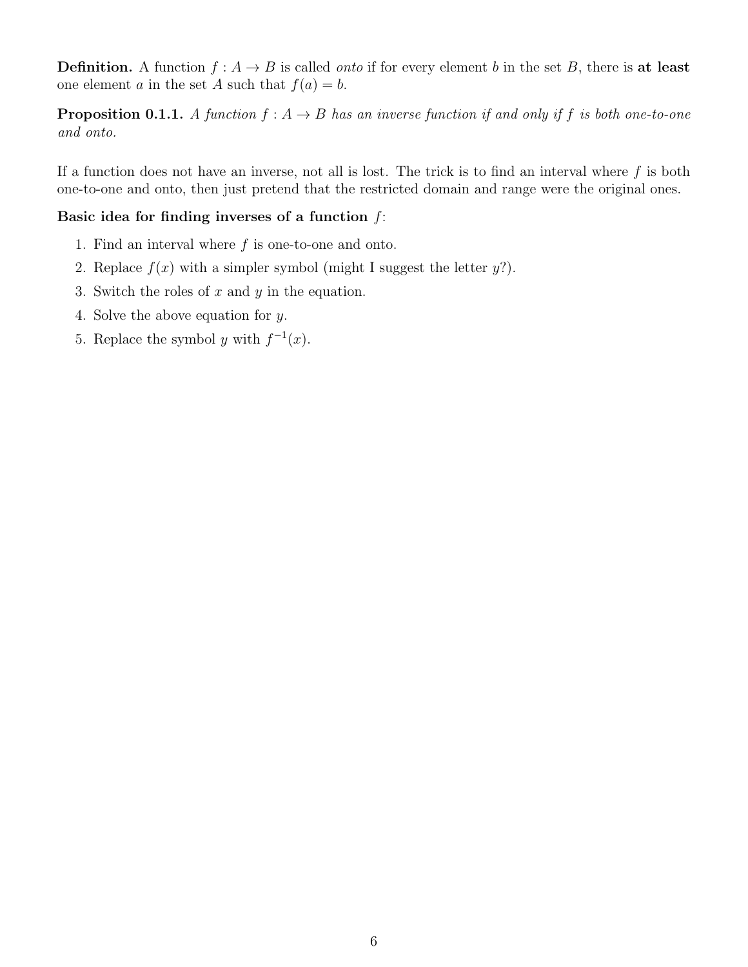**Definition.** A function  $f : A \to B$  is called *onto* if for every element b in the set B, there is at least one element a in the set A such that  $f(a) = b$ .

**Proposition 0.1.1.** A function  $f : A \rightarrow B$  has an inverse function if and only if f is both one-to-one and onto.

If a function does not have an inverse, not all is lost. The trick is to find an interval where  $f$  is both one-to-one and onto, then just pretend that the restricted domain and range were the original ones.

#### Basic idea for finding inverses of a function  $f$ :

- 1. Find an interval where  $f$  is one-to-one and onto.
- 2. Replace  $f(x)$  with a simpler symbol (might I suggest the letter  $y$ ?).
- 3. Switch the roles of  $x$  and  $y$  in the equation.
- 4. Solve the above equation for y.
- 5. Replace the symbol y with  $f^{-1}(x)$ .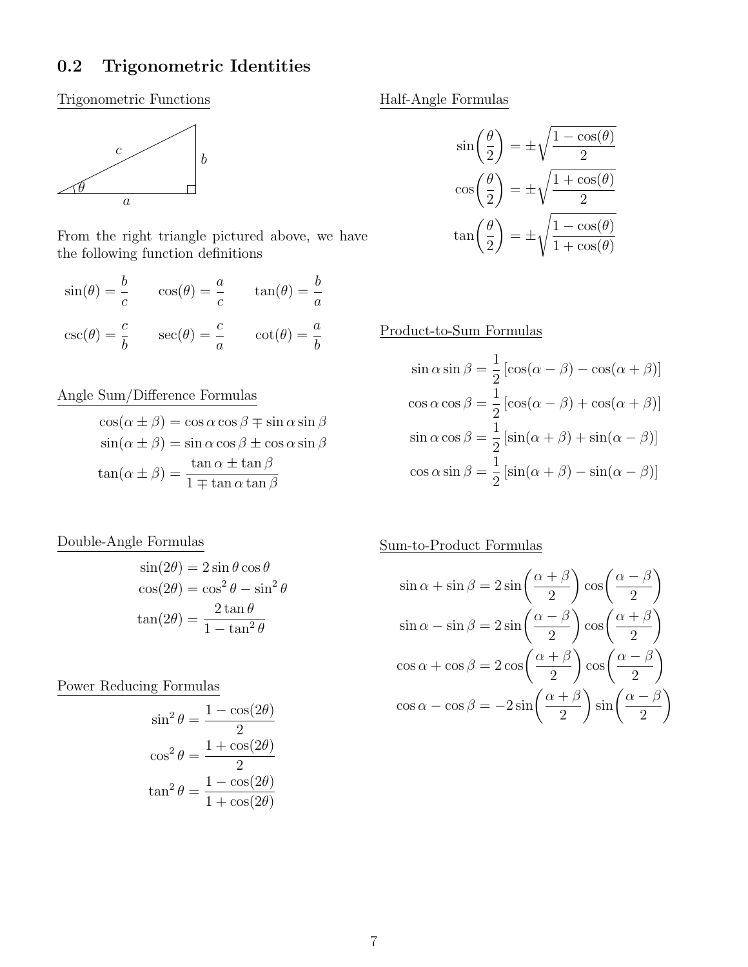## <span id="page-6-0"></span>0.2 Trigonometric Identities

### Trigonometric Functions



From the right triangle pictured above, we have the following function definitions

$$
\sin(\theta) = \frac{b}{c} \qquad \cos(\theta) = \frac{a}{c} \qquad \tan(\theta) = \frac{b}{a}
$$

$$
\csc(\theta) = \frac{c}{b} \qquad \sec(\theta) = \frac{c}{a} \qquad \cot(\theta) = \frac{a}{b}
$$

#### Angle Sum/Difference Formulas

$$
\cos(\alpha \pm \beta) = \cos \alpha \cos \beta \mp \sin \alpha \sin \beta
$$
  
\n
$$
\sin(\alpha \pm \beta) = \sin \alpha \cos \beta \pm \cos \alpha \sin \beta
$$
  
\n
$$
\tan(\alpha \pm \beta) = \frac{\tan \alpha \pm \tan \beta}{1 \mp \tan \alpha \tan \beta}
$$

Double-Angle Formulas

$$
sin(2\theta) = 2\sin\theta\cos\theta
$$

$$
cos(2\theta) = cos2\theta - sin2\theta
$$

$$
tan(2\theta) = \frac{2\tan\theta}{1 - tan2\theta}
$$

Power Reducing Formulas

$$
\sin^2 \theta = \frac{1 - \cos(2\theta)}{2}
$$

$$
\cos^2 \theta = \frac{1 + \cos(2\theta)}{2}
$$

$$
\tan^2 \theta = \frac{1 - \cos(2\theta)}{1 + \cos(2\theta)}
$$

#### Half-Angle Formulas

$$
\sin\left(\frac{\theta}{2}\right) = \pm\sqrt{\frac{1-\cos(\theta)}{2}}
$$

$$
\cos\left(\frac{\theta}{2}\right) = \pm\sqrt{\frac{1+\cos(\theta)}{2}}
$$

$$
\tan\left(\frac{\theta}{2}\right) = \pm\sqrt{\frac{1-\cos(\theta)}{1+\cos(\theta)}}
$$

#### Product-to-Sum Formulas

$$
\sin \alpha \sin \beta = \frac{1}{2} [\cos(\alpha - \beta) - \cos(\alpha + \beta)]
$$

$$
\cos \alpha \cos \beta = \frac{1}{2} [\cos(\alpha - \beta) + \cos(\alpha + \beta)]
$$

$$
\sin \alpha \cos \beta = \frac{1}{2} [\sin(\alpha + \beta) + \sin(\alpha - \beta)]
$$

$$
\cos \alpha \sin \beta = \frac{1}{2} [\sin(\alpha + \beta) - \sin(\alpha - \beta)]
$$

#### Sum-to-Product Formulas

$$
\sin \alpha + \sin \beta = 2 \sin \left( \frac{\alpha + \beta}{2} \right) \cos \left( \frac{\alpha - \beta}{2} \right)
$$

$$
\sin \alpha - \sin \beta = 2 \sin \left( \frac{\alpha - \beta}{2} \right) \cos \left( \frac{\alpha + \beta}{2} \right)
$$

$$
\cos \alpha + \cos \beta = 2 \cos \left( \frac{\alpha + \beta}{2} \right) \cos \left( \frac{\alpha - \beta}{2} \right)
$$

$$
\cos \alpha - \cos \beta = -2 \sin \left( \frac{\alpha + \beta}{2} \right) \sin \left( \frac{\alpha - \beta}{2} \right)
$$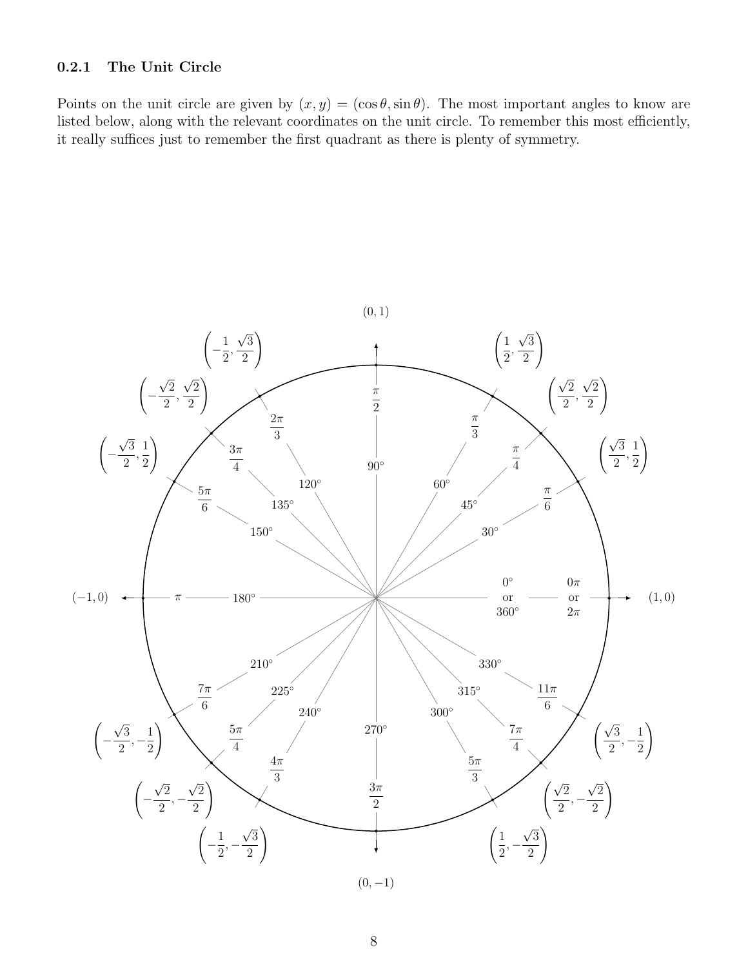#### <span id="page-7-0"></span>0.2.1 The Unit Circle

Points on the unit circle are given by  $(x, y) = (\cos \theta, \sin \theta)$ . The most important angles to know are listed below, along with the relevant coordinates on the unit circle. To remember this most efficiently, it really suffices just to remember the first quadrant as there is plenty of symmetry.

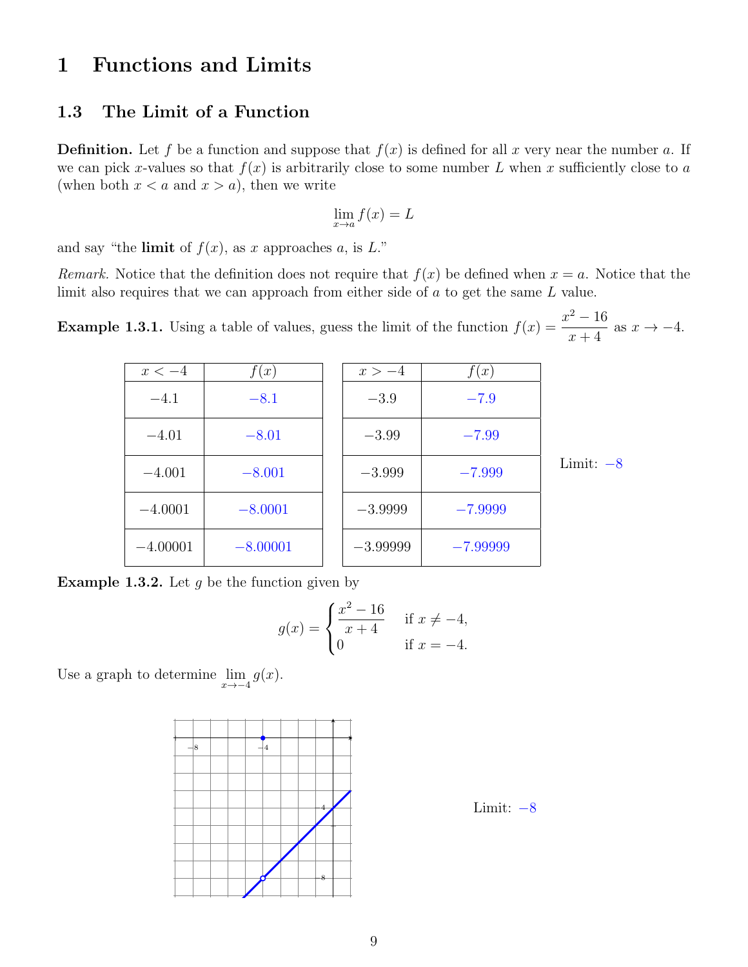# <span id="page-8-0"></span>1 Functions and Limits

### <span id="page-8-1"></span>1.3 The Limit of a Function

**Definition.** Let f be a function and suppose that  $f(x)$  is defined for all x very near the number a. If we can pick x-values so that  $f(x)$  is arbitrarily close to some number L when x sufficiently close to a (when both  $x < a$  and  $x > a$ ), then we write

$$
\lim_{x \to a} f(x) = L
$$

and say "the limit of  $f(x)$ , as x approaches a, is L."

Remark. Notice that the definition does not require that  $f(x)$  be defined when  $x = a$ . Notice that the limit also requires that we can approach from either side of  $a$  to get the same  $L$  value.

**Example 1.3.1.** Using a table of values, guess the limit of the function  $f(x) = \frac{x^2 - 16}{x}$  $x + 4$ as  $x \rightarrow -4$ .

| $x < -4$   | f(x)       | $x > -4$   | f(x)       |             |
|------------|------------|------------|------------|-------------|
| $-4.1$     | $-8.1$     | $-3.9$     | $-7.9$     |             |
| $-4.01$    | $-8.01$    | $-3.99$    | $-7.99$    |             |
| $-4.001$   | $-8.001$   | $-3.999$   | $-7.999$   | Limit: $-8$ |
| $-4.0001$  | $-8.0001$  | $-3.9999$  | $-7.9999$  |             |
| $-4.00001$ | $-8.00001$ | $-3.99999$ | $-7.99999$ |             |

**Example 1.3.2.** Let  $g$  be the function given by

$$
g(x) = \begin{cases} \frac{x^2 - 16}{x + 4} & \text{if } x \neq -4, \\ 0 & \text{if } x = -4. \end{cases}
$$

Use a graph to determine  $\lim_{x \to -4} g(x)$ .



Limit:  $-8$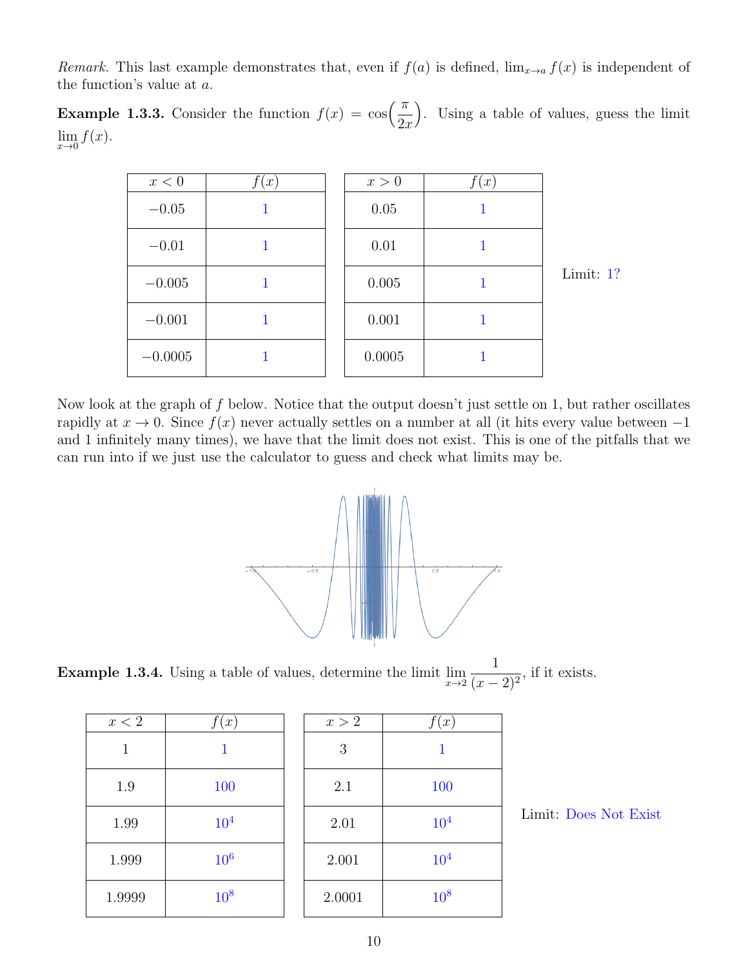Remark. This last example demonstrates that, even if  $f(a)$  is defined,  $\lim_{x\to a} f(x)$  is independent of the function's value at a.

**Example 1.3.3.** Consider the function  $f(x) = \cos\left(\frac{\pi}{2}\right)$  $2x$  . Using a table of values, guess the limit  $\lim_{x\to 0} f(x)$ .

| x<0       | f(x) | x > 0  | f(x) |             |
|-----------|------|--------|------|-------------|
| $-0.05$   | 1    | 0.05   |      |             |
| $-0.01$   |      | 0.01   |      |             |
| $-0.005$  | 1    | 0.005  |      | Limit: $1?$ |
| $-0.001$  | 1    | 0.001  |      |             |
| $-0.0005$ |      | 0.0005 |      |             |

Now look at the graph of f below. Notice that the output doesn't just settle on 1, but rather oscillates rapidly at  $x \to 0$ . Since  $f(x)$  never actually settles on a number at all (it hits every value between  $-1$ and 1 infinitely many times), we have that the limit does not exist. This is one of the pitfalls that we can run into if we just use the calculator to guess and check what limits may be.



**Example 1.3.4.** Using a table of values, determine the limit  $\lim_{x\to 2}$ 1  $\frac{1}{(x-2)^2}$ , if it exists.

| x < 2  | f(x)            | x > 2  | f(x)            |
|--------|-----------------|--------|-----------------|
| 1      | 1               | 3      |                 |
| 1.9    | 100             | 2.1    | <b>100</b>      |
| 1.99   | 10 <sup>4</sup> | 2.01   | 10 <sup>4</sup> |
| 1.999  | 10 <sup>6</sup> | 2.001  | 10 <sup>4</sup> |
| 1.9999 | $10^{8}$        | 2.0001 | $10^{8}$        |

Limit: Does Not Exist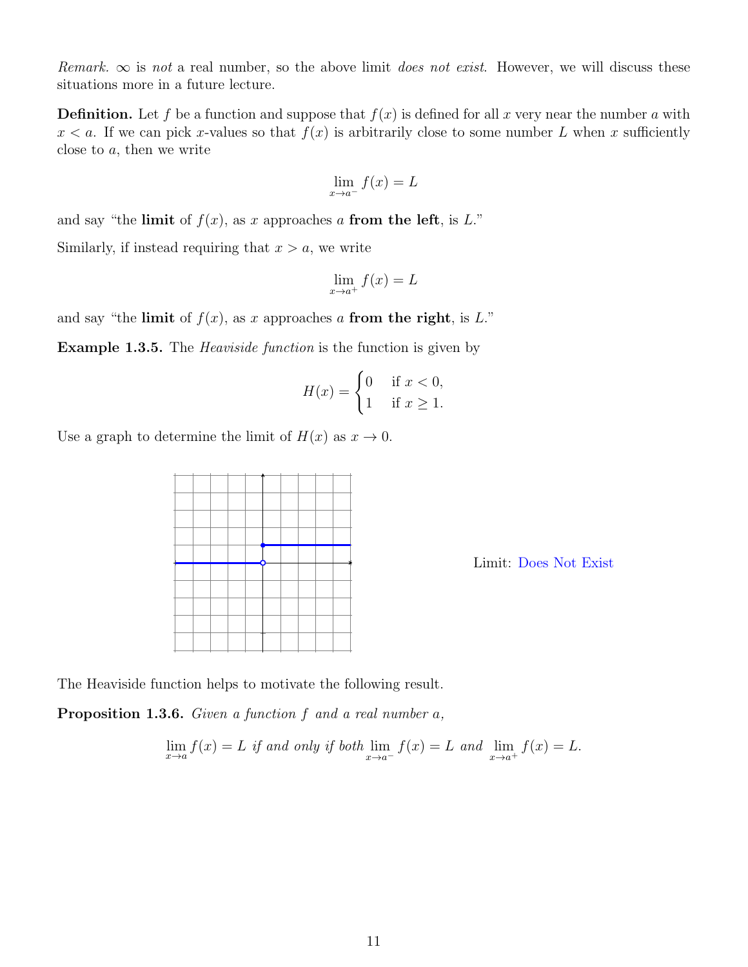Remark.  $\infty$  is not a real number, so the above limit *does not exist*. However, we will discuss these situations more in a future lecture.

**Definition.** Let f be a function and suppose that  $f(x)$  is defined for all x very near the number a with  $x < a$ . If we can pick x-values so that  $f(x)$  is arbitrarily close to some number L when x sufficiently close to a, then we write

$$
\lim_{x \to a^{-}} f(x) = L
$$

and say "the limit of  $f(x)$ , as x approaches a from the left, is L."

Similarly, if instead requiring that  $x > a$ , we write

$$
\lim_{x \to a^+} f(x) = L
$$

and say "the limit of  $f(x)$ , as x approaches a from the right, is L."

**Example 1.3.5.** The *Heaviside function* is the function is given by

$$
H(x) = \begin{cases} 0 & \text{if } x < 0, \\ 1 & \text{if } x \ge 1. \end{cases}
$$

Use a graph to determine the limit of  $H(x)$  as  $x \to 0$ .



Limit: Does Not Exist

The Heaviside function helps to motivate the following result.

Proposition 1.3.6. Given a function f and a real number a,

$$
\lim_{x \to a} f(x) = L \text{ if and only if both } \lim_{x \to a^{-}} f(x) = L \text{ and } \lim_{x \to a^{+}} f(x) = L.
$$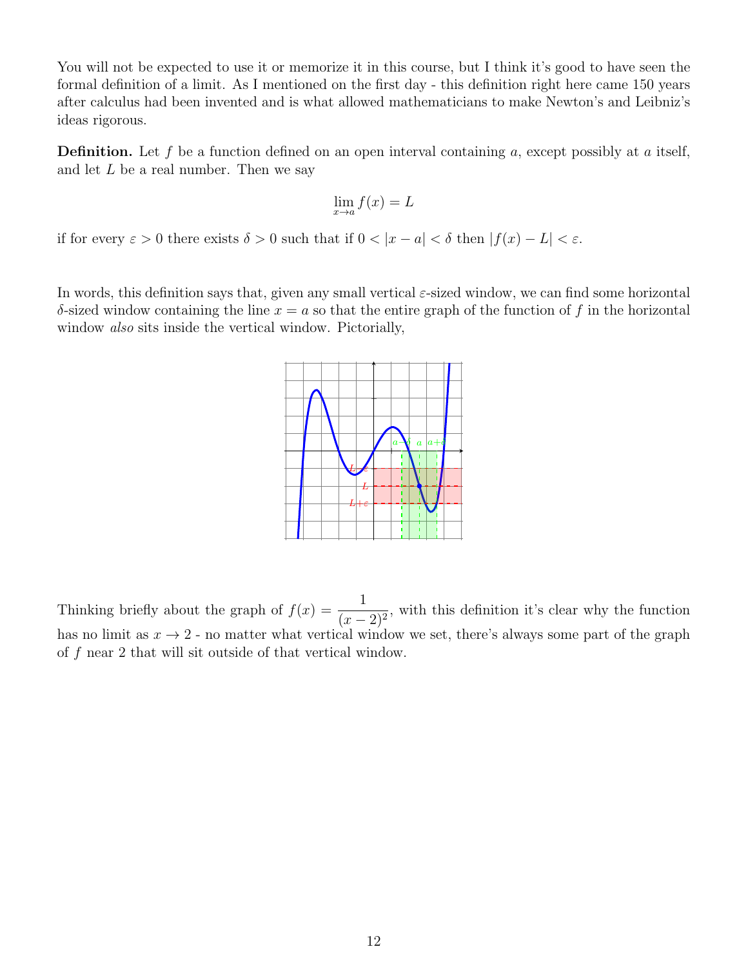You will not be expected to use it or memorize it in this course, but I think it's good to have seen the formal definition of a limit. As I mentioned on the first day - this definition right here came 150 years after calculus had been invented and is what allowed mathematicians to make Newton's and Leibniz's ideas rigorous.

**Definition.** Let f be a function defined on an open interval containing a, except possibly at a itself, and let  $L$  be a real number. Then we say

$$
\lim_{x \to a} f(x) = L
$$

if for every  $\varepsilon > 0$  there exists  $\delta > 0$  such that if  $0 < |x - a| < \delta$  then  $|f(x) - L| < \varepsilon$ .

In words, this definition says that, given any small vertical  $\varepsilon$ -sized window, we can find some horizontal  $\delta$ -sized window containing the line  $x = a$  so that the entire graph of the function of f in the horizontal window *also* sits inside the vertical window. Pictorially,



Thinking briefly about the graph of  $f(x) = \frac{1}{x-1}$  $\frac{1}{(x-2)^2}$ , with this definition it's clear why the function has no limit as  $x \to 2$  - no matter what vertical window we set, there's always some part of the graph of f near 2 that will sit outside of that vertical window.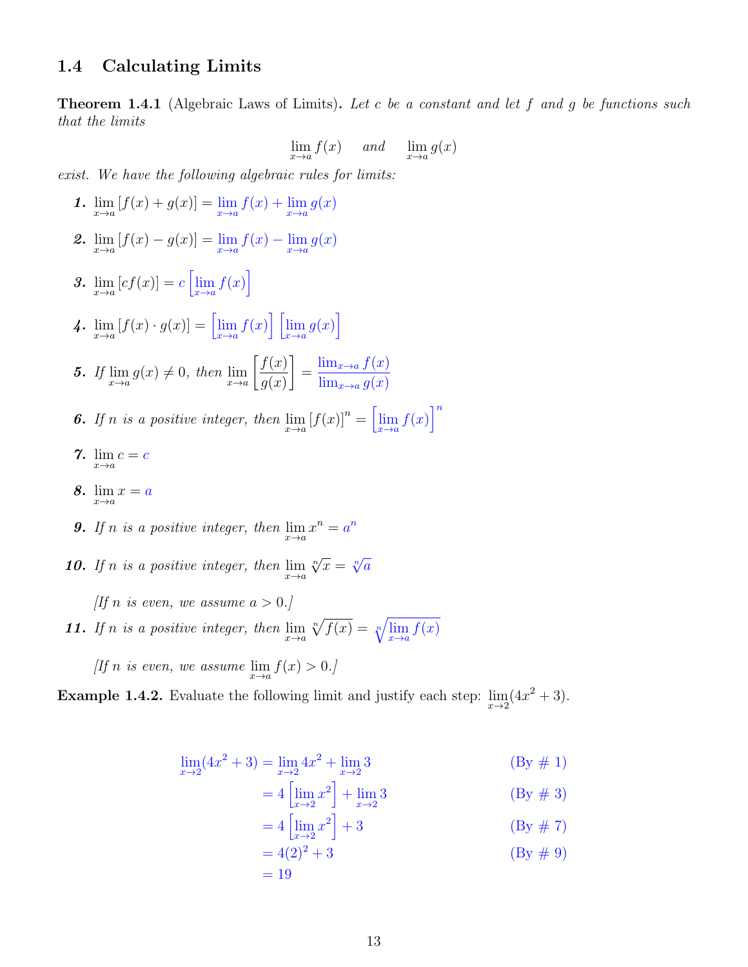### <span id="page-12-0"></span>1.4 Calculating Limits

**Theorem 1.4.1** (Algebraic Laws of Limits). Let c be a constant and let f and g be functions such that the limits

$$
\lim_{x \to a} f(x) \quad and \quad \lim_{x \to a} g(x)
$$

exist. We have the following algebraic rules for limits:

- 1.  $\lim_{x \to a} [f(x) + g(x)] = \lim_{x \to a} f(x) + \lim_{x \to a} g(x)$ 2.  $\lim_{x \to a} [f(x) - g(x)] = \lim_{x \to a} f(x) - \lim_{x \to a} g(x)$ 3.  $\lim_{x\to a} [cf(x)] = c \left[ \lim_{x\to a} f(x) \right]$ 4.  $\lim_{x\to a} [f(x) \cdot g(x)] = \left[ \lim_{x\to a} f(x) \right] \left[ \lim_{x\to a} g(x) \right]$ **5.** If  $\lim_{x\to a} g(x) \neq 0$ , then  $\lim_{x\to a}$  $\int f(x)$  $g(x)$ 1  $=\frac{\lim_{x\to a} f(x)}{h}$  $\lim_{x\to a} g(x)$ **6.** If n is a positive integer, then  $\lim_{x\to a} [f(x)]^n = \left[\lim_{x\to a} f(x)\right]^n$ 7.  $\lim_{x\to a} c = c$ 8.  $\lim_{x\to a} x = a$ **9.** If n is a positive integer, then  $\lim_{x \to a} x^n = a^n$ **10.** If n is a positive integer, then  $\lim_{x \to a} \sqrt[n]{x} = \sqrt[n]{a}$ [If n is even, we assume  $a > 0$ .]
- **11.** If n is a positive integer, then  $\lim_{x\to a} \sqrt[n]{f(x)} = \sqrt[n]{\lim_{x\to a} f(x)}$

[If n is even, we assume  $\lim_{x\to a} f(x) > 0$ .]

**Example 1.4.2.** Evaluate the following limit and justify each step:  $\lim_{x\to 2} (4x^2 + 3)$ .

$$
\lim_{x \to 2} (4x^2 + 3) = \lim_{x \to 2} 4x^2 + \lim_{x \to 2} 3
$$
 (By # 1)

$$
=4\left[\lim_{x\to 2}x^2\right]+\lim_{x\to 2}3\tag{By # 3}
$$

$$
=4\left[\lim_{x\to 2}x^2\right]+3\tag{By # 7}
$$

$$
= 4(2)^{2} + 3
$$
  
= 19 (By # 9)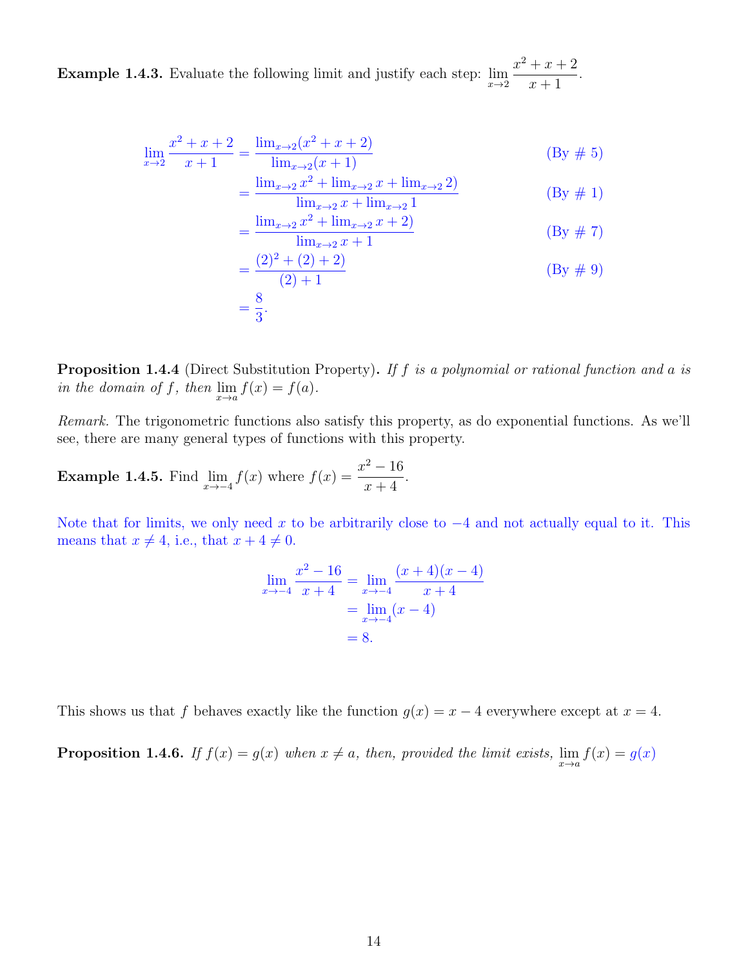**Example 1.4.3.** Evaluate the following limit and justify each step:  $\lim_{x\to 2}$  $x^2 + x + 2$  $x + 1$ .

$$
\lim_{x \to 2} \frac{x^2 + x + 2}{x + 1} = \frac{\lim_{x \to 2} (x^2 + x + 2)}{\lim_{x \to 2} (x + 1)}
$$
\n(By # 5)

$$
= \frac{\lim_{x \to 2} x^2 + \lim_{x \to 2} x + \lim_{x \to 2} 2)}{\lim_{x \to 2} x + \lim_{x \to 2} 1}
$$
 (By # 1)

$$
=\frac{\lim_{x\to 2}x^2 + \lim_{x\to 2}x + 2}{\lim_{x\to 2}x + 1}
$$
\n(By # 7)

$$
= \frac{(2)^2 + (2) + 2}{(2) + 1}
$$
  
=  $\frac{8}{3}$ . (By # 9)

**Proposition 1.4.4** (Direct Substitution Property). If  $f$  is a polynomial or rational function and a is in the domain of f, then  $\lim_{x\to a} f(x) = f(a)$ .

Remark. The trigonometric functions also satisfy this property, as do exponential functions. As we'll see, there are many general types of functions with this property.

**Example 1.4.5.** Find  $\lim_{x \to -4} f(x)$  where  $f(x) = \frac{x^2 - 16}{x + 4}$  $x + 4$ .

Note that for limits, we only need x to be arbitrarily close to  $-4$  and not actually equal to it. This means that  $x \neq 4$ , i.e., that  $x + 4 \neq 0$ .

$$
\lim_{x \to -4} \frac{x^2 - 16}{x + 4} = \lim_{x \to -4} \frac{(x + 4)(x - 4)}{x + 4}
$$

$$
= \lim_{x \to -4} (x - 4)
$$

$$
= 8.
$$

This shows us that f behaves exactly like the function  $g(x) = x - 4$  everywhere except at  $x = 4$ .

**Proposition 1.4.6.** If  $f(x) = g(x)$  when  $x \neq a$ , then, provided the limit exists,  $\lim_{x \to a} f(x) = g(x)$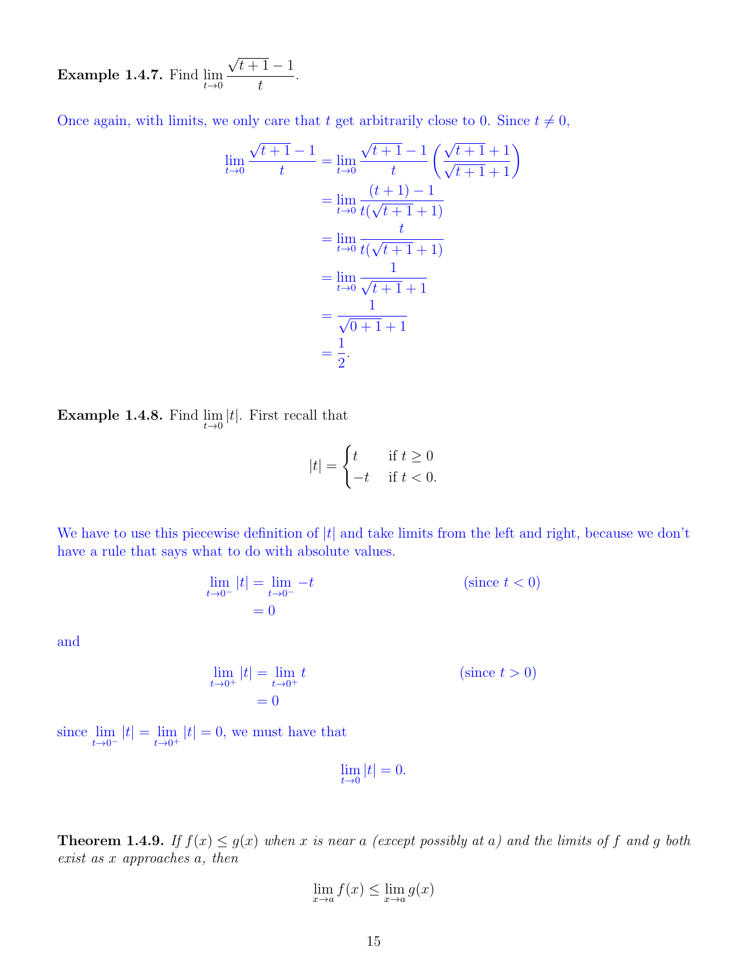**Example 1.4.7.** Find  $\lim_{t\to 0}$ √  $\overline{t+1} - 1$ t .

Once again, with limits, we only care that t get arbitrarily close to 0. Since  $t \neq 0$ ,

$$
\lim_{t \to 0} \frac{\sqrt{t+1} - 1}{t} = \lim_{t \to 0} \frac{\sqrt{t+1} - 1}{t} \left( \frac{\sqrt{t+1} + 1}{\sqrt{t+1} + 1} \right)
$$

$$
= \lim_{t \to 0} \frac{(t+1) - 1}{t(\sqrt{t+1} + 1)}
$$

$$
= \lim_{t \to 0} \frac{t}{t(\sqrt{t+1} + 1)}
$$

$$
= \lim_{t \to 0} \frac{1}{\sqrt{t+1} + 1}
$$

$$
= \frac{1}{\sqrt{0+1} + 1}
$$

$$
= \frac{1}{2}.
$$

**Example 1.4.8.** Find  $\lim_{t\to 0} |t|$ . First recall that

$$
|t| = \begin{cases} t & \text{if } t \ge 0 \\ -t & \text{if } t < 0. \end{cases}
$$

We have to use this piecewise definition of  $|t|$  and take limits from the left and right, because we don't have a rule that says what to do with absolute values.

$$
\lim_{t \to 0^-} |t| = \lim_{t \to 0^-} -t \tag{since } t < 0
$$
\n
$$
= 0
$$

and

$$
\lim_{t \to 0^+} |t| = \lim_{t \to 0^+} t
$$
\n
$$
= 0
$$
\n(since  $t > 0$ )\n
$$
= 0
$$

since  $\lim_{t\to 0^+} |t| = \lim_{t\to 0^+} |t| = 0$ , we must have that

$$
\lim_{t \to 0} |t| = 0.
$$

**Theorem 1.4.9.** If  $f(x) \leq g(x)$  when x is near a (except possibly at a) and the limits of f and g both exist as x approaches a, then

$$
\lim_{x \to a} f(x) \le \lim_{x \to a} g(x)
$$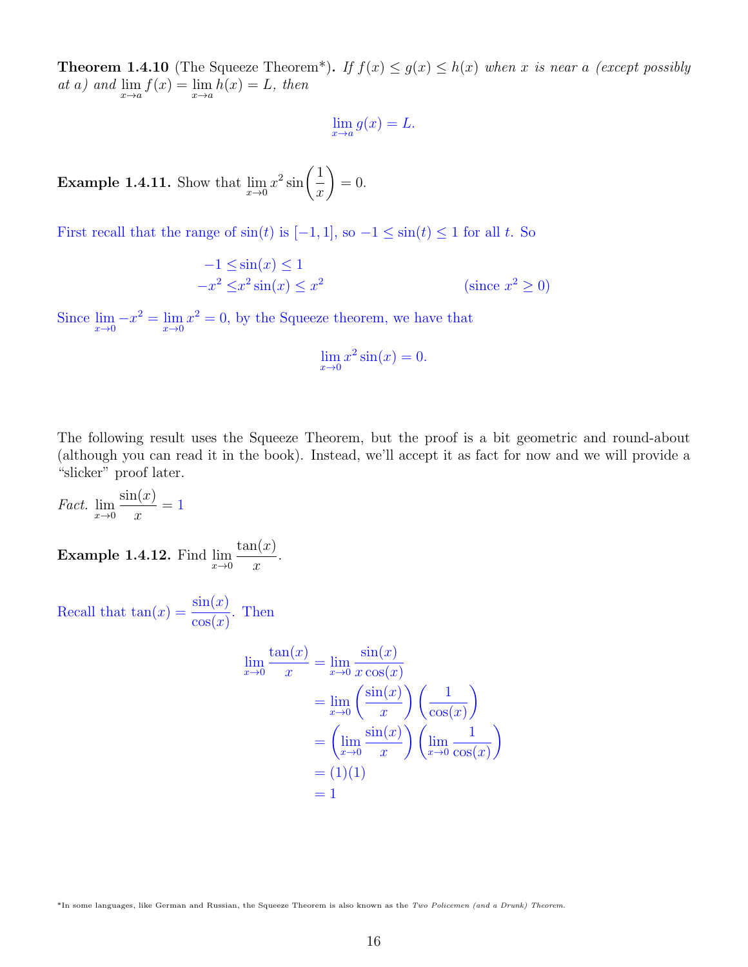**Theorem 1.4.10** (The Squeeze Theorem<sup>\*</sup>). If  $f(x) \leq g(x) \leq h(x)$  when x is near a (except possibly at a) and  $\lim_{x\to a} f(x) = \lim_{x\to a} h(x) = L$ , then

$$
\lim_{x \to a} g(x) = L.
$$

**Example 1.4.11.** Show that  $\lim_{x\to 0} x^2 \sin\left(\frac{1}{x}\right)$  $\boldsymbol{x}$  $\setminus$  $= 0.$ 

First recall that the range of  $sin(t)$  is  $[-1, 1]$ , so  $-1 \leq sin(t) \leq 1$  for all t. So

$$
-1 \le \sin(x) \le 1
$$
  

$$
-x^2 \le x^2 \sin(x) \le x^2
$$
 (since  $x^2 \ge 0$ )

Since  $\lim_{x\to 0} -x^2 = \lim_{x\to 0} x^2 = 0$ , by the Squeeze theorem, we have that

$$
\lim_{x \to 0} x^2 \sin(x) = 0.
$$

The following result uses the Squeeze Theorem, but the proof is a bit geometric and round-about (although you can read it in the book). Instead, we'll accept it as fact for now and we will provide a "slicker" proof later.

*Fact.*  $\lim_{x\to 0}$  $\sin(x)$  $\overline{x}$  $= 1$ 

**Example 1.4.12.** Find  $\lim_{x\to 0}$  $tan(x)$  $\overline{x}$ .

Recall that  $tan(x) = \frac{sin(x)}{x}$  $\cos(x)$ . Then

$$
\lim_{x \to 0} \frac{\tan(x)}{x} = \lim_{x \to 0} \frac{\sin(x)}{x \cos(x)}
$$

$$
= \lim_{x \to 0} \left(\frac{\sin(x)}{x}\right) \left(\frac{1}{\cos(x)}\right)
$$

$$
= \left(\lim_{x \to 0} \frac{\sin(x)}{x}\right) \left(\lim_{x \to 0} \frac{1}{\cos(x)}\right)
$$

$$
= (1)(1)
$$

$$
= 1
$$

<sup>\*</sup>In some languages, like German and Russian, the Squeeze Theorem is also known as the Two Policemen (and a Drunk) Theorem.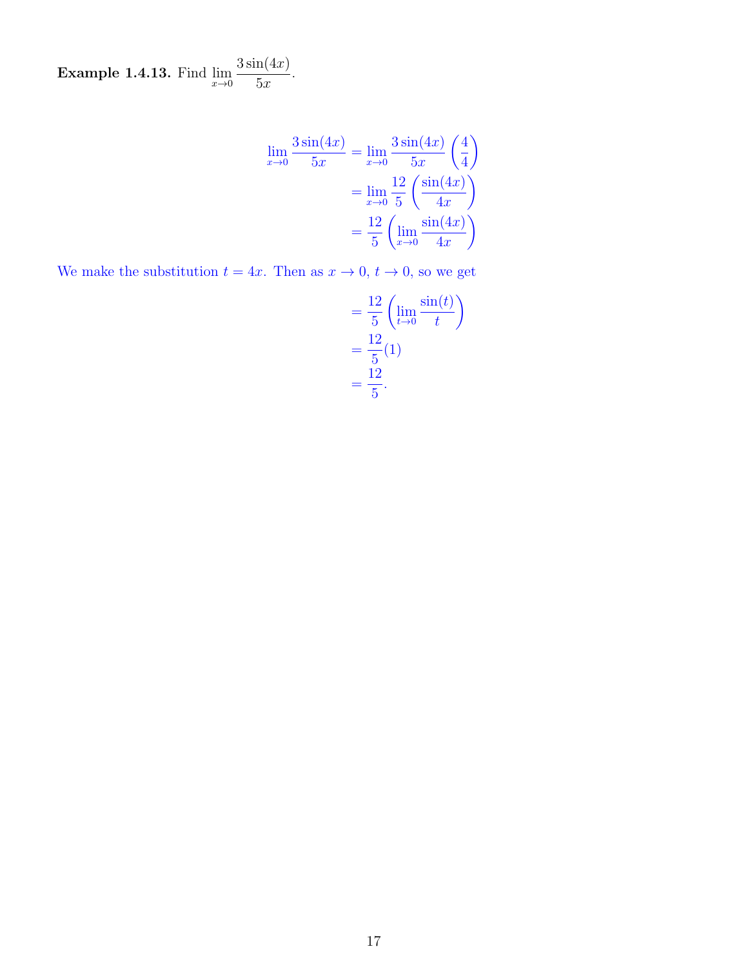**Example 1.4.13.** Find  $\lim_{x\to 0}$  $3\sin(4x)$  $5x$ 

$$
\lim_{x \to 0} \frac{3\sin(4x)}{5x} = \lim_{x \to 0} \frac{3\sin(4x)}{5x} \left(\frac{4}{4}\right)
$$

$$
= \lim_{x \to 0} \frac{12}{5} \left(\frac{\sin(4x)}{4x}\right)
$$

$$
= \frac{12}{5} \left(\lim_{x \to 0} \frac{\sin(4x)}{4x}\right)
$$

We make the substitution  $t = 4x$ . Then as  $x \to 0$ ,  $t \to 0$ , so we get

.

$$
= \frac{12}{5} \left( \lim_{t \to 0} \frac{\sin(t)}{t} \right)
$$

$$
= \frac{12}{5} (1)
$$

$$
= \frac{12}{5}.
$$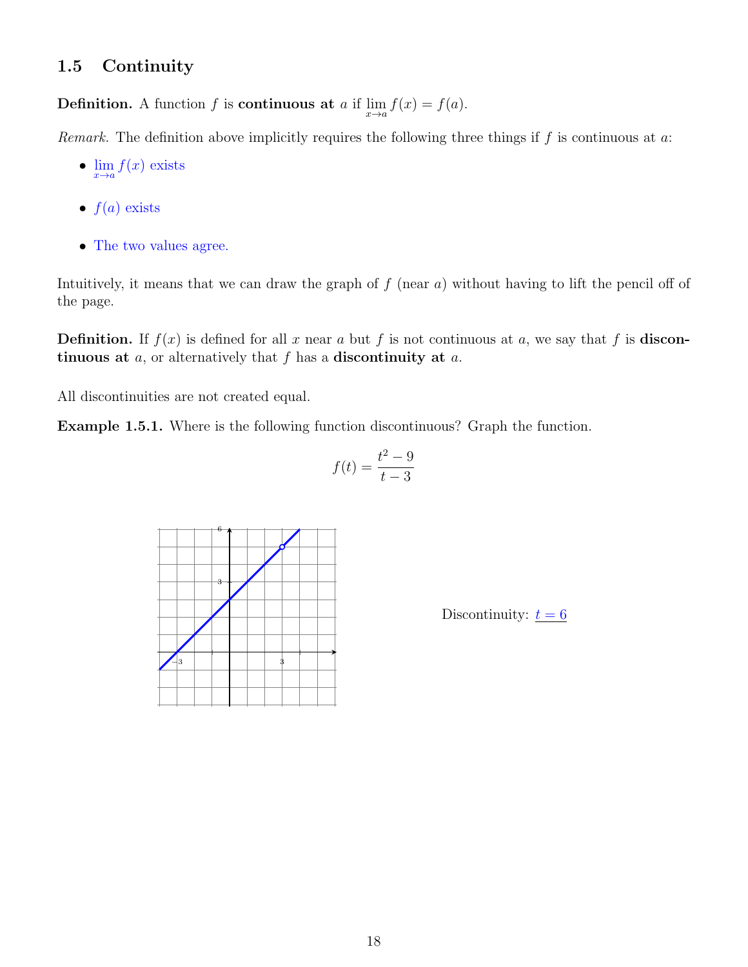### <span id="page-17-0"></span>1.5 Continuity

**Definition.** A function f is **continuous at** a if  $\lim_{x\to a} f(x) = f(a)$ .

Remark. The definition above implicitly requires the following three things if  $f$  is continuous at  $a$ .

- $\lim_{x\to a} f(x)$  exists
- $f(a)$  exists
- The two values agree.

Intuitively, it means that we can draw the graph of  $f$  (near  $a$ ) without having to lift the pencil off of the page.

**Definition.** If  $f(x)$  is defined for all x near a but f is not continuous at a, we say that f is discontinuous at  $a$ , or alternatively that  $f$  has a discontinuity at  $a$ .

All discontinuities are not created equal.

<span id="page-17-1"></span>Example 1.5.1. Where is the following function discontinuous? Graph the function.

$$
f(t) = \frac{t^2 - 9}{t - 3}
$$



Discontinuity:  $t = 6$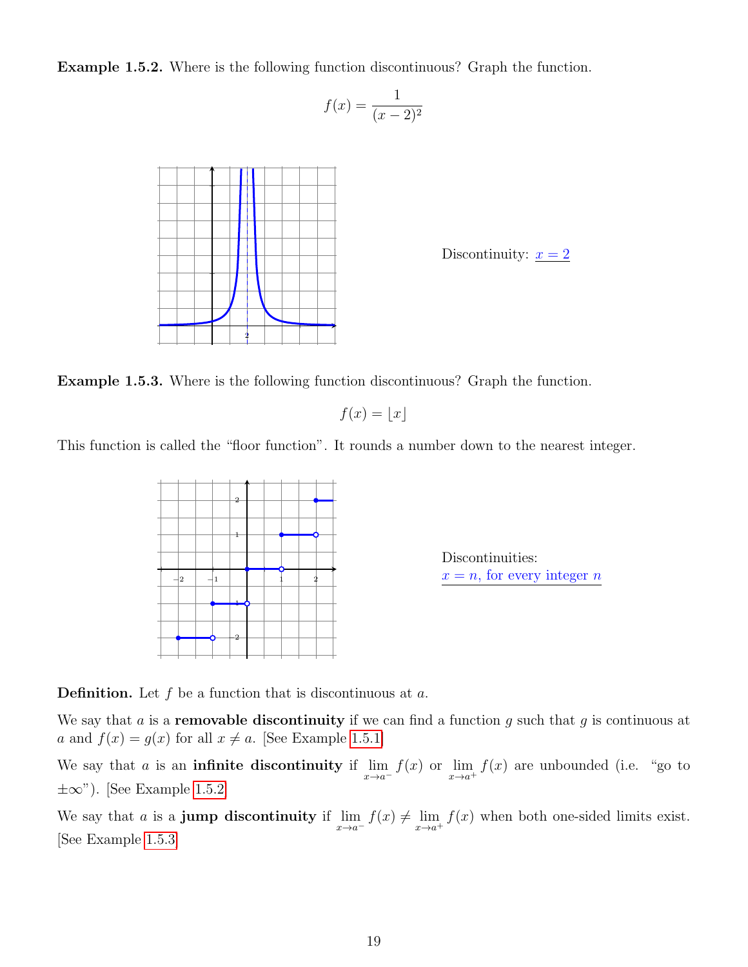<span id="page-18-0"></span>Example 1.5.2. Where is the following function discontinuous? Graph the function.

$$
f(x) = \frac{1}{(x-2)^2}
$$



Discontinuity:  $x = 2$ 

<span id="page-18-1"></span>Example 1.5.3. Where is the following function discontinuous? Graph the function.

 $f(x) = |x|$ 

This function is called the "floor function". It rounds a number down to the nearest integer.





**Definition.** Let  $f$  be a function that is discontinuous at  $a$ .

We say that a is a **removable discontinuity** if we can find a function g such that g is continuous at a and  $f(x) = g(x)$  for all  $x \neq a$ . [See Example [1.5.1\]](#page-17-1)

We say that a is an **infinite discontinuity** if  $\lim_{x\to a^-} f(x)$  or  $\lim_{x\to a^+} f(x)$  are unbounded (i.e. "go to  $\pm \infty$ "). [See Example [1.5.2\]](#page-18-0)

We say that a is a **jump discontinuity** if  $\lim_{x \to a^{-}} f(x) \neq \lim_{x \to a^{+}} f(x)$  when both one-sided limits exist. [See Example [1.5.3\]](#page-18-1)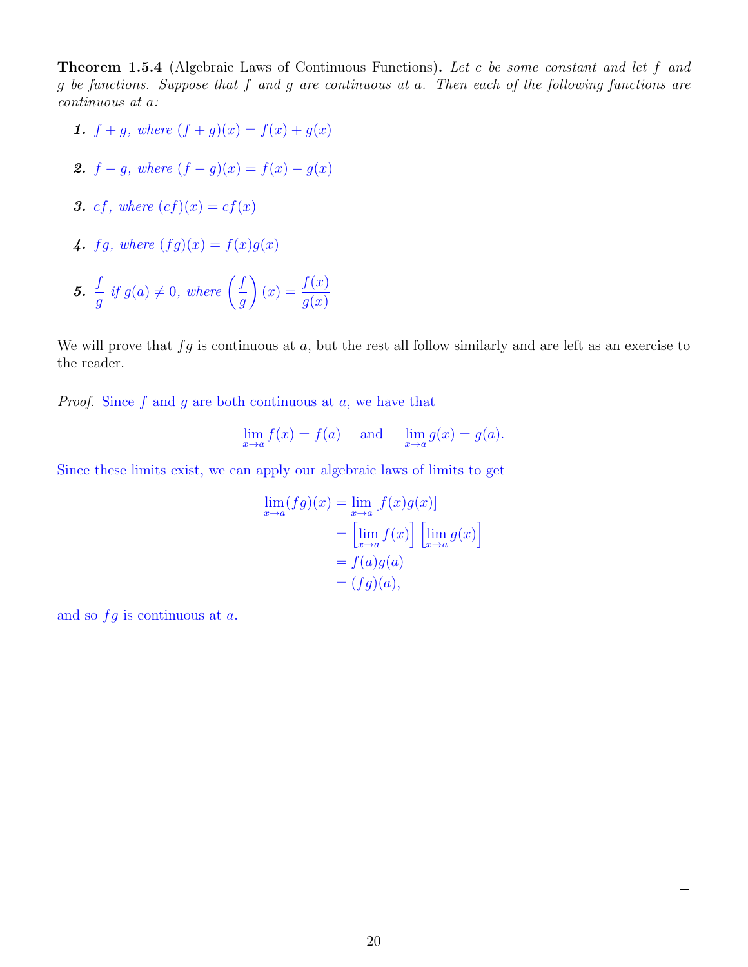Theorem 1.5.4 (Algebraic Laws of Continuous Functions). Let c be some constant and let f and g be functions. Suppose that f and g are continuous at a. Then each of the following functions are continuous at a:

- 1.  $f + g$ , where  $(f + g)(x) = f(x) + g(x)$
- 2. f g, where  $(f g)(x) = f(x) g(x)$
- 3. cf, where  $(cf)(x) = cf(x)$
- 4. fg, where  $(fg)(x) = f(x)g(x)$
- 5. f g if  $g(a) \neq 0$ , where  $\left(\frac{f}{f}\right)$ g  $(x) = \frac{f(x)}{x}$  $g(x)$

We will prove that  $fg$  is continuous at  $a$ , but the rest all follow similarly and are left as an exercise to the reader.

*Proof.* Since f and g are both continuous at  $a$ , we have that

$$
\lim_{x \to a} f(x) = f(a) \quad \text{and} \quad \lim_{x \to a} g(x) = g(a).
$$

Since these limits exist, we can apply our algebraic laws of limits to get

$$
\lim_{x \to a} (fg)(x) = \lim_{x \to a} [f(x)g(x)]
$$
  
= 
$$
\left[ \lim_{x \to a} f(x) \right] \left[ \lim_{x \to a} g(x) \right]
$$
  
= 
$$
f(a)g(a)
$$
  
= 
$$
(fg)(a),
$$

and so  $fg$  is continuous at  $a$ .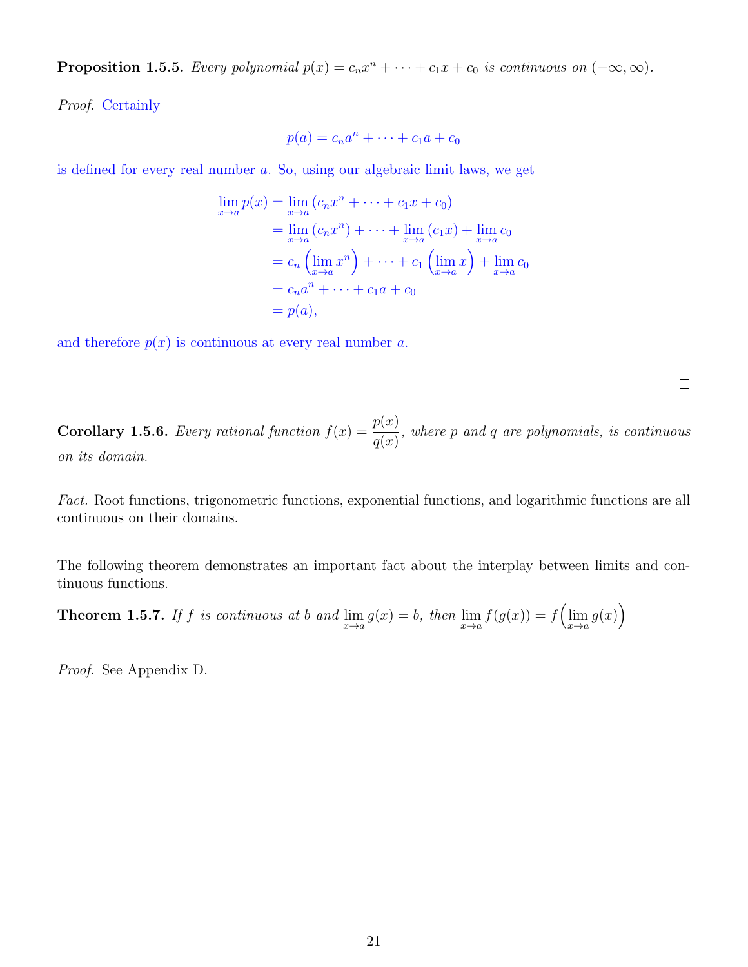**Proposition 1.5.5.** Every polynomial  $p(x) = c_n x^n + \cdots + c_1 x + c_0$  is continuous on  $(-\infty, \infty)$ .

Proof. Certainly

$$
p(a) = c_n a^n + \dots + c_1 a + c_0
$$

is defined for every real number a. So, using our algebraic limit laws, we get

$$
\lim_{x \to a} p(x) = \lim_{x \to a} (c_n x^n + \dots + c_1 x + c_0)
$$
  
= 
$$
\lim_{x \to a} (c_n x^n) + \dots + \lim_{x \to a} (c_1 x) + \lim_{x \to a} c_0
$$
  
= 
$$
c_n \left( \lim_{x \to a} x^n \right) + \dots + c_1 \left( \lim_{x \to a} x \right) + \lim_{x \to a} c_0
$$
  
= 
$$
c_n a^n + \dots + c_1 a + c_0
$$
  
= 
$$
p(a),
$$

and therefore  $p(x)$  is continuous at every real number a.

 $\Box$ 

**Corollary 1.5.6.** Every rational function  $f(x) = \frac{p(x)}{y(x)}$  $q(x)$ , where p and q are polynomials, is continuous on its domain.

Fact. Root functions, trigonometric functions, exponential functions, and logarithmic functions are all continuous on their domains.

The following theorem demonstrates an important fact about the interplay between limits and continuous functions.

<span id="page-20-0"></span>**Theorem 1.5.7.** If f is continuous at b and  $\lim_{x\to a} g(x) = b$ , then  $\lim_{x\to a} f(g(x)) = f\left(\lim_{x\to a} g(x)\right)$ 

Proof. See Appendix D.

 $\Box$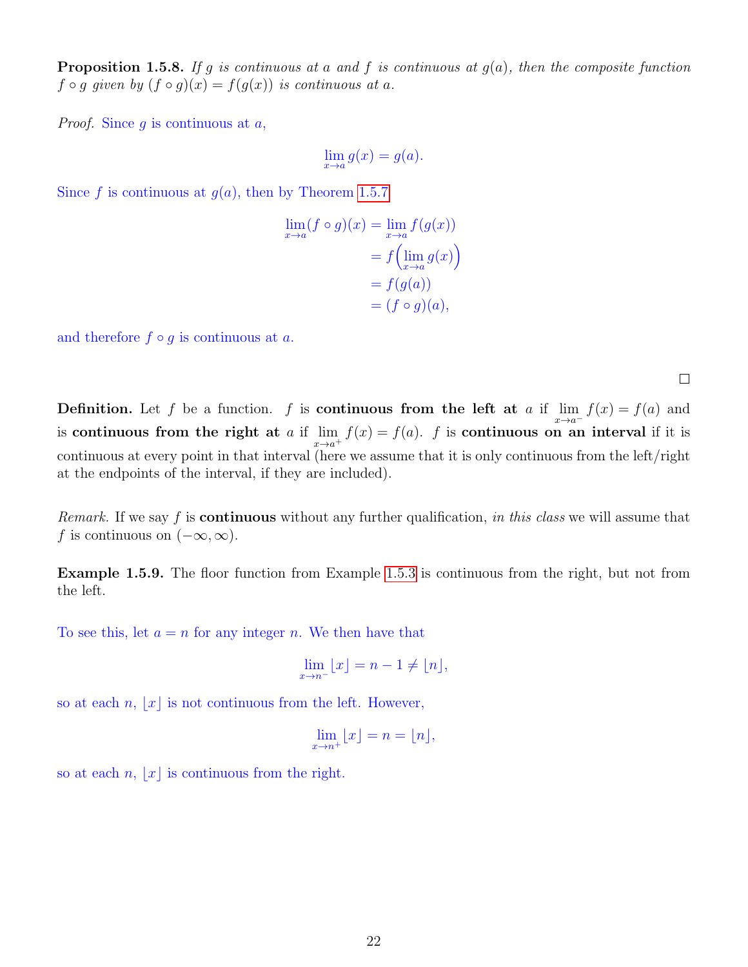**Proposition 1.5.8.** If q is continuous at a and f is continuous at  $q(a)$ , then the composite function  $f \circ g$  given by  $(f \circ g)(x) = f(g(x))$  is continuous at a.

*Proof.* Since q is continuous at  $a$ ,

$$
\lim_{x \to a} g(x) = g(a).
$$

Since f is continuous at  $g(a)$ , then by Theorem [1.5.7](#page-20-0)

$$
\lim_{x \to a} (f \circ g)(x) = \lim_{x \to a} f(g(x))
$$

$$
= f\left(\lim_{x \to a} g(x)\right)
$$

$$
= f(g(a))
$$

$$
= (f \circ g)(a),
$$

and therefore  $f \circ q$  is continuous at a.

 $\Box$ 

**Definition.** Let f be a function. f is **continuous from the left at** a if  $\lim f(x) = f(a)$  and  $x \rightarrow a^$ is continuous from the right at a if  $\lim_{x\to a^+} f(x) = f(a)$ . f is continuous on an interval if it is continuous at every point in that interval (here we assume that it is only continuous from the left/right at the endpoints of the interval, if they are included).

*Remark.* If we say f is **continuous** without any further qualification, in this class we will assume that f is continuous on  $(-\infty,\infty)$ .

Example 1.5.9. The floor function from Example [1.5.3](#page-18-1) is continuous from the right, but not from the left.

To see this, let  $a = n$  for any integer n. We then have that

$$
\lim_{x \to n^{-}} \lfloor x \rfloor = n - 1 \neq \lfloor n \rfloor,
$$

so at each n,  $|x|$  is not continuous from the left. However,

$$
\lim_{x \to n^+} \lfloor x \rfloor = n = \lfloor n \rfloor,
$$

so at each n,  $|x|$  is continuous from the right.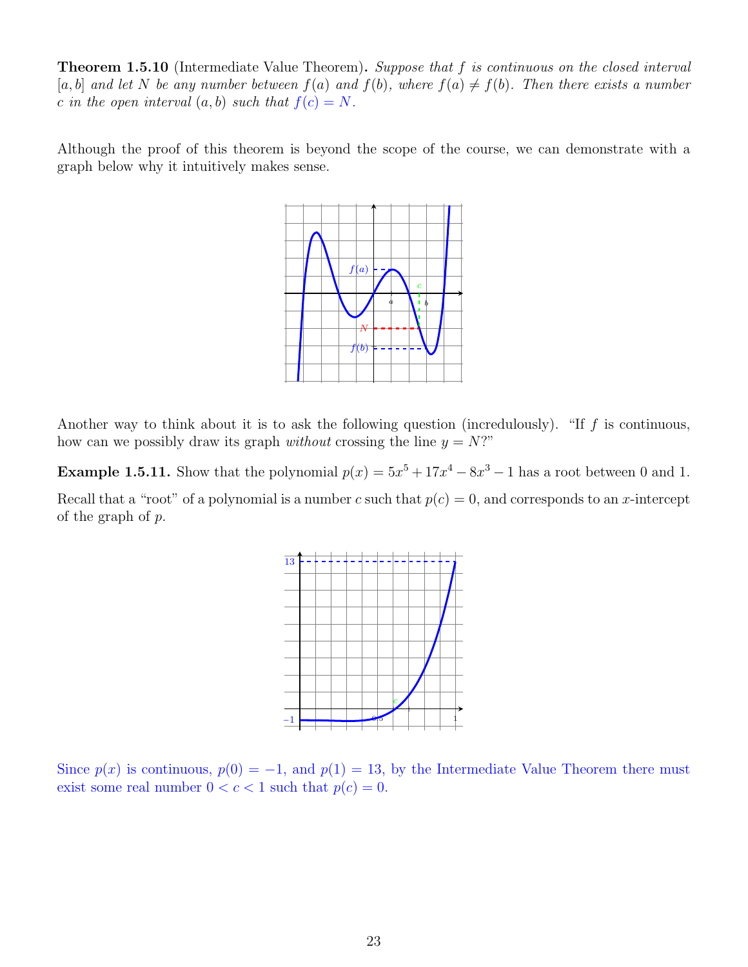Theorem 1.5.10 (Intermediate Value Theorem). Suppose that f is continuous on the closed interval [a, b] and let N be any number between  $f(a)$  and  $f(b)$ , where  $f(a) \neq f(b)$ . Then there exists a number c in the open interval  $(a, b)$  such that  $f(c) = N$ .

Although the proof of this theorem is beyond the scope of the course, we can demonstrate with a graph below why it intuitively makes sense.



Another way to think about it is to ask the following question (incredulously). "If  $f$  is continuous, how can we possibly draw its graph *without* crossing the line  $y = N$ ?"

**Example 1.5.11.** Show that the polynomial  $p(x) = 5x^5 + 17x^4 - 8x^3 - 1$  has a root between 0 and 1. Recall that a "root" of a polynomial is a number c such that  $p(c) = 0$ , and corresponds to an x-intercept of the graph of  $p$ .



Since  $p(x)$  is continuous,  $p(0) = -1$ , and  $p(1) = 13$ , by the Intermediate Value Theorem there must exist some real number  $0 < c < 1$  such that  $p(c) = 0$ .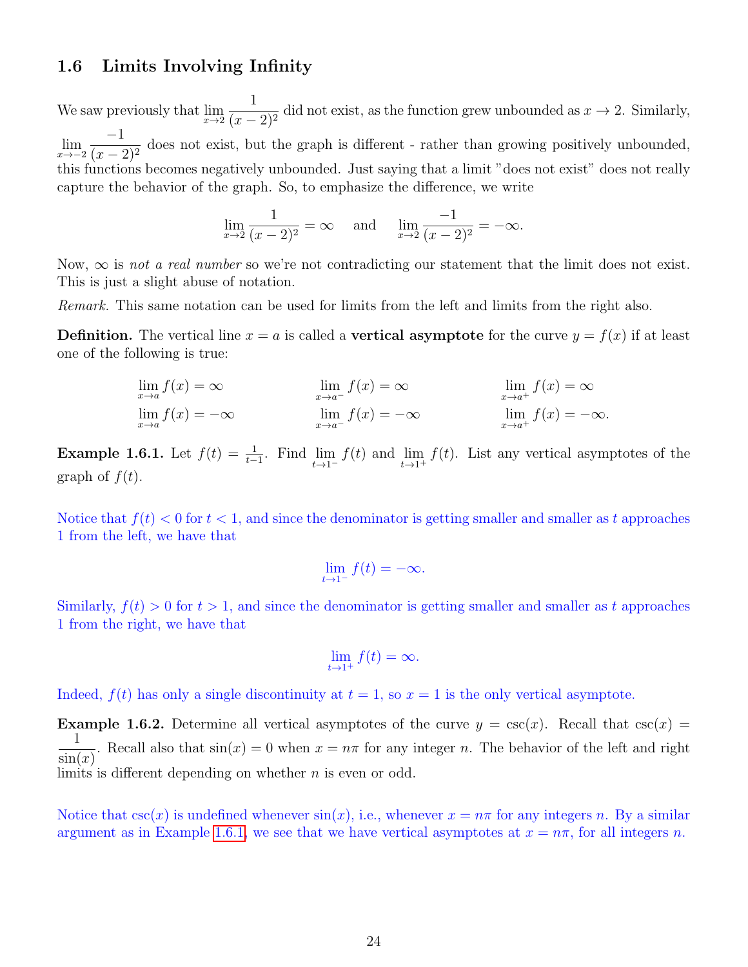#### <span id="page-23-0"></span>1.6 Limits Involving Infinity

We saw previously that  $\lim_{x\to 2}$ 1  $(x-2)^2$ did not exist, as the function grew unbounded as  $x \to 2$ . Similarly,  $\lim_{x\to-2}$ −1  $\frac{1}{(x-2)^2}$  does not exist, but the graph is different - rather than growing positively unbounded, this functions becomes negatively unbounded. Just saying that a limit "does not exist" does not really capture the behavior of the graph. So, to emphasize the difference, we write

$$
\lim_{x \to 2} \frac{1}{(x-2)^2} = \infty \quad \text{and} \quad \lim_{x \to 2} \frac{-1}{(x-2)^2} = -\infty.
$$

Now,  $\infty$  is not a real number so we're not contradicting our statement that the limit does not exist. This is just a slight abuse of notation.

Remark. This same notation can be used for limits from the left and limits from the right also.

**Definition.** The vertical line  $x = a$  is called a **vertical asymptote** for the curve  $y = f(x)$  if at least one of the following is true:

$$
\lim_{x \to a} f(x) = \infty
$$
\n
$$
\lim_{x \to a^{-}} f(x) = -\infty
$$
\n
$$
\lim_{x \to a^{-}} f(x) = -\infty
$$
\n
$$
\lim_{x \to a^{-}} f(x) = -\infty
$$
\n
$$
\lim_{x \to a^{+}} f(x) = -\infty
$$
\n
$$
\lim_{x \to a^{+}} f(x) = -\infty.
$$

<span id="page-23-1"></span>**Example 1.6.1.** Let  $f(t) = \frac{1}{t-1}$ . Find  $\lim_{t \to 1^-} f(t)$  and  $\lim_{t \to 1^+} f(t)$ . List any vertical asymptotes of the graph of  $f(t)$ .

Notice that  $f(t) < 0$  for  $t < 1$ , and since the denominator is getting smaller and smaller as t approaches 1 from the left, we have that

$$
\lim_{t \to 1^-} f(t) = -\infty.
$$

Similarly,  $f(t) > 0$  for  $t > 1$ , and since the denominator is getting smaller and smaller as t approaches 1 from the right, we have that

$$
\lim_{t \to 1^+} f(t) = \infty.
$$

Indeed,  $f(t)$  has only a single discontinuity at  $t = 1$ , so  $x = 1$  is the only vertical asymptote.

**Example 1.6.2.** Determine all vertical asymptotes of the curve  $y = \csc(x)$ . Recall that  $\csc(x) =$ 1  $sin(x)$ . Recall also that  $sin(x) = 0$  when  $x = n\pi$  for any integer n. The behavior of the left and right limits is different depending on whether  $n$  is even or odd.

Notice that  $\csc(x)$  is undefined whenever  $\sin(x)$ , i.e., whenever  $x = n\pi$  for any integers n. By a similar argument as in Example [1.6.1,](#page-23-1) we see that we have vertical asymptotes at  $x = n\pi$ , for all integers n.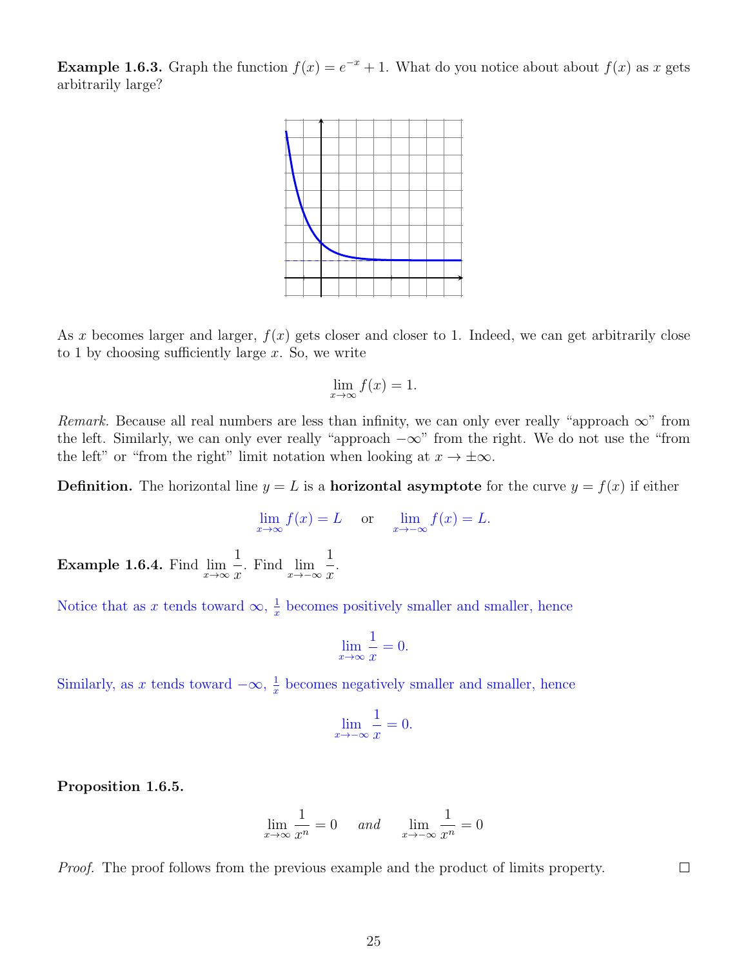**Example 1.6.3.** Graph the function  $f(x) = e^{-x} + 1$ . What do you notice about about  $f(x)$  as x gets arbitrarily large?



As x becomes larger and larger,  $f(x)$  gets closer and closer to 1. Indeed, we can get arbitrarily close to 1 by choosing sufficiently large  $x$ . So, we write

$$
\lim_{x \to \infty} f(x) = 1.
$$

Remark. Because all real numbers are less than infinity, we can only ever really "approach  $\infty$ " from the left. Similarly, we can only ever really "approach  $-\infty$ " from the right. We do not use the "from the left" or "from the right" limit notation when looking at  $x \to \pm \infty$ .

**Definition.** The horizontal line  $y = L$  is a **horizontal asymptote** for the curve  $y = f(x)$  if either

$$
\lim_{x \to \infty} f(x) = L \quad \text{or} \quad \lim_{x \to -\infty} f(x) = L.
$$

**Example 1.6.4.** Find  $\lim_{x\to\infty}$ 1  $\frac{1}{x}$ . Find  $\lim_{x \to -\infty}$ 1  $\overline{x}$ .

Notice that as x tends toward  $\infty$ ,  $\frac{1}{x}$  $\frac{1}{x}$  becomes positively smaller and smaller, hence

$$
\lim_{x \to \infty} \frac{1}{x} = 0.
$$

Similarly, as x tends toward  $-\infty$ ,  $\frac{1}{x}$  $\frac{1}{x}$  becomes negatively smaller and smaller, hence

$$
\lim_{x \to -\infty} \frac{1}{x} = 0.
$$

<span id="page-24-0"></span>Proposition 1.6.5.

$$
\lim_{x \to \infty} \frac{1}{x^n} = 0 \quad \text{and} \quad \lim_{x \to -\infty} \frac{1}{x^n} = 0
$$

 $\Box$ 

Proof. The proof follows from the previous example and the product of limits property.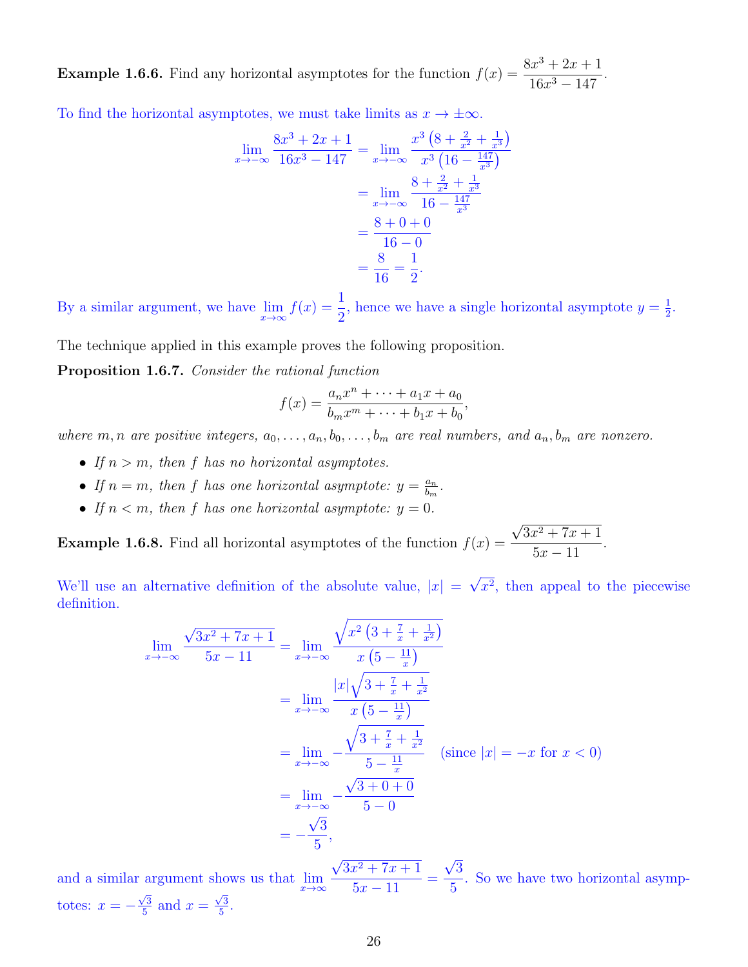**Example 1.6.6.** Find any horizontal asymptotes for the function  $f(x) = \frac{8x^3 + 2x + 1}{16x^3 - 147}$  $\frac{x}{16x^3 - 147}$ .

To find the horizontal asymptotes, we must take limits as  $x \to \pm \infty$ .

$$
\lim_{x \to -\infty} \frac{8x^3 + 2x + 1}{16x^3 - 147} = \lim_{x \to -\infty} \frac{x^3 \left(8 + \frac{2}{x^2} + \frac{1}{x^3}\right)}{x^3 \left(16 - \frac{147}{x^3}\right)}
$$

$$
= \lim_{x \to -\infty} \frac{8 + \frac{2}{x^2} + \frac{1}{x^3}}{16 - \frac{147}{x^3}}
$$

$$
= \frac{8 + 0 + 0}{16 - 0}
$$

$$
= \frac{8}{16} = \frac{1}{2}.
$$

By a similar argument, we have  $\lim_{x \to \infty} f(x) = \frac{1}{2}$ 2 , hence we have a single horizontal asymptote  $y = \frac{1}{2}$  $\frac{1}{2}$ .

The technique applied in this example proves the following proposition.

Proposition 1.6.7. Consider the rational function

$$
f(x) = \frac{a_n x^n + \dots + a_1 x + a_0}{b_m x^m + \dots + b_1 x + b_0},
$$

where m, n are positive integers,  $a_0, \ldots, a_n, b_0, \ldots, b_m$  are real numbers, and  $a_n, b_m$  are nonzero.

- If  $n > m$ , then f has no horizontal asymptotes.
- If  $n = m$ , then f has one horizontal asymptote:  $y = \frac{a_n}{b}$  $\frac{a_n}{b_m}$ .
- If  $n < m$ , then f has one horizontal asymptote:  $y = 0$ .

**Example 1.6.8.** Find all horizontal asymptotes of the function  $f(x) =$ √  $3x^2 + 7x + 1$  $5x - 11$ .

We'll use an alternative definition of the absolute value,  $|x| =$ √  $x^2$ , then appeal to the piecewise definition.

$$
\lim_{x \to -\infty} \frac{\sqrt{3x^2 + 7x + 1}}{5x - 11} = \lim_{x \to -\infty} \frac{\sqrt{x^2 (3 + \frac{7}{x} + \frac{1}{x^2})}}{x (5 - \frac{11}{x})}
$$
\n
$$
= \lim_{x \to -\infty} \frac{|x|\sqrt{3 + \frac{7}{x} + \frac{1}{x^2}}}{x (5 - \frac{11}{x})}
$$
\n
$$
= \lim_{x \to -\infty} -\frac{\sqrt{3 + \frac{7}{x} + \frac{1}{x^2}}}{5 - \frac{11}{x}}
$$
 (since  $|x| = -x$  for  $x < 0$ )\n
$$
= \lim_{x \to -\infty} -\frac{\sqrt{3 + 0 + 0}}{5 - 0}
$$
\n
$$
= -\frac{\sqrt{3}}{5},
$$

and a similar argument shows us that  $\lim_{x\to\infty}$  $3x^2 + 7x + 1$  $5x - 11$ = 3 5 . So we have two horizontal asymptotes:  $x = -\frac{\sqrt{3}}{5}$ √ √  $\frac{\sqrt{3}}{5}$  and  $x = \frac{\sqrt{3}}{5}$  $\frac{73}{5}$ .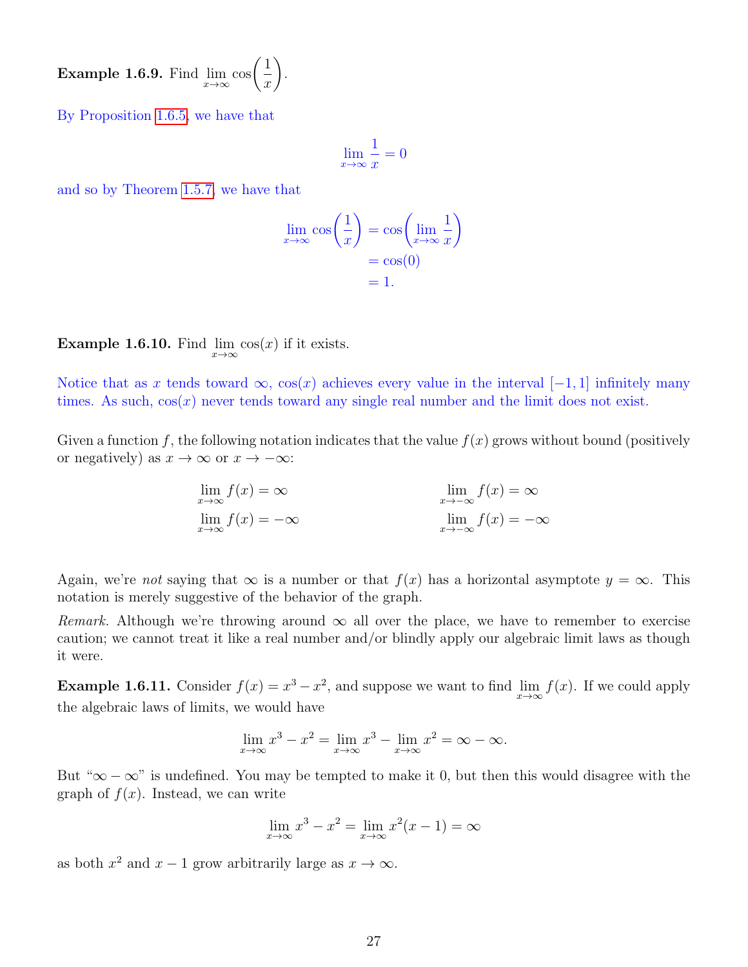**Example 1.6.9.** Find  $\lim_{x\to\infty} \cos\left(\frac{1}{x}\right)$  $\overline{x}$  $\setminus$ .

By Proposition [1.6.5,](#page-24-0) we have that

$$
\lim_{x \to \infty} \frac{1}{x} = 0
$$

and so by Theorem [1.5.7,](#page-20-0) we have that

$$
\lim_{x \to \infty} \cos\left(\frac{1}{x}\right) = \cos\left(\lim_{x \to \infty} \frac{1}{x}\right)
$$

$$
= \cos(0)
$$

$$
= 1.
$$

**Example 1.6.10.** Find  $\lim_{x\to\infty} \cos(x)$  if it exists.

Notice that as x tends toward  $\infty$ ,  $\cos(x)$  achieves every value in the interval [−1, 1] infinitely many times. As such,  $cos(x)$  never tends toward any single real number and the limit does not exist.

Given a function f, the following notation indicates that the value  $f(x)$  grows without bound (positively or negatively) as  $x \to \infty$  or  $x \to -\infty$ :

$$
\lim_{x \to \infty} f(x) = \infty
$$
\n
$$
\lim_{x \to -\infty} f(x) = -\infty
$$
\n
$$
\lim_{x \to -\infty} f(x) = -\infty
$$
\n
$$
\lim_{x \to -\infty} f(x) = -\infty
$$

Again, we're *not* saying that  $\infty$  is a number or that  $f(x)$  has a horizontal asymptote  $y = \infty$ . This notation is merely suggestive of the behavior of the graph.

Remark. Although we're throwing around  $\infty$  all over the place, we have to remember to exercise caution; we cannot treat it like a real number and/or blindly apply our algebraic limit laws as though it were.

**Example 1.6.11.** Consider  $f(x) = x^3 - x^2$ , and suppose we want to find  $\lim_{x\to\infty} f(x)$ . If we could apply the algebraic laws of limits, we would have

$$
\lim_{x \to \infty} x^3 - x^2 = \lim_{x \to \infty} x^3 - \lim_{x \to \infty} x^2 = \infty - \infty.
$$

But " $\infty - \infty$ " is undefined. You may be tempted to make it 0, but then this would disagree with the graph of  $f(x)$ . Instead, we can write

$$
\lim_{x \to \infty} x^3 - x^2 = \lim_{x \to \infty} x^2(x - 1) = \infty
$$

as both  $x^2$  and  $x - 1$  grow arbitrarily large as  $x \to \infty$ .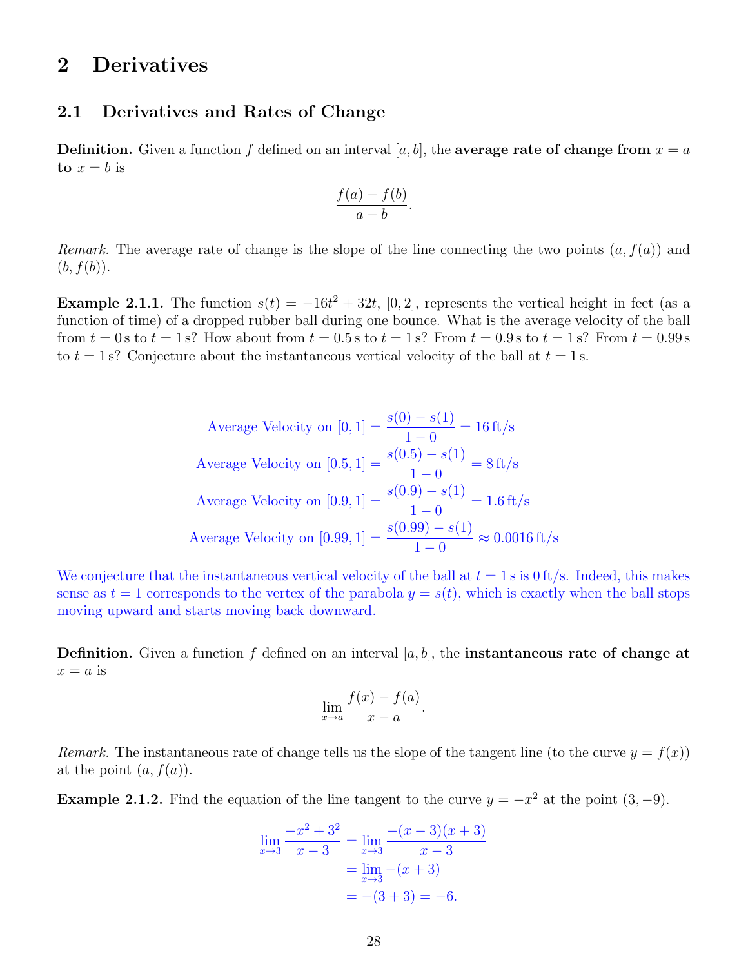# <span id="page-27-0"></span>2 Derivatives

#### <span id="page-27-1"></span>2.1 Derivatives and Rates of Change

**Definition.** Given a function f defined on an interval [a, b], the **average rate of change from**  $x = a$ to  $x = b$  is

$$
\frac{f(a) - f(b)}{a - b}.
$$

Remark. The average rate of change is the slope of the line connecting the two points  $(a, f(a))$  and  $(b, f(b)).$ 

**Example 2.1.1.** The function  $s(t) = -16t^2 + 32t$ , [0, 2], represents the vertical height in feet (as a function of time) of a dropped rubber ball during one bounce. What is the average velocity of the ball from  $t = 0$  s to  $t = 1$  s? How about from  $t = 0.5$  s to  $t = 1$  s? From  $t = 0.9$  s to  $t = 1$  s? From  $t = 0.99$  s to  $t = 1$  s? Conjecture about the instantaneous vertical velocity of the ball at  $t = 1$  s.

Average Velocity on 
$$
[0, 1] = \frac{s(0) - s(1)}{1 - 0} = 16 \text{ ft/s}
$$
  
Average Velocity on  $[0.5, 1] = \frac{s(0.5) - s(1)}{1 - 0} = 8 \text{ ft/s}$   
Average Velocity on  $[0.9, 1] = \frac{s(0.9) - s(1)}{1 - 0} = 1.6 \text{ ft/s}$   
Average Velocity on  $[0.99, 1] = \frac{s(0.99) - s(1)}{1 - 0} \approx 0.0016 \text{ ft/s}$ 

We conjecture that the instantaneous vertical velocity of the ball at  $t = 1$  s is 0 ft/s. Indeed, this makes sense as  $t = 1$  corresponds to the vertex of the parabola  $y = s(t)$ , which is exactly when the ball stops moving upward and starts moving back downward.

**Definition.** Given a function f defined on an interval [a, b], the **instantaneous rate of change at**  $x = a$  is

$$
\lim_{x \to a} \frac{f(x) - f(a)}{x - a}.
$$

Remark. The instantaneous rate of change tells us the slope of the tangent line (to the curve  $y = f(x)$ ) at the point  $(a, f(a))$ .

**Example 2.1.2.** Find the equation of the line tangent to the curve  $y = -x^2$  at the point  $(3, -9)$ .

$$
\lim_{x \to 3} \frac{-x^2 + 3^2}{x - 3} = \lim_{x \to 3} \frac{-(x - 3)(x + 3)}{x - 3}
$$

$$
= \lim_{x \to 3} -(x + 3)
$$

$$
= -(3 + 3) = -6.
$$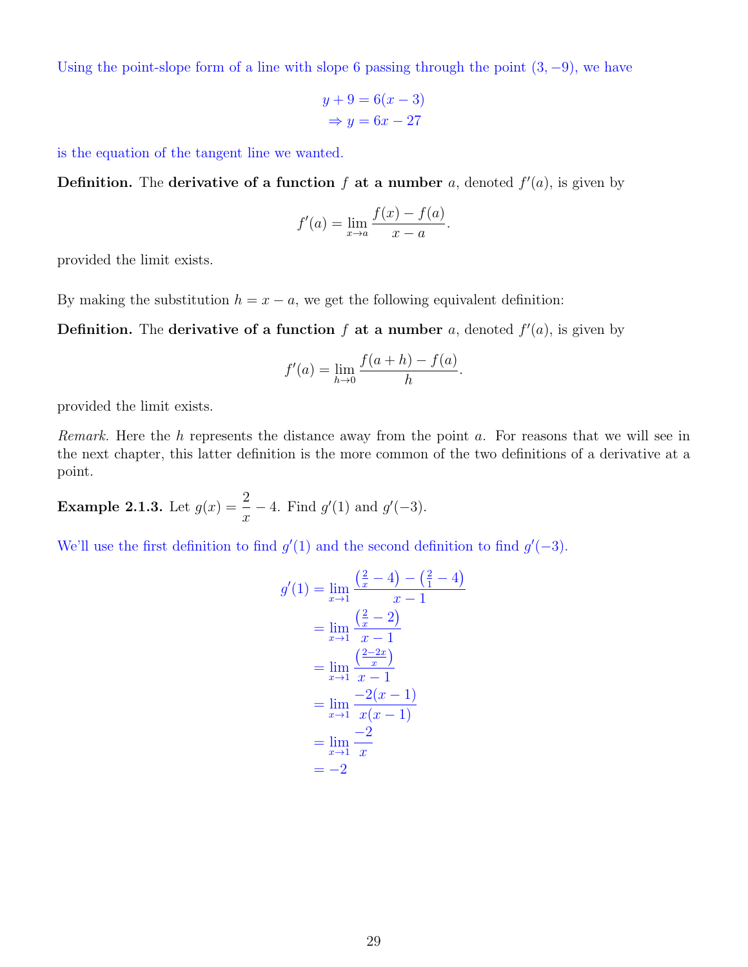Using the point-slope form of a line with slope 6 passing through the point  $(3, -9)$ , we have

$$
y + 9 = 6(x - 3)
$$

$$
\Rightarrow y = 6x - 27
$$

is the equation of the tangent line we wanted.

**Definition.** The derivative of a function f at a number a, denoted  $f'(a)$ , is given by

$$
f'(a) = \lim_{x \to a} \frac{f(x) - f(a)}{x - a}.
$$

provided the limit exists.

By making the substitution  $h = x - a$ , we get the following equivalent definition:

**Definition.** The derivative of a function f at a number a, denoted  $f'(a)$ , is given by

$$
f'(a) = \lim_{h \to 0} \frac{f(a+h) - f(a)}{h}.
$$

provided the limit exists.

Remark. Here the  $h$  represents the distance away from the point  $a$ . For reasons that we will see in the next chapter, this latter definition is the more common of the two definitions of a derivative at a point.

**Example 2.1.3.** Let 
$$
g(x) = \frac{2}{x} - 4
$$
. Find  $g'(1)$  and  $g'(-3)$ .

We'll use the first definition to find  $g'(1)$  and the second definition to find  $g'(-3)$ .

$$
g'(1) = \lim_{x \to 1} \frac{\left(\frac{2}{x} - 4\right) - \left(\frac{2}{1} - 4\right)}{x - 1}
$$

$$
= \lim_{x \to 1} \frac{\left(\frac{2}{x} - 2\right)}{x - 1}
$$

$$
= \lim_{x \to 1} \frac{\left(\frac{2 - 2x}{x}\right)}{x - 1}
$$

$$
= \lim_{x \to 1} \frac{-2(x - 1)}{x(x - 1)}
$$

$$
= \lim_{x \to 1} \frac{-2}{x}
$$

$$
= -2
$$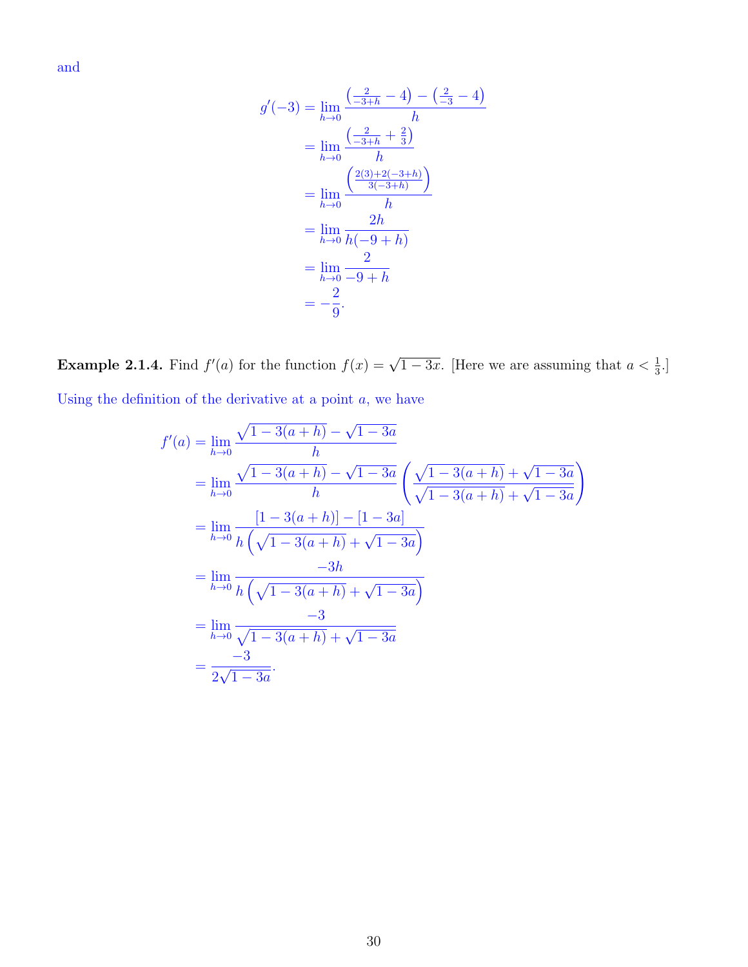and

$$
g'(-3) = \lim_{h \to 0} \frac{\left(\frac{2}{-3+h} - 4\right) - \left(\frac{2}{-3} - 4\right)}{h}
$$
  
= 
$$
\lim_{h \to 0} \frac{\left(\frac{2}{-3+h} + \frac{2}{3}\right)}{h}
$$
  
= 
$$
\lim_{h \to 0} \frac{\left(\frac{2(3)+2(-3+h)}{3(-3+h)}\right)}{h}
$$
  
= 
$$
\lim_{h \to 0} \frac{2h}{h(-9+h)}
$$
  
= 
$$
\lim_{h \to 0} \frac{2}{-9+h}
$$
  
= 
$$
-\frac{2}{9}.
$$

**Example 2.1.4.** Find  $f'(a)$  for the function  $f(x) = \sqrt{1-3x}$ . [Here we are assuming that  $a < \frac{1}{3}$ .] Using the definition of the derivative at a point  $a$ , we have

$$
f'(a) = \lim_{h \to 0} \frac{\sqrt{1 - 3(a+h)} - \sqrt{1 - 3a}}{h}
$$
  
= 
$$
\lim_{h \to 0} \frac{\sqrt{1 - 3(a+h)} - \sqrt{1 - 3a}}{h} \left( \frac{\sqrt{1 - 3(a+h)} + \sqrt{1 - 3a}}{\sqrt{1 - 3(a+h)} + \sqrt{1 - 3a}} \right)
$$
  
= 
$$
\lim_{h \to 0} \frac{[1 - 3(a+h)] - [1 - 3a]}{h \left( \sqrt{1 - 3(a+h)} + \sqrt{1 - 3a} \right)}
$$
  
= 
$$
\lim_{h \to 0} \frac{-3h}{h \left( \sqrt{1 - 3(a+h)} + \sqrt{1 - 3a} \right)}
$$
  
= 
$$
\lim_{h \to 0} \frac{-3}{\sqrt{1 - 3(a+h)} + \sqrt{1 - 3a}}
$$
  
= 
$$
\frac{-3}{2\sqrt{1 - 3a}}.
$$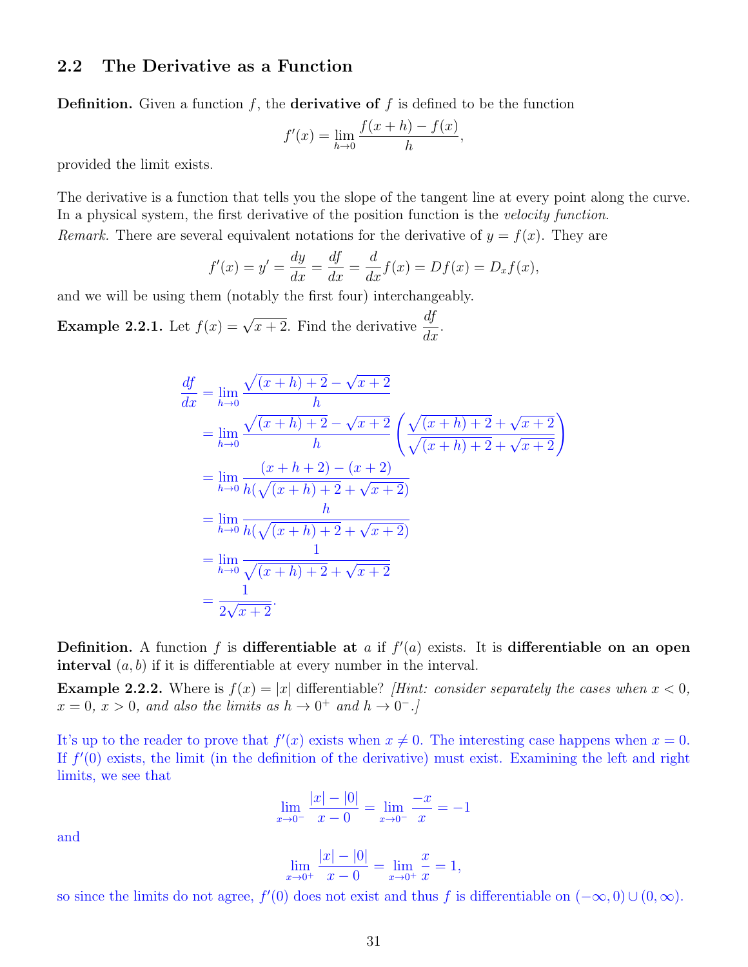#### <span id="page-30-0"></span>2.2 The Derivative as a Function

**Definition.** Given a function f, the **derivative of** f is defined to be the function

$$
f'(x) = \lim_{h \to 0} \frac{f(x+h) - f(x)}{h},
$$

provided the limit exists.

The derivative is a function that tells you the slope of the tangent line at every point along the curve. In a physical system, the first derivative of the position function is the velocity function. Remark. There are several equivalent notations for the derivative of  $y = f(x)$ . They are

$$
f'(x) = y' = \frac{dy}{dx} = \frac{df}{dx} = \frac{d}{dx}f(x) = Df(x) = D_xf(x),
$$

and we will be using them (notably the first four) interchangeably.

**Example 2.2.1.** Let  $f(x) = \sqrt{x+2}$ . Find the derivative  $\frac{df}{dx}$  $\frac{dy}{dx}$ .

$$
\frac{df}{dx} = \lim_{h \to 0} \frac{\sqrt{(x+h)+2} - \sqrt{x+2}}{h}
$$
\n
$$
= \lim_{h \to 0} \frac{\sqrt{(x+h)+2} - \sqrt{x+2}}{h} \left( \frac{\sqrt{(x+h)+2} + \sqrt{x+2}}{\sqrt{(x+h)+2} + \sqrt{x+2}} \right)
$$
\n
$$
= \lim_{h \to 0} \frac{(x+h+2) - (x+2)}{h(\sqrt{(x+h)+2} + \sqrt{x+2})}
$$
\n
$$
= \lim_{h \to 0} \frac{h}{h(\sqrt{(x+h)+2} + \sqrt{x+2})}
$$
\n
$$
= \lim_{h \to 0} \frac{1}{\sqrt{(x+h)+2} + \sqrt{x+2}}
$$
\n
$$
= \frac{1}{2\sqrt{x+2}}.
$$

**Definition.** A function f is differentiable at a if  $f'(a)$  exists. It is differentiable on an open **interval**  $(a, b)$  if it is differentiable at every number in the interval.

**Example 2.2.2.** Where is  $f(x) = |x|$  differentiable? *[Hint: consider separately the cases when*  $x < 0$ ,  $x = 0, x > 0$ , and also the limits as  $h \to 0^+$  and  $h \to 0^-$ .

It's up to the reader to prove that  $f'(x)$  exists when  $x \neq 0$ . The interesting case happens when  $x = 0$ . If  $f'(0)$  exists, the limit (in the definition of the derivative) must exist. Examining the left and right limits, we see that

$$
\lim_{x \to 0^{-}} \frac{|x| - |0|}{x - 0} = \lim_{x \to 0^{-}} \frac{-x}{x} = -1
$$

|x| − |0|

and

$$
\lim_{x \to 0^+} \frac{|x| - |0|}{x - 0} = \lim_{x \to 0^+} \frac{x}{x} = 1,
$$

so since the limits do not agree,  $f'(0)$  does not exist and thus f is differentiable on  $(-\infty,0) \cup (0,\infty)$ .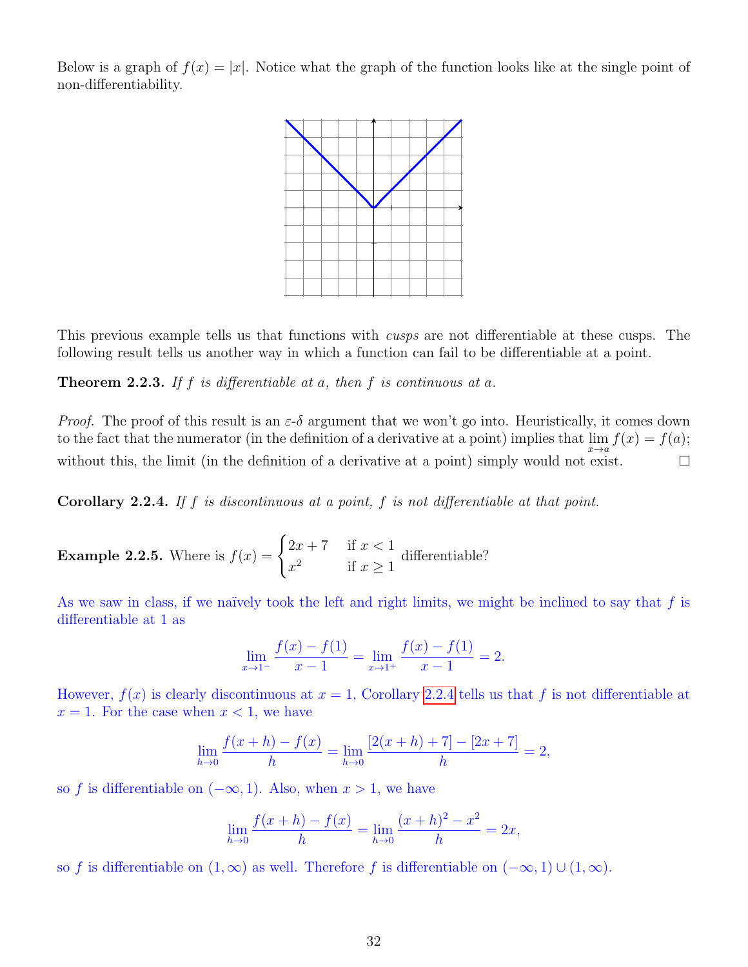Below is a graph of  $f(x) = |x|$ . Notice what the graph of the function looks like at the single point of non-differentiability.



This previous example tells us that functions with cusps are not differentiable at these cusps. The following result tells us another way in which a function can fail to be differentiable at a point.

**Theorem 2.2.3.** If  $f$  is differentiable at  $a$ , then  $f$  is continuous at  $a$ .

*Proof.* The proof of this result is an  $\varepsilon$ - $\delta$  argument that we won't go into. Heuristically, it comes down to the fact that the numerator (in the definition of a derivative at a point) implies that  $\lim_{x\to a} f(x) = f(a)$ ; without this, the limit (in the definition of a derivative at a point) simply would not exist.  $\Box$ 

<span id="page-31-0"></span>**Corollary 2.2.4.** If f is discontinuous at a point, f is not differentiable at that point.

**Example 2.2.5.** Where is  $f(x) = \begin{cases} 2x + 7 & \text{if } x < 1 \\ 2x + 7 & \text{if } x > 1 \end{cases}$  $x^2$  if  $x \ge 1$ differentiable?

As we saw in class, if we naïvely took the left and right limits, we might be inclined to say that  $f$  is differentiable at 1 as

$$
\lim_{x \to 1^{-}} \frac{f(x) - f(1)}{x - 1} = \lim_{x \to 1^{+}} \frac{f(x) - f(1)}{x - 1} = 2.
$$

However,  $f(x)$  is clearly discontinuous at  $x = 1$ , Corollary [2.2.4](#page-31-0) tells us that f is not differentiable at  $x = 1$ . For the case when  $x < 1$ , we have

$$
\lim_{h \to 0} \frac{f(x+h) - f(x)}{h} = \lim_{h \to 0} \frac{[2(x+h) + 7] - [2x + 7]}{h} = 2,
$$

so f is differentiable on  $(-\infty, 1)$ . Also, when  $x > 1$ , we have

$$
\lim_{h \to 0} \frac{f(x+h) - f(x)}{h} = \lim_{h \to 0} \frac{(x+h)^2 - x^2}{h} = 2x,
$$

so f is differentiable on  $(1, \infty)$  as well. Therefore f is differentiable on  $(-\infty, 1) \cup (1, \infty)$ .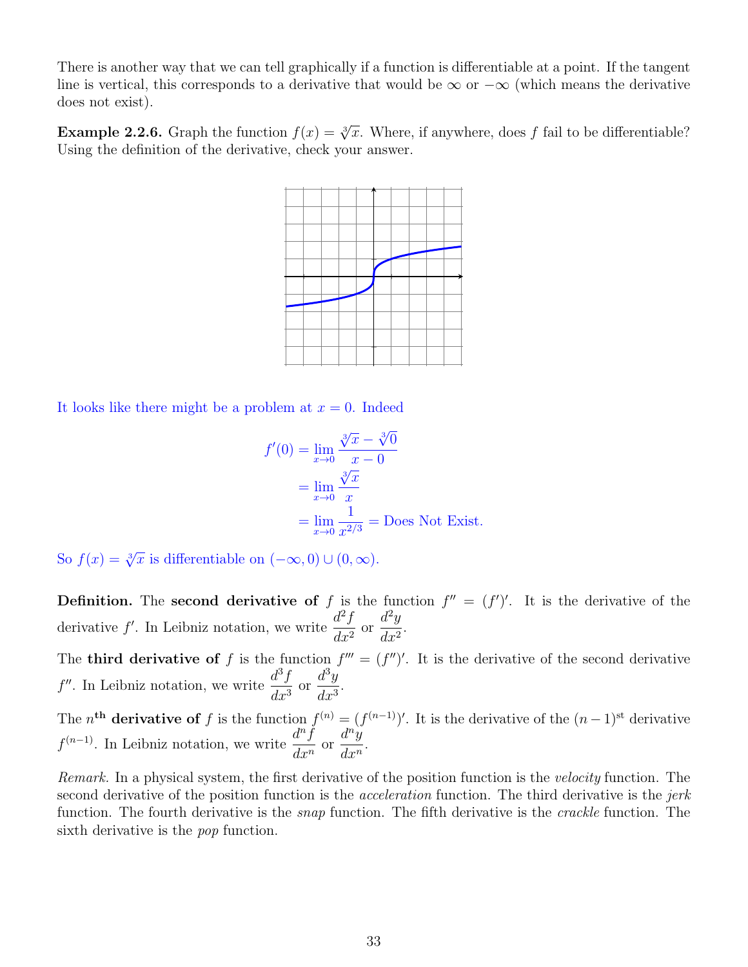There is another way that we can tell graphically if a function is differentiable at a point. If the tangent line is vertical, this corresponds to a derivative that would be  $\infty$  or  $-\infty$  (which means the derivative does not exist).

**Example 2.2.6.** Graph the function  $f(x) = \sqrt[3]{x}$ . Where, if anywhere, does f fail to be differentiable? Using the definition of the derivative, check your answer.



It looks like there might be a problem at  $x = 0$ . Indeed

$$
f'(0) = \lim_{x \to 0} \frac{\sqrt[3]{x} - \sqrt[3]{0}}{x - 0}
$$

$$
= \lim_{x \to 0} \frac{\sqrt[3]{x}}{x}
$$

$$
= \lim_{x \to 0} \frac{1}{x^{2/3}} = \text{Does Not Exist.}
$$

So  $f(x) = \sqrt[3]{x}$  is differentiable on  $(-\infty, 0) \cup (0, \infty)$ .

**Definition.** The **second derivative of** f is the function  $f'' = (f')'$ . It is the derivative of the derivative f'. In Leibniz notation, we write  $\frac{d^2f}{dt^2}$  $\frac{d^2y}{dx^2}$  or  $d^2y$  $\frac{d^2y}{dx^2}$ .

The **third derivative of** f is the function  $f''' = (f'')'$ . It is the derivative of the second derivative  $f''$ . In Leibniz notation, we write  $\frac{d^3 f}{dx^3}$  $\frac{d^2y}{dx^3}$  or  $d^3y$  $\frac{d^2y}{dx^3}$ .

The n<sup>th</sup> derivative of f is the function  $f^{(n)} = (f^{(n-1)})'$ . It is the derivative of the  $(n-1)$ <sup>st</sup> derivative  $f^{(n-1)}$ . In Leibniz notation, we write  $\frac{d^n \hat{f}}{dx^n}$  $\frac{d}{dx}$  or  $d^n\ddot{y}$  $\frac{d}{dx}$ .

Remark. In a physical system, the first derivative of the position function is the velocity function. The second derivative of the position function is the *acceleration* function. The third derivative is the *jerk* function. The fourth derivative is the *snap* function. The fifth derivative is the *crackle* function. The sixth derivative is the *pop* function.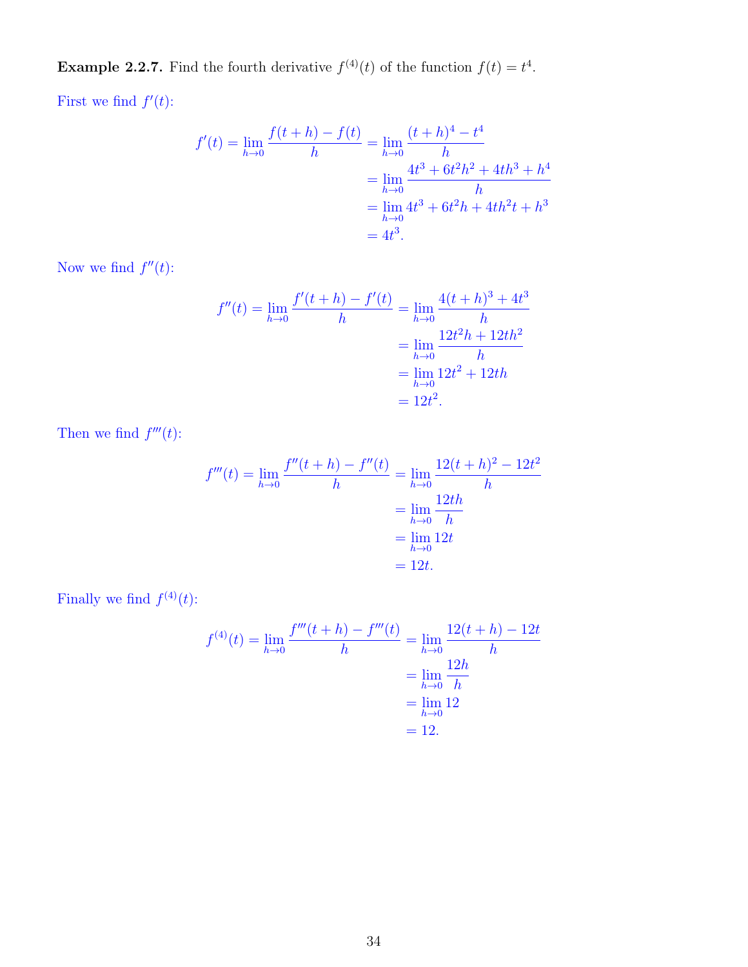<span id="page-33-0"></span>**Example 2.2.7.** Find the fourth derivative  $f^{(4)}(t)$  of the function  $f(t) = t^4$ .

First we find  $f'(t)$ :

$$
f'(t) = \lim_{h \to 0} \frac{f(t+h) - f(t)}{h} = \lim_{h \to 0} \frac{(t+h)^4 - t^4}{h}
$$
  
= 
$$
\lim_{h \to 0} \frac{4t^3 + 6t^2h^2 + 4th^3 + h^4}{h}
$$
  
= 
$$
\lim_{h \to 0} 4t^3 + 6t^2h + 4th^2t + h^3
$$
  
= 
$$
4t^3.
$$

Now we find  $f''(t)$ :

$$
f''(t) = \lim_{h \to 0} \frac{f'(t+h) - f'(t)}{h} = \lim_{h \to 0} \frac{4(t+h)^3 + 4t^3}{h}
$$
  
= 
$$
\lim_{h \to 0} \frac{12t^2h + 12th^2}{h}
$$
  
= 
$$
\lim_{h \to 0} 12t^2 + 12th
$$
  
= 
$$
12t^2.
$$

Then we find  $f'''(t)$ :

$$
f'''(t) = \lim_{h \to 0} \frac{f''(t+h) - f''(t)}{h} = \lim_{h \to 0} \frac{12(t+h)^2 - 12t^2}{h}
$$

$$
= \lim_{h \to 0} \frac{12th}{h}
$$

$$
= \lim_{h \to 0} 12t
$$

$$
= 12t.
$$

Finally we find  $f^{(4)}(t)$ :

$$
f^{(4)}(t) = \lim_{h \to 0} \frac{f'''(t+h) - f'''(t)}{h} = \lim_{h \to 0} \frac{12(t+h) - 12t}{h}
$$

$$
= \lim_{h \to 0} \frac{12h}{h}
$$

$$
= \lim_{h \to 0} 12
$$

$$
= 12.
$$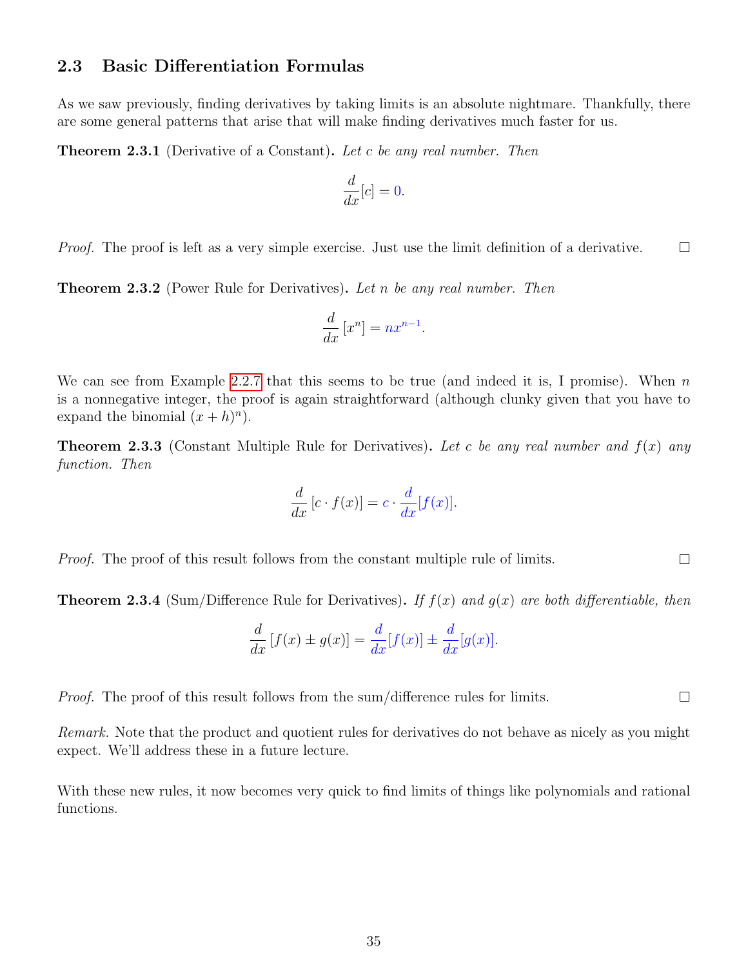#### <span id="page-34-0"></span>2.3 Basic Differentiation Formulas

As we saw previously, finding derivatives by taking limits is an absolute nightmare. Thankfully, there are some general patterns that arise that will make finding derivatives much faster for us.

**Theorem 2.3.1** (Derivative of a Constant). Let c be any real number. Then

$$
\frac{d}{dx}[c] = 0.
$$

Proof. The proof is left as a very simple exercise. Just use the limit definition of a derivative.  $\Box$ 

**Theorem 2.3.2** (Power Rule for Derivatives). Let n be any real number. Then

$$
\frac{d}{dx}\left[x^n\right] = nx^{n-1}.
$$

We can see from Example [2.2.7](#page-33-0) that this seems to be true (and indeed it is, I promise). When  $n$ is a nonnegative integer, the proof is again straightforward (although clunky given that you have to expand the binomial  $(x+h)^n$ .

**Theorem 2.3.3** (Constant Multiple Rule for Derivatives). Let c be any real number and  $f(x)$  any function. Then

$$
\frac{d}{dx}\left[c \cdot f(x)\right] = c \cdot \frac{d}{dx}[f(x)].
$$

Proof. The proof of this result follows from the constant multiple rule of limits.

**Theorem 2.3.4** (Sum/Difference Rule for Derivatives). If  $f(x)$  and  $g(x)$  are both differentiable, then

$$
\frac{d}{dx}[f(x) \pm g(x)] = \frac{d}{dx}[f(x)] \pm \frac{d}{dx}[g(x)].
$$

Proof. The proof of this result follows from the sum/difference rules for limits.

Remark. Note that the product and quotient rules for derivatives do not behave as nicely as you might expect. We'll address these in a future lecture.

With these new rules, it now becomes very quick to find limits of things like polynomials and rational functions.

 $\Box$ 

 $\Box$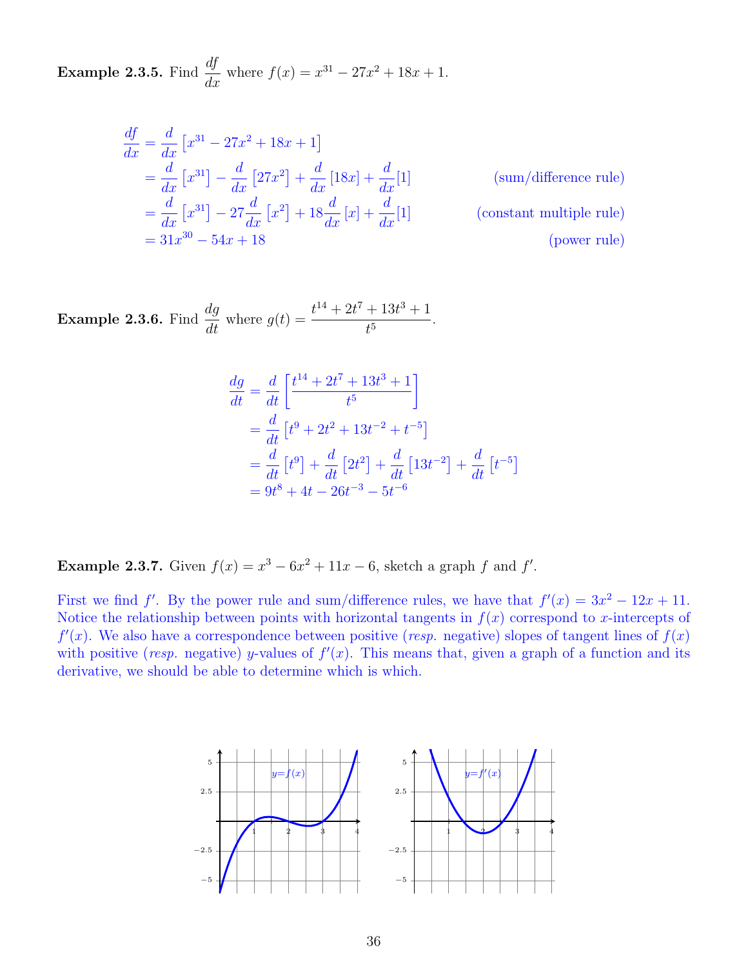**Example 2.3.5.** Find  $\frac{df}{dt}$  $\frac{dy}{dx}$  where  $f(x) = x^{31} - 27x^2 + 18x + 1$ .

$$
\frac{df}{dx} = \frac{d}{dx} [x^{31} - 27x^2 + 18x + 1]
$$
\n
$$
= \frac{d}{dx} [x^{31}] - \frac{d}{dx} [27x^2] + \frac{d}{dx} [18x] + \frac{d}{dx} [1]
$$
\n
$$
= \frac{d}{dx} [x^{31}] - 27\frac{d}{dx} [x^2] + 18\frac{d}{dx} [x] + \frac{d}{dx} [1]
$$
\n
$$
(constant multiple rule)
$$
\n
$$
= 31x^{30} - 54x + 18
$$
\n
$$
(power rule)
$$

**Example 2.3.6.** Find  $\frac{dg}{dt}$  where  $g(t) = \frac{t^{14} + 2t^7 + 13t^3 + 1}{t^5}$  $\frac{1}{t^5}$ .

$$
\frac{dg}{dt} = \frac{d}{dt} \left[ \frac{t^{14} + 2t^7 + 13t^3 + 1}{t^5} \right]
$$
  
\n
$$
= \frac{d}{dt} \left[ t^9 + 2t^2 + 13t^{-2} + t^{-5} \right]
$$
  
\n
$$
= \frac{d}{dt} \left[ t^9 \right] + \frac{d}{dt} \left[ 2t^2 \right] + \frac{d}{dt} \left[ 13t^{-2} \right] + \frac{d}{dt} \left[ t^{-5} \right]
$$
  
\n
$$
= 9t^8 + 4t - 26t^{-3} - 5t^{-6}
$$

**Example 2.3.7.** Given  $f(x) = x^3 - 6x^2 + 11x - 6$ , sketch a graph f and f'.

First we find f'. By the power rule and sum/difference rules, we have that  $f'(x) = 3x^2 - 12x + 11$ . Notice the relationship between points with horizontal tangents in  $f(x)$  correspond to x-intercepts of  $f'(x)$ . We also have a correspondence between positive (resp. negative) slopes of tangent lines of  $f(x)$ with positive (resp. negative) y-values of  $f'(x)$ . This means that, given a graph of a function and its derivative, we should be able to determine which is which.

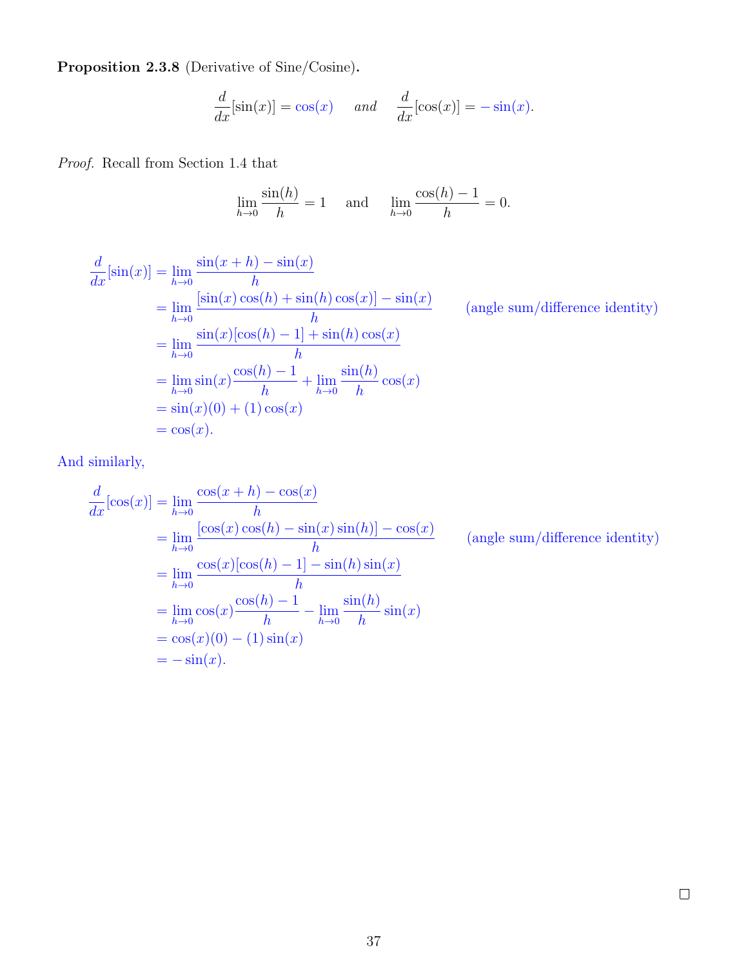Proposition 2.3.8 (Derivative of Sine/Cosine).

$$
\frac{d}{dx}[\sin(x)] = \cos(x) \quad and \quad \frac{d}{dx}[\cos(x)] = -\sin(x).
$$

Proof. Recall from Section 1.4 that

$$
\lim_{h \to 0} \frac{\sin(h)}{h} = 1 \quad \text{and} \quad \lim_{h \to 0} \frac{\cos(h) - 1}{h} = 0.
$$

$$
\frac{d}{dx}[\sin(x)] = \lim_{h \to 0} \frac{\sin(x+h) - \sin(x)}{h}
$$
\n
$$
= \lim_{h \to 0} \frac{[\sin(x)\cos(h) + \sin(h)\cos(x)] - \sin(x)}{h}
$$
\n
$$
= \lim_{h \to 0} \frac{\sin(x)[\cos(h) - 1] + \sin(h)\cos(x)}{h}
$$
\n
$$
= \lim_{h \to 0} \sin(x)\frac{\cos(h) - 1}{h} + \lim_{h \to 0} \frac{\sin(h)}{h}\cos(x)
$$
\n
$$
= \sin(x)(0) + (1)\cos(x)
$$
\n
$$
= \cos(x).
$$
\n(4.12)

(angle sum/difference identity)

And similarly,

$$
\frac{d}{dx}[\cos(x)] = \lim_{h \to 0} \frac{\cos(x+h) - \cos(x)}{h}
$$
  
\n
$$
= \lim_{h \to 0} \frac{[\cos(x)\cos(h) - \sin(x)\sin(h)] - \cos(x)}{h}
$$
  
\n
$$
= \lim_{h \to 0} \frac{\cos(x)[\cos(h) - 1] - \sin(h)\sin(x)}{h}
$$
  
\n
$$
= \lim_{h \to 0} \cos(x)\frac{\cos(h) - 1}{h} - \lim_{h \to 0} \frac{\sin(h)}{h}\sin(x)
$$
  
\n
$$
= \cos(x)(0) - (1)\sin(x)
$$
  
\n
$$
= -\sin(x).
$$

(angle sum/difference identity)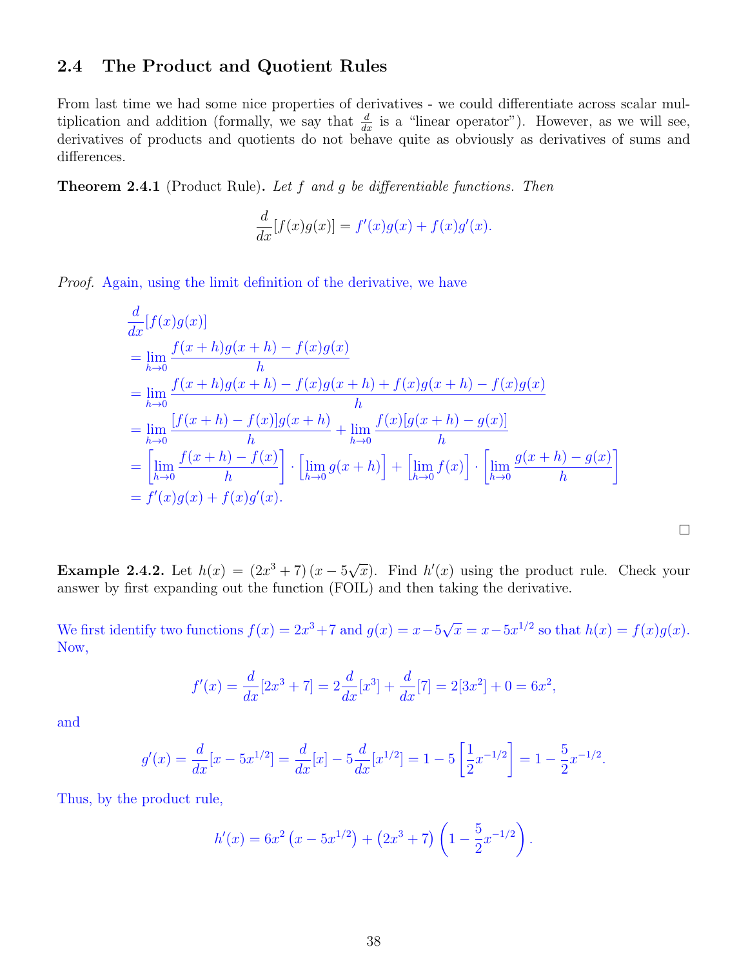# 2.4 The Product and Quotient Rules

From last time we had some nice properties of derivatives - we could differentiate across scalar multiplication and addition (formally, we say that  $\frac{d}{dx}$  is a "linear operator"). However, as we will see, derivatives of products and quotients do not behave quite as obviously as derivatives of sums and differences.

**Theorem 2.4.1** (Product Rule). Let f and g be differentiable functions. Then

$$
\frac{d}{dx}[f(x)g(x)] = f'(x)g(x) + f(x)g'(x).
$$

Proof. Again, using the limit definition of the derivative, we have

$$
\frac{d}{dx}[f(x)g(x)]
$$
\n
$$
= \lim_{h \to 0} \frac{f(x+h)g(x+h) - f(x)g(x)}{h}
$$
\n
$$
= \lim_{h \to 0} \frac{f(x+h)g(x+h) - f(x)g(x+h) + f(x)g(x+h) - f(x)g(x)}{h}
$$
\n
$$
= \lim_{h \to 0} \frac{[f(x+h) - f(x)]g(x+h)}{h} + \lim_{h \to 0} \frac{f(x)[g(x+h) - g(x)]}{h}
$$
\n
$$
= \left[\lim_{h \to 0} \frac{f(x+h) - f(x)}{h}\right] \cdot \left[\lim_{h \to 0} g(x+h)\right] + \left[\lim_{h \to 0} f(x)\right] \cdot \left[\lim_{h \to 0} \frac{g(x+h) - g(x)}{h}\right]
$$
\n
$$
= f'(x)g(x) + f(x)g'(x).
$$

**Example 2.4.2.** Let  $h(x) = (2x^3 + 7)(x - 5\sqrt{2})$  $\overline{x}$ ). Find  $h'(x)$  using the product rule. Check your answer by first expanding out the function (FOIL) and then taking the derivative.

 $\Box$ 

We first identify two functions  $f(x) = 2x^3 + 7$  and  $g(x) = x - 5\sqrt{ }$  $\overline{x} = x - 5x^{1/2}$  so that  $h(x) = f(x)g(x)$ . Now,

$$
f'(x) = \frac{d}{dx}[2x^3 + 7] = 2\frac{d}{dx}[x^3] + \frac{d}{dx}[7] = 2[3x^2] + 0 = 6x^2,
$$

and

$$
g'(x) = \frac{d}{dx}[x - 5x^{1/2}] = \frac{d}{dx}[x] - 5\frac{d}{dx}[x^{1/2}] = 1 - 5\left[\frac{1}{2}x^{-1/2}\right] = 1 - \frac{5}{2}x^{-1/2}.
$$

Thus, by the product rule,

$$
h'(x) = 6x^{2} (x - 5x^{1/2}) + (2x^{3} + 7) \left(1 - \frac{5}{2}x^{-1/2}\right).
$$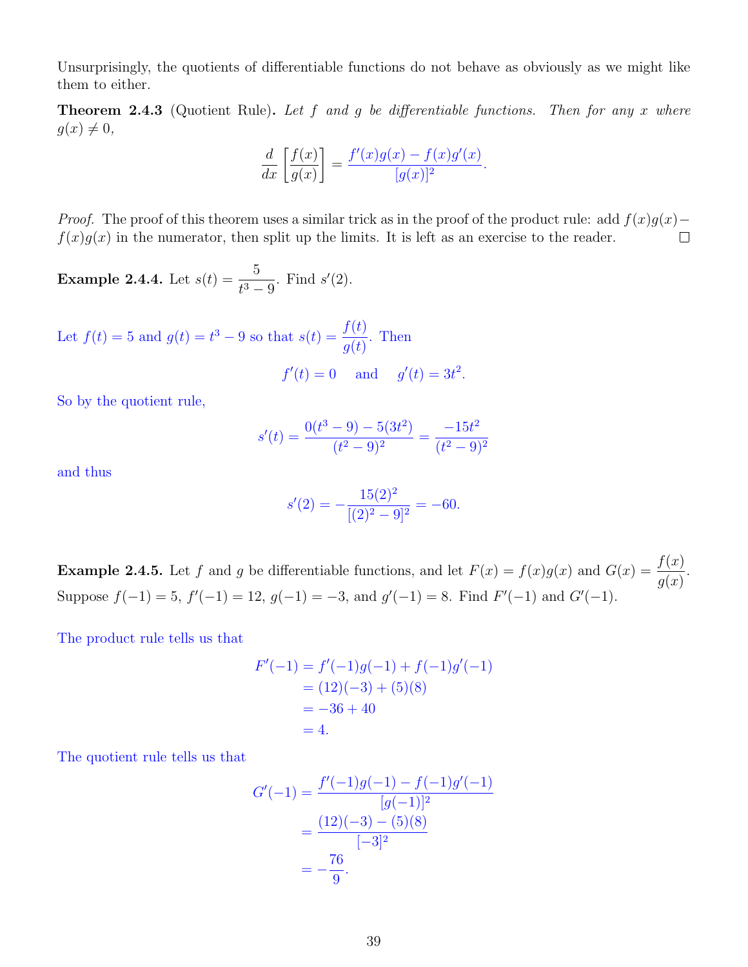Unsurprisingly, the quotients of differentiable functions do not behave as obviously as we might like them to either.

**Theorem 2.4.3** (Quotient Rule). Let f and g be differentiable functions. Then for any x where  $g(x) \neq 0,$ 

$$
\frac{d}{dx}\left[\frac{f(x)}{g(x)}\right] = \frac{f'(x)g(x) - f(x)g'(x)}{[g(x)]^2}.
$$

*Proof.* The proof of this theorem uses a similar trick as in the proof of the product rule: add  $f(x)g(x)$ −  $f(x)g(x)$  in the numerator, then split up the limits. It is left as an exercise to the reader.  $\Box$ 

**Example 2.4.4.** Let  $s(t) = \frac{5}{t^3}$  $\frac{3}{t^3-9}$ . Find  $s'(2)$ .

Let  $f(t) = 5$  and  $g(t) = t^3 - 9$  so that  $s(t) = \frac{f(t)}{f(t)}$  $g(t)$ . Then  $f'(t) = 0$  and  $g'(t) = 3t^2$ .

So by the quotient rule,

$$
s'(t) = \frac{0(t^3 - 9) - 5(3t^2)}{(t^2 - 9)^2} = \frac{-15t^2}{(t^2 - 9)^2}
$$

and thus

$$
s'(2) = -\frac{15(2)^2}{[(2)^2 - 9]^2} = -60.
$$

**Example 2.4.5.** Let f and g be differentiable functions, and let  $F(x) = f(x)g(x)$  and  $G(x) = \frac{f(x)}{f(x)}$  $g(x)$ . Suppose  $f(-1) = 5$ ,  $f'(-1) = 12$ ,  $g(-1) = -3$ , and  $g'(-1) = 8$ . Find  $F'(-1)$  and  $G'(-1)$ .

The product rule tells us that

$$
F'(-1) = f'(-1)g(-1) + f(-1)g'(-1)
$$
  
= (12)(-3) + (5)(8)  
= -36 + 40  
= 4.

The quotient rule tells us that

$$
G'(-1) = \frac{f'(-1)g(-1) - f(-1)g'(-1)}{[g(-1)]^2}
$$
  
= 
$$
\frac{(12)(-3) - (5)(8)}{[-3]^2}
$$
  
= 
$$
-\frac{76}{9}.
$$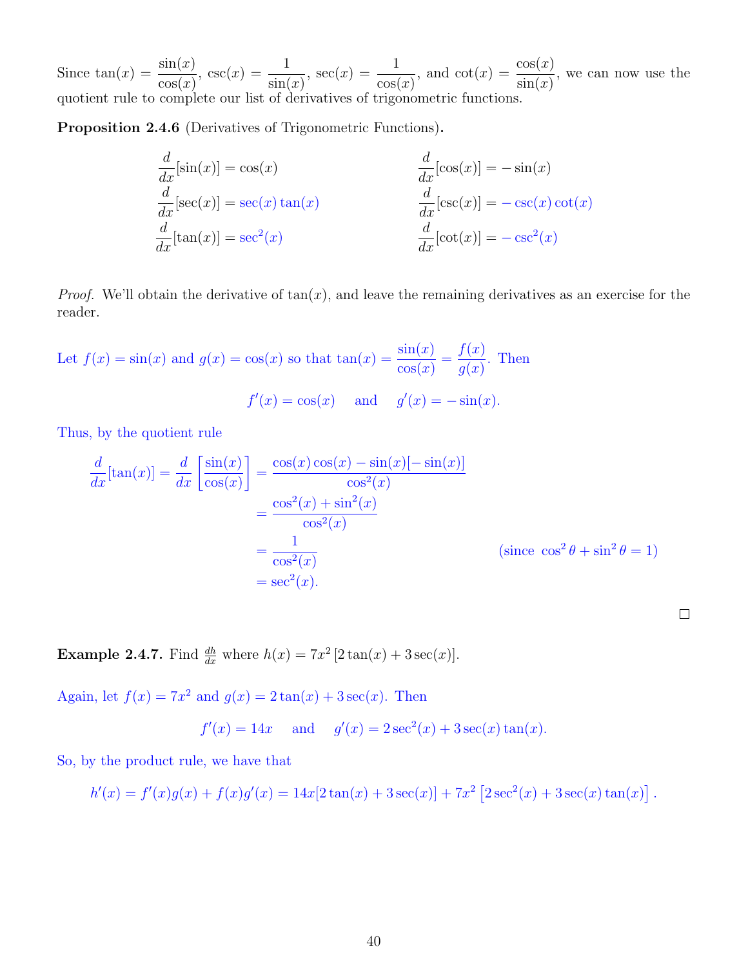Since  $tan(x) = \frac{sin(x)}{x}$  $cos(x)$ ,  $\csc(x) = \frac{1}{1}$  $\sin(x)$ ,  $sec(x) = \frac{1}{x}$  $\cos(x)$ , and  $\cot(x) = \frac{\cos(x)}{x}$  $sin(x)$ , we can now use the quotient rule to complete our list of derivatives of trigonometric functions.

Proposition 2.4.6 (Derivatives of Trigonometric Functions).

$$
\frac{d}{dx}[\sin(x)] = \cos(x) \qquad \qquad \frac{d}{dx}[\cos(x)] = -\sin(x)
$$
\n
$$
\frac{d}{dx}[\sec(x)] = \sec(x)\tan(x) \qquad \qquad \frac{d}{dx}[\csc(x)] = -\csc(x)\cot(x)
$$
\n
$$
\frac{d}{dx}[\tan(x)] = \sec^2(x) \qquad \qquad \frac{d}{dx}[\cot(x)] = -\csc^2(x)
$$

*Proof.* We'll obtain the derivative of  $tan(x)$ , and leave the remaining derivatives as an exercise for the reader.

Let 
$$
f(x) = \sin(x)
$$
 and  $g(x) = \cos(x)$  so that  $\tan(x) = \frac{\sin(x)}{\cos(x)} = \frac{f(x)}{g(x)}$ . Then  

$$
f'(x) = \cos(x) \quad \text{and} \quad g'(x) = -\sin(x).
$$

Thus, by the quotient rule

$$
\frac{d}{dx}[\tan(x)] = \frac{d}{dx} \left[ \frac{\sin(x)}{\cos(x)} \right] = \frac{\cos(x)\cos(x) - \sin(x)[- \sin(x)]}{\cos^2(x)}
$$

$$
= \frac{\cos^2(x) + \sin^2(x)}{\cos^2(x)}
$$

$$
= \frac{1}{\cos^2(x)}
$$
 (since  $\cos^2 \theta + \sin^2 \theta = 1$ )
$$
= \sec^2(x).
$$

 $\Box$ 

**Example 2.4.7.** Find  $\frac{dh}{dx}$  where  $h(x) = 7x^2 \left[2 \tan(x) + 3 \sec(x)\right]$ .

Again, let  $f(x) = 7x^2$  and  $g(x) = 2 \tan(x) + 3 \sec(x)$ . Then

$$
f'(x) = 14x
$$
 and  $g'(x) = 2\sec^2(x) + 3\sec(x)\tan(x)$ .

So, by the product rule, we have that

$$
h'(x) = f'(x)g(x) + f(x)g'(x) = 14x[2\tan(x) + 3\sec(x)] + 7x^2[2\sec^2(x) + 3\sec(x)\tan(x)].
$$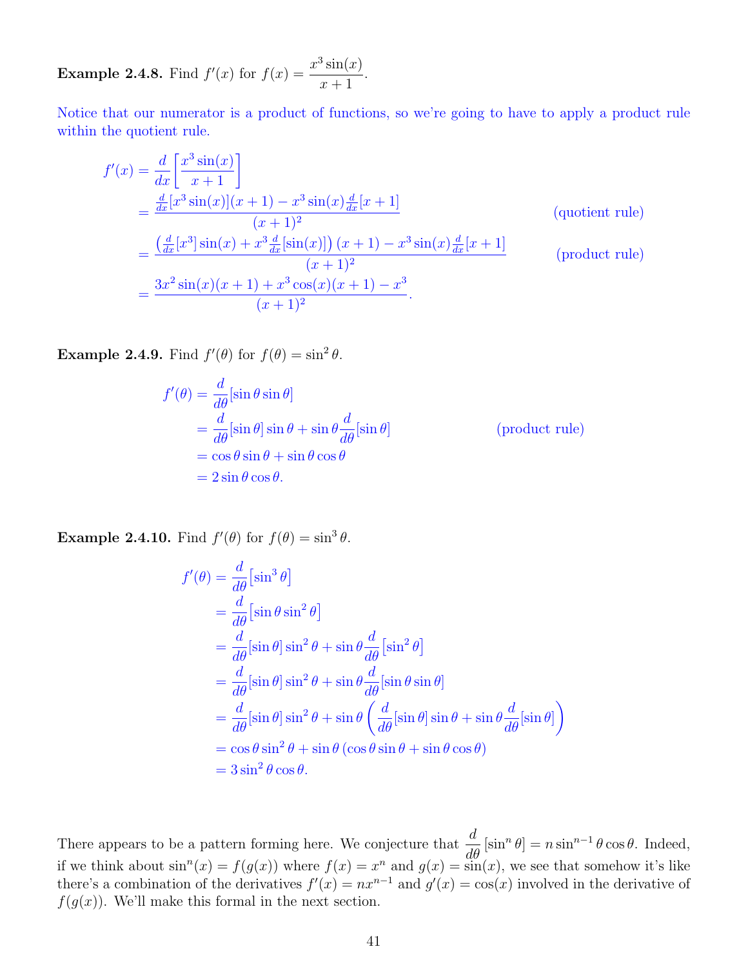**Example 2.4.8.** Find  $f'(x)$  for  $f(x) = \frac{x^3 \sin(x)}{x^3}$  $x + 1$ .

Notice that our numerator is a product of functions, so we're going to have to apply a product rule within the quotient rule.

$$
f'(x) = \frac{d}{dx} \left[ \frac{x^3 \sin(x)}{x+1} \right]
$$
  
= 
$$
\frac{\frac{d}{dx} [x^3 \sin(x)] (x+1) - x^3 \sin(x) \frac{d}{dx} [x+1]}{(x+1)^2}
$$
  
= 
$$
\frac{\left(\frac{d}{dx} [x^3] \sin(x) + x^3 \frac{d}{dx} [\sin(x)]\right) (x+1) - x^3 \sin(x) \frac{d}{dx} [x+1]}{(x+1)^2}
$$
 (product rule)  
= 
$$
\frac{3x^2 \sin(x) (x+1) + x^3 \cos(x) (x+1) - x^3}{(x+1)^2}.
$$

**Example 2.4.9.** Find  $f'(\theta)$  for  $f(\theta) = \sin^2 \theta$ .

$$
f'(\theta) = \frac{d}{d\theta} [\sin \theta \sin \theta]
$$
  
=  $\frac{d}{d\theta} [\sin \theta] \sin \theta + \sin \theta \frac{d}{d\theta} [\sin \theta]$  (product rule)  
=  $\cos \theta \sin \theta + \sin \theta \cos \theta$   
=  $2 \sin \theta \cos \theta$ .

**Example 2.4.10.** Find  $f'(\theta)$  for  $f(\theta) = \sin^3 \theta$ .

$$
f'(\theta) = \frac{d}{d\theta} [\sin^3 \theta]
$$
  
=  $\frac{d}{d\theta} [\sin \theta \sin^2 \theta]$   
=  $\frac{d}{d\theta} [\sin \theta] \sin^2 \theta + \sin \theta \frac{d}{d\theta} [\sin^2 \theta]$   
=  $\frac{d}{d\theta} [\sin \theta] \sin^2 \theta + \sin \theta \frac{d}{d\theta} [\sin \theta \sin \theta]$   
=  $\frac{d}{d\theta} [\sin \theta] \sin^2 \theta + \sin \theta \left( \frac{d}{d\theta} [\sin \theta] \sin \theta + \sin \theta \frac{d}{d\theta} [\sin \theta] \right)$   
=  $\cos \theta \sin^2 \theta + \sin \theta (\cos \theta \sin \theta + \sin \theta \cos \theta)$   
=  $3 \sin^2 \theta \cos \theta$ .

There appears to be a pattern forming here. We conjecture that  $\frac{d}{d\theta}[\sin^n \theta] = n \sin^{n-1} \theta \cos \theta$ . Indeed, if we think about  $\sin^n(x) = f(g(x))$  where  $f(x) = x^n$  and  $g(x) = \sin(x)$ , we see that somehow it's like there's a combination of the derivatives  $f'(x) = nx^{n-1}$  and  $g'(x) = \cos(x)$  involved in the derivative of  $f(g(x))$ . We'll make this formal in the next section.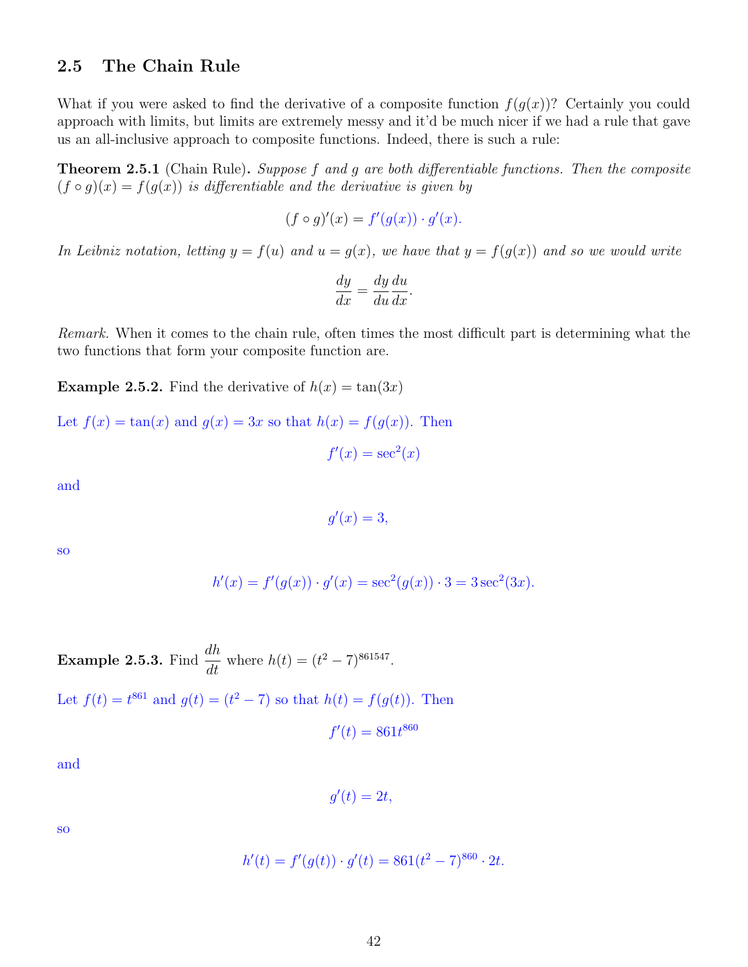# 2.5 The Chain Rule

What if you were asked to find the derivative of a composite function  $f(g(x))$ ? Certainly you could approach with limits, but limits are extremely messy and it'd be much nicer if we had a rule that gave us an all-inclusive approach to composite functions. Indeed, there is such a rule:

**Theorem 2.5.1** (Chain Rule). Suppose f and g are both differentiable functions. Then the composite  $(f \circ g)(x) = f(g(x))$  is differentiable and the derivative is given by

$$
(f \circ g)'(x) = f'(g(x)) \cdot g'(x).
$$

In Leibniz notation, letting  $y = f(u)$  and  $u = g(x)$ , we have that  $y = f(g(x))$  and so we would write

$$
\frac{dy}{dx} = \frac{dy}{du}\frac{du}{dx}.
$$

Remark. When it comes to the chain rule, often times the most difficult part is determining what the two functions that form your composite function are.

**Example 2.5.2.** Find the derivative of  $h(x) = \tan(3x)$ 

Let  $f(x) = \tan(x)$  and  $g(x) = 3x$  so that  $h(x) = f(g(x))$ . Then

 $f'(x) = \sec^2(x)$ 

and

 $g'(x) = 3,$ 

so

$$
h'(x) = f'(g(x)) \cdot g'(x) = \sec^2(g(x)) \cdot 3 = 3\sec^2(3x).
$$

**Example 2.5.3.** Find  $\frac{dh}{dt}$  $\frac{du}{dt}$  where  $h(t) = (t^2 - 7)^{861547}$ . Let  $f(t) = t^{861}$  and  $g(t) = (t^2 - 7)$  so that  $h(t) = f(g(t))$ . Then

$$
f'(t) = 861t^{860}
$$

and

$$
g'(t) = 2t,
$$

so

$$
h'(t) = f'(g(t)) \cdot g'(t) = 861(t^2 - 7)^{860} \cdot 2t.
$$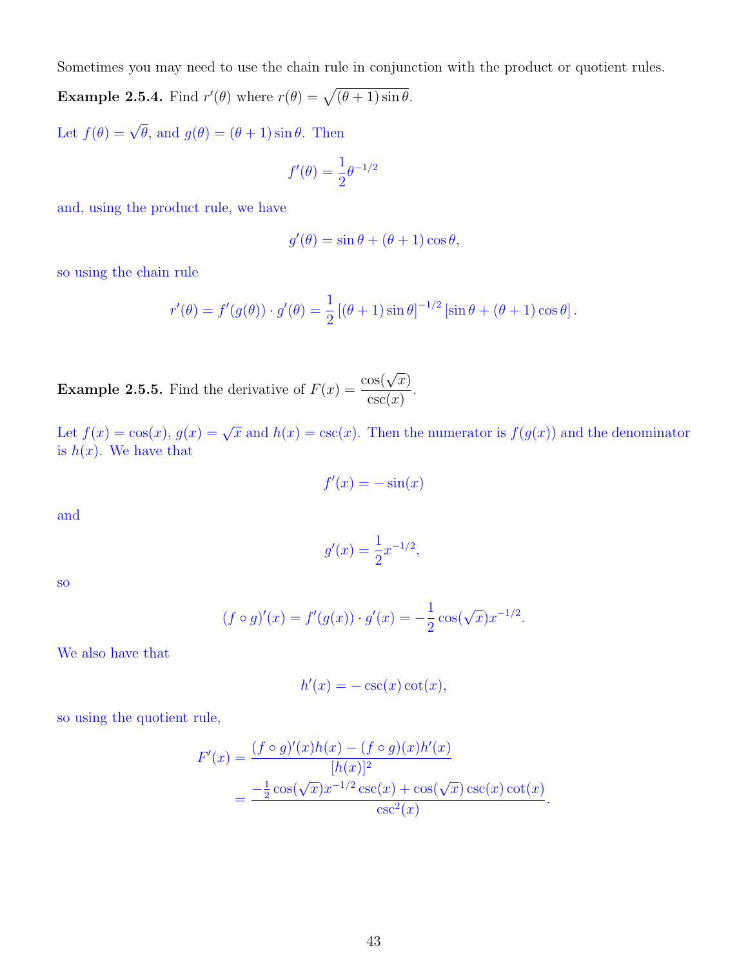Sometimes you may need to use the chain rule in conjunction with the product or quotient rules.

**Example 2.5.4.** Find  $r'(\theta)$  where  $r(\theta) = \sqrt{(\theta + 1) \sin \theta}$ .

Let  $f(\theta) = \sqrt{\theta}$ , and  $g(\theta) = (\theta + 1) \sin \theta$ . Then

$$
f'(\theta) = \frac{1}{2}\theta^{-1/2}
$$

and, using the product rule, we have

$$
g'(\theta) = \sin \theta + (\theta + 1)\cos \theta,
$$

so using the chain rule

$$
r'(\theta) = f'(g(\theta)) \cdot g'(\theta) = \frac{1}{2} \left[ (\theta + 1) \sin \theta \right]^{-1/2} \left[ \sin \theta + (\theta + 1) \cos \theta \right].
$$

**Example 2.5.5.** Find the derivative of  $F(x) = \frac{\cos(\sqrt{x})}{\cos(\sqrt{x})}$  $\overline{x})$  $\csc(x)$ .

Let  $f(x) = \cos(x)$ ,  $g(x) = \sqrt{x}$  and  $h(x) = \csc(x)$ . Then the numerator is  $f(g(x))$  and the denominator is  $h(x)$ . We have that

$$
f'(x) = -\sin(x)
$$

and

$$
g'(x) = \frac{1}{2}x^{-1/2},
$$

so

$$
(f \circ g)'(x) = f'(g(x)) \cdot g'(x) = -\frac{1}{2} \cos(\sqrt{x}) x^{-1/2}.
$$

We also have that

$$
h'(x) = -\csc(x)\cot(x),
$$

so using the quotient rule,

$$
F'(x) = \frac{(f \circ g)'(x)h(x) - (f \circ g)(x)h'(x)}{[h(x)]^2}
$$
  
= 
$$
\frac{-\frac{1}{2}\cos(\sqrt{x})x^{-1/2}\csc(x) + \cos(\sqrt{x})\csc(x)\cot(x)}{\csc^2(x)}.
$$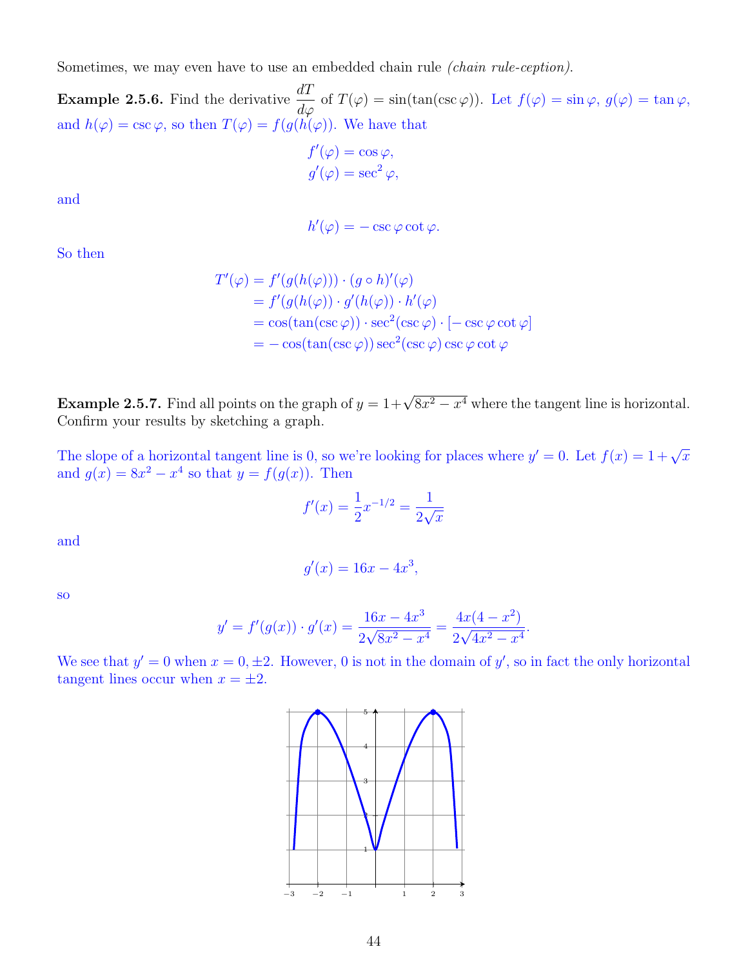Sometimes, we may even have to use an embedded chain rule *(chain rule-ception)*.

**Example 2.5.6.** Find the derivative  $\frac{dT}{dt}$  $\frac{d\mathcal{A}}{d\varphi}$  of  $T(\varphi) = \sin(\tan(\csc \varphi))$ . Let  $f(\varphi) = \sin \varphi$ ,  $g(\varphi) = \tan \varphi$ , and  $h(\varphi) = \csc \varphi$ , so then  $T(\varphi) = f(g(h(\varphi)))$ . We have that

$$
f'(\varphi) = \cos \varphi,
$$
  

$$
g'(\varphi) = \sec^2 \varphi,
$$

and

$$
h'(\varphi) = -\csc\varphi \cot\varphi.
$$

So then

$$
T'(\varphi) = f'(g(h(\varphi))) \cdot (g \circ h)'(\varphi)
$$
  
=  $f'(g(h(\varphi)) \cdot g'(h(\varphi)) \cdot h'(\varphi)$   
=  $\cos(\tan(\csc \varphi)) \cdot \sec^2(\csc \varphi) \cdot [-\csc \varphi \cot \varphi]$   
=  $-\cos(\tan(\csc \varphi)) \sec^2(\csc \varphi) \csc \varphi \cot \varphi$ 

**Example 2.5.7.** Find all points on the graph of  $y = 1 + \sqrt{8x^2 - x^4}$  where the tangent line is horizontal. Confirm your results by sketching a graph.

The slope of a horizontal tangent line is 0, so we're looking for places where  $y' = 0$ . Let  $f(x) = 1 + \sqrt{x}$ and  $g(x) = 8x^2 - x^4$  so that  $y = f(g(x))$ . Then

$$
f'(x) = \frac{1}{2}x^{-1/2} = \frac{1}{2\sqrt{x}}
$$

and

 $g'(x) = 16x - 4x^3$ ,

so

$$
y' = f'(g(x)) \cdot g'(x) = \frac{16x - 4x^3}{2\sqrt{8x^2 - x^4}} = \frac{4x(4 - x^2)}{2\sqrt{4x^2 - x^4}}.
$$

We see that  $y' = 0$  when  $x = 0, \pm 2$ . However, 0 is not in the domain of y', so in fact the only horizontal tangent lines occur when  $x = \pm 2$ .

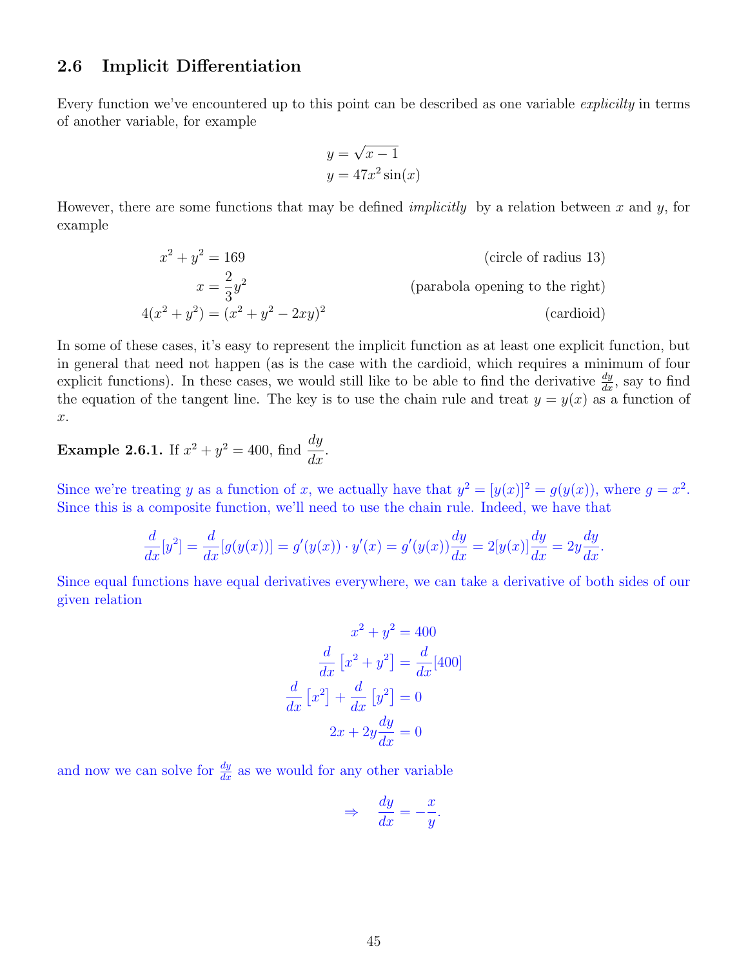## 2.6 Implicit Differentiation

Every function we've encountered up to this point can be described as one variable *explicity* in terms of another variable, for example

$$
y = \sqrt{x - 1}
$$

$$
y = 47x^2 \sin(x)
$$

However, there are some functions that may be defined *implicitly* by a relation between x and y, for example

$$
x^{2} + y^{2} = 169
$$
 (circle of radius 13)  
\n
$$
x = \frac{2}{3}y^{2}
$$
 (parabola opening to the right)  
\n
$$
4(x^{2} + y^{2}) = (x^{2} + y^{2} - 2xy)^{2}
$$
 (cardioid)

In some of these cases, it's easy to represent the implicit function as at least one explicit function, but in general that need not happen (as is the case with the cardioid, which requires a minimum of four explicit functions). In these cases, we would still like to be able to find the derivative  $\frac{dy}{dx}$ , say to find the equation of the tangent line. The key is to use the chain rule and treat  $y = y(x)$  as a function of x.

**Example 2.6.1.** If  $x^2 + y^2 = 400$ , find  $\frac{dy}{dx}$  $\frac{dy}{dx}$ .

Since we're treating y as a function of x, we actually have that  $y^2 = [y(x)]^2 = g(y(x))$ , where  $g = x^2$ . Since this is a composite function, we'll need to use the chain rule. Indeed, we have that

$$
\frac{d}{dx}[y^2] = \frac{d}{dx}[g(y(x))] = g'(y(x)) \cdot y'(x) = g'(y(x))\frac{dy}{dx} = 2[y(x)]\frac{dy}{dx} = 2y\frac{dy}{dx}.
$$

Since equal functions have equal derivatives everywhere, we can take a derivative of both sides of our given relation

$$
x^{2} + y^{2} = 400
$$

$$
\frac{d}{dx} [x^{2} + y^{2}] = \frac{d}{dx} [400]
$$

$$
\frac{d}{dx} [x^{2}] + \frac{d}{dx} [y^{2}] = 0
$$

$$
2x + 2y \frac{dy}{dx} = 0
$$

and now we can solve for  $\frac{dy}{dx}$  as we would for any other variable

$$
\Rightarrow \quad \frac{dy}{dx} = -\frac{x}{y}.
$$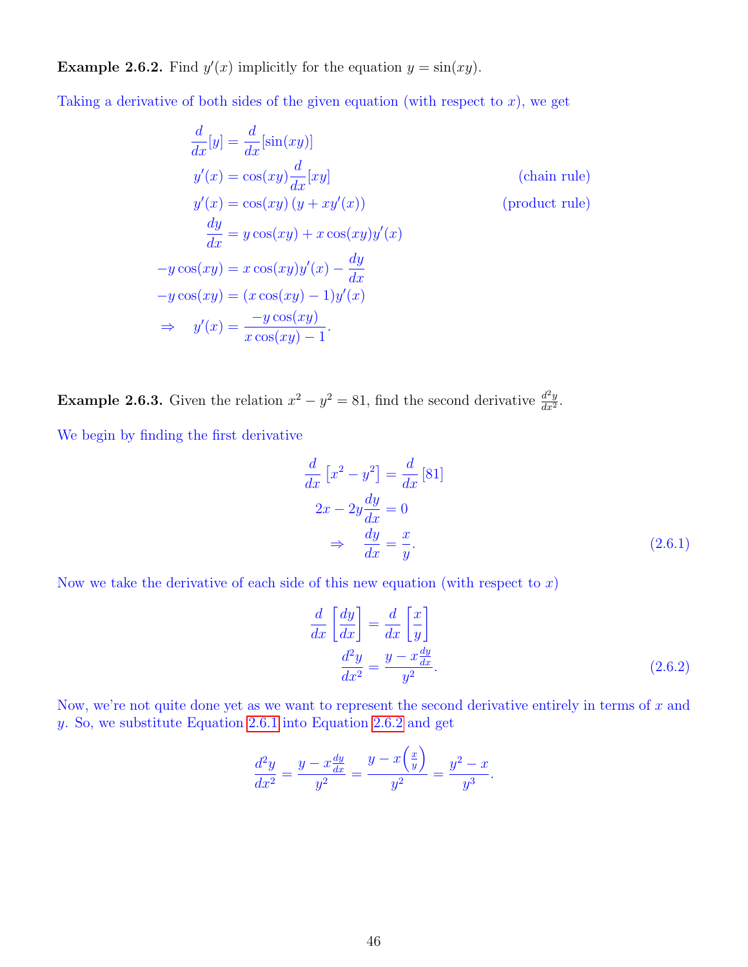**Example 2.6.2.** Find  $y'(x)$  implicitly for the equation  $y = \sin(xy)$ .

Taking a derivative of both sides of the given equation (with respect to  $x$ ), we get

$$
\frac{d}{dx}[y] = \frac{d}{dx}[\sin(xy)]
$$
\n
$$
y'(x) = \cos(xy)\frac{d}{dx}[xy]
$$
\n(chain rule)\n
$$
y'(x) = \cos(xy)(y + xy'(x))
$$
\n(product rule)\n
$$
\frac{dy}{dx} = y\cos(xy) + x\cos(xy)y'(x)
$$
\n
$$
-y\cos(xy) = x\cos(xy)y'(x) - \frac{dy}{dx}
$$
\n
$$
-y\cos(xy) = (x\cos(xy) - 1)y'(x)
$$
\n
$$
\Rightarrow y'(x) = \frac{-y\cos(xy)}{x\cos(xy) - 1}.
$$

**Example 2.6.3.** Given the relation  $x^2 - y^2 = 81$ , find the second derivative  $\frac{d^2y}{dx^2}$  $\frac{d^2y}{dx^2}$ .

We begin by finding the first derivative

$$
\frac{d}{dx} [x^2 - y^2] = \frac{d}{dx} [81]
$$
  
\n
$$
2x - 2y \frac{dy}{dx} = 0
$$
  
\n
$$
\Rightarrow \frac{dy}{dx} = \frac{x}{y}.
$$
\n(2.6.1)

Now we take the derivative of each side of this new equation (with respect to  $x$ )

<span id="page-45-1"></span><span id="page-45-0"></span>
$$
\frac{d}{dx}\left[\frac{dy}{dx}\right] = \frac{d}{dx}\left[\frac{x}{y}\right]
$$
\n
$$
\frac{d^2y}{dx^2} = \frac{y - x\frac{dy}{dx}}{y^2}.
$$
\n(2.6.2)

Now, we're not quite done yet as we want to represent the second derivative entirely in terms of  $x$  and y. So, we substitute Equation [2.6.1](#page-45-0) into Equation [2.6.2](#page-45-1) and get

$$
\frac{d^2y}{dx^2} = \frac{y - x\frac{dy}{dx}}{y^2} = \frac{y - x\left(\frac{x}{y}\right)}{y^2} = \frac{y^2 - x}{y^3}.
$$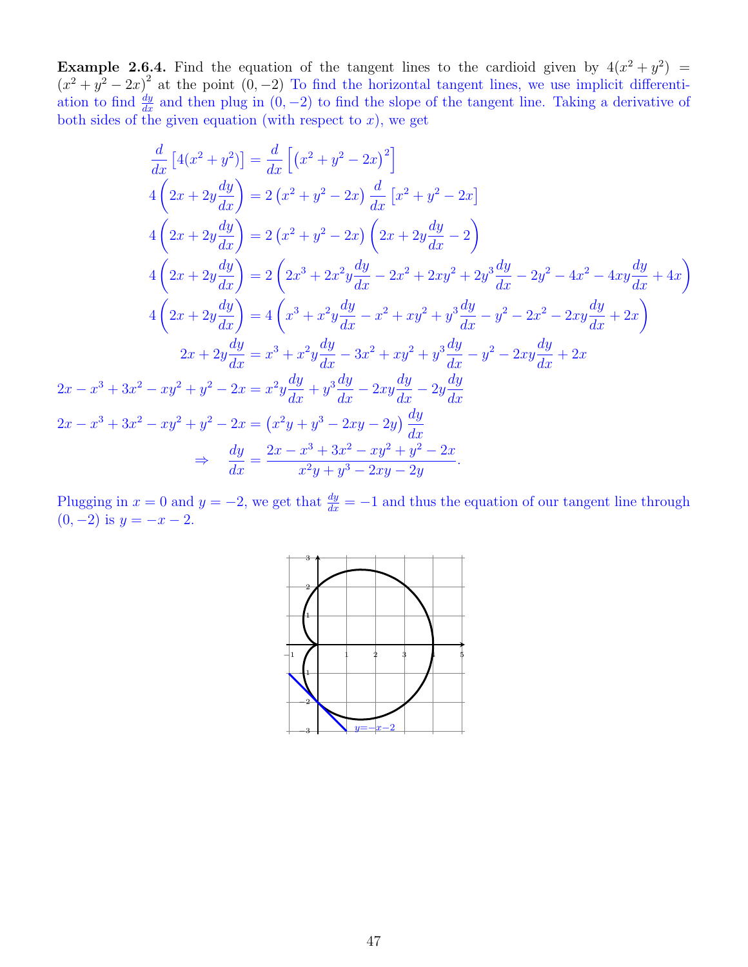**Example 2.6.4.** Find the equation of the tangent lines to the cardioid given by  $4(x^2 + y^2)$  =  $(x^{2} + y^{2} - 2x)^{2}$  at the point  $(0, -2)$  To find the horizontal tangent lines, we use implicit differentiation to find  $\frac{dy}{dx}$  and then plug in  $(0, -2)$  to find the slope of the tangent line. Taking a derivative of both sides of the given equation (with respect to  $x$ ), we get

$$
\frac{d}{dx}\left[4(x^2+y^2)\right] = \frac{d}{dx}\left[(x^2+y^2-2x)^2\right]
$$
\n
$$
4\left(2x+2y\frac{dy}{dx}\right) = 2\left(x^2+y^2-2x\right)\frac{d}{dx}\left[x^2+y^2-2x\right]
$$
\n
$$
4\left(2x+2y\frac{dy}{dx}\right) = 2\left(x^2+y^2-2x\right)\left(2x+2y\frac{dy}{dx}-2\right)
$$
\n
$$
4\left(2x+2y\frac{dy}{dx}\right) = 2\left(2x^3+2x^2y\frac{dy}{dx}-2x^2+2xy^2+2y^3\frac{dy}{dx}-2y^2-4x^2-4xy\frac{dy}{dx}+4x\right)
$$
\n
$$
4\left(2x+2y\frac{dy}{dx}\right) = 4\left(x^3+x^2y\frac{dy}{dx}-x^2+xy^2+y^3\frac{dy}{dx}-y^2-2x^2-2xy\frac{dy}{dx}+2x\right)
$$
\n
$$
2x+2y\frac{dy}{dx} = x^3+x^2y\frac{dy}{dx}-3x^2+xy^2+y^3\frac{dy}{dx}-y^2-2xy\frac{dy}{dx}+2x
$$
\n
$$
2x-x^3+3x^2-xy^2+y^2-2x=x^2y\frac{dy}{dx}+y^3\frac{dy}{dx}-2xy\frac{dy}{dx}-2y\frac{dy}{dx}
$$
\n
$$
2x-x^3+3x^2-xy^2+y^2-2x=(x^2y+y^3-2xy-2y)\frac{dy}{dx}
$$
\n
$$
\Rightarrow \frac{dy}{dx} = \frac{2x-x^3+3x^2-xy^2+y^2-2x}{x^2y+y^3-2xy-2y}.
$$

Plugging in  $x = 0$  and  $y = -2$ , we get that  $\frac{dy}{dx} = -1$  and thus the equation of our tangent line through  $(0, -2)$  is  $y = -x - 2$ .

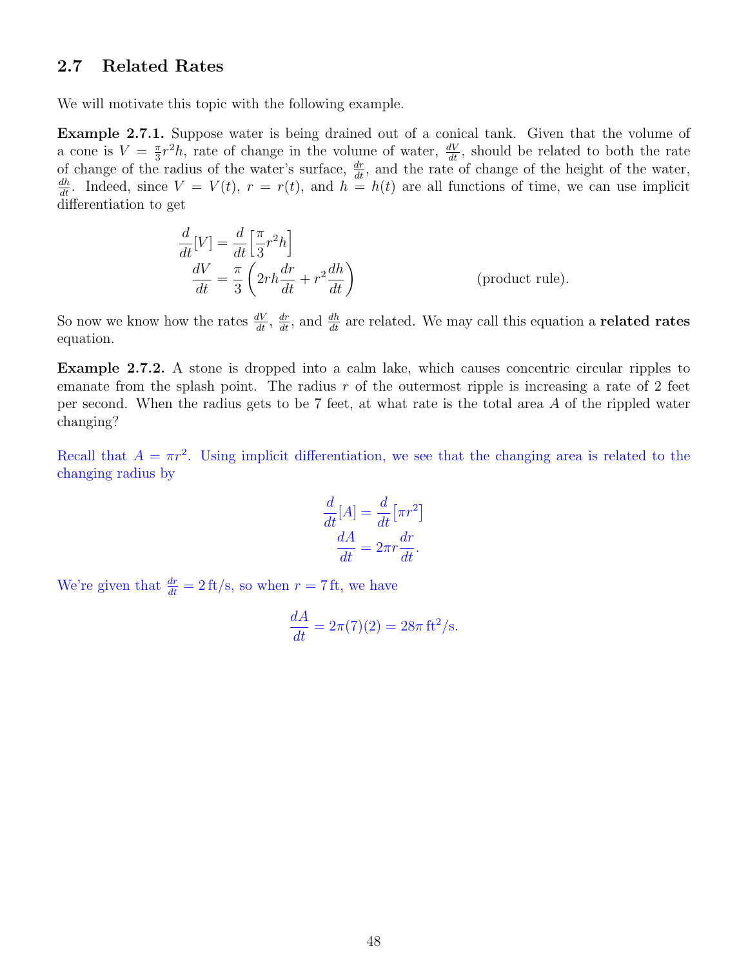# 2.7 Related Rates

We will motivate this topic with the following example.

Example 2.7.1. Suppose water is being drained out of a conical tank. Given that the volume of a cone is  $V = \frac{\pi}{3}$  $\frac{\pi}{3}r^2h$ , rate of change in the volume of water,  $\frac{dV}{dt}$ , should be related to both the rate of change of the radius of the water's surface,  $\frac{dr}{dt}$ , and the rate of change of the height of the water,  $\frac{dh}{dt}$ . Indeed, since  $V = V(t)$ ,  $r = r(t)$ , and  $h = h(t)$  are all functions of time, we can use implicit differentiation to get

> $\frac{d}{dt}[V] = \frac{d}{dt}$  $\lceil \frac{\pi}{2} \rceil$ 3  $r^2h\Big]$  $dV$  $\frac{d\mathbf{v}}{dt} =$ π 3  $\int 2rh \frac{dr}{dt}$  $\frac{dr}{dt} + r^2 \frac{dh}{dt}$ (product rule).

So now we know how the rates  $\frac{dV}{dt}$ ,  $\frac{dr}{dt}$ , and  $\frac{dh}{dt}$  are related. We may call this equation a **related rates** equation.

Example 2.7.2. A stone is dropped into a calm lake, which causes concentric circular ripples to emanate from the splash point. The radius  $r$  of the outermost ripple is increasing a rate of 2 feet per second. When the radius gets to be 7 feet, at what rate is the total area A of the rippled water changing?

Recall that  $A = \pi r^2$ . Using implicit differentiation, we see that the changing area is related to the changing radius by

$$
\frac{d}{dt}[A] = \frac{d}{dt}[\pi r^2]
$$

$$
\frac{dA}{dt} = 2\pi r \frac{dr}{dt}.
$$

We're given that  $\frac{dr}{dt} = 2 \text{ ft/s}$ , so when  $r = 7 \text{ ft}$ , we have

$$
\frac{dA}{dt} = 2\pi(7)(2) = 28\pi \,\text{ft}^2/\text{s}.
$$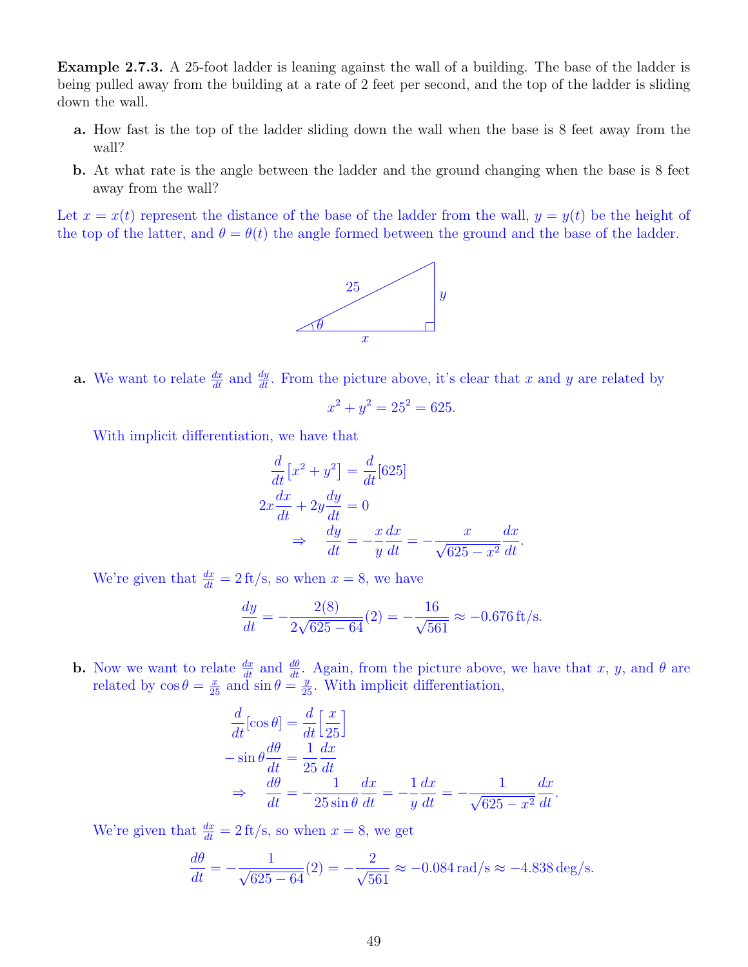Example 2.7.3. A 25-foot ladder is leaning against the wall of a building. The base of the ladder is being pulled away from the building at a rate of 2 feet per second, and the top of the ladder is sliding down the wall.

- a. How fast is the top of the ladder sliding down the wall when the base is 8 feet away from the wall?
- b. At what rate is the angle between the ladder and the ground changing when the base is 8 feet away from the wall?

Let  $x = x(t)$  represent the distance of the base of the ladder from the wall,  $y = y(t)$  be the height of the top of the latter, and  $\theta = \theta(t)$  the angle formed between the ground and the base of the ladder.



**a.** We want to relate  $\frac{dx}{dt}$  and  $\frac{dy}{dt}$ . From the picture above, it's clear that x and y are related by

$$
x^2 + y^2 = 25^2 = 625.
$$

With implicit differentiation, we have that

$$
\frac{d}{dt}[x^2 + y^2] = \frac{d}{dt}[625]
$$
\n
$$
2x\frac{dx}{dt} + 2y\frac{dy}{dt} = 0
$$
\n
$$
\Rightarrow \quad \frac{dy}{dt} = -\frac{x}{y}\frac{dx}{dt} = -\frac{x}{\sqrt{625 - x^2}}\frac{dx}{dt}.
$$

We're given that  $\frac{dx}{dt} = 2 \text{ ft/s}$ , so when  $x = 8$ , we have

$$
\frac{dy}{dt} = -\frac{2(8)}{2\sqrt{625 - 64}}(2) = -\frac{16}{\sqrt{561}} \approx -0.676 \,\text{ft/s}.
$$

**b.** Now we want to relate  $\frac{dx}{dt}$  and  $\frac{d\theta}{dt}$ . Again, from the picture above, we have that x, y, and  $\theta$  are related by  $\cos \theta = \frac{x}{25}$  and  $\sin \theta = \frac{y}{25}$ . With implicit differentiation,

$$
\frac{d}{dt}[\cos\theta] = \frac{d}{dt}\left[\frac{x}{25}\right] \n-\sin\theta \frac{d\theta}{dt} = \frac{1}{25}\frac{dx}{dt} \n\Rightarrow \frac{d\theta}{dt} = -\frac{1}{25\sin\theta}\frac{dx}{dt} = -\frac{1}{y}\frac{dx}{dt} = -\frac{1}{\sqrt{625 - x^2}}\frac{dx}{dt}.
$$

We're given that  $\frac{dx}{dt} = 2 \text{ ft/s}$ , so when  $x = 8$ , we get

$$
\frac{d\theta}{dt} = -\frac{1}{\sqrt{625 - 64}}(2) = -\frac{2}{\sqrt{561}} \approx -0.084 \,\text{rad/s} \approx -4.838 \,\text{deg/s}.
$$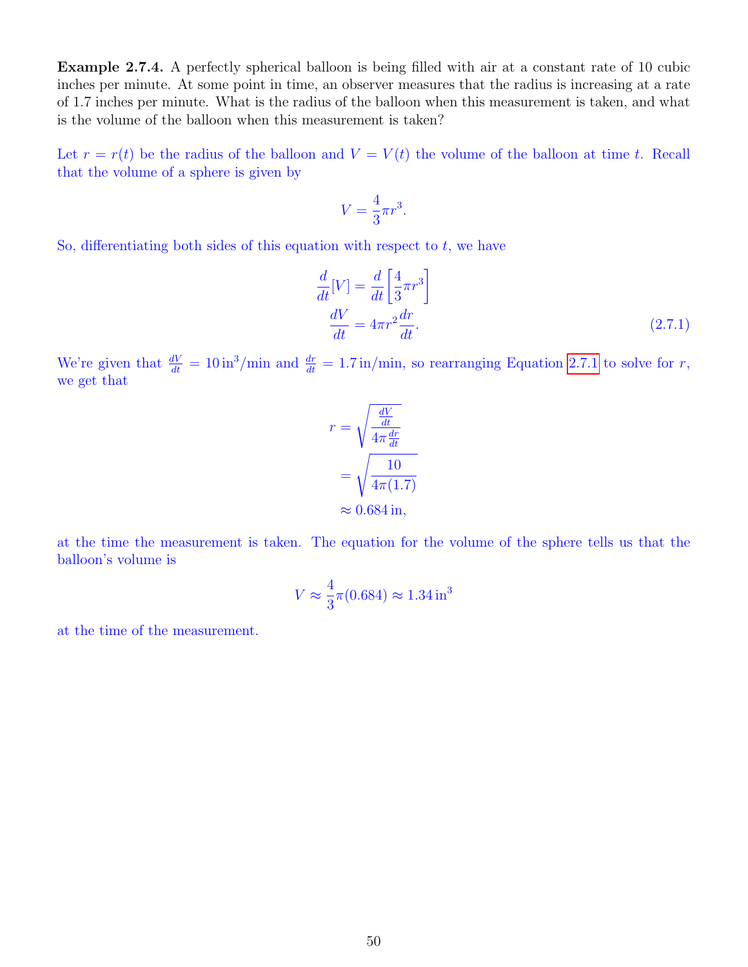Example 2.7.4. A perfectly spherical balloon is being filled with air at a constant rate of 10 cubic inches per minute. At some point in time, an observer measures that the radius is increasing at a rate of 1.7 inches per minute. What is the radius of the balloon when this measurement is taken, and what is the volume of the balloon when this measurement is taken?

Let  $r = r(t)$  be the radius of the balloon and  $V = V(t)$  the volume of the balloon at time t. Recall that the volume of a sphere is given by

<span id="page-49-0"></span>
$$
V = \frac{4}{3}\pi r^3.
$$

So, differentiating both sides of this equation with respect to  $t$ , we have

$$
\frac{d}{dt}[V] = \frac{d}{dt}\left[\frac{4}{3}\pi r^3\right]
$$

$$
\frac{dV}{dt} = 4\pi r^2 \frac{dr}{dt}.
$$
(2.7.1)

We're given that  $\frac{dV}{dt} = 10 \text{ in}^3/\text{min}$  and  $\frac{dr}{dt} = 1.7 \text{ in/min}$ , so rearranging Equation [2.7.1](#page-49-0) to solve for r, we get that

$$
r = \sqrt{\frac{\frac{dV}{dt}}{4\pi \frac{dr}{dt}}}
$$

$$
= \sqrt{\frac{10}{4\pi (1.7)}}
$$

$$
\approx 0.684 \text{ in,}
$$

at the time the measurement is taken. The equation for the volume of the sphere tells us that the balloon's volume is

$$
V \approx \frac{4}{3}\pi (0.684) \approx 1.34 \text{ in}^3
$$

at the time of the measurement.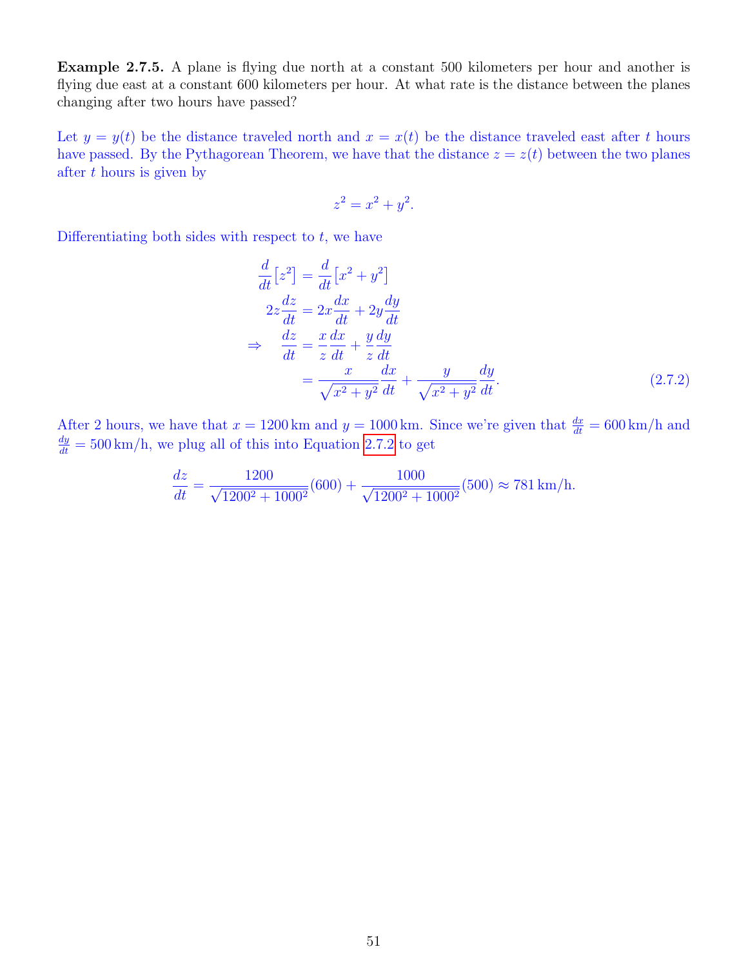Example 2.7.5. A plane is flying due north at a constant 500 kilometers per hour and another is flying due east at a constant 600 kilometers per hour. At what rate is the distance between the planes changing after two hours have passed?

Let  $y = y(t)$  be the distance traveled north and  $x = x(t)$  be the distance traveled east after t hours have passed. By the Pythagorean Theorem, we have that the distance  $z = z(t)$  between the two planes after t hours is given by

<span id="page-50-0"></span>
$$
z^2 = x^2 + y^2.
$$

Differentiating both sides with respect to  $t$ , we have

$$
\frac{d}{dt}\left[z^2\right] = \frac{d}{dt}\left[x^2 + y^2\right] \n2z\frac{dz}{dt} = 2x\frac{dx}{dt} + 2y\frac{dy}{dt} \n\Rightarrow \frac{dz}{dt} = \frac{x}{z}\frac{dx}{dt} + \frac{y}{z}\frac{dy}{dt} \n= \frac{x}{\sqrt{x^2 + y^2}}\frac{dx}{dt} + \frac{y}{\sqrt{x^2 + y^2}}\frac{dy}{dt}.
$$
\n(2.7.2)

After 2 hours, we have that  $x = 1200 \text{ km}$  and  $y = 1000 \text{ km}$ . Since we're given that  $\frac{dx}{dt} = 600 \text{ km/h}$  and  $\frac{dy}{dt} = 500 \,\mathrm{km/h}$ , we plug all of this into Equation [2.7.2](#page-50-0) to get

$$
\frac{dz}{dt} = \frac{1200}{\sqrt{1200^2 + 1000^2}}(600) + \frac{1000}{\sqrt{1200^2 + 1000^2}}(500) \approx 781 \,\text{km/h}.
$$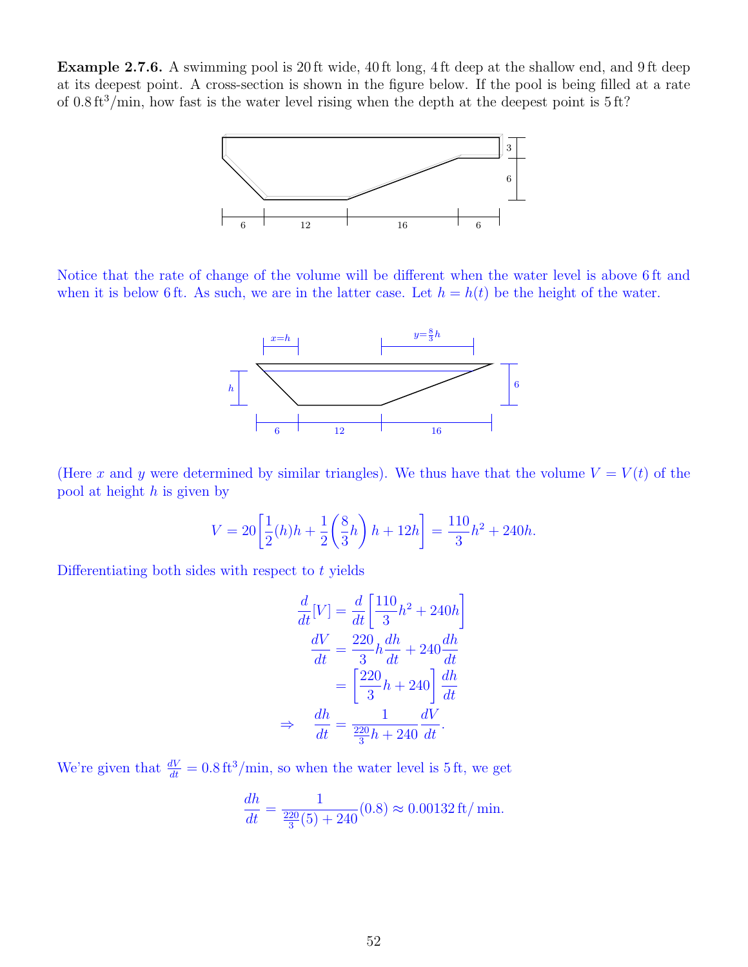Example 2.7.6. A swimming pool is 20 ft wide, 40 ft long, 4 ft deep at the shallow end, and 9 ft deep at its deepest point. A cross-section is shown in the figure below. If the pool is being filled at a rate of  $0.8 \text{ ft}^3/\text{min}$ , how fast is the water level rising when the depth at the deepest point is 5 ft?



Notice that the rate of change of the volume will be different when the water level is above 6 ft and when it is below 6 ft. As such, we are in the latter case. Let  $h = h(t)$  be the height of the water.



(Here x and y were determined by similar triangles). We thus have that the volume  $V = V(t)$  of the pool at height  $h$  is given by

$$
V = 20 \left[ \frac{1}{2}(h)h + \frac{1}{2} \left( \frac{8}{3}h \right)h + 12h \right] = \frac{110}{3}h^2 + 240h.
$$

Differentiating both sides with respect to  $t$  yields

$$
\frac{d}{dt}[V] = \frac{d}{dt}\left[\frac{110}{3}h^2 + 240h\right]
$$

$$
\frac{dV}{dt} = \frac{220}{3}h\frac{dh}{dt} + 240\frac{dh}{dt}
$$

$$
= \left[\frac{220}{3}h + 240\right]\frac{dh}{dt}
$$

$$
\Rightarrow \quad \frac{dh}{dt} = \frac{1}{\frac{220}{3}h + 240}\frac{dV}{dt}.
$$

We're given that  $\frac{dV}{dt} = 0.8 \text{ ft}^3/\text{min}$ , so when the water level is 5 ft, we get

$$
\frac{dh}{dt} = \frac{1}{\frac{220}{3}(5) + 240}(0.8) \approx 0.00132 \,\text{ft/min}.
$$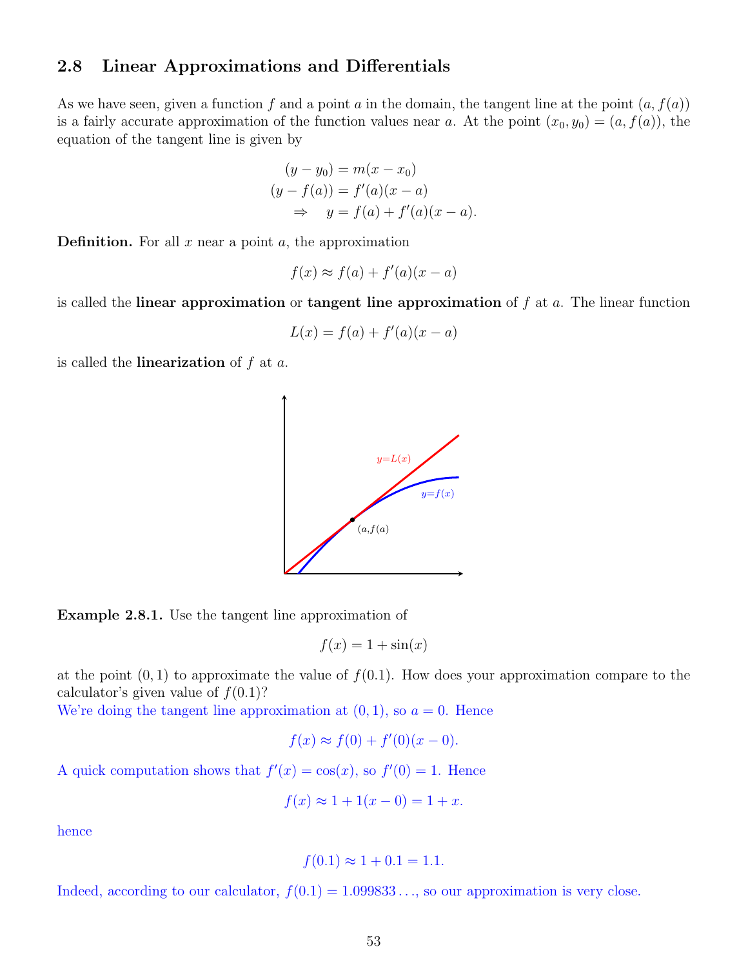# 2.8 Linear Approximations and Differentials

As we have seen, given a function f and a point a in the domain, the tangent line at the point  $(a, f(a))$ is a fairly accurate approximation of the function values near a. At the point  $(x_0, y_0) = (a, f(a))$ , the equation of the tangent line is given by

$$
(y - y_0) = m(x - x_0)
$$
  
\n
$$
(y - f(a)) = f'(a)(x - a)
$$
  
\n
$$
\Rightarrow y = f(a) + f'(a)(x - a).
$$

**Definition.** For all  $x$  near a point  $a$ , the approximation

$$
f(x) \approx f(a) + f'(a)(x - a)
$$

is called the linear approximation or tangent line approximation of  $f$  at  $a$ . The linear function

$$
L(x) = f(a) + f'(a)(x - a)
$$

is called the **linearization** of  $f$  at  $a$ .



Example 2.8.1. Use the tangent line approximation of

$$
f(x) = 1 + \sin(x)
$$

at the point  $(0, 1)$  to approximate the value of  $f(0.1)$ . How does your approximation compare to the calculator's given value of  $f(0.1)$ ?

We're doing the tangent line approximation at  $(0, 1)$ , so  $a = 0$ . Hence

$$
f(x) \approx f(0) + f'(0)(x - 0).
$$

A quick computation shows that  $f'(x) = \cos(x)$ , so  $f'(0) = 1$ . Hence

$$
f(x) \approx 1 + 1(x - 0) = 1 + x.
$$

hence

$$
f(0.1) \approx 1 + 0.1 = 1.1.
$$

Indeed, according to our calculator,  $f(0.1) = 1.099833...$ , so our approximation is very close.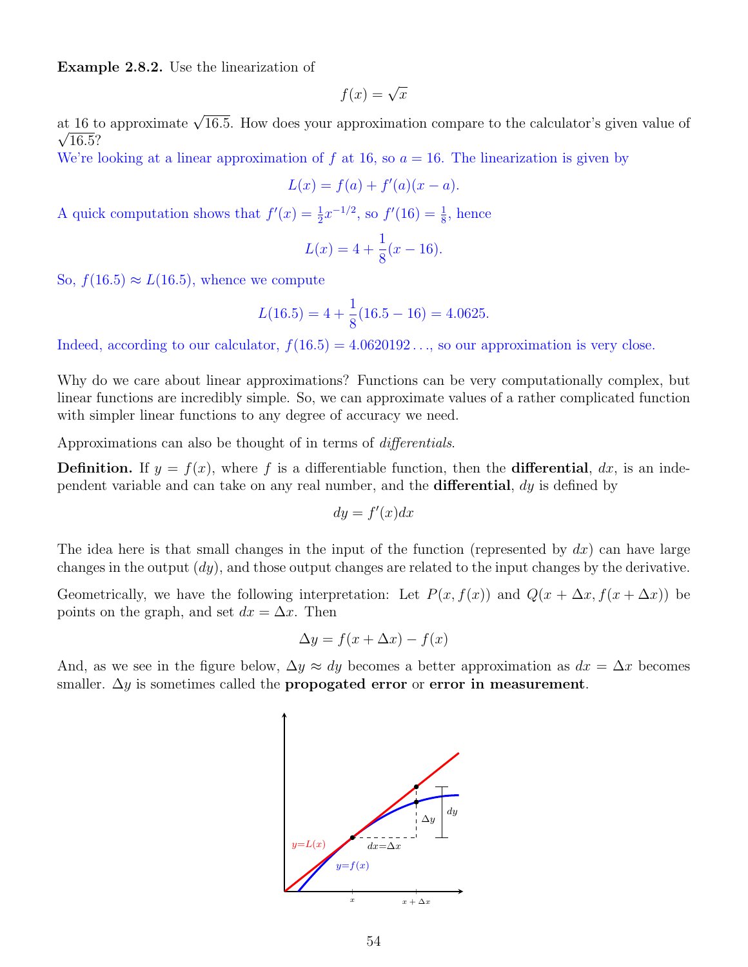Example 2.8.2. Use the linearization of

$$
f(x) = \sqrt{x}
$$

at 16 to approximate  $\sqrt{16.5}$ . How does your approximation compare to the calculator's given value of  $\sqrt{16.5?}$ 

We're looking at a linear approximation of f at 16, so  $a = 16$ . The linearization is given by

$$
L(x) = f(a) + f'(a)(x - a).
$$

A quick computation shows that  $f'(x) = \frac{1}{2}x^{-1/2}$ , so  $f'(16) = \frac{1}{8}$ , hence

$$
L(x) = 4 + \frac{1}{8}(x - 16).
$$

So,  $f(16.5) \approx L(16.5)$ , whence we compute

$$
L(16.5) = 4 + \frac{1}{8}(16.5 - 16) = 4.0625.
$$

Indeed, according to our calculator,  $f(16.5) = 4.0620192...$ , so our approximation is very close.

Why do we care about linear approximations? Functions can be very computationally complex, but linear functions are incredibly simple. So, we can approximate values of a rather complicated function with simpler linear functions to any degree of accuracy we need.

Approximations can also be thought of in terms of differentials.

**Definition.** If  $y = f(x)$ , where f is a differentiable function, then the **differential**, dx, is an independent variable and can take on any real number, and the **differential**,  $dy$  is defined by

$$
dy = f'(x)dx
$$

The idea here is that small changes in the input of the function (represented by  $dx$ ) can have large changes in the output  $(dy)$ , and those output changes are related to the input changes by the derivative.

Geometrically, we have the following interpretation: Let  $P(x, f(x))$  and  $Q(x + \Delta x, f(x + \Delta x))$  be points on the graph, and set  $dx = \Delta x$ . Then

$$
\Delta y = f(x + \Delta x) - f(x)
$$

And, as we see in the figure below,  $\Delta y \approx dy$  becomes a better approximation as  $dx = \Delta x$  becomes smaller.  $\Delta y$  is sometimes called the **propogated error** or **error in measurement**.

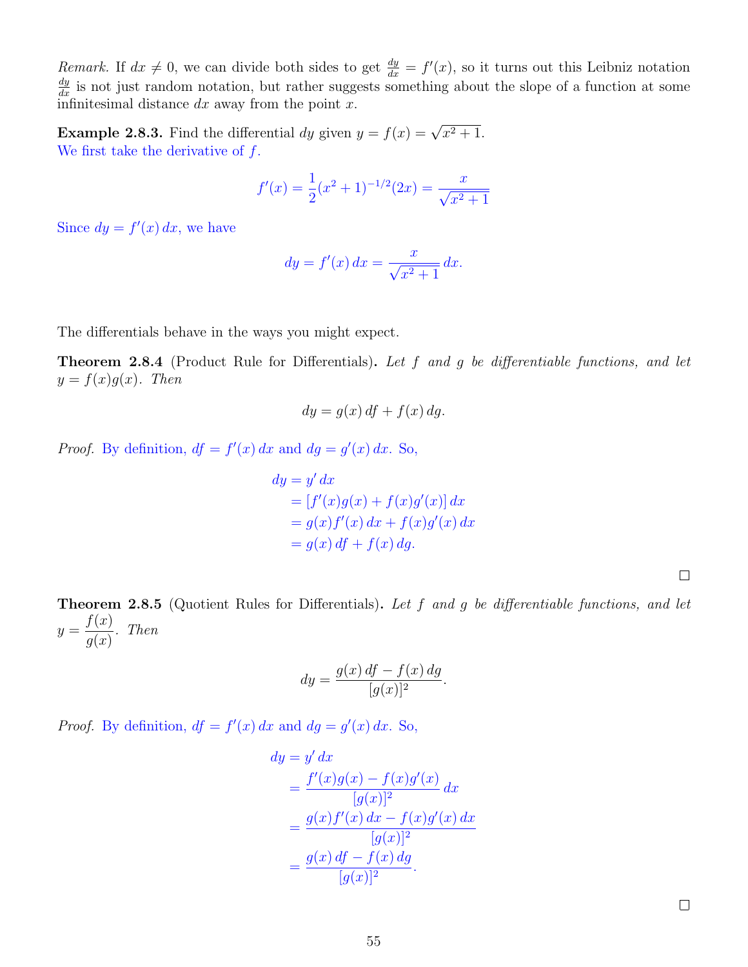Remark. If  $dx \neq 0$ , we can divide both sides to get  $\frac{dy}{dx} = f'(x)$ , so it turns out this Leibniz notation  $\frac{dy}{dx}$  is not just random notation, but rather suggests something about the slope of a function at some infinitesimal distance  $dx$  away from the point  $x$ .

**Example 2.8.3.** Find the differential dy given  $y = f(x) = \sqrt{x^2 + 1}$ . We first take the derivative of  $f$ .

$$
f'(x) = \frac{1}{2}(x^2 + 1)^{-1/2}(2x) = \frac{x}{\sqrt{x^2 + 1}}
$$

Since  $dy = f'(x) dx$ , we have

$$
dy = f'(x) dx = \frac{x}{\sqrt{x^2 + 1}} dx.
$$

The differentials behave in the ways you might expect.

Theorem 2.8.4 (Product Rule for Differentials). Let f and g be differentiable functions, and let  $y = f(x)g(x)$ . Then

$$
dy = g(x) df + f(x) dg.
$$

*Proof.* By definition,  $df = f'(x) dx$  and  $dg = g'(x) dx$ . So,

$$
dy = y' dx
$$
  
=  $[f'(x)g(x) + f(x)g'(x)] dx$   
=  $g(x)f'(x) dx + f(x)g'(x) dx$   
=  $g(x) df + f(x) dg$ .

Theorem 2.8.5 (Quotient Rules for Differentials). Let f and g be differentiable functions, and let  $y =$  $f(x)$  $g(x)$ . Then

$$
dy = \frac{g(x) df - f(x) dg}{[g(x)]^2}.
$$

*Proof.* By definition,  $df = f'(x) dx$  and  $dg = g'(x) dx$ . So,

$$
dy = y' dx
$$
  
= 
$$
\frac{f'(x)g(x) - f(x)g'(x)}{[g(x)]^2} dx
$$
  
= 
$$
\frac{g(x)f'(x) dx - f(x)g'(x) dx}{[g(x)]^2}
$$
  
= 
$$
\frac{g(x) df - f(x) dg}{[g(x)]^2}.
$$

| ۰ |  | ۰ |  |
|---|--|---|--|
|   |  |   |  |
|   |  |   |  |
|   |  |   |  |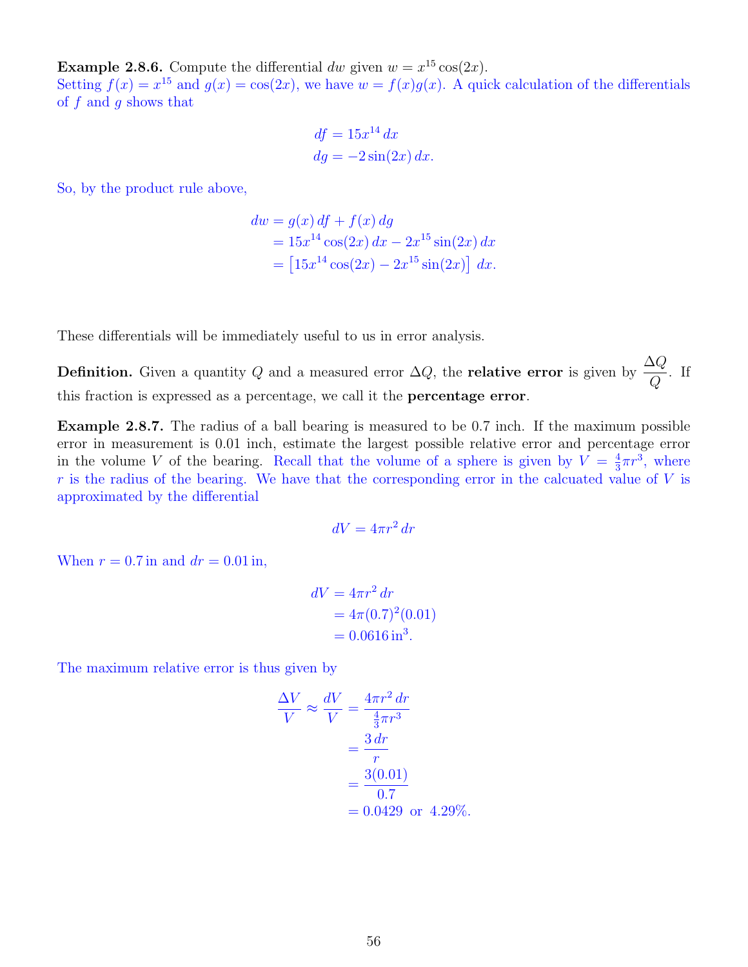**Example 2.8.6.** Compute the differential dw given  $w = x^{15} \cos(2x)$ . Setting  $f(x) = x^{15}$  and  $g(x) = \cos(2x)$ , we have  $w = f(x)g(x)$ . A quick calculation of the differentials of  $f$  and  $q$  shows that

$$
df = 15x^{14} dx
$$
  

$$
dg = -2\sin(2x) dx.
$$

So, by the product rule above,

$$
dw = g(x) df + f(x) dg
$$
  
=  $15x^{14} \cos(2x) dx - 2x^{15} \sin(2x) dx$   
=  $[15x^{14} \cos(2x) - 2x^{15} \sin(2x)] dx$ .

These differentials will be immediately useful to us in error analysis.

**Definition.** Given a quantity Q and a measured error  $\Delta Q$ , the **relative error** is given by  $\frac{\Delta Q}{Q}$  $\overline{Q}$ . If this fraction is expressed as a percentage, we call it the percentage error.

Example 2.8.7. The radius of a ball bearing is measured to be 0.7 inch. If the maximum possible error in measurement is 0.01 inch, estimate the largest possible relative error and percentage error in the volume V of the bearing. Recall that the volume of a sphere is given by  $V = \frac{4}{3}$  $\frac{4}{3}\pi r^3$ , where r is the radius of the bearing. We have that the corresponding error in the calcuated value of  $V$  is approximated by the differential

$$
dV = 4\pi r^2 dr
$$

When  $r = 0.7$  in and  $dr = 0.01$  in,

$$
dV = 4\pi r^2 dr
$$
  
= 4\pi (0.7)<sup>2</sup>(0.01)  
= 0.0616 in<sup>3</sup>.

The maximum relative error is thus given by

$$
\frac{\Delta V}{V} \approx \frac{dV}{V} = \frac{4\pi r^2 dr}{\frac{4}{3}\pi r^3}
$$

$$
= \frac{3 dr}{r}
$$

$$
= \frac{3(0.01)}{0.7}
$$

$$
= 0.0429 \text{ or } 4.29\%.
$$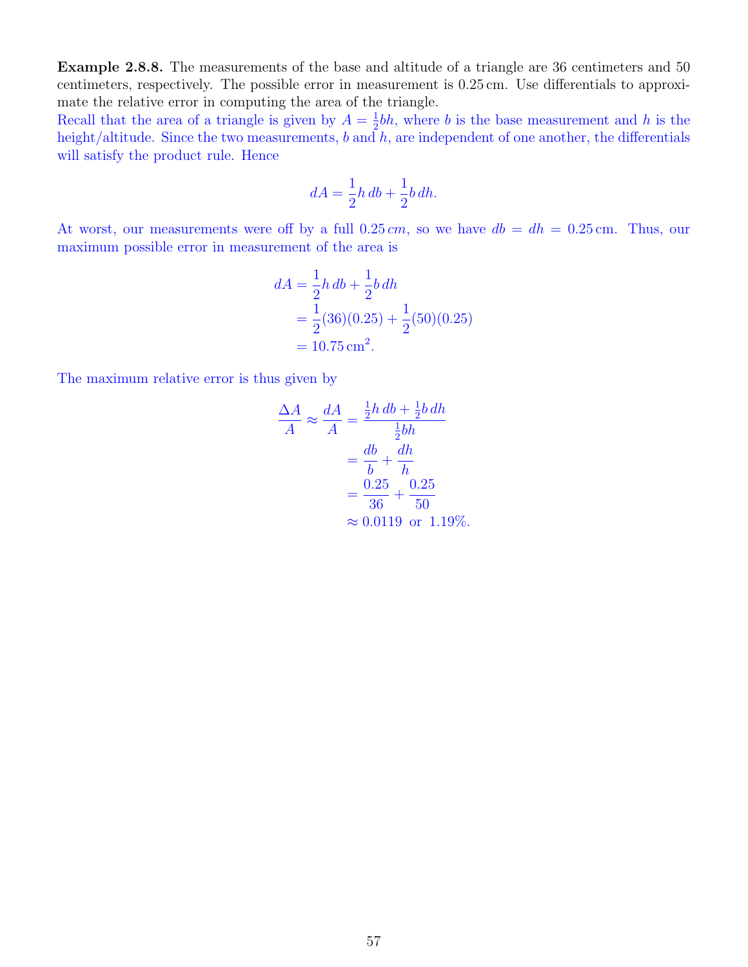Example 2.8.8. The measurements of the base and altitude of a triangle are 36 centimeters and 50 centimeters, respectively. The possible error in measurement is 0.25 cm. Use differentials to approximate the relative error in computing the area of the triangle.

Recall that the area of a triangle is given by  $A = \frac{1}{2}$  $\frac{1}{2}bh$ , where b is the base measurement and h is the height/altitude. Since the two measurements,  $b$  and  $h$ , are independent of one another, the differentials will satisfy the product rule. Hence

$$
dA = \frac{1}{2}h \, db + \frac{1}{2}b \, dh.
$$

At worst, our measurements were off by a full  $0.25 \, \text{cm}$ , so we have  $db = dh = 0.25 \, \text{cm}$ . Thus, our maximum possible error in measurement of the area is

$$
dA = \frac{1}{2}h \, db + \frac{1}{2}b \, dh
$$
  
=  $\frac{1}{2}(36)(0.25) + \frac{1}{2}(50)(0.25)$   
= 10.75 cm<sup>2</sup>.

The maximum relative error is thus given by

$$
\frac{\Delta A}{A} \approx \frac{dA}{A} = \frac{\frac{1}{2}h \, db + \frac{1}{2}b \, dh}{\frac{1}{2}bh}
$$

$$
= \frac{db}{b} + \frac{dh}{h}
$$

$$
= \frac{0.25}{36} + \frac{0.25}{50}
$$

$$
\approx 0.0119 \text{ or } 1.19\%.
$$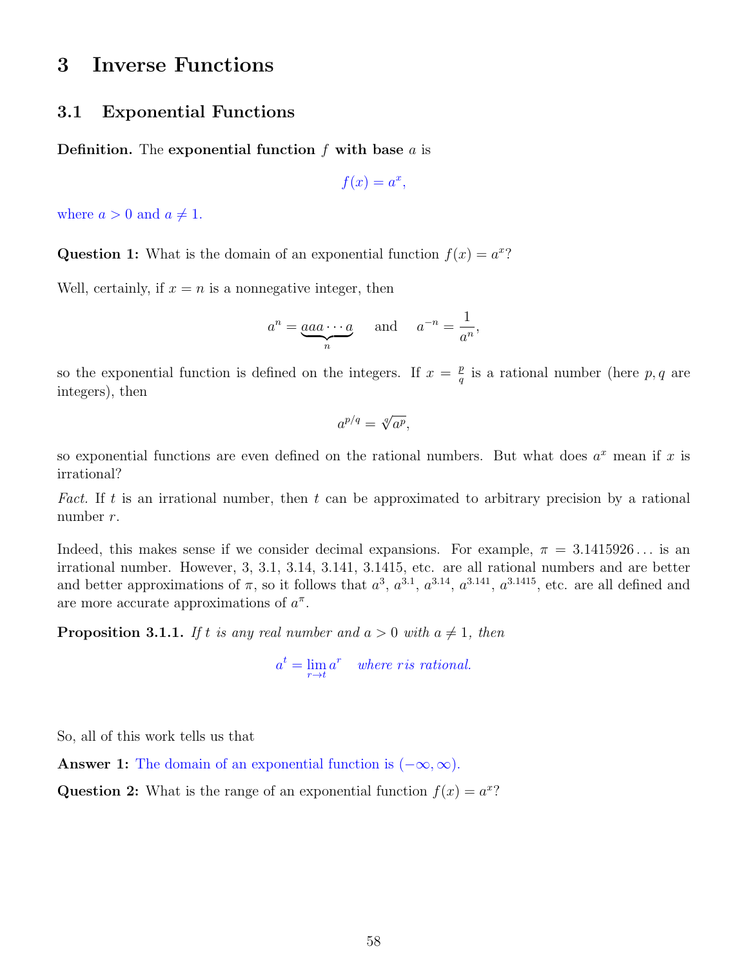# 3 Inverse Functions

# 3.1 Exponential Functions

**Definition.** The exponential function  $f$  with base  $a$  is

 $f(x) = a^x,$ 

where  $a > 0$  and  $a \neq 1$ .

Question 1: What is the domain of an exponential function  $f(x) = a^x$ ?

Well, certainly, if  $x = n$  is a nonnegative integer, then

$$
a^n = \underbrace{aaa \cdots a}_{n} \quad \text{and} \quad a^{-n} = \frac{1}{a^n},
$$

so the exponential function is defined on the integers. If  $x = \frac{p}{q}$  $\frac{p}{q}$  is a rational number (here  $p, q$  are integers), then

$$
a^{p/q} = \sqrt[q]{a^p},
$$

so exponential functions are even defined on the rational numbers. But what does  $a^x$  mean if x is irrational?

Fact. If t is an irrational number, then t can be approximated to arbitrary precision by a rational number r.

Indeed, this makes sense if we consider decimal expansions. For example,  $\pi = 3.1415926...$  is an irrational number. However, 3, 3.1, 3.14, 3.141, 3.1415, etc. are all rational numbers and are better and better approximations of  $\pi$ , so it follows that  $a^3$ ,  $a^{3.1}$ ,  $a^{3.14}$ ,  $a^{3.141}$ ,  $a^{3.1415}$ , etc. are all defined and are more accurate approximations of  $a^{\pi}$ .

**Proposition 3.1.1.** If t is any real number and  $a > 0$  with  $a \neq 1$ , then

$$
a^t = \lim_{r \to t} a^r \quad where \; ris \; rational.
$$

So, all of this work tells us that

Answer 1: The domain of an exponential function is  $(-\infty, \infty)$ .

Question 2: What is the range of an exponential function  $f(x) = a^x$ ?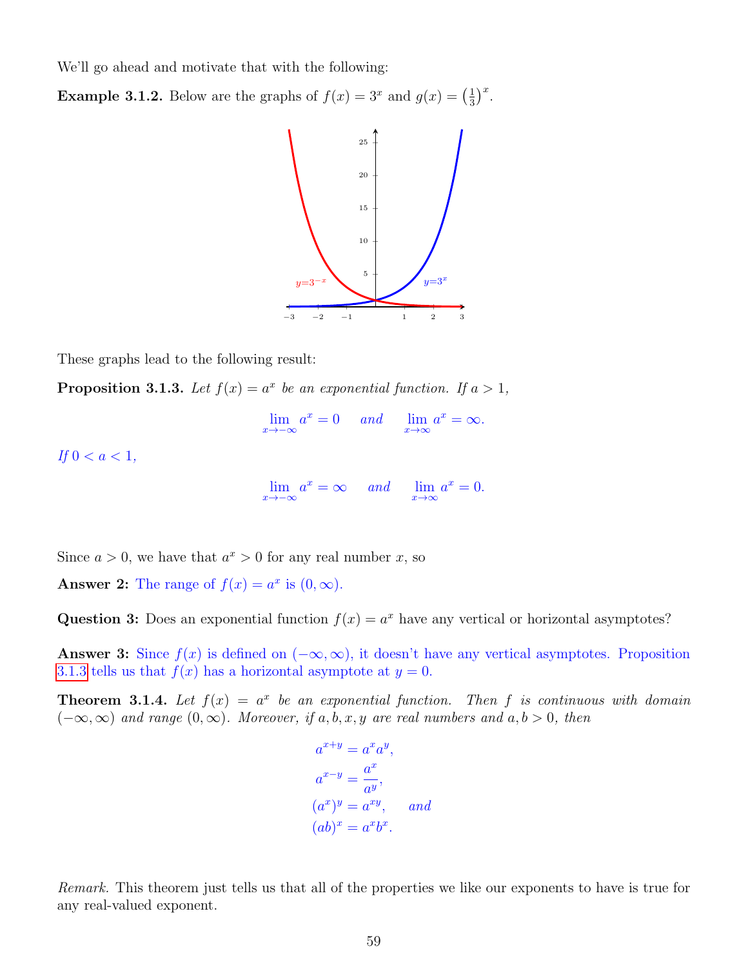We'll go ahead and motivate that with the following:

**Example 3.1.2.** Below are the graphs of  $f(x) = 3^x$  and  $g(x) = \left(\frac{1}{3}\right)^x$  $\frac{1}{3}$ )<sup>x</sup>.



These graphs lead to the following result:

<span id="page-58-0"></span>**Proposition 3.1.3.** Let  $f(x) = a^x$  be an exponential function. If  $a > 1$ ,

 $\lim_{x \to -\infty} a^x = 0$  and  $\lim_{x \to \infty} a^x = \infty$ .

If  $0 < a < 1$ ,

$$
\lim_{x \to -\infty} a^x = \infty \quad \text{and} \quad \lim_{x \to \infty} a^x = 0.
$$

Since  $a > 0$ , we have that  $a^x > 0$  for any real number x, so

**Answer 2:** The range of  $f(x) = a^x$  is  $(0, \infty)$ .

Question 3: Does an exponential function  $f(x) = a^x$  have any vertical or horizontal asymptotes?

Answer 3: Since  $f(x)$  is defined on  $(-\infty,\infty)$ , it doesn't have any vertical asymptotes. Proposition [3.1.3](#page-58-0) tells us that  $f(x)$  has a horizontal asymptote at  $y = 0$ .

**Theorem 3.1.4.** Let  $f(x) = a^x$  be an exponential function. Then f is continuous with domain  $(-\infty,\infty)$  and range  $(0,\infty)$ . Moreover, if a, b, x, y are real numbers and a, b > 0, then

$$
a^{x+y} = a^x a^y,
$$
  
\n
$$
a^{x-y} = \frac{a^x}{a^y},
$$
  
\n
$$
(a^x)^y = a^{xy},
$$
 and  
\n
$$
(ab)^x = a^x b^x.
$$

Remark. This theorem just tells us that all of the properties we like our exponents to have is true for any real-valued exponent.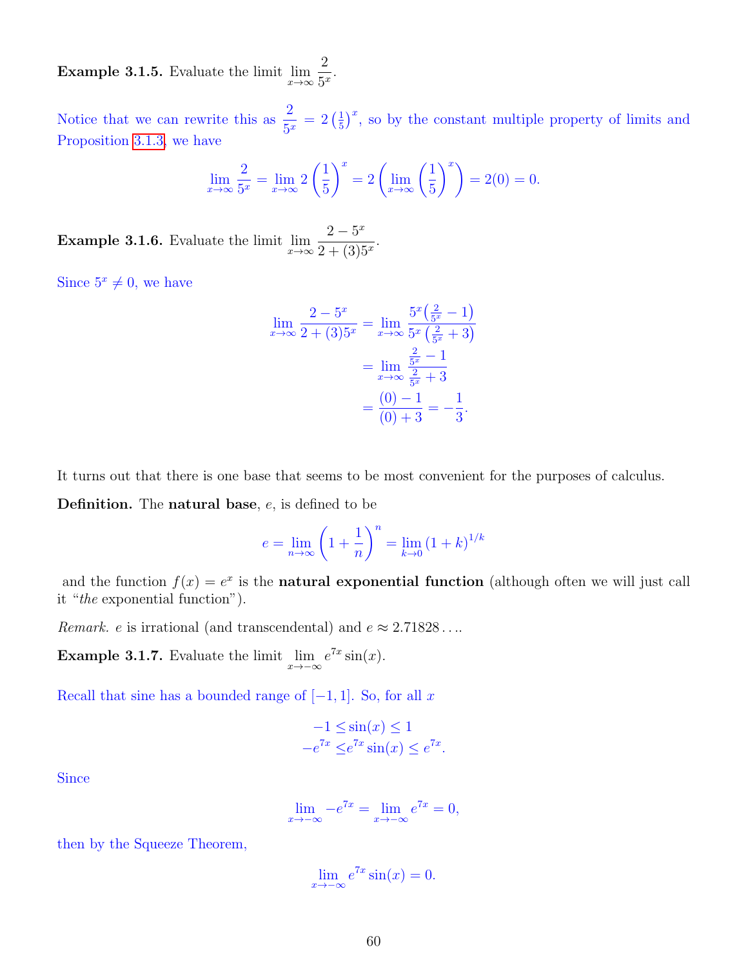**Example 3.1.5.** Evaluate the limit  $\lim_{x\to\infty}$ 2  $\frac{2}{5^x}$ .

Notice that we can rewrite this as  $\frac{2}{5}$  $\frac{2}{5^x} = 2\left(\frac{1}{5}\right)$  $\frac{1}{5}$ , so by the constant multiple property of limits and Proposition [3.1.3,](#page-58-0) we have

$$
\lim_{x \to \infty} \frac{2}{5^x} = \lim_{x \to \infty} 2 \left( \frac{1}{5} \right)^x = 2 \left( \lim_{x \to \infty} \left( \frac{1}{5} \right)^x \right) = 2(0) = 0.
$$

**Example 3.1.6.** Evaluate the limit  $\lim_{x\to\infty}$  $2 - 5^x$  $\frac{2}{2+(3)5^x}$ .

Since  $5^x \neq 0$ , we have

$$
\lim_{x \to \infty} \frac{2 - 5^x}{2 + (3)5^x} = \lim_{x \to \infty} \frac{5^x \left(\frac{2}{5^x} - 1\right)}{5^x \left(\frac{2}{5^x} + 3\right)}
$$

$$
= \lim_{x \to \infty} \frac{\frac{2}{5^x} - 1}{\frac{2}{5^x} + 3}
$$

$$
= \frac{(0) - 1}{(0) + 3} = -\frac{1}{3}.
$$

It turns out that there is one base that seems to be most convenient for the purposes of calculus.

**Definition.** The **natural base**,  $e$ , is defined to be

$$
e = \lim_{n \to \infty} \left( 1 + \frac{1}{n} \right)^n = \lim_{k \to 0} (1 + k)^{1/k}
$$

and the function  $f(x) = e^x$  is the **natural exponential function** (although often we will just call it "the exponential function").

Remark. e is irrational (and transcendental) and  $e \approx 2.71828...$ 

**Example 3.1.7.** Evaluate the limit  $\lim_{x \to -\infty} e^{7x} \sin(x)$ .

Recall that sine has a bounded range of  $[-1, 1]$ . So, for all x

$$
-1 \le \sin(x) \le 1
$$
  

$$
-e^{7x} \le e^{7x} \sin(x) \le e^{7x}.
$$

Since

$$
\lim_{x \to -\infty} -e^{7x} = \lim_{x \to -\infty} e^{7x} = 0,
$$

then by the Squeeze Theorem,

$$
\lim_{x \to -\infty} e^{7x} \sin(x) = 0.
$$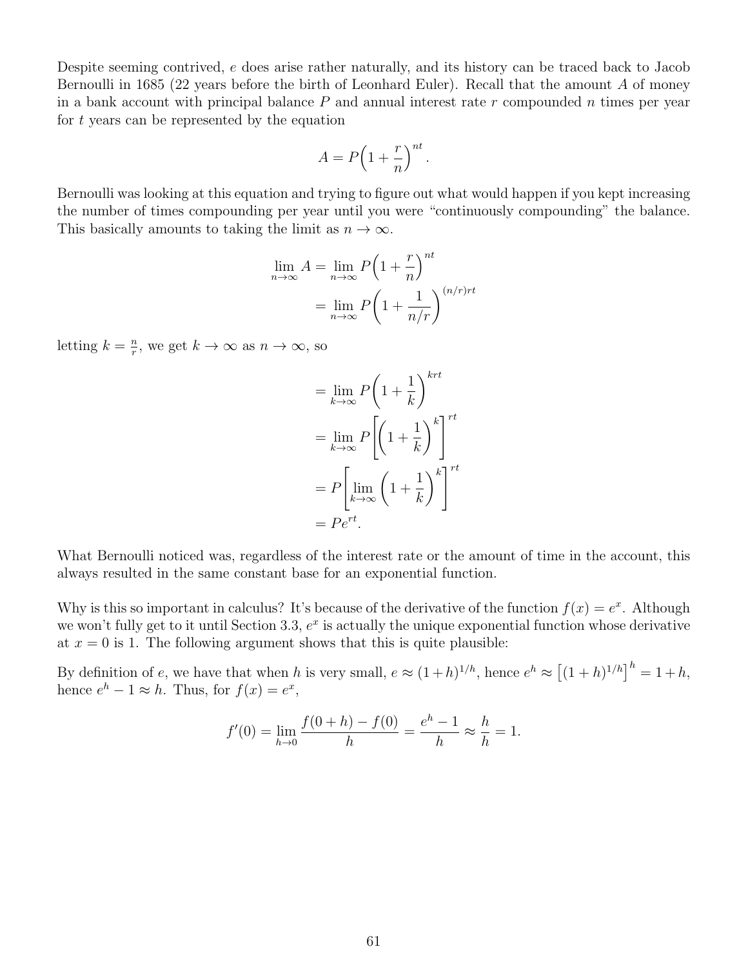Despite seeming contrived, e does arise rather naturally, and its history can be traced back to Jacob Bernoulli in 1685 (22 years before the birth of Leonhard Euler). Recall that the amount A of money in a bank account with principal balance  $P$  and annual interest rate  $r$  compounded  $n$  times per year for t years can be represented by the equation

$$
A = P\left(1 + \frac{r}{n}\right)^{nt}.
$$

Bernoulli was looking at this equation and trying to figure out what would happen if you kept increasing the number of times compounding per year until you were "continuously compounding" the balance. This basically amounts to taking the limit as  $n \to \infty$ .

$$
\lim_{n \to \infty} A = \lim_{n \to \infty} P \left( 1 + \frac{r}{n} \right)^{nt}
$$

$$
= \lim_{n \to \infty} P \left( 1 + \frac{1}{n/r} \right)^{(n/r)rt}
$$

letting  $k = \frac{n}{r}$  $\frac{n}{r}$ , we get  $k \to \infty$  as  $n \to \infty$ , so

$$
= \lim_{k \to \infty} P\left(1 + \frac{1}{k}\right)^{krt}
$$

$$
= \lim_{k \to \infty} P\left[\left(1 + \frac{1}{k}\right)^k\right]^{rt}
$$

$$
= P\left[\lim_{k \to \infty} \left(1 + \frac{1}{k}\right)^k\right]^{rt}
$$

$$
= Pe^{rt}.
$$

What Bernoulli noticed was, regardless of the interest rate or the amount of time in the account, this always resulted in the same constant base for an exponential function.

Why is this so important in calculus? It's because of the derivative of the function  $f(x) = e^x$ . Although we won't fully get to it until Section 3.3,  $e^x$  is actually the unique exponential function whose derivative at  $x = 0$  is 1. The following argument shows that this is quite plausible:

By definition of e, we have that when h is very small,  $e \approx (1+h)^{1/h}$ , hence  $e^h \approx [(1+h)^{1/h}]^h = 1+h$ , hence  $e^h - 1 \approx h$ . Thus, for  $f(x) = e^x$ ,

$$
f'(0) = \lim_{h \to 0} \frac{f(0+h) - f(0)}{h} = \frac{e^h - 1}{h} \approx \frac{h}{h} = 1.
$$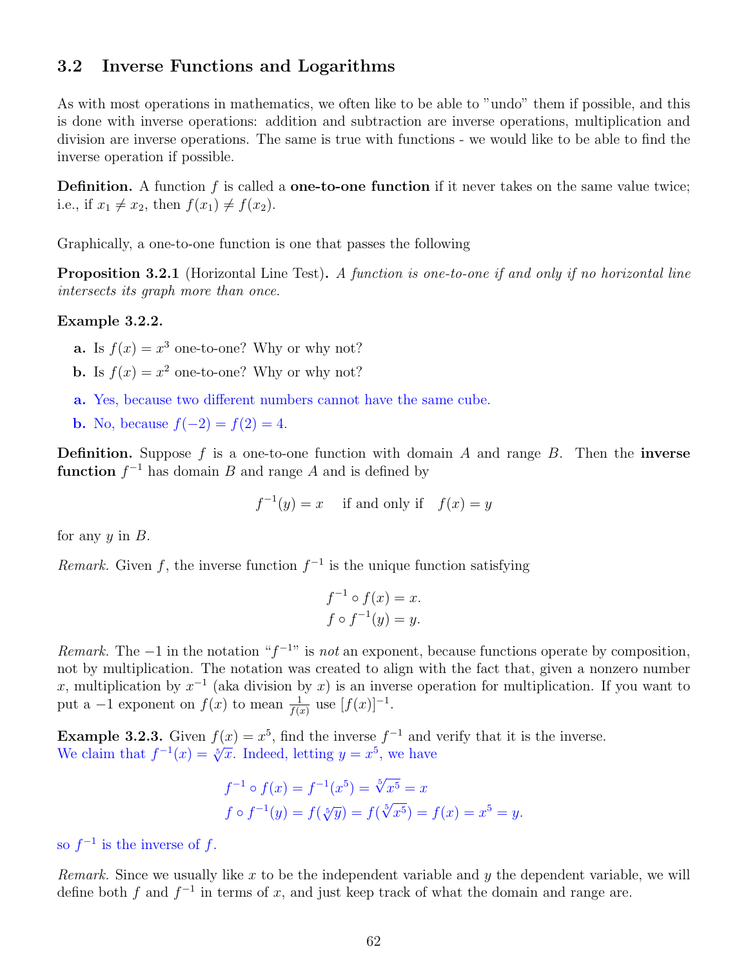# 3.2 Inverse Functions and Logarithms

As with most operations in mathematics, we often like to be able to "undo" them if possible, and this is done with inverse operations: addition and subtraction are inverse operations, multiplication and division are inverse operations. The same is true with functions - we would like to be able to find the inverse operation if possible.

**Definition.** A function f is called a **one-to-one function** if it never takes on the same value twice; i.e., if  $x_1 \neq x_2$ , then  $f(x_1) \neq f(x_2)$ .

Graphically, a one-to-one function is one that passes the following

Proposition 3.2.1 (Horizontal Line Test). A function is one-to-one if and only if no horizontal line intersects its graph more than once.

### Example 3.2.2.

**a.** Is  $f(x) = x^3$  one-to-one? Why or why not?

- **b.** Is  $f(x) = x^2$  one-to-one? Why or why not?
- a. Yes, because two different numbers cannot have the same cube.
- **b.** No, because  $f(-2) = f(2) = 4$ .

**Definition.** Suppose f is a one-to-one function with domain A and range B. Then the **inverse** function  $f^{-1}$  has domain B and range A and is defined by

$$
f^{-1}(y) = x
$$
 if and only if  $f(x) = y$ 

for any  $y$  in  $B$ .

Remark. Given f, the inverse function  $f^{-1}$  is the unique function satisfying

$$
f^{-1} \circ f(x) = x.
$$
  

$$
f \circ f^{-1}(y) = y.
$$

Remark. The  $-1$  in the notation " $f^{-1}$ " is not an exponent, because functions operate by composition, not by multiplication. The notation was created to align with the fact that, given a nonzero number x, multiplication by  $x^{-1}$  (aka division by x) is an inverse operation for multiplication. If you want to put a -1 exponent on  $f(x)$  to mean  $\frac{1}{f(x)}$  use  $[f(x)]^{-1}$ .

**Example 3.2.3.** Given  $f(x) = x^5$ , find the inverse  $f^{-1}$  and verify that it is the inverse. **Example 3.2.3.** Given  $f(x) = x$ , find the inverse family and We claim that  $f^{-1}(x) = \sqrt[5]{x}$ . Indeed, letting  $y = x^5$ , we have

$$
f^{-1} \circ f(x) = f^{-1}(x^5) = \sqrt[5]{x^5} = x
$$
  

$$
f \circ f^{-1}(y) = f(\sqrt[5]{y}) = f(\sqrt[5]{x^5}) = f(x) = x^5 = y.
$$

so  $f^{-1}$  is the inverse of f.

Remark. Since we usually like x to be the independent variable and y the dependent variable, we will define both f and  $f^{-1}$  in terms of x, and just keep track of what the domain and range are.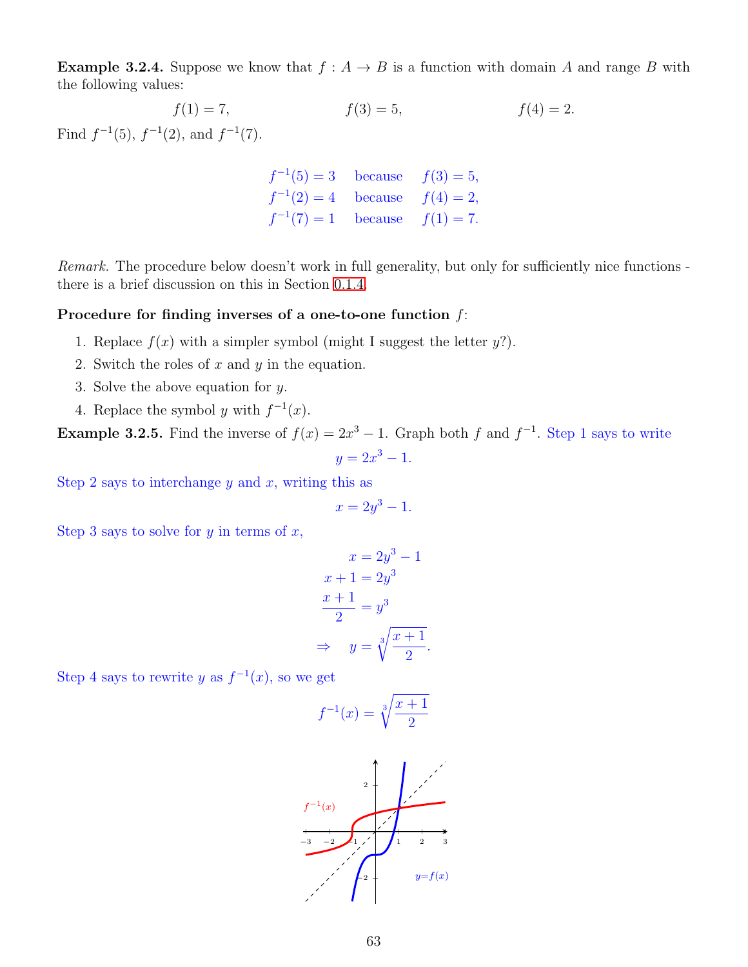**Example 3.2.4.** Suppose we know that  $f : A \rightarrow B$  is a function with domain A and range B with the following values:

 $f(1) = 7,$   $f(3) = 5,$   $f(4) = 2.$ Find  $f^{-1}(5)$ ,  $f^{-1}(2)$ , and  $f^{-1}(7)$ .

> $f^{-1}(5) = 3$  because  $f(3) = 5$ ,  $f^{-1}(2) = 4$  because  $f(4) = 2$ ,  $f^{-1}(7) = 1$  because  $f(1) = 7$ .

Remark. The procedure below doesn't work in full generality, but only for sufficiently nice functions there is a brief discussion on this in Section [0.1.4.](#page-4-0)

## Procedure for finding inverses of a one-to-one function f:

- 1. Replace  $f(x)$  with a simpler symbol (might I suggest the letter  $y$ ?).
- 2. Switch the roles of  $x$  and  $y$  in the equation.
- 3. Solve the above equation for y.
- 4. Replace the symbol y with  $f^{-1}(x)$ .

**Example 3.2.5.** Find the inverse of  $f(x) = 2x^3 - 1$ . Graph both f and  $f^{-1}$ . Step 1 says to write

$$
y = 2x^3 - 1.
$$

Step 2 says to interchange  $y$  and  $x$ , writing this as

$$
x = 2y^3 - 1.
$$

Step 3 says to solve for  $y$  in terms of  $x$ ,

$$
x = 2y^{3} - 1
$$
  
\n
$$
x + 1 = 2y^{3}
$$
  
\n
$$
\frac{x+1}{2} = y^{3}
$$
  
\n
$$
\Rightarrow y = \sqrt[3]{\frac{x+1}{2}}.
$$

Step 4 says to rewrite y as  $f^{-1}(x)$ , so we get

$$
f^{-1}(x) = \sqrt[3]{\frac{x+1}{2}}
$$

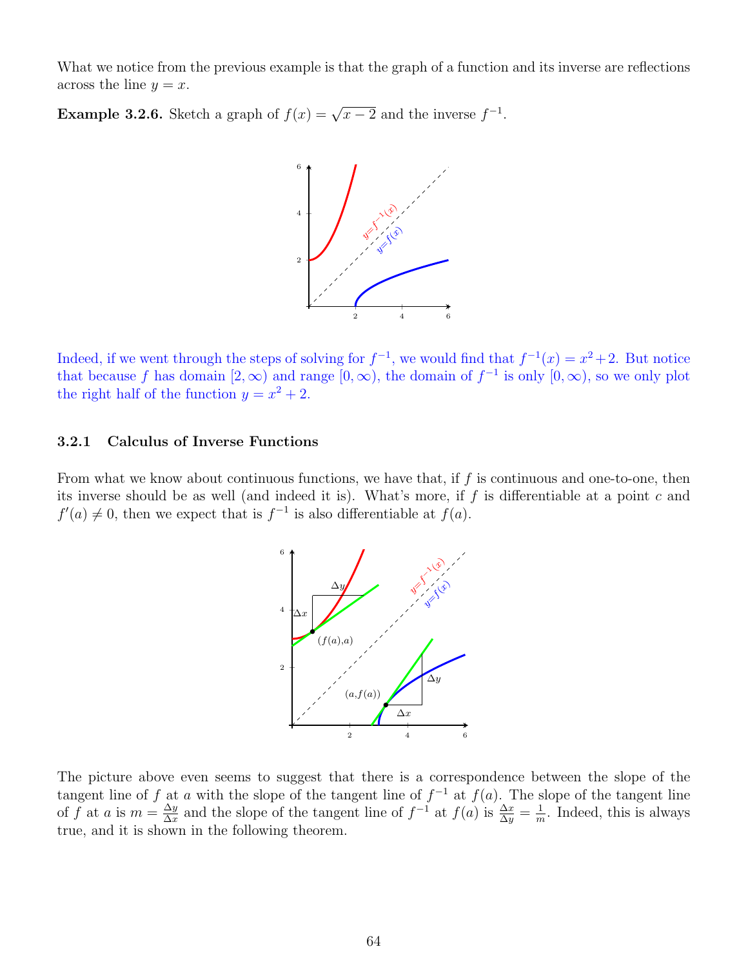What we notice from the previous example is that the graph of a function and its inverse are reflections across the line  $y = x$ .

**Example 3.2.6.** Sketch a graph of  $f(x) = \sqrt{x-2}$  and the inverse  $f^{-1}$ .



Indeed, if we went through the steps of solving for  $f^{-1}$ , we would find that  $f^{-1}(x) = x^2 + 2$ . But notice that because f has domain  $[2, \infty)$  and range  $[0, \infty)$ , the domain of  $f^{-1}$  is only  $[0, \infty)$ , so we only plot the right half of the function  $y = x^2 + 2$ .

### 3.2.1 Calculus of Inverse Functions

From what we know about continuous functions, we have that, if  $f$  is continuous and one-to-one, then its inverse should be as well (and indeed it is). What's more, if  $f$  is differentiable at a point  $c$  and  $f'(a) \neq 0$ , then we expect that is  $f^{-1}$  is also differentiable at  $f(a)$ .



The picture above even seems to suggest that there is a correspondence between the slope of the tangent line of f at a with the slope of the tangent line of  $f^{-1}$  at  $f(a)$ . The slope of the tangent line of f at a is  $m = \frac{\Delta y}{\Delta x}$  $\frac{\Delta y}{\Delta x}$  and the slope of the tangent line of  $f^{-1}$  at  $f(a)$  is  $\frac{\Delta x}{\Delta y} = \frac{1}{m}$  $\frac{1}{m}$ . Indeed, this is always true, and it is shown in the following theorem.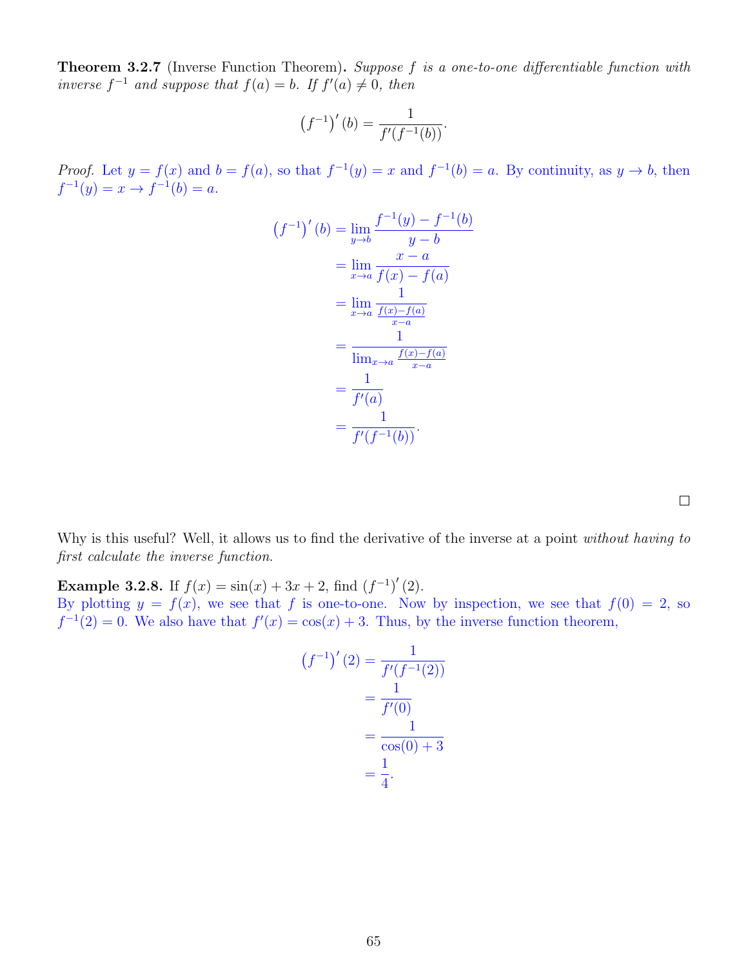Theorem 3.2.7 (Inverse Function Theorem). Suppose f is a one-to-one differentiable function with inverse  $f^{-1}$  and suppose that  $f(a) = b$ . If  $f'(a) \neq 0$ , then

$$
(f^{-1})'(b) = \frac{1}{f'(f^{-1}(b))}.
$$

*Proof.* Let  $y = f(x)$  and  $b = f(a)$ , so that  $f^{-1}(y) = x$  and  $f^{-1}(b) = a$ . By continuity, as  $y \to b$ , then  $f^{-1}(y) = x \to f^{-1}(b) = a.$ 

$$
(f^{-1})'(b) = \lim_{y \to b} \frac{f^{-1}(y) - f^{-1}(b)}{y - b}
$$
  
= 
$$
\lim_{x \to a} \frac{x - a}{f(x) - f(a)}
$$
  
= 
$$
\lim_{x \to a} \frac{1}{\frac{f(x) - f(a)}{x - a}}
$$
  
= 
$$
\frac{1}{\lim_{x \to a} \frac{f(x) - f(a)}{x - a}}
$$
  
= 
$$
\frac{1}{f'(a)}
$$
  
= 
$$
\frac{1}{f'(f^{-1}(b))}.
$$

 $\Box$ 

Why is this useful? Well, it allows us to find the derivative of the inverse at a point without having to first calculate the inverse function.

**Example 3.2.8.** If  $f(x) = \sin(x) + 3x + 2$ , find  $(f^{-1})'(2)$ . By plotting  $y = f(x)$ , we see that f is one-to-one. Now by inspection, we see that  $f(0) = 2$ , so  $f^{-1}(2) = 0$ . We also have that  $f'(x) = \cos(x) + 3$ . Thus, by the inverse function theorem,

$$
(f^{-1})'(2) = \frac{1}{f'(f^{-1}(2))}
$$
  
=  $\frac{1}{f'(0)}$   
=  $\frac{1}{\cos(0) + 3}$   
=  $\frac{1}{4}$ .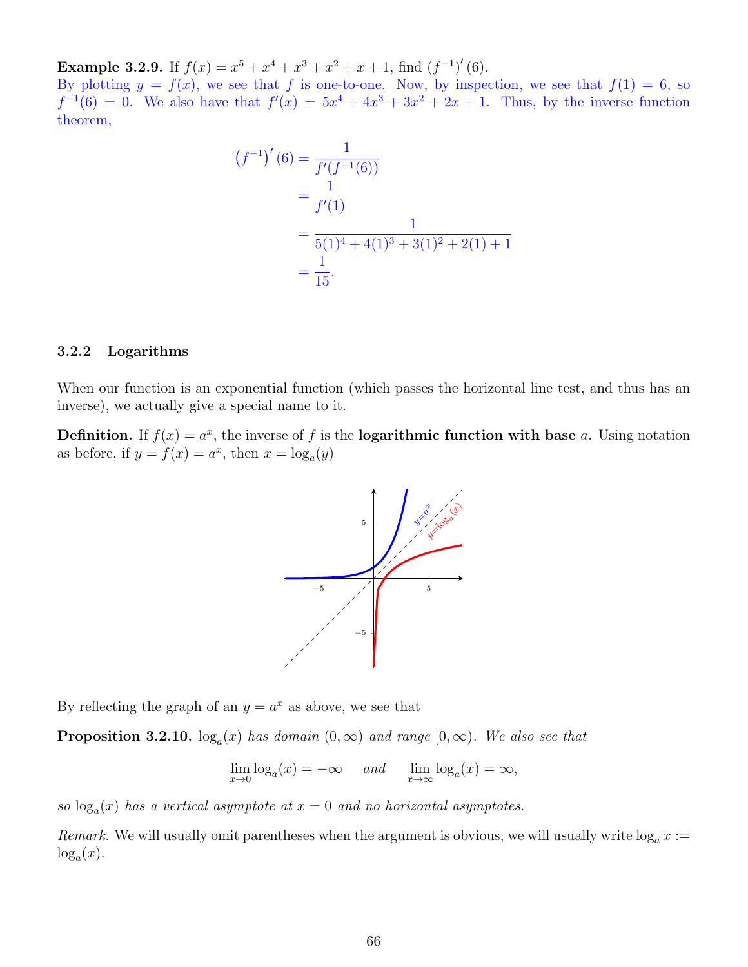**Example 3.2.9.** If  $f(x) = x^5 + x^4 + x^3 + x^2 + x + 1$ , find  $(f^{-1})'(6)$ .

By plotting  $y = f(x)$ , we see that f is one-to-one. Now, by inspection, we see that  $f(1) = 6$ , so  $f^{-1}(6) = 0$ . We also have that  $f'(x) = 5x^4 + 4x^3 + 3x^2 + 2x + 1$ . Thus, by the inverse function theorem,

$$
(f^{-1})'(6) = \frac{1}{f'(f^{-1}(6))}
$$
  
= 
$$
\frac{1}{f'(1)}
$$
  
= 
$$
\frac{1}{5(1)^4 + 4(1)^3 + 3(1)^2 + 2(1) + 1}
$$
  
= 
$$
\frac{1}{15}.
$$

### 3.2.2 Logarithms

When our function is an exponential function (which passes the horizontal line test, and thus has an inverse), we actually give a special name to it.

**Definition.** If  $f(x) = a^x$ , the inverse of f is the **logarithmic function with base** a. Using notation as before, if  $y = f(x) = a^x$ , then  $x = \log_a(y)$ 



By reflecting the graph of an  $y = a^x$  as above, we see that

**Proposition 3.2.10.**  $log_a(x)$  has domain  $(0, \infty)$  and range  $[0, \infty)$ . We also see that

$$
\lim_{x \to 0} \log_a(x) = -\infty \quad \text{and} \quad \lim_{x \to \infty} \log_a(x) = \infty,
$$

so  $log_a(x)$  has a vertical asymptote at  $x = 0$  and no horizontal asymptotes.

Remark. We will usually omit parentheses when the argument is obvious, we will usually write  $\log_a x :=$  $log_a(x)$ .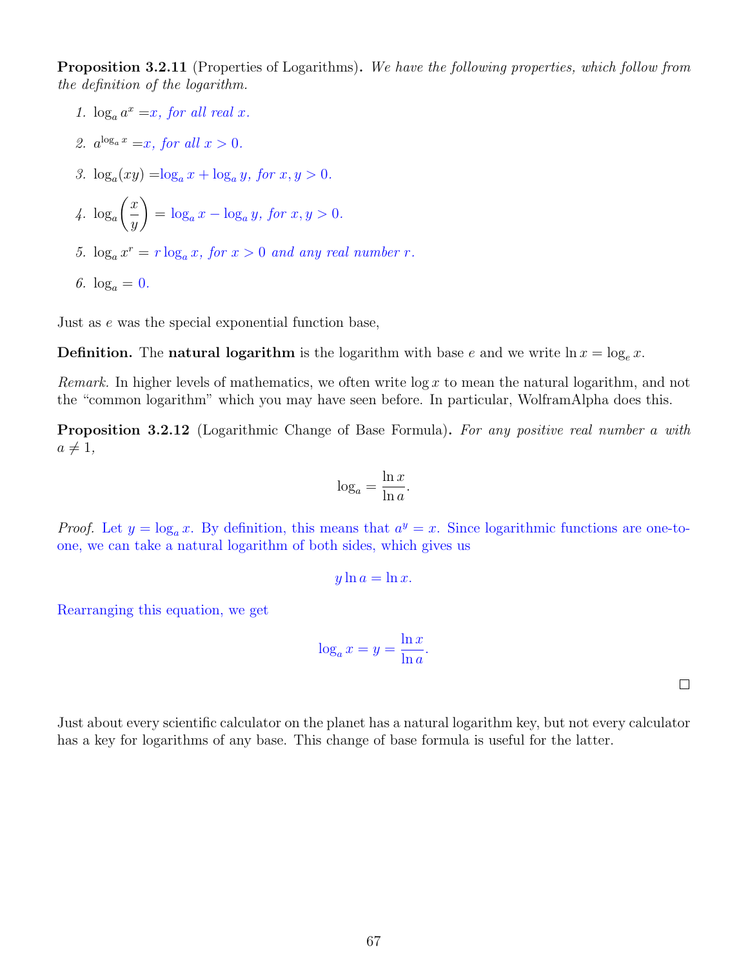**Proposition 3.2.11** (Properties of Logarithms). We have the following properties, which follow from the definition of the logarithm.

<span id="page-66-0"></span>1.  $\log_a a^x = x$ , for all real x. 2.  $a^{\log_a x} = x$ , for all  $x > 0$ . 3.  $\log_a(xy) = \log_a x + \log_a y$ , for  $x, y > 0$ .  $\sqrt{4}$ .  $\log_a$  $\sqrt{x}$  $\hat{y}$  $\setminus$  $= \log_a x - \log_a y$ , for  $x, y > 0$ . 5.  $\log_a x^r = r \log_a x$ , for  $x > 0$  and any real number r. 6.  $log_a = 0$ .

<span id="page-66-1"></span>Just as e was the special exponential function base,

**Definition.** The **natural logarithm** is the logarithm with base e and we write  $\ln x = \log_e x$ .

Remark. In higher levels of mathematics, we often write  $\log x$  to mean the natural logarithm, and not the "common logarithm" which you may have seen before. In particular, WolframAlpha does this.

Proposition 3.2.12 (Logarithmic Change of Base Formula). For any positive real number a with  $a \neq 1,$ 

$$
\log_a = \frac{\ln x}{\ln a}.
$$

*Proof.* Let  $y = \log_a x$ . By definition, this means that  $a^y = x$ . Since logarithmic functions are one-toone, we can take a natural logarithm of both sides, which gives us

$$
y \ln a = \ln x.
$$

Rearranging this equation, we get

$$
\log_a x = y = \frac{\ln x}{\ln a}
$$

.

 $\Box$ 

Just about every scientific calculator on the planet has a natural logarithm key, but not every calculator has a key for logarithms of any base. This change of base formula is useful for the latter.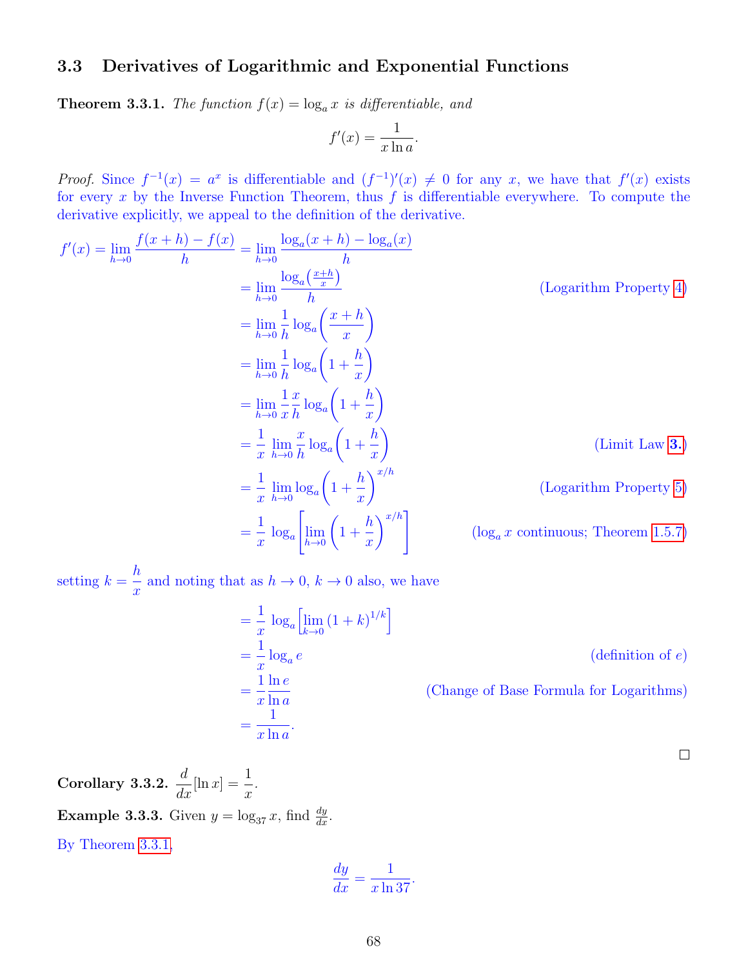# 3.3 Derivatives of Logarithmic and Exponential Functions

<span id="page-67-0"></span>**Theorem 3.3.1.** The function  $f(x) = \log_a x$  is differentiable, and

$$
f'(x) = \frac{1}{x \ln a}.
$$

*Proof.* Since  $f^{-1}(x) = a^x$  is differentiable and  $(f^{-1})'(x) \neq 0$  for any x, we have that  $f'(x)$  exists for every x by the Inverse Function Theorem, thus  $f$  is differentiable everywhere. To compute the derivative explicitly, we appeal to the definition of the derivative.

$$
f'(x) = \lim_{h \to 0} \frac{f(x+h) - f(x)}{h} = \lim_{h \to 0} \frac{\log_a(x+h) - \log_a(x)}{h}
$$
  
\n
$$
= \lim_{h \to 0} \frac{1}{h} \log_a \left(\frac{x+h}{x}\right)
$$
  
\n
$$
= \lim_{h \to 0} \frac{1}{h} \log_a \left(1 + \frac{h}{x}\right)
$$
  
\n
$$
= \lim_{h \to 0} \frac{1}{h} \log_a \left(1 + \frac{h}{x}\right)
$$
  
\n
$$
= \lim_{h \to 0} \frac{1}{h} \log_a \left(1 + \frac{h}{x}\right)
$$
  
\n
$$
= \frac{1}{x} \lim_{h \to 0} \frac{x}{h} \log_a \left(1 + \frac{h}{x}\right)
$$
  
\n
$$
= \frac{1}{x} \lim_{h \to 0} \log_a \left(1 + \frac{h}{x}\right)
$$
  
\n
$$
= \frac{1}{x} \lim_{h \to 0} \log_a \left(1 + \frac{h}{x}\right)^{x/h}
$$
  
\n
$$
= \frac{1}{x} \log_a \left[\lim_{h \to 0} \left(1 + \frac{h}{x}\right)^{x/h}\right]
$$
  
\n
$$
(log_a x \text{ continuous; Theorem 1.5.7})
$$

setting  $k =$ h  $\overline{x}$ and noting that as  $h \to 0$ ,  $k \to 0$  also, we have

$$
= \frac{1}{x} \log_a \left[\lim_{k \to 0} (1+k)^{1/k}\right]
$$
  
=  $\frac{1}{x} \log_a e$  (definition of *e*)  
=  $\frac{1}{x} \ln a$  (Change of Base Formula for Logarithms)  
=  $\frac{1}{x \ln a}$ .

Corollary 3.3.2.  $\frac{d}{dx}[\ln x] = \frac{1}{x}$ . **Example 3.3.3.** Given  $y = \log_{37} x$ , find  $\frac{dy}{dx}$ . By Theorem [3.3.1,](#page-67-0) dy

$$
\frac{dy}{dx} = \frac{1}{x \ln 37}.
$$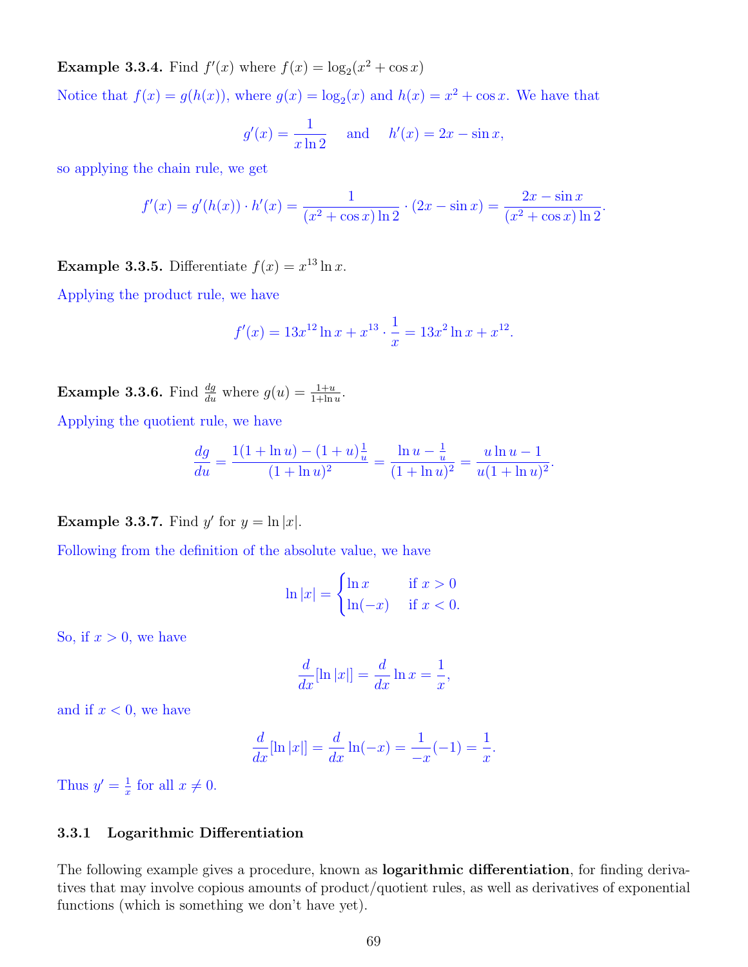**Example 3.3.4.** Find  $f'(x)$  where  $f(x) = \log_2(x^2 + \cos x)$ 

Notice that  $f(x) = g(h(x))$ , where  $g(x) = \log_2(x)$  and  $h(x) = x^2 + \cos x$ . We have that

$$
g'(x) = \frac{1}{x \ln 2} \quad \text{and} \quad h'(x) = 2x - \sin x,
$$

so applying the chain rule, we get

$$
f'(x) = g'(h(x)) \cdot h'(x) = \frac{1}{(x^2 + \cos x) \ln 2} \cdot (2x - \sin x) = \frac{2x - \sin x}{(x^2 + \cos x) \ln 2}.
$$

**Example 3.3.5.** Differentiate  $f(x) = x^{13} \ln x$ .

Applying the product rule, we have

$$
f'(x) = 13x^{12} \ln x + x^{13} \cdot \frac{1}{x} = 13x^2 \ln x + x^{12}.
$$

**Example 3.3.6.** Find  $\frac{dg}{du}$  where  $g(u) = \frac{1+u}{1+\ln u}$ .

Applying the quotient rule, we have

$$
\frac{dg}{du} = \frac{1(1 + \ln u) - (1 + u)\frac{1}{u}}{(1 + \ln u)^2} = \frac{\ln u - \frac{1}{u}}{(1 + \ln u)^2} = \frac{u\ln u - 1}{u(1 + \ln u)^2}.
$$

<span id="page-68-0"></span>**Example 3.3.7.** Find  $y'$  for  $y = \ln |x|$ .

Following from the definition of the absolute value, we have

$$
\ln|x| = \begin{cases} \ln x & \text{if } x > 0\\ \ln(-x) & \text{if } x < 0. \end{cases}
$$

So, if  $x > 0$ , we have

$$
\frac{d}{dx}[\ln|x|] = \frac{d}{dx}\ln x = \frac{1}{x},
$$

and if  $x < 0$ , we have

$$
\frac{d}{dx}[\ln|x|] = \frac{d}{dx}\ln(-x) = \frac{1}{-x}(-1) = \frac{1}{x}.
$$

Thus  $y' = \frac{1}{x}$  $\frac{1}{x}$  for all  $x \neq 0$ .

## 3.3.1 Logarithmic Differentiation

The following example gives a procedure, known as **logarithmic differentiation**, for finding derivatives that may involve copious amounts of product/quotient rules, as well as derivatives of exponential functions (which is something we don't have yet).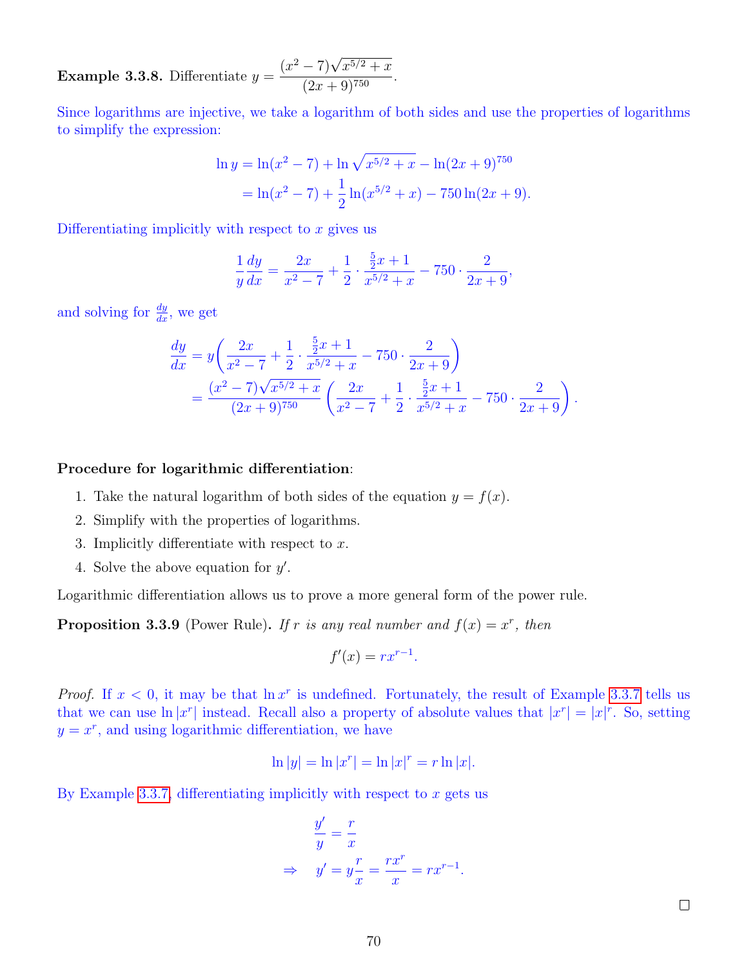**Example 3.3.8.** Differentiate  $y =$  $(x^2-7)\sqrt{x^{5/2}+x}$  $\frac{(2x+9)^{750}}{(2x+9)^{750}}$ .

Since logarithms are injective, we take a logarithm of both sides and use the properties of logarithms to simplify the expression:

$$
\ln y = \ln(x^2 - 7) + \ln \sqrt{x^{5/2} + x} - \ln(2x + 9)^{750}
$$
  
=  $\ln(x^2 - 7) + \frac{1}{2} \ln(x^{5/2} + x) - 750 \ln(2x + 9).$ 

Differentiating implicitly with respect to  $x$  gives us

$$
\frac{1}{y}\frac{dy}{dx} = \frac{2x}{x^2 - 7} + \frac{1}{2} \cdot \frac{\frac{5}{2}x + 1}{x^{5/2} + x} - 750 \cdot \frac{2}{2x + 9},
$$

and solving for  $\frac{dy}{dx}$ , we get

$$
\frac{dy}{dx} = y \left( \frac{2x}{x^2 - 7} + \frac{1}{2} \cdot \frac{\frac{5}{2}x + 1}{x^{5/2} + x} - 750 \cdot \frac{2}{2x + 9} \right)
$$
  
= 
$$
\frac{(x^2 - 7)\sqrt{x^{5/2} + x}}{(2x + 9)^{750}} \left( \frac{2x}{x^2 - 7} + \frac{1}{2} \cdot \frac{\frac{5}{2}x + 1}{x^{5/2} + x} - 750 \cdot \frac{2}{2x + 9} \right).
$$

#### Procedure for logarithmic differentiation:

- 1. Take the natural logarithm of both sides of the equation  $y = f(x)$ .
- 2. Simplify with the properties of logarithms.
- 3. Implicitly differentiate with respect to x.
- 4. Solve the above equation for  $y'$ .

Logarithmic differentiation allows us to prove a more general form of the power rule.

**Proposition 3.3.9** (Power Rule). If r is any real number and  $f(x) = x^r$ , then

$$
f'(x) = rx^{r-1}.
$$

*Proof.* If  $x < 0$ , it may be that  $\ln x^r$  is undefined. Fortunately, the result of Example [3.3.7](#page-68-0) tells us that we can use  $\ln |x^r|$  instead. Recall also a property of absolute values that  $|x^r| = |x|^r$ . So, setting  $y = x^r$ , and using logarithmic differentiation, we have

$$
\ln|y| = \ln|x^r| = \ln|x|^r = r \ln|x|.
$$

By Example [3.3.7,](#page-68-0) differentiating implicitly with respect to  $x$  gets us

$$
\frac{y'}{y} = \frac{r}{x}
$$
  
\n
$$
\Rightarrow \quad y' = y\frac{r}{x} = \frac{rx^r}{x} = rx^{r-1}.
$$

| ۰ |  | ۰ |  |
|---|--|---|--|
|   |  |   |  |
|   |  |   |  |
|   |  |   |  |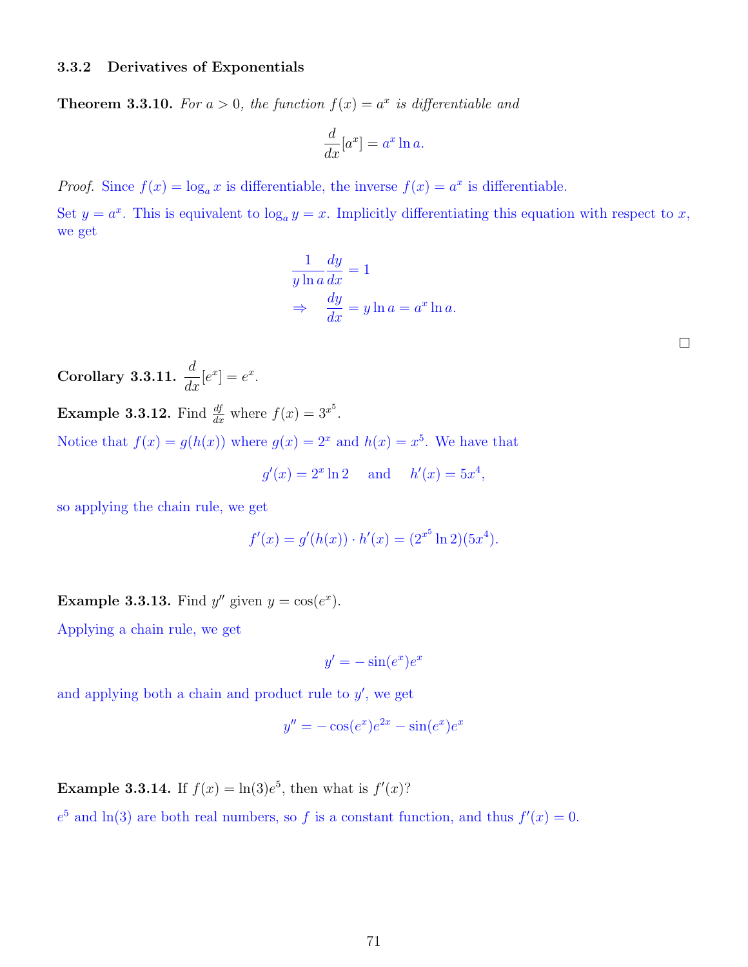## 3.3.2 Derivatives of Exponentials

**Theorem 3.3.10.** For  $a > 0$ , the function  $f(x) = a^x$  is differentiable and

$$
\frac{d}{dx}[a^x] = a^x \ln a.
$$

*Proof.* Since  $f(x) = \log_a x$  is differentiable, the inverse  $f(x) = a^x$  is differentiable.

Set  $y = a^x$ . This is equivalent to  $\log_a y = x$ . Implicitly differentiating this equation with respect to x, we get

$$
\frac{1}{y \ln a} \frac{dy}{dx} = 1
$$
  
\n
$$
\Rightarrow \quad \frac{dy}{dx} = y \ln a = a^x \ln a.
$$

 $\Box$ 

Corollary 3.3.11.  $\frac{d}{dt}$  $\frac{a}{dx}[e^x] = e^x.$ 

**Example 3.3.12.** Find  $\frac{df}{dx}$  where  $f(x) = 3^{x^5}$ .

Notice that  $f(x) = g(h(x))$  where  $g(x) = 2^x$  and  $h(x) = x^5$ . We have that

 $g'(x) = 2^x \ln 2$  and  $h'(x) = 5x^4$ ,

so applying the chain rule, we get

$$
f'(x) = g'(h(x)) \cdot h'(x) = (2^{x^5} \ln 2)(5x^4).
$$

**Example 3.3.13.** Find  $y''$  given  $y = \cos(e^x)$ .

Applying a chain rule, we get

$$
y' = -\sin(e^x)e^x
$$

and applying both a chain and product rule to  $y'$ , we get

$$
y'' = -\cos(e^x)e^{2x} - \sin(e^x)e^x
$$

**Example 3.3.14.** If  $f(x) = \ln(3)e^5$ , then what is  $f'(x)$ ?

 $e^5$  and ln(3) are both real numbers, so f is a constant function, and thus  $f'(x) = 0$ .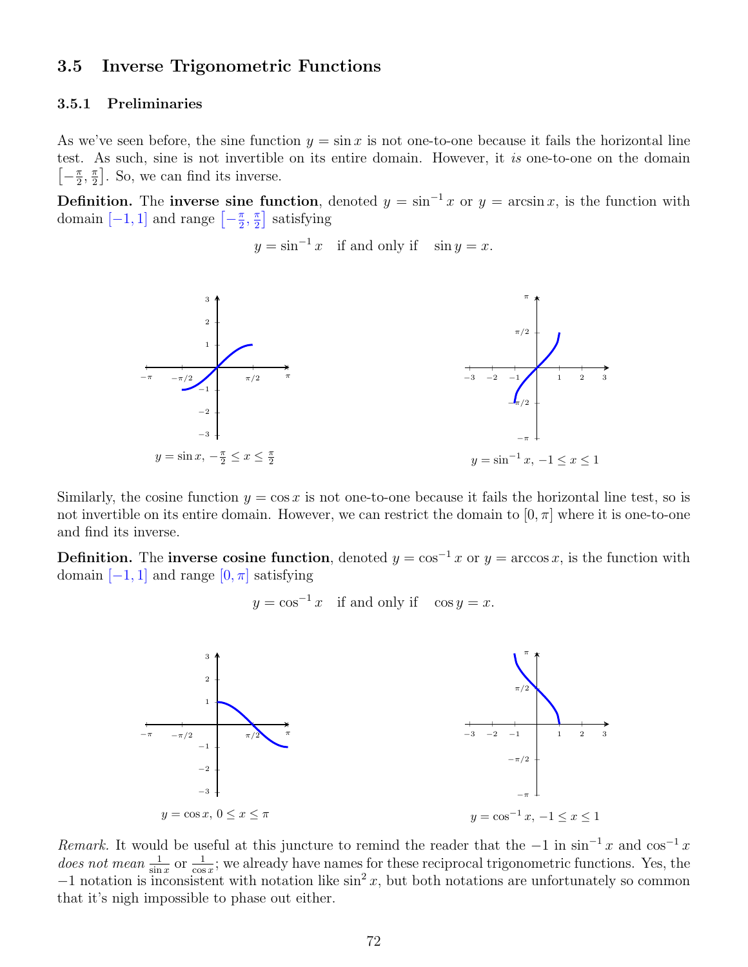# 3.5 Inverse Trigonometric Functions

## 3.5.1 Preliminaries

As we've seen before, the sine function  $y = \sin x$  is not one-to-one because it fails the horizontal line test. As such, sine is not invertible on its entire domain. However, it is one-to-one on the domain  $\left[-\frac{\pi}{2}\right]$  $\frac{\pi}{2}$ ,  $\frac{\pi}{2}$  $\frac{\pi}{2}$ . So, we can find its inverse.

**Definition.** The **inverse sine function**, denoted  $y = \sin^{-1} x$  or  $y = \arcsin x$ , is the function with domain  $[-1, 1]$  and range  $\left[-\frac{\pi}{2}\right]$  $\frac{\pi}{2}$ ,  $\frac{\pi}{2}$  $\frac{\pi}{2}$  satisfying

 $y = \sin^{-1} x$  if and only if  $\sin y = x$ .



Similarly, the cosine function  $y = \cos x$  is not one-to-one because it fails the horizontal line test, so is not invertible on its entire domain. However, we can restrict the domain to  $[0, \pi]$  where it is one-to-one and find its inverse.

**Definition.** The **inverse cosine function**, denoted  $y = \cos^{-1} x$  or  $y = \arccos x$ , is the function with domain  $[-1, 1]$  and range  $[0, \pi]$  satisfying



 $y = \cos^{-1} x$  if and only if  $\cos y = x$ .

Remark. It would be useful at this juncture to remind the reader that the  $-1$  in  $\sin^{-1} x$  and  $\cos^{-1} x$ does not mean  $\frac{1}{\sin x}$  or  $\frac{1}{\cos x}$ ; we already have names for these reciprocal trigonometric functions. Yes, the  $-1$  notation is inconsistent with notation like sin<sup>2</sup> x, but both notations are unfortunately so common that it's nigh impossible to phase out either.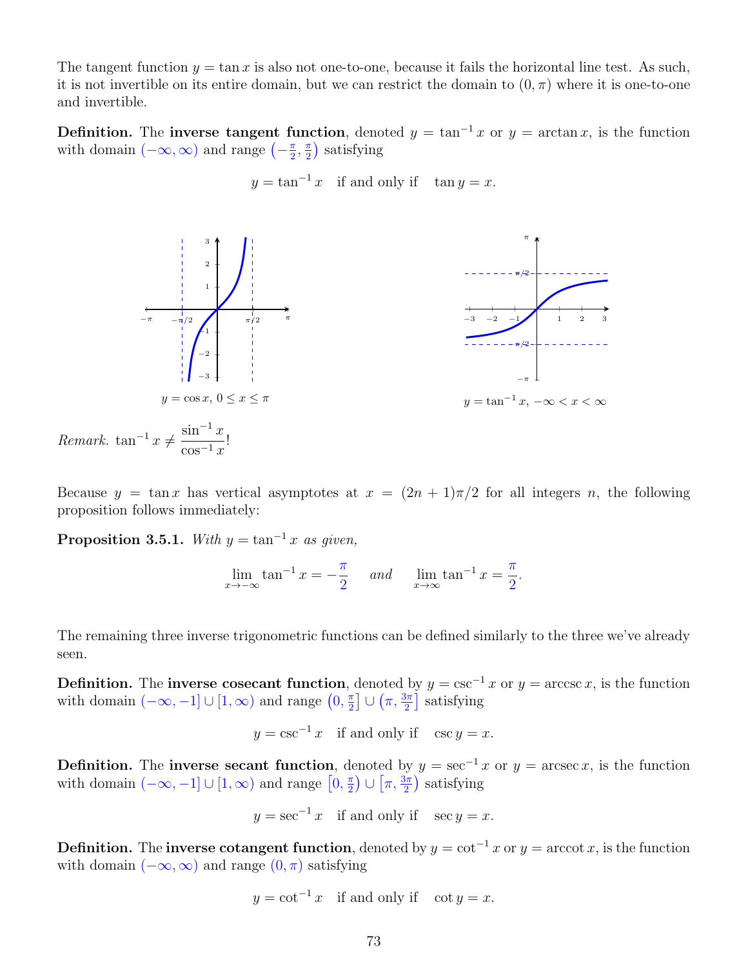The tangent function  $y = \tan x$  is also not one-to-one, because it fails the horizontal line test. As such, it is not invertible on its entire domain, but we can restrict the domain to  $(0, \pi)$  where it is one-to-one and invertible.

**Definition.** The **inverse tangent function**, denoted  $y = \tan^{-1} x$  or  $y = \arctan x$ , is the function with domain  $(-\infty, \infty)$  and range  $\left(-\frac{\pi}{2}\right)$  $\frac{\pi}{2}$ ,  $\frac{\pi}{2}$  $\frac{\pi}{2}$ ) satisfying

 $\frac{1}{\pi/2}$ −3 −2 −1 1 2 3  $y = \cos x, 0 \leq x \leq \pi$ −3 −2 −1 1 2 3  $-\pi$  $\pi/2$ π/2 π  $y = \tan^{-1} x, -\infty < x < \infty$ Remark. tan<sup>-1</sup> x  $\neq$  $\sin^{-1} x$  $\frac{\sin x}{\cos^{-1} x}$ !

 $y = \tan^{-1} x$  if and only if  $\tan y = x$ .

Because  $y = \tan x$  has vertical asymptotes at  $x = (2n + 1)\pi/2$  for all integers n, the following proposition follows immediately:

Proposition 3.5.1. With  $y = \tan^{-1} x$  as given,

$$
\lim_{x \to -\infty} \tan^{-1} x = -\frac{\pi}{2} \quad \text{and} \quad \lim_{x \to \infty} \tan^{-1} x = \frac{\pi}{2}.
$$

The remaining three inverse trigonometric functions can be defined similarly to the three we've already seen.

**Definition.** The **inverse cosecant function**, denoted by  $y = \csc^{-1} x$  or  $y = \arccsc x$ , is the function with domain  $(-\infty, -1] \cup [1, \infty)$  and range  $(0, \frac{\pi}{2})$  $\left[\frac{\pi}{2}\right] \cup \left(\pi, \frac{3\pi}{2}\right]$  satisfying

$$
y = \csc^{-1} x
$$
 if and only if  $\csc y = x$ .

**Definition.** The **inverse secant function**, denoted by  $y = \sec^{-1} x$  or  $y = \arccos x$ , is the function with domain  $(-\infty, -1] \cup [1, \infty)$  and range  $[0, \frac{\pi}{2}]$  $(\frac{\pi}{2}) \cup [\pi, \frac{3\pi}{2})$  satisfying

$$
y = \sec^{-1} x
$$
 if and only if  $\sec y = x$ .

**Definition.** The **inverse cotangent function**, denoted by  $y = \cot^{-1} x$  or  $y = \arccot x$ , is the function with domain  $(-\infty, \infty)$  and range  $(0, \pi)$  satisfying

$$
y = \cot^{-1} x
$$
 if and only if  $\cot y = x$ .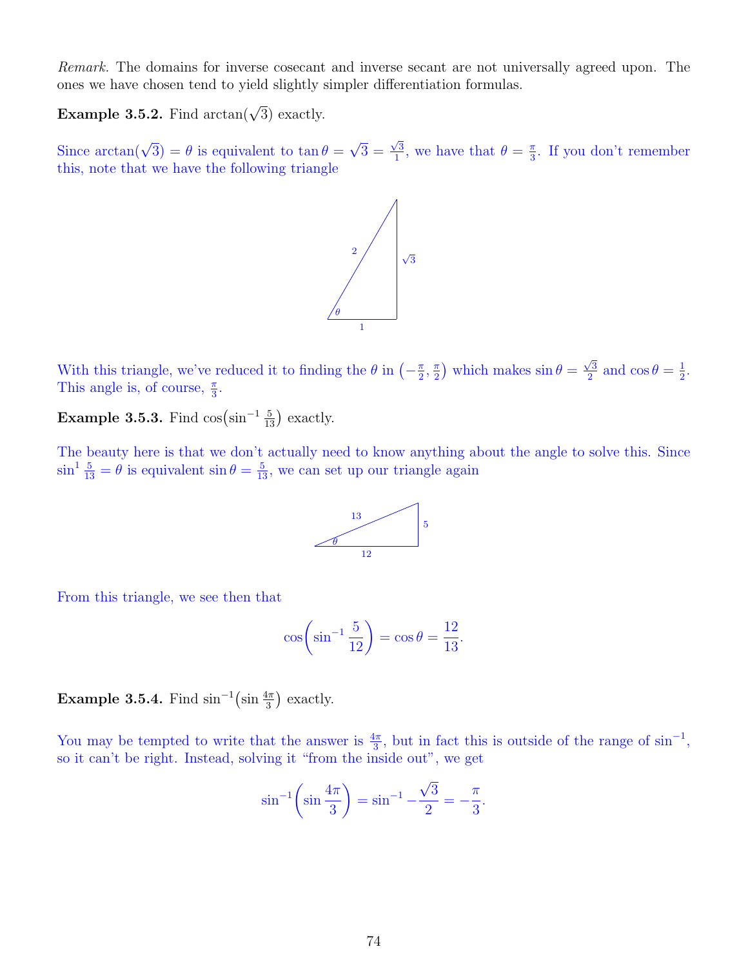Remark. The domains for inverse cosecant and inverse secant are not universally agreed upon. The ones we have chosen tend to yield slightly simpler differentiation formulas.

**Example 3.5.2.** Find  $\arctan(\sqrt{3})$  exactly.

Since  $\arctan(\sqrt{3}) = \theta$  is equivalent to  $\tan \theta =$ √  $3 =$  $\sqrt{3}$  $\frac{\sqrt{3}}{1}$ , we have that  $\theta = \frac{\pi}{3}$  $\frac{\pi}{3}$ . If you don't remember this, note that we have the following triangle



With this triangle, we've reduced it to finding the  $\theta$  in  $\left(-\frac{\pi}{2}\right)$  $\frac{\pi}{2}$ ,  $\frac{\pi}{2}$  $(\frac{\pi}{2})$  which makes  $\sin \theta =$  $\sqrt{3}$  $\frac{\sqrt{3}}{2}$  and  $\cos \theta = \frac{1}{2}$  $\frac{1}{2}$ . This angle is, of course,  $\frac{\pi}{3}$ .

**Example 3.5.3.** Find  $cos(sin^{-1} \frac{5}{13})$  exactly.

The beauty here is that we don't actually need to know anything about the angle to solve this. Since  $\sin^1 \frac{5}{13} = \theta$  is equivalent  $\sin \theta = \frac{5}{13}$ , we can set up our triangle again



From this triangle, we see then that

$$
\cos\left(\sin^{-1}\frac{5}{12}\right) = \cos\theta = \frac{12}{13}.
$$

Example 3.5.4. Find  $\sin^{-1}(\sin \frac{4\pi}{3})$  exactly.

You may be tempted to write that the answer is  $\frac{4\pi}{3}$ , but in fact this is outside of the range of sin<sup>-1</sup>, so it can't be right. Instead, solving it "from the inside out", we get

$$
\sin^{-1}\left(\sin\frac{4\pi}{3}\right) = \sin^{-1}\left(-\frac{\sqrt{3}}{2}\right) = -\frac{\pi}{3}.
$$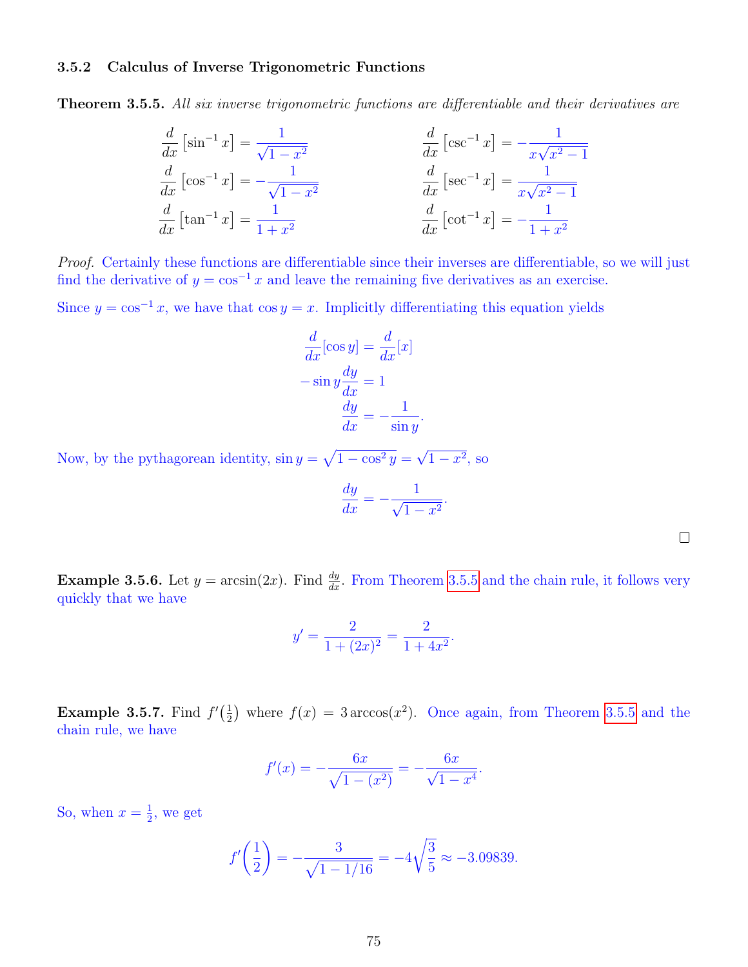#### 3.5.2 Calculus of Inverse Trigonometric Functions

<span id="page-74-0"></span>**Theorem 3.5.5.** All six inverse trigonometric functions are differentiable and their derivatives are

$$
\frac{d}{dx}\left[\sin^{-1}x\right] = \frac{1}{\sqrt{1-x^2}}
$$
\n
$$
\frac{d}{dx}\left[\csc^{-1}x\right] = -\frac{1}{x\sqrt{x^2-1}}
$$
\n
$$
\frac{d}{dx}\left[\csc^{-1}x\right] = \frac{1}{x\sqrt{x^2-1}}
$$
\n
$$
\frac{d}{dx}\left[\sec^{-1}x\right] = \frac{1}{x\sqrt{x^2-1}}
$$
\n
$$
\frac{d}{dx}\left[\cot^{-1}x\right] = \frac{1}{1+x^2}
$$

Proof. Certainly these functions are differentiable since their inverses are differentiable, so we will just find the derivative of  $y = \cos^{-1} x$  and leave the remaining five derivatives as an exercise.

Since  $y = \cos^{-1} x$ , we have that  $\cos y = x$ . Implicitly differentiating this equation yields

$$
\frac{d}{dx}[\cos y] = \frac{d}{dx}[x]
$$

$$
-\sin y \frac{dy}{dx} = 1
$$

$$
\frac{dy}{dx} = -\frac{1}{\sin y}
$$

Now, by the pythagorean identity,  $\sin y = \sqrt{1 - \cos^2 y}$ √  $1-x^2$ , so

$$
\frac{dy}{dx} = -\frac{1}{\sqrt{1 - x^2}}.
$$

.

**Example 3.5.6.** Let  $y = \arcsin(2x)$ . Find  $\frac{dy}{dx}$ . From Theorem [3.5.5](#page-74-0) and the chain rule, it follows very quickly that we have

$$
y' = \frac{2}{1 + (2x)^2} = \frac{2}{1 + 4x^2}.
$$

**Example 3.5.7.** Find  $f'(\frac{1}{2})$  $\frac{1}{2}$ ) where  $f(x) = 3 \arccos(x^2)$ . Once again, from Theorem [3.5.5](#page-74-0) and the chain rule, we have

$$
f'(x) = -\frac{6x}{\sqrt{1 - (x^2)}} = -\frac{6x}{\sqrt{1 - x^4}}.
$$

So, when  $x=\frac{1}{2}$  $\frac{1}{2}$ , we get

$$
f'\left(\frac{1}{2}\right) = -\frac{3}{\sqrt{1 - 1/16}} = -4\sqrt{\frac{3}{5}} \approx -3.09839.
$$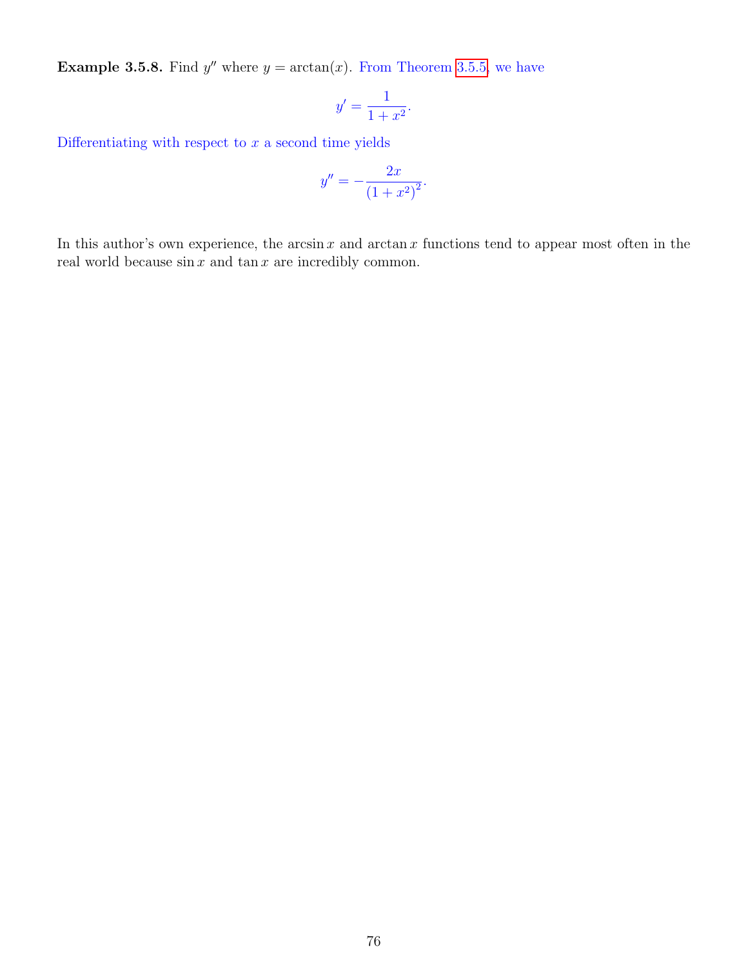**Example 3.5.8.** Find  $y''$  where  $y = \arctan(x)$ . From Theorem [3.5.5,](#page-74-0) we have

$$
y' = \frac{1}{1+x^2}.
$$

Differentiating with respect to  $x$  a second time yields

$$
y'' = -\frac{2x}{(1+x^2)^2}.
$$

In this author's own experience, the arcsin  $x$  and  $arctan x$  functions tend to appear most often in the real world because  $\sin x$  and  $\tan x$  are incredibly common.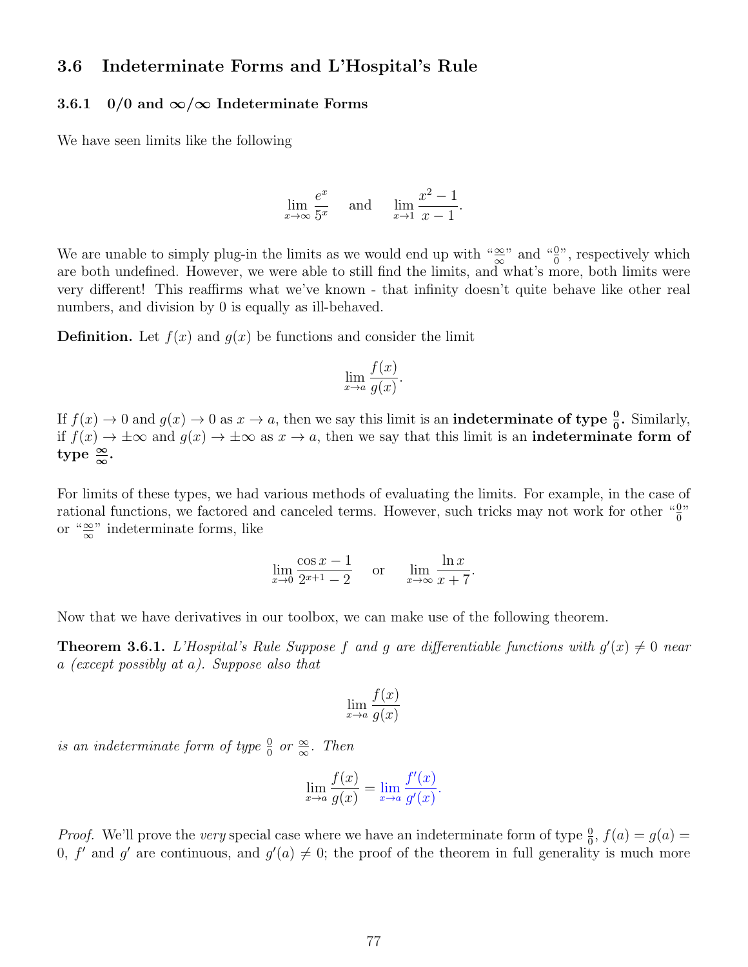## 3.6 Indeterminate Forms and L'Hospital's Rule

#### 3.6.1 0/0 and  $\infty/\infty$  Indeterminate Forms

We have seen limits like the following

$$
\lim_{x \to \infty} \frac{e^x}{5^x} \quad \text{and} \quad \lim_{x \to 1} \frac{x^2 - 1}{x - 1}.
$$

We are unable to simply plug-in the limits as we would end up with  $\frac{\omega_{\infty}}{\infty}$  and  $\frac{\omega_{0}}{0}$ , respectively which are both undefined. However, we were able to still find the limits, and what's more, both limits were very different! This reaffirms what we've known - that infinity doesn't quite behave like other real numbers, and division by 0 is equally as ill-behaved.

**Definition.** Let  $f(x)$  and  $q(x)$  be functions and consider the limit

$$
\lim_{x \to a} \frac{f(x)}{g(x)}.
$$

If  $f(x) \to 0$  and  $g(x) \to 0$  as  $x \to a$ , then we say this limit is an **indeterminate of type**  $\frac{0}{0}$ . Similarly, if  $f(x) \to \pm \infty$  and  $g(x) \to \pm \infty$  as  $x \to a$ , then we say that this limit is an **indeterminate form of** type  $\frac{\infty}{\infty}$ .

For limits of these types, we had various methods of evaluating the limits. For example, in the case of rational functions, we factored and canceled terms. However, such tricks may not work for other  $\frac{0.0}{0}$ " or " $\frac{\infty}{\infty}$ " indeterminate forms, like

$$
\lim_{x \to 0} \frac{\cos x - 1}{2^{x+1} - 2} \quad \text{or} \quad \lim_{x \to \infty} \frac{\ln x}{x + 7}.
$$

Now that we have derivatives in our toolbox, we can make use of the following theorem.

**Theorem 3.6.1.** L'Hospital's Rule Suppose f and g are differentiable functions with  $g'(x) \neq 0$  near a (except possibly at a). Suppose also that

$$
\lim_{x \to a} \frac{f(x)}{g(x)}
$$

is an indeterminate form of type  $\frac{0}{0}$  or  $\frac{\infty}{\infty}$ . Then

$$
\lim_{x \to a} \frac{f(x)}{g(x)} = \lim_{x \to a} \frac{f'(x)}{g'(x)}.
$$

*Proof.* We'll prove the *very* special case where we have an indeterminate form of type  $\frac{0}{0}$ ,  $f(a) = g(a)$ 0, f' and g' are continuous, and  $g'(a) \neq 0$ ; the proof of the theorem in full generality is much more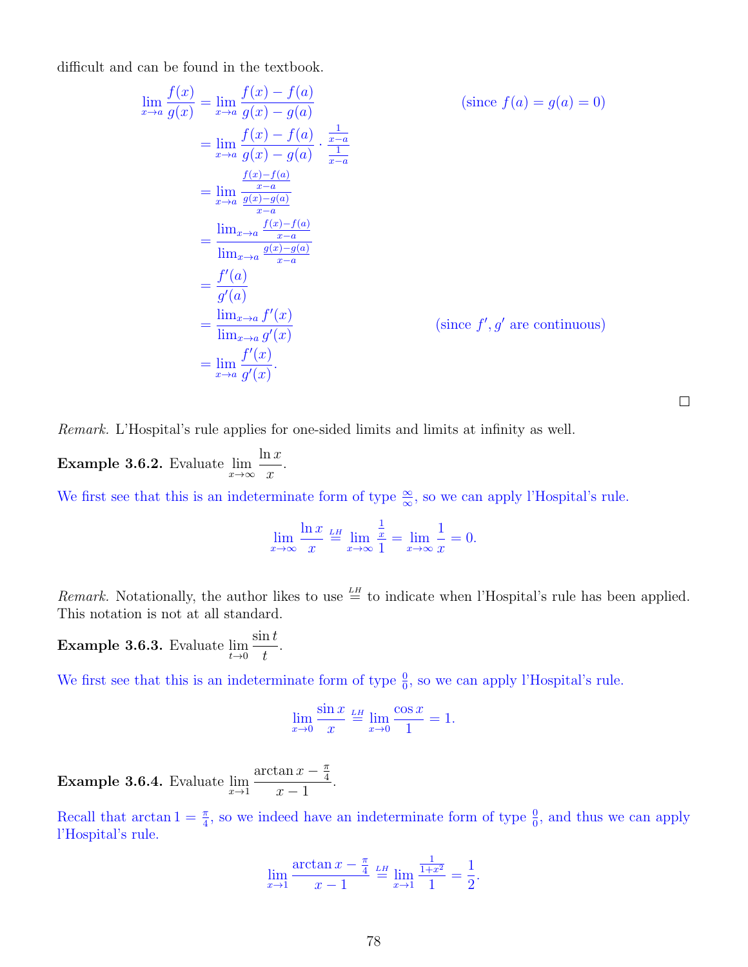difficult and can be found in the textbook.

$$
\lim_{x \to a} \frac{f(x)}{g(x)} = \lim_{x \to a} \frac{f(x) - f(a)}{g(x) - g(a)}
$$
\n
$$
= \lim_{x \to a} \frac{f(x) - f(a)}{g(x) - g(a)} \cdot \frac{\frac{1}{x - a}}{\frac{1}{x - a}}
$$
\n
$$
= \lim_{x \to a} \frac{\frac{f(x) - f(a)}{g(x) - g(a)}}{\frac{g(x) - g(a)}{x - a}}
$$
\n
$$
= \frac{\lim_{x \to a} \frac{f(x) - f(a)}{g(x) - g(a)}}{\lim_{x \to a} \frac{g(x) - g(a)}{x - a}}
$$
\n
$$
= \frac{f'(a)}{g'(a)}
$$
\n
$$
= \lim_{x \to a} \frac{f'(x)}{g'(x)}
$$
\n
$$
= \lim_{x \to a} \frac{f'(x)}{g'(x)}.
$$
\n(since  $f', g'$  are continuous)\n
$$
= \lim_{x \to a} \frac{f'(x)}{g'(x)}.
$$

 $\Box$ 

Remark. L'Hospital's rule applies for one-sided limits and limits at infinity as well.

**Example 3.6.2.** Evaluate  $\lim_{x\to\infty}$  $ln x$  $\overline{x}$ .

We first see that this is an indeterminate form of type  $\frac{\infty}{\infty}$ , so we can apply l'Hospital's rule.

$$
\lim_{x \to \infty} \frac{\ln x}{x} \stackrel{\text{LH}}{=} \lim_{x \to \infty} \frac{\frac{1}{x}}{1} = \lim_{x \to \infty} \frac{1}{x} = 0.
$$

Remark. Notationally, the author likes to use  $\stackrel{LH}{=}$  to indicate when l'Hospital's rule has been applied. This notation is not at all standard.

**Example 3.6.3.** Evaluate  $\lim_{t\to 0}$  $\sin t$ t .

We first see that this is an indeterminate form of type  $\frac{0}{0}$ , so we can apply l'Hospital's rule.

$$
\lim_{x \to 0} \frac{\sin x}{x} \stackrel{LH}{=} \lim_{x \to 0} \frac{\cos x}{1} = 1.
$$

**Example 3.6.4.** Evaluate  $\lim_{x\to 1}$ arctan  $x - \frac{\pi}{4}$ 4  $x - 1$ .

Recall that  $\arctan 1 = \frac{\pi}{4}$ , so we indeed have an indeterminate form of type  $\frac{0}{0}$ , and thus we can apply l'Hospital's rule.

$$
\lim_{x \to 1} \frac{\arctan x - \frac{\pi}{4}}{x - 1} \stackrel{\text{LH}}{=} \lim_{x \to 1} \frac{\frac{1}{1 + x^2}}{1} = \frac{1}{2}.
$$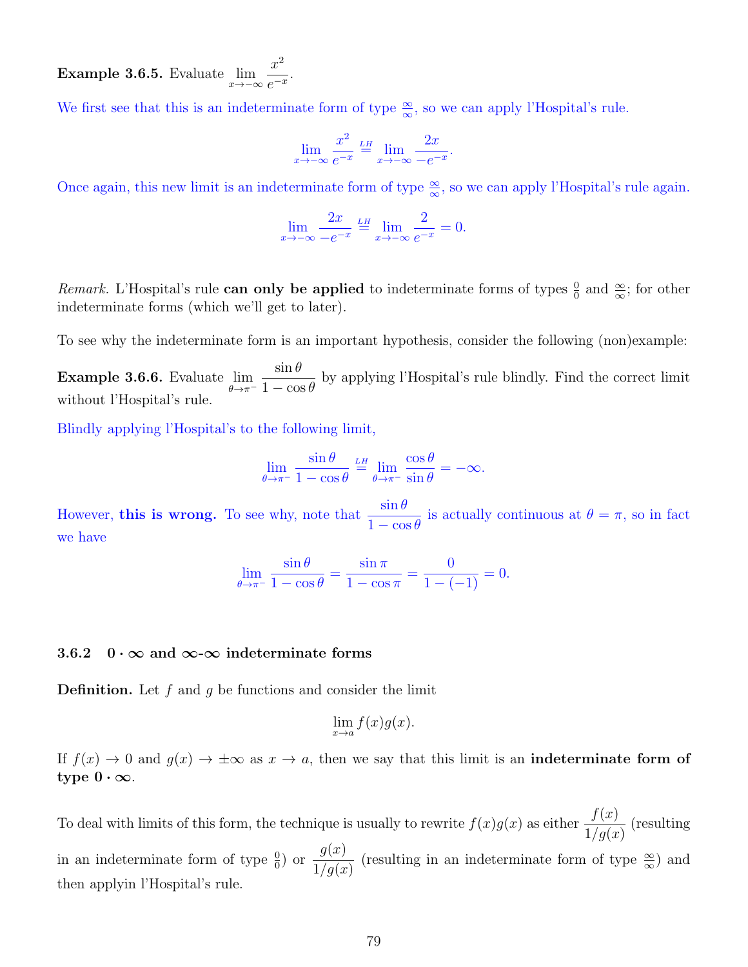**Example 3.6.5.** Evaluate  $\lim_{x \to -\infty}$  $x^2$  $\frac{x}{e^{-x}}$ .

We first see that this is an indeterminate form of type  $\frac{\infty}{\infty}$ , so we can apply l'Hospital's rule.

$$
\lim_{x \to -\infty} \frac{x^2}{e^{-x}} \stackrel{\text{LH}}{=} \lim_{x \to -\infty} \frac{2x}{-e^{-x}}.
$$

Once again, this new limit is an indeterminate form of type  $\frac{\infty}{\infty}$ , so we can apply l'Hospital's rule again.

$$
\lim_{x \to -\infty} \frac{2x}{-e^{-x}} \stackrel{\text{LH}}{=} \lim_{x \to -\infty} \frac{2}{e^{-x}} = 0.
$$

*Remark.* L'Hospital's rule **can only be applied** to indeterminate forms of types  $\frac{0}{0}$  and  $\frac{\infty}{\infty}$ ; for other indeterminate forms (which we'll get to later).

To see why the indeterminate form is an important hypothesis, consider the following (non)example:

**Example 3.6.6.** Evaluate  $\lim_{\theta \to \pi^-}$  $\sin \theta$  $1 - \cos \theta$ by applying l'Hospital's rule blindly. Find the correct limit without l'Hospital's rule.

Blindly applying l'Hospital's to the following limit,

$$
\lim_{\theta \to \pi^-} \frac{\sin \theta}{1 - \cos \theta} \stackrel{LH}{=} \lim_{\theta \to \pi^-} \frac{\cos \theta}{\sin \theta} = -\infty.
$$

However, this is wrong. To see why, note that  $\frac{\sin \theta}{1}$  $1-\cos\theta$ is actually continuous at  $\theta = \pi$ , so in fact we have

$$
\lim_{\theta \to \pi^{-}} \frac{\sin \theta}{1 - \cos \theta} = \frac{\sin \pi}{1 - \cos \pi} = \frac{0}{1 - (-1)} = 0.
$$

#### 3.6.2 0  $\cdot \infty$  and  $\infty$ - $\infty$  indeterminate forms

**Definition.** Let  $f$  and  $g$  be functions and consider the limit

$$
\lim_{x \to a} f(x)g(x).
$$

If  $f(x) \to 0$  and  $g(x) \to \pm \infty$  as  $x \to a$ , then we say that this limit is an **indeterminate form of** type  $0 \cdot \infty$ .

To deal with limits of this form, the technique is usually to rewrite  $f(x)g(x)$  as either  $\frac{f(x)}{f(x)}$  $1/g(x)$ (resulting in an indeterminate form of type  $\frac{0}{0}$  or  $\frac{g(x)}{1/g(x)}$  $1/g(x)$ (resulting in an indeterminate form of type  $\frac{\infty}{\infty}$ ) and then applyin l'Hospital's rule.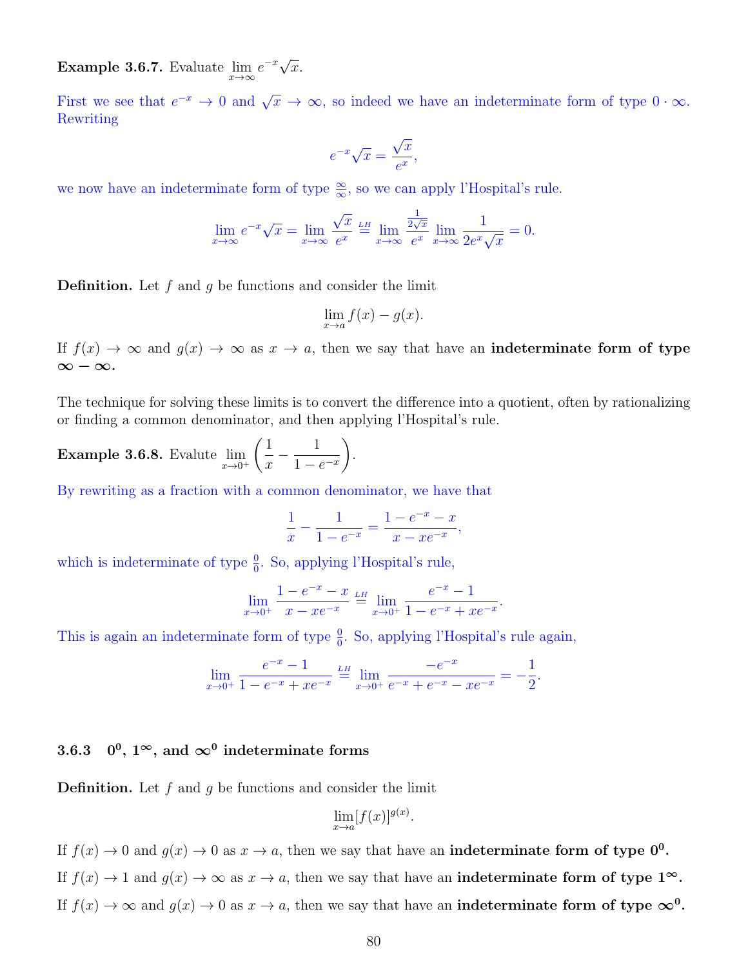**Example 3.6.7.** Evaluate  $\lim_{x\to\infty}e^{-x}\sqrt{x}$ .

First we see that  $e^{-x} \to 0$  and  $\sqrt{x} \to \infty$ , so indeed we have an indeterminate form of type  $0 \cdot \infty$ . Rewriting

$$
e^{-x}\sqrt{x} = \frac{\sqrt{x}}{e^x},
$$

we now have an indeterminate form of type  $\frac{\infty}{\infty}$ , so we can apply l'Hospital's rule.

$$
\lim_{x \to \infty} e^{-x} \sqrt{x} = \lim_{x \to \infty} \frac{\sqrt{x}}{e^x} \stackrel{\text{LH}}{=} \lim_{x \to \infty} \frac{\frac{1}{2\sqrt{x}}}{e^x} \lim_{x \to \infty} \frac{1}{2e^x \sqrt{x}} = 0.
$$

**Definition.** Let f and q be functions and consider the limit

$$
\lim_{x \to a} f(x) - g(x).
$$

If  $f(x) \to \infty$  and  $g(x) \to \infty$  as  $x \to a$ , then we say that have an **indeterminate form of type**  $\infty - \infty$ .

The technique for solving these limits is to convert the difference into a quotient, often by rationalizing or finding a common denominator, and then applying l'Hospital's rule.

**Example 3.6.8.** Evalute  $\lim_{x\to 0^+}$  $\sqrt{1}$  $\overline{x}$  $-\frac{1}{1}$  $1 - e^{-x}$  $\setminus$ .

By rewriting as a fraction with a common denominator, we have that

$$
\frac{1}{x} - \frac{1}{1 - e^{-x}} = \frac{1 - e^{-x} - x}{x - xe^{-x}},
$$

which is indeterminate of type  $\frac{0}{0}$ . So, applying l'Hospital's rule,

$$
\lim_{x \to 0^+} \frac{1 - e^{-x} - x}{x - xe^{-x}} \stackrel{\text{LH}}{=} \lim_{x \to 0^+} \frac{e^{-x} - 1}{1 - e^{-x} + xe^{-x}}.
$$

This is again an indeterminate form of type  $\frac{0}{0}$ . So, applying l'Hospital's rule again,

$$
\lim_{x \to 0^+} \frac{e^{-x} - 1}{1 - e^{-x} + xe^{-x}} \stackrel{\text{LH}}{=} \lim_{x \to 0^+} \frac{-e^{-x}}{e^{-x} + e^{-x} - xe^{-x}} = -\frac{1}{2}.
$$

#### $3.6.3$ ,  $1^{\infty}$ , and  $\infty^0$  indeterminate forms

**Definition.** Let f and q be functions and consider the limit

$$
\lim_{x \to a} [f(x)]^{g(x)}
$$

.

If  $f(x) \to 0$  and  $g(x) \to 0$  as  $x \to a$ , then we say that have an **indeterminate form of type 0<sup>0</sup>.** If  $f(x) \to 1$  and  $g(x) \to \infty$  as  $x \to a$ , then we say that have an **indeterminate form of type 1<sup>∞</sup>.** If  $f(x) \to \infty$  and  $g(x) \to 0$  as  $x \to a$ , then we say that have an **indeterminate form of type**  $\infty^0$ .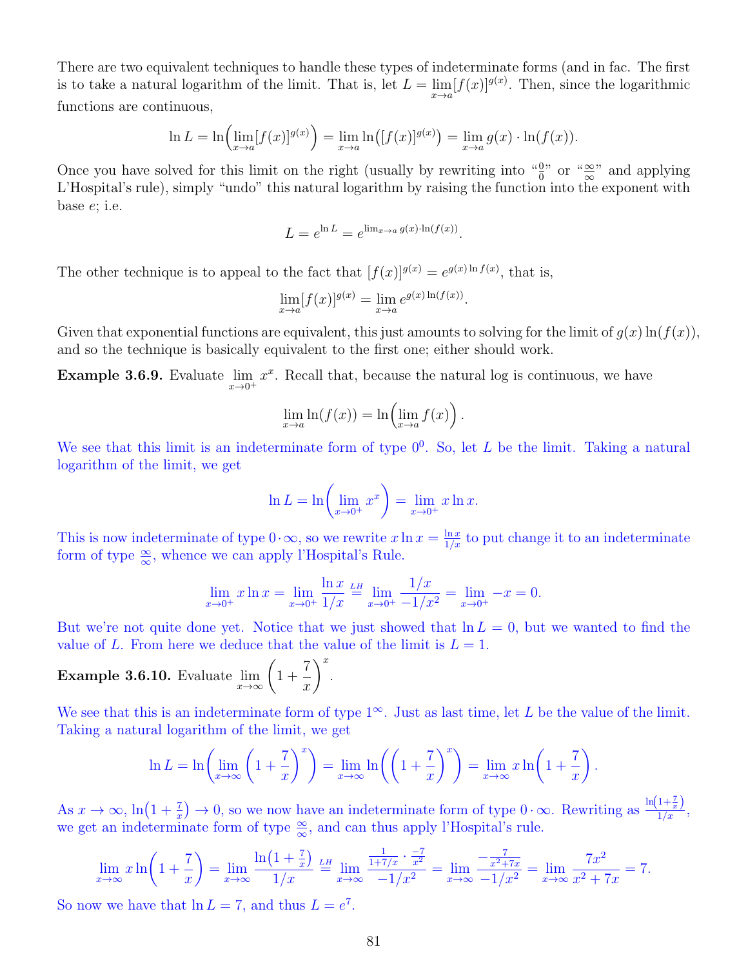There are two equivalent techniques to handle these types of indeterminate forms (and in fac. The first is to take a natural logarithm of the limit. That is, let  $L = \lim_{x \to a} [f(x)]^{g(x)}$ . Then, since the logarithmic functions are continuous,

$$
\ln L = \ln \left( \lim_{x \to a} [f(x)]^{g(x)} \right) = \lim_{x \to a} \ln \left( [f(x)]^{g(x)} \right) = \lim_{x \to a} g(x) \cdot \ln(f(x)).
$$

Once you have solved for this limit on the right (usually by rewriting into " $\frac{0}{0}$ " or " $\frac{\infty}{\infty}$ " and applying L'Hospital's rule), simply "undo" this natural logarithm by raising the function into the exponent with base e; i.e.

$$
L = e^{\ln L} = e^{\lim_{x \to a} g(x) \cdot \ln(f(x))}.
$$

The other technique is to appeal to the fact that  $[f(x)]^{g(x)} = e^{g(x) \ln f(x)}$ , that is,

$$
\lim_{x \to a} [f(x)]^{g(x)} = \lim_{x \to a} e^{g(x) \ln(f(x))}
$$

.

Given that exponential functions are equivalent, this just amounts to solving for the limit of  $g(x) \ln(f(x))$ , and so the technique is basically equivalent to the first one; either should work.

**Example 3.6.9.** Evaluate  $\lim_{x\to 0^+} x^x$ . Recall that, because the natural log is continuous, we have

$$
\lim_{x \to a} \ln(f(x)) = \ln\left(\lim_{x \to a} f(x)\right).
$$

We see that this limit is an indeterminate form of type  $0^0$ . So, let L be the limit. Taking a natural logarithm of the limit, we get

$$
\ln L = \ln \left( \lim_{x \to 0^+} x^x \right) = \lim_{x \to 0^+} x \ln x.
$$

This is now indeterminate of type  $0 \cdot \infty$ , so we rewrite  $x \ln x = \frac{\ln x}{1/x}$  to put change it to an indeterminate form of type  $\frac{\infty}{\infty}$ , whence we can apply l'Hospital's Rule.

$$
\lim_{x \to 0^+} x \ln x = \lim_{x \to 0^+} \frac{\ln x}{1/x} \stackrel{\text{LH}}{=} \lim_{x \to 0^+} \frac{1/x}{-1/x^2} = \lim_{x \to 0^+} -x = 0.
$$

But we're not quite done yet. Notice that we just showed that  $\ln L = 0$ , but we wanted to find the value of L. From here we deduce that the value of the limit is  $L = 1$ .

**Example 3.6.10.** Evaluate 
$$
\lim_{x \to \infty} \left(1 + \frac{7}{x}\right)^x
$$
.

We see that this is an indeterminate form of type  $1^{\infty}$ . Just as last time, let L be the value of the limit. Taking a natural logarithm of the limit, we get

$$
\ln L = \ln \left( \lim_{x \to \infty} \left( 1 + \frac{7}{x} \right)^x \right) = \lim_{x \to \infty} \ln \left( \left( 1 + \frac{7}{x} \right)^x \right) = \lim_{x \to \infty} x \ln \left( 1 + \frac{7}{x} \right).
$$

As  $x \to \infty$ ,  $\ln(1+\frac{7}{x}) \to 0$ , so we now have an indeterminate form of type  $0 \cdot \infty$ . Rewriting as  $\frac{\ln(1+\frac{7}{x})}{1/x}$ , we get an indeterminate form of type  $\frac{\infty}{\infty}$ , and can thus apply l'Hospital's rule.

$$
\lim_{x \to \infty} x \ln \left( 1 + \frac{7}{x} \right) = \lim_{x \to \infty} \frac{\ln \left( 1 + \frac{7}{x} \right)}{1/x} \stackrel{\text{LH}}{=} \lim_{x \to \infty} \frac{\frac{1}{1+7/x} \cdot \frac{-7}{x^2}}{-1/x^2} = \lim_{x \to \infty} \frac{-\frac{7}{x^2+7x}}{-1/x^2} = \lim_{x \to \infty} \frac{7x^2}{x^2+7x} = 7.
$$

So now we have that  $\ln L = 7$ , and thus  $L = e^7$ .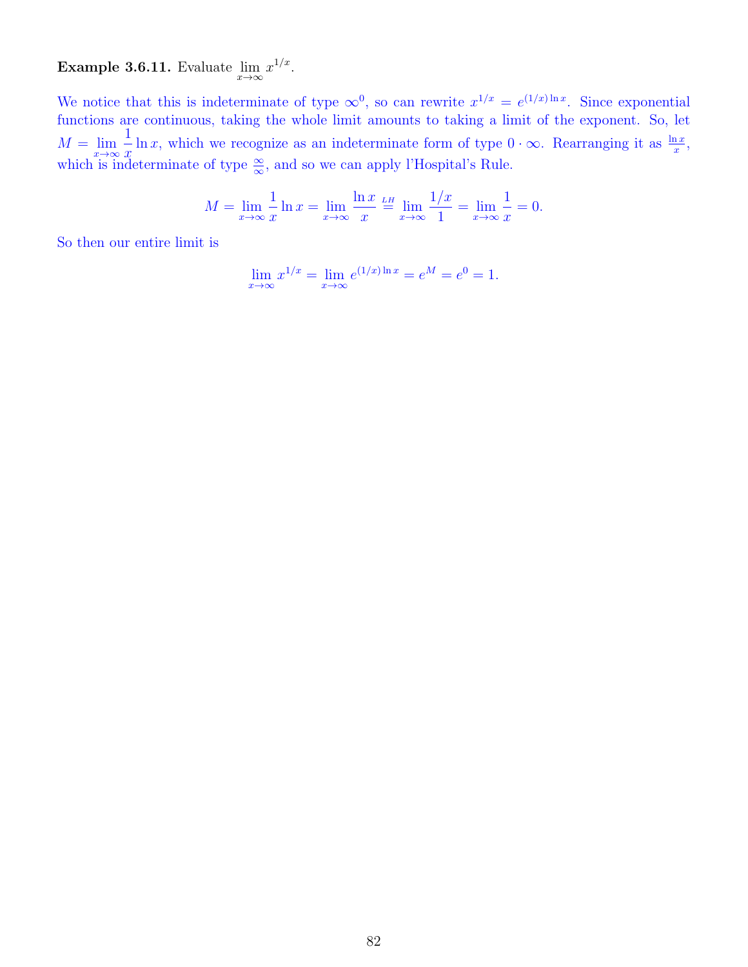**Example 3.6.11.** Evaluate  $\lim_{x\to\infty} x^{1/x}$ .

We notice that this is indeterminate of type  $\infty^0$ , so can rewrite  $x^{1/x} = e^{(1/x)\ln x}$ . Since exponential functions are continuous, taking the whole limit amounts to taking a limit of the exponent. So, let  $M = \lim_{x \to \infty}$ 1  $\dot{x}$ ln x, which we recognize as an indeterminate form of type  $0 \cdot \infty$ . Rearranging it as  $\frac{\ln x}{x}$ , which is indeterminate of type  $\frac{\infty}{\infty}$ , and so we can apply l'Hospital's Rule.

$$
M = \lim_{x \to \infty} \frac{1}{x} \ln x = \lim_{x \to \infty} \frac{\ln x}{x} = \lim_{x \to \infty} \frac{1/x}{1} = \lim_{x \to \infty} \frac{1}{x} = 0.
$$

So then our entire limit is

$$
\lim_{x \to \infty} x^{1/x} = \lim_{x \to \infty} e^{(1/x) \ln x} = e^M = e^0 = 1.
$$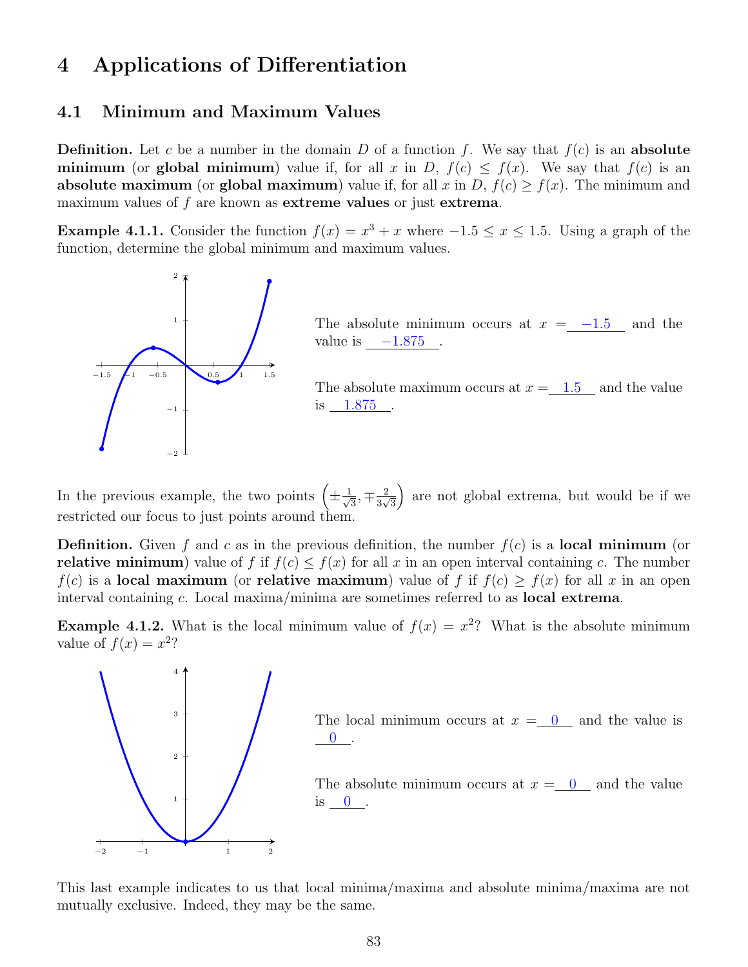# 4 Applications of Differentiation

#### 4.1 Minimum and Maximum Values

**Definition.** Let c be a number in the domain D of a function f. We say that  $f(c)$  is an absolute **minimum** (or **global minimum**) value if, for all x in D,  $f(c) \leq f(x)$ . We say that  $f(c)$  is an absolute maximum (or global maximum) value if, for all x in D,  $f(c) \ge f(x)$ . The minimum and maximum values of  $f$  are known as extreme values or just extrema.

**Example 4.1.1.** Consider the function  $f(x) = x^3 + x$  where  $-1.5 \le x \le 1.5$ . Using a graph of the function, determine the global minimum and maximum values.



The absolute minimum occurs at  $x = -1.5$  and the value is  $-1.875$ 

The absolute maximum occurs at  $x = 1.5$  and the value is 1.875 .

In the previous example, the two points  $\left(\pm\frac{1}{\sqrt{2}}\right)$  $\overline{3}$ ,  $\pm \frac{2}{3}$  $rac{2}{3\sqrt{3}}$  are not global extrema, but would be if we restricted our focus to just points around them.

**Definition.** Given f and c as in the previous definition, the number  $f(c)$  is a **local minimum** (or **relative minimum**) value of f if  $f(c) \leq f(x)$  for all x in an open interval containing c. The number  $f(c)$  is a local maximum (or relative maximum) value of f if  $f(c) \geq f(x)$  for all x in an open interval containing c. Local maxima/minima are sometimes referred to as local extrema.

**Example 4.1.2.** What is the local minimum value of  $f(x) = x^2$ ? What is the absolute minimum value of  $f(x) = x^2$ ?



The local minimum occurs at  $x = 0$  and the value is  $\boxed{0}$ .

The absolute minimum occurs at  $x = 0$  and the value is  $\boxed{0}$ .

This last example indicates to us that local minima/maxima and absolute minima/maxima are not mutually exclusive. Indeed, they may be the same.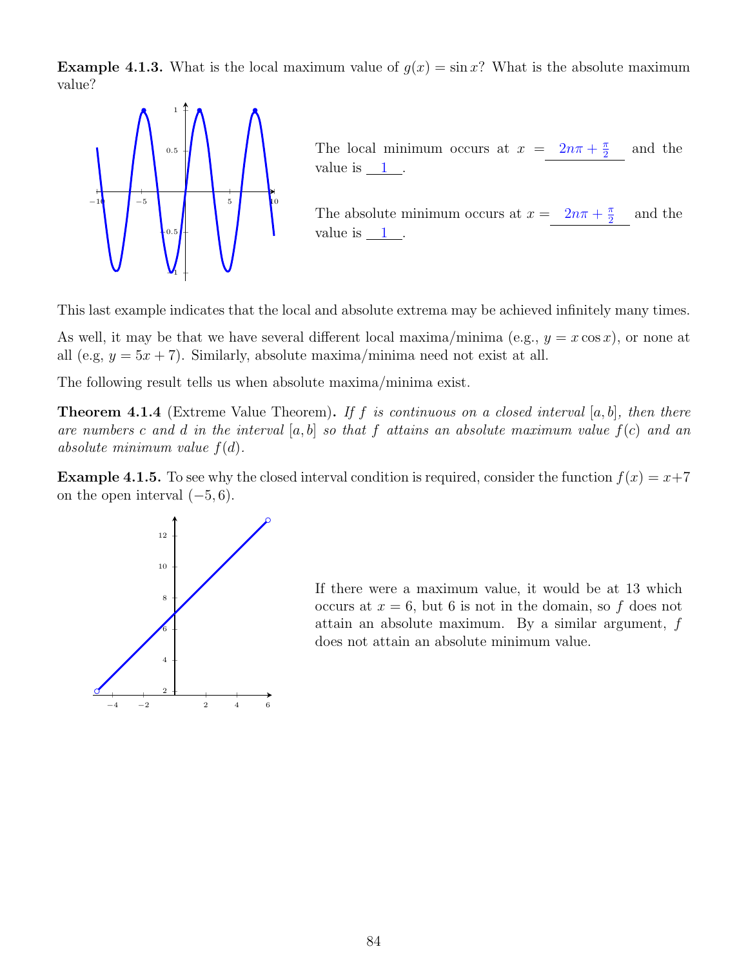**Example 4.1.3.** What is the local maximum value of  $q(x) = \sin x$ ? What is the absolute maximum value?



The local minimum occurs at  $x = 2n\pi + \frac{\pi}{2}$  $\frac{\pi}{2}$  and the value is  $1$ .

The absolute minimum occurs at  $x = 2n\pi + \frac{\pi}{2}$  $\frac{\pi}{2}$  and the value is  $1$ .

This last example indicates that the local and absolute extrema may be achieved infinitely many times.

As well, it may be that we have several different local maxima/minima (e.g.,  $y = x \cos x$ ), or none at all (e.g,  $y = 5x + 7$ ). Similarly, absolute maxima/minima need not exist at all.

The following result tells us when absolute maxima/minima exist.

**Theorem 4.1.4** (Extreme Value Theorem). If f is continuous on a closed interval [a, b], then there are numbers c and d in the interval  $[a, b]$  so that f attains an absolute maximum value  $f(c)$  and an absolute minimum value  $f(d)$ .

**Example 4.1.5.** To see why the closed interval condition is required, consider the function  $f(x) = x+7$ on the open interval  $(-5, 6)$ .



If there were a maximum value, it would be at 13 which occurs at  $x = 6$ , but 6 is not in the domain, so f does not attain an absolute maximum. By a similar argument, f does not attain an absolute minimum value.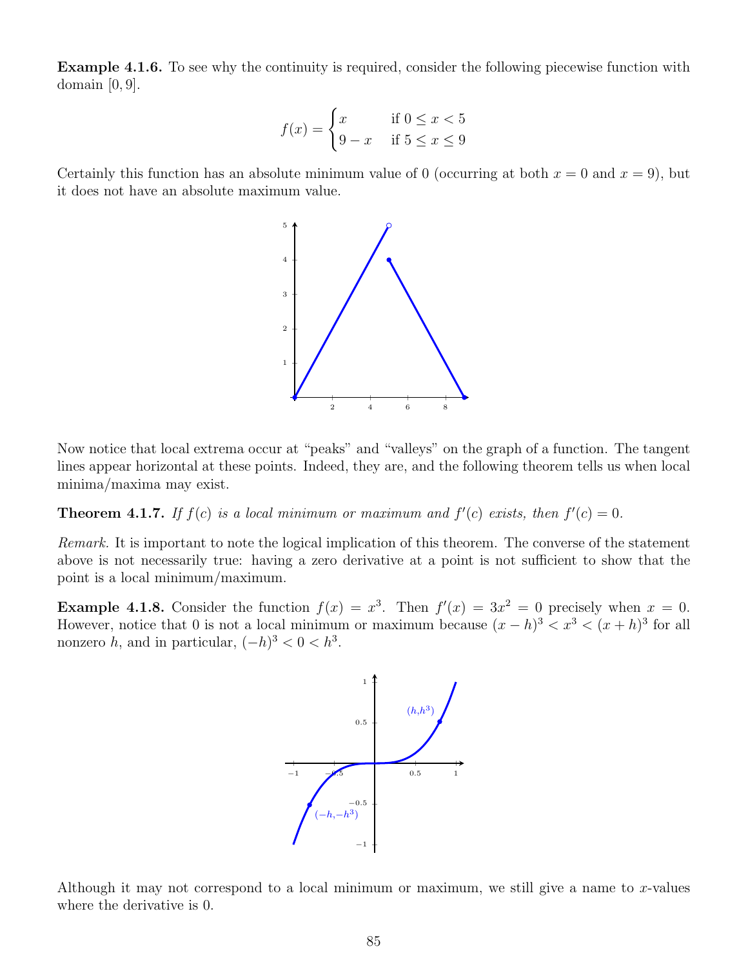Example 4.1.6. To see why the continuity is required, consider the following piecewise function with domain  $[0, 9]$ .

$$
f(x) = \begin{cases} x & \text{if } 0 \le x < 5 \\ 9 - x & \text{if } 5 \le x \le 9 \end{cases}
$$

Certainly this function has an absolute minimum value of 0 (occurring at both  $x = 0$  and  $x = 9$ ), but it does not have an absolute maximum value.



Now notice that local extrema occur at "peaks" and "valleys" on the graph of a function. The tangent lines appear horizontal at these points. Indeed, they are, and the following theorem tells us when local minima/maxima may exist.

**Theorem 4.1.7.** If  $f(c)$  is a local minimum or maximum and  $f'(c)$  exists, then  $f'(c) = 0$ .

Remark. It is important to note the logical implication of this theorem. The converse of the statement above is not necessarily true: having a zero derivative at a point is not sufficient to show that the point is a local minimum/maximum.

**Example 4.1.8.** Consider the function  $f(x) = x^3$ . Then  $f'(x) = 3x^2 = 0$  precisely when  $x = 0$ . However, notice that 0 is not a local minimum or maximum because  $(x - h)^3 < x^3 < (x + h)^3$  for all nonzero h, and in particular,  $(-h)^3 < 0 < h^3$ .



Although it may not correspond to a local minimum or maximum, we still give a name to x-values where the derivative is 0.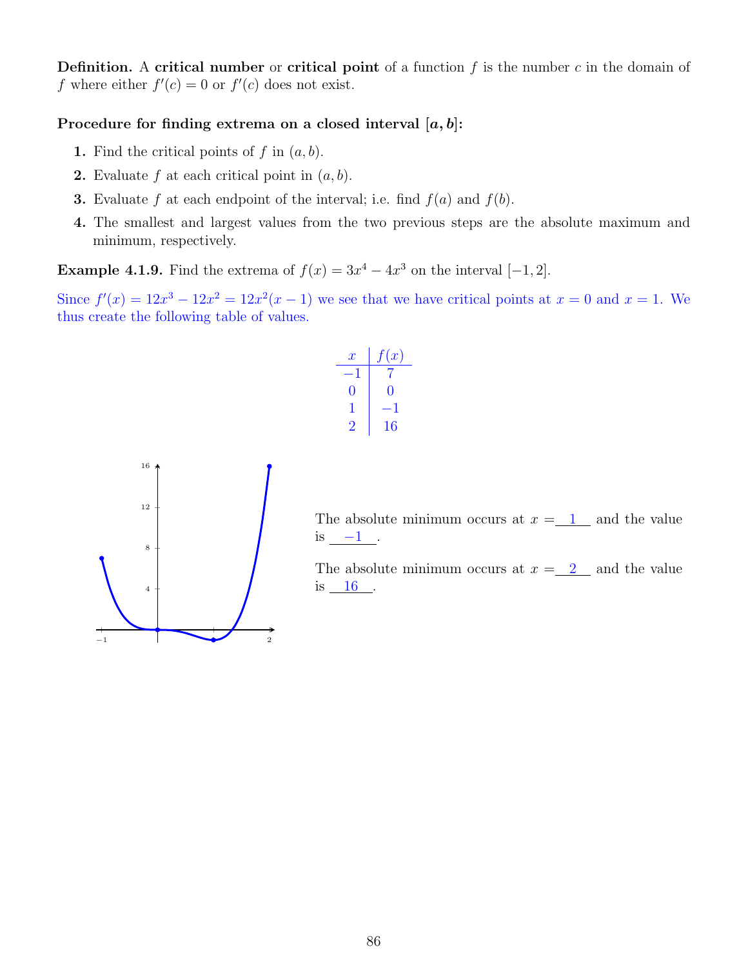**Definition.** A critical number or critical point of a function  $f$  is the number  $c$  in the domain of f where either  $f'(c) = 0$  or  $f'(c)$  does not exist.

#### Procedure for finding extrema on a closed interval  $[a, b]$ :

- 1. Find the critical points of  $f$  in  $(a, b)$ .
- **2.** Evaluate f at each critical point in  $(a, b)$ .
- **3.** Evaluate f at each endpoint of the interval; i.e. find  $f(a)$  and  $f(b)$ .
- 4. The smallest and largest values from the two previous steps are the absolute maximum and minimum, respectively.

**Example 4.1.9.** Find the extrema of  $f(x) = 3x^4 - 4x^3$  on the interval [-1, 2].

Since  $f'(x) = 12x^3 - 12x^2 = 12x^2(x-1)$  we see that we have critical points at  $x = 0$  and  $x = 1$ . We thus create the following table of values.





The absolute minimum occurs at  $x = \_1$  and the value  $is \_ -1$ .

The absolute minimum occurs at  $x = \_2$  and the value is  $16$ .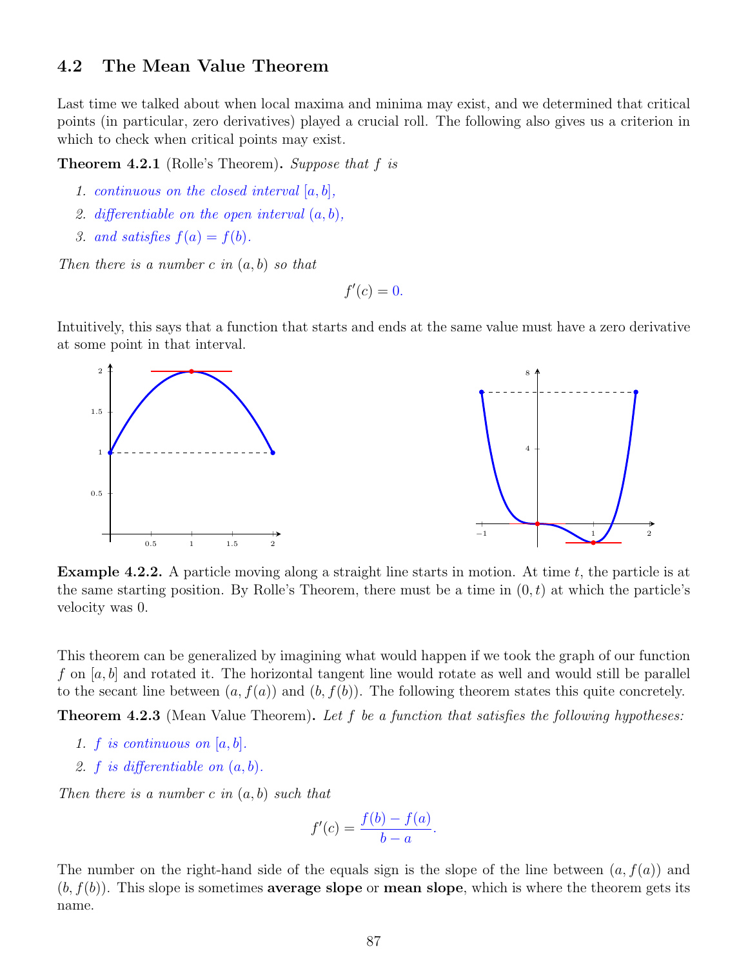#### 4.2 The Mean Value Theorem

Last time we talked about when local maxima and minima may exist, and we determined that critical points (in particular, zero derivatives) played a crucial roll. The following also gives us a criterion in which to check when critical points may exist.

**Theorem 4.2.1** (Rolle's Theorem). Suppose that f is

- 1. continuous on the closed interval  $[a, b]$ ,
- 2. differentiable on the open interval  $(a, b)$ ,
- 3. and satisfies  $f(a) = f(b)$ .

Then there is a number c in  $(a, b)$  so that

$$
f'(c)=0.
$$

Intuitively, this says that a function that starts and ends at the same value must have a zero derivative at some point in that interval.



Example 4.2.2. A particle moving along a straight line starts in motion. At time t, the particle is at the same starting position. By Rolle's Theorem, there must be a time in  $(0, t)$  at which the particle's velocity was 0.

This theorem can be generalized by imagining what would happen if we took the graph of our function f on  $[a, b]$  and rotated it. The horizontal tangent line would rotate as well and would still be parallel to the secant line between  $(a, f(a))$  and  $(b, f(b))$ . The following theorem states this quite concretely.

**Theorem 4.2.3** (Mean Value Theorem). Let f be a function that satisfies the following hypotheses:

- 1. f is continuous on  $[a, b]$ .
- 2. f is differentiable on  $(a, b)$ .

Then there is a number c in  $(a, b)$  such that

$$
f'(c) = \frac{f(b) - f(a)}{b - a}.
$$

The number on the right-hand side of the equals sign is the slope of the line between  $(a, f(a))$  and  $(b, f(b))$ . This slope is sometimes **average slope** or **mean slope**, which is where the theorem gets its name.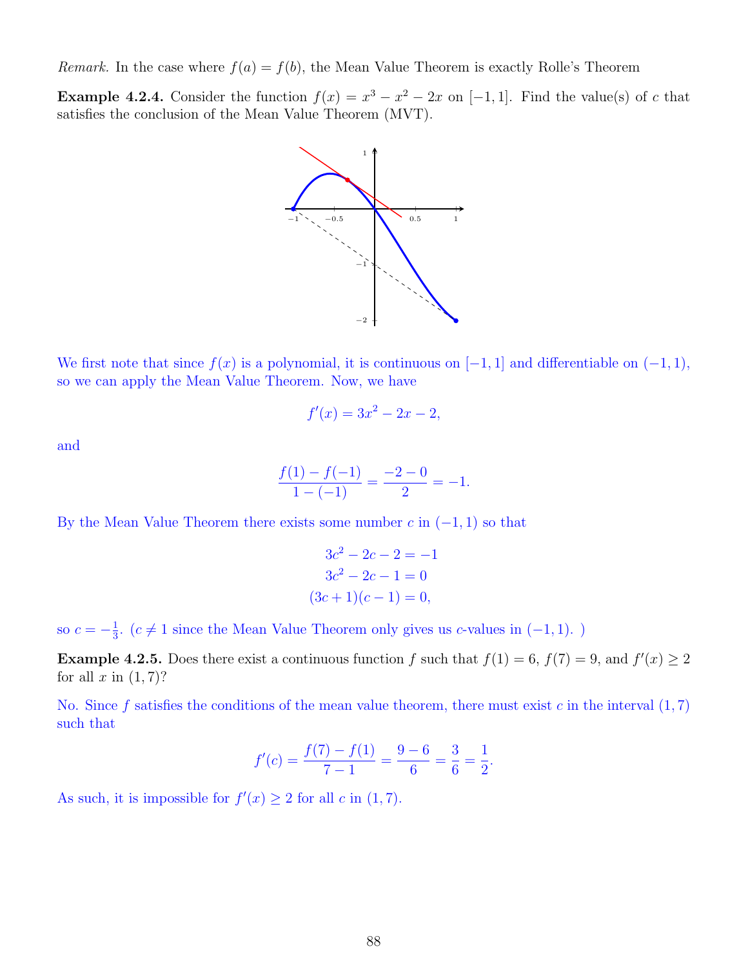Remark. In the case where  $f(a) = f(b)$ , the Mean Value Theorem is exactly Rolle's Theorem

**Example 4.2.4.** Consider the function  $f(x) = x^3 - x^2 - 2x$  on [-1, 1]. Find the value(s) of c that satisfies the conclusion of the Mean Value Theorem (MVT).



We first note that since  $f(x)$  is a polynomial, it is continuous on  $[-1, 1]$  and differentiable on  $(-1, 1)$ , so we can apply the Mean Value Theorem. Now, we have

$$
f'(x) = 3x^2 - 2x - 2,
$$

and

$$
\frac{f(1) - f(-1)}{1 - (-1)} = \frac{-2 - 0}{2} = -1.
$$

By the Mean Value Theorem there exists some number  $c$  in  $(-1, 1)$  so that

$$
3c2 - 2c - 2 = -1
$$
  
\n
$$
3c2 - 2c - 1 = 0
$$
  
\n
$$
(3c + 1)(c - 1) = 0,
$$

so  $c = -\frac{1}{3}$  $\frac{1}{3}$ . (*c* ≠ 1 since the Mean Value Theorem only gives us *c*-values in  $(-1, 1)$ .)

**Example 4.2.5.** Does there exist a continuous function f such that  $f(1) = 6$ ,  $f(7) = 9$ , and  $f'(x) \ge 2$ for all  $x$  in  $(1, 7)$ ?

No. Since f satisfies the conditions of the mean value theorem, there must exist c in the interval  $(1, 7)$ such that

$$
f'(c) = \frac{f(7) - f(1)}{7 - 1} = \frac{9 - 6}{6} = \frac{3}{6} = \frac{1}{2}.
$$

As such, it is impossible for  $f'(x) \geq 2$  for all c in (1,7).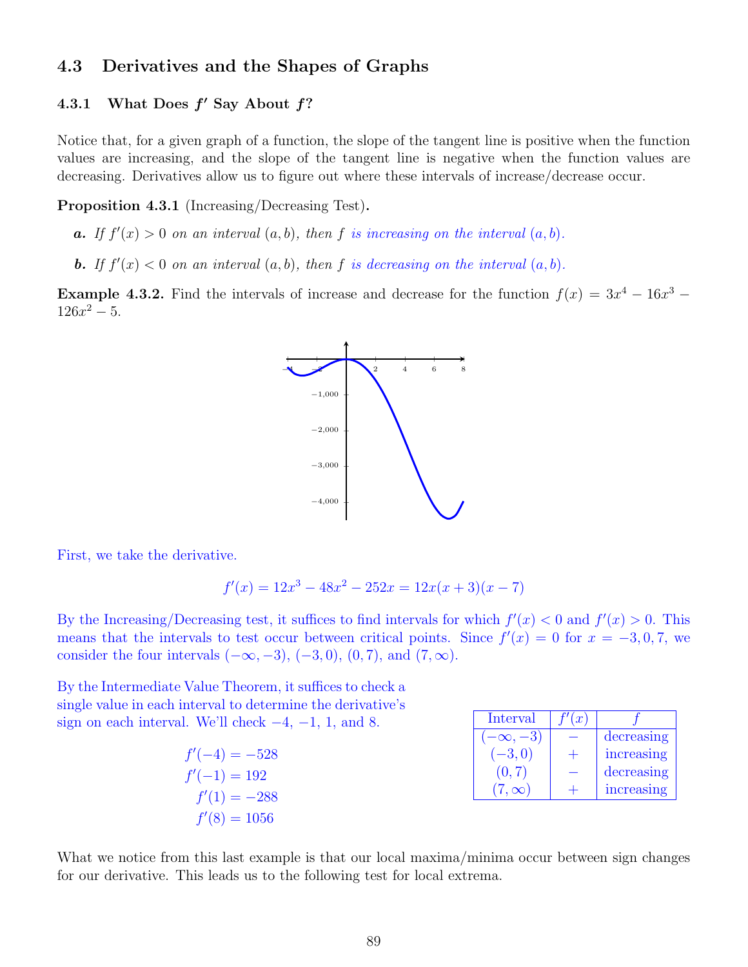## 4.3 Derivatives and the Shapes of Graphs

## 4.3.1 What Does  $f'$  Say About  $f$ ?

Notice that, for a given graph of a function, the slope of the tangent line is positive when the function values are increasing, and the slope of the tangent line is negative when the function values are decreasing. Derivatives allow us to figure out where these intervals of increase/decrease occur.

Proposition 4.3.1 (Increasing/Decreasing Test).

- **a.** If  $f'(x) > 0$  on an interval  $(a, b)$ , then f is increasing on the interval  $(a, b)$ .
- **b.** If  $f'(x) < 0$  on an interval  $(a, b)$ , then f is decreasing on the interval  $(a, b)$ .

<span id="page-88-0"></span>**Example 4.3.2.** Find the intervals of increase and decrease for the function  $f(x) = 3x^4 - 16x^3 - 16x^2$  $126x^2 - 5.$ 



First, we take the derivative.

$$
f'(x) = 12x^3 - 48x^2 - 252x = 12x(x+3)(x-7)
$$

By the Increasing/Decreasing test, it suffices to find intervals for which  $f'(x) < 0$  and  $f'(x) > 0$ . This means that the intervals to test occur between critical points. Since  $f'(x) = 0$  for  $x = -3, 0, 7$ , we consider the four intervals  $(-\infty, -3)$ ,  $(-3, 0)$ ,  $(0, 7)$ , and  $(7, \infty)$ .

By the Intermediate Value Theorem, it suffices to check a single value in each interval to determine the derivative's sign on each interval. We'll check  $-4$ ,  $-1$ , 1, and 8.

$$
f'(-4) = -528
$$
  
\n
$$
f'(-1) = 192
$$
  
\n
$$
f'(1) = -288
$$
  
\n
$$
f'(8) = 1056
$$

| Interval     | x) |            |
|--------------|----|------------|
| $\infty, -3$ |    | decreasing |
| $[-3,0]$     |    | increasing |
| (0, 7)       |    | decreasing |
|              |    | increasing |

What we notice from this last example is that our local maxima/minima occur between sign changes for our derivative. This leads us to the following test for local extrema.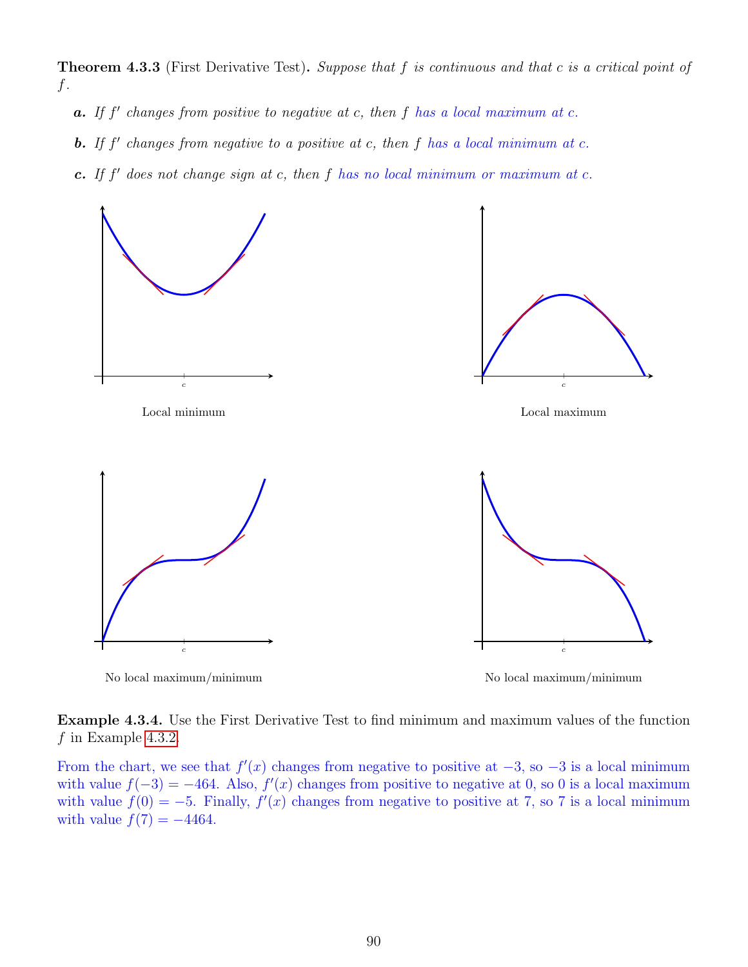**Theorem 4.3.3** (First Derivative Test). Suppose that f is continuous and that c is a critical point of  $f$ .

- $a.$  If  $f'$  changes from positive to negative at c, then  $f$  has a local maximum at  $c$ .
- **b.** If  $f'$  changes from negative to a positive at c, then  $f$  has a local minimum at  $c$ .
- c. If  $f'$  does not change sign at c, then  $f$  has no local minimum or maximum at c.



No local maximum/minimum

No local maximum/minimum

<span id="page-89-0"></span>

From the chart, we see that  $f'(x)$  changes from negative to positive at  $-3$ , so  $-3$  is a local minimum with value  $f(-3) = -464$ . Also,  $f'(x)$  changes from positive to negative at 0, so 0 is a local maximum with value  $f(0) = -5$ . Finally,  $f'(x)$  changes from negative to positive at 7, so 7 is a local minimum with value  $f(7) = -4464$ .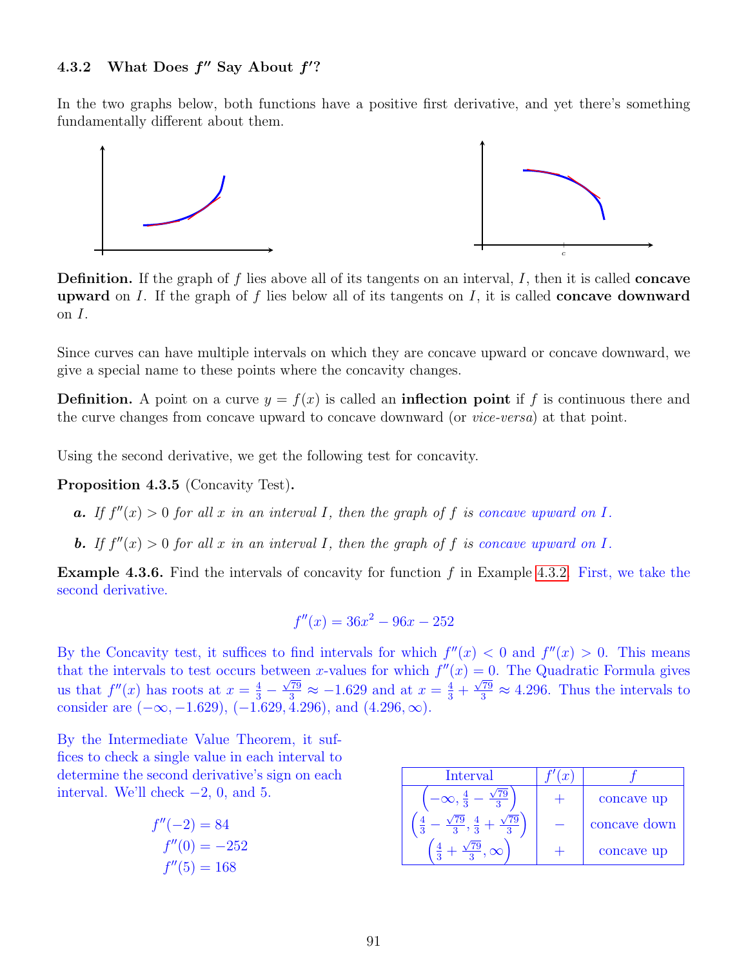#### 4.3.2 What Does  $f''$  Say About  $f'$ ?

In the two graphs below, both functions have a positive first derivative, and yet there's something fundamentally different about them.



**Definition.** If the graph of f lies above all of its tangents on an interval, I, then it is called **concave** upward on I. If the graph of f lies below all of its tangents on I, it is called concave downward on I.

Since curves can have multiple intervals on which they are concave upward or concave downward, we give a special name to these points where the concavity changes.

**Definition.** A point on a curve  $y = f(x)$  is called an **inflection point** if f is continuous there and the curve changes from concave upward to concave downward (or *vice-versa*) at that point.

Using the second derivative, we get the following test for concavity.

Proposition 4.3.5 (Concavity Test).

- **a.** If  $f''(x) > 0$  for all x in an interval I, then the graph of f is concave upward on I.
- **b.** If  $f''(x) > 0$  for all x in an interval I, then the graph of f is concave upward on I.

**Example 4.3.6.** Find the intervals of concavity for function f in Example [4.3.2.](#page-88-0) First, we take the second derivative.

$$
f''(x) = 36x^2 - 96x - 252
$$

By the Concavity test, it suffices to find intervals for which  $f''(x) < 0$  and  $f''(x) > 0$ . This means that the intervals to test occurs between x-values for which  $f''(x) = 0$ . The Quadratic Formula gives us that  $f''(x)$  has roots at  $x = \frac{4}{3}$  –  $\frac{\sqrt{79}}{3} \approx -1.629$  and at  $x = \frac{4}{3} +$  $\frac{\sqrt{79}}{3} \approx 4.296$ . Thus the intervals to consider are  $(-\infty, -1.629)$ ,  $(-1.629, 4.296)$ , and  $(4.296, \infty)$ .

By the Intermediate Value Theorem, it suffices to check a single value in each interval to determine the second derivative's sign on each interval. We'll check  $-2$ , 0, and 5.

$$
f''(-2) = 84\nf''(0) = -252\nf''(5) = 168
$$

| Interval | $\boldsymbol{x}$ |              |
|----------|------------------|--------------|
|          |                  | concave up   |
| ച        |                  | concave down |
|          |                  | concave up   |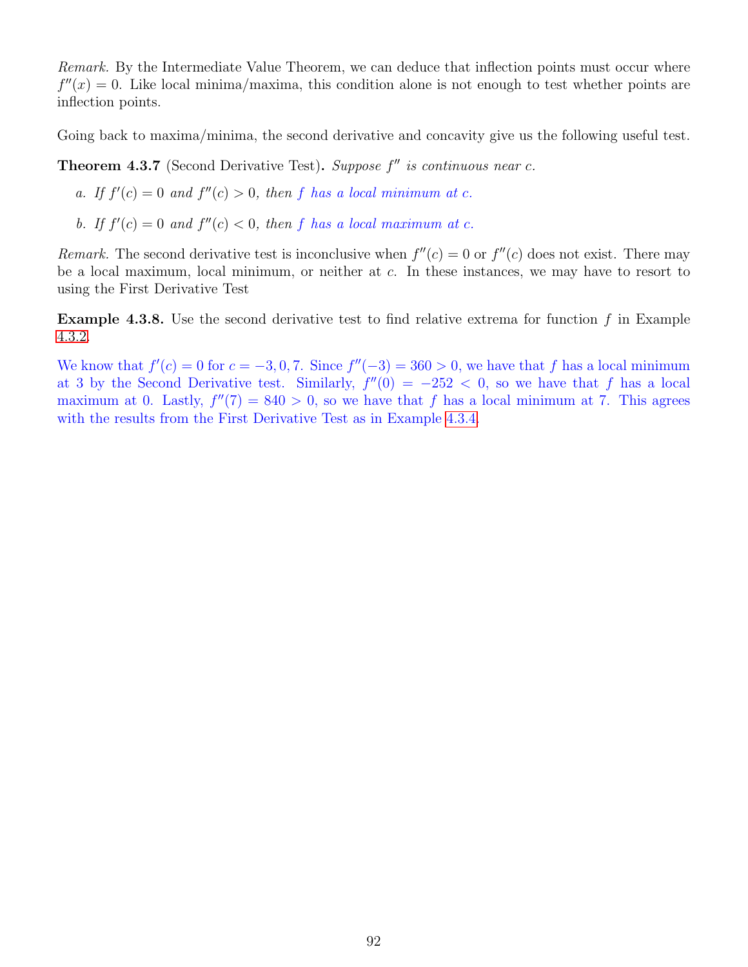Remark. By the Intermediate Value Theorem, we can deduce that inflection points must occur where  $f''(x) = 0$ . Like local minima/maxima, this condition alone is not enough to test whether points are inflection points.

Going back to maxima/minima, the second derivative and concavity give us the following useful test.

**Theorem 4.3.7** (Second Derivative Test). Suppose  $f''$  is continuous near c.

a. If  $f'(c) = 0$  and  $f''(c) > 0$ , then f has a local minimum at c.

b. If  $f'(c) = 0$  and  $f''(c) < 0$ , then f has a local maximum at c.

Remark. The second derivative test is inconclusive when  $f''(c) = 0$  or  $f''(c)$  does not exist. There may be a local maximum, local minimum, or neither at c. In these instances, we may have to resort to using the First Derivative Test

**Example 4.3.8.** Use the second derivative test to find relative extrema for function f in Example [4.3.2.](#page-88-0)

We know that  $f'(c) = 0$  for  $c = -3, 0, 7$ . Since  $f''(-3) = 360 > 0$ , we have that f has a local minimum at 3 by the Second Derivative test. Similarly,  $f''(0) = -252 < 0$ , so we have that f has a local maximum at 0. Lastly,  $f''(7) = 840 > 0$ , so we have that f has a local minimum at 7. This agrees with the results from the First Derivative Test as in Example [4.3.4.](#page-89-0)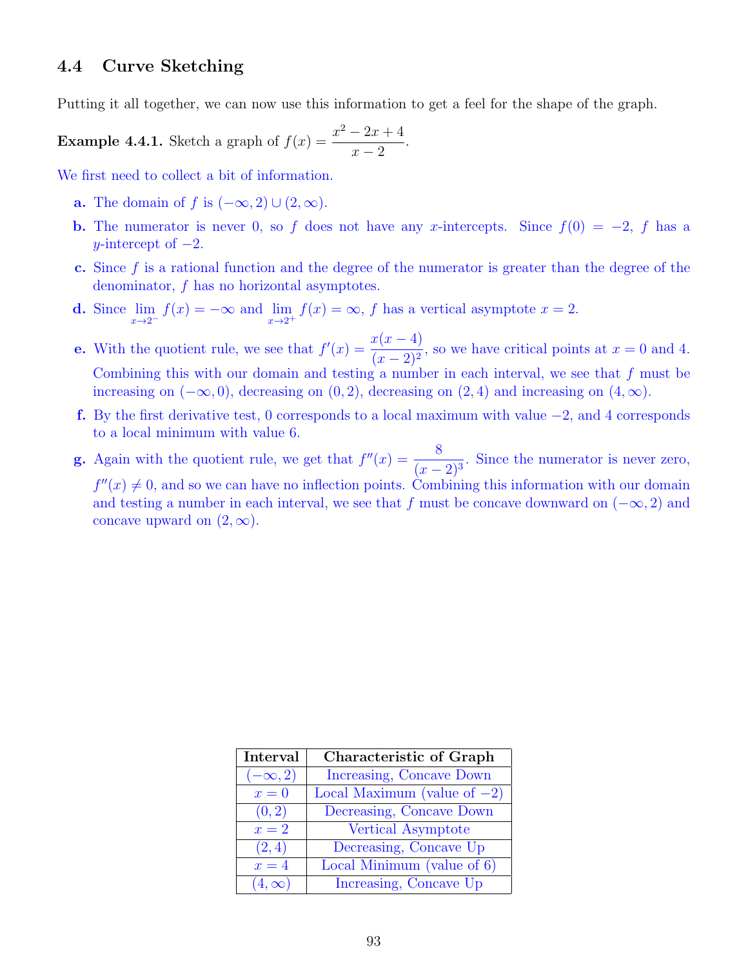## 4.4 Curve Sketching

Putting it all together, we can now use this information to get a feel for the shape of the graph.

**Example 4.4.1.** Sketch a graph of 
$$
f(x) = \frac{x^2 - 2x + 4}{x - 2}
$$
.

We first need to collect a bit of information.

- a. The domain of f is  $(-\infty, 2) \cup (2, \infty)$ .
- **b.** The numerator is never 0, so f does not have any x-intercepts. Since  $f(0) = -2$ , f has a y-intercept of  $-2$ .
- c. Since  $f$  is a rational function and the degree of the numerator is greater than the degree of the denominator, f has no horizontal asymptotes.
- **d.** Since  $\lim_{x\to 2^-} f(x) = -\infty$  and  $\lim_{x\to 2^+} f(x) = \infty$ , f has a vertical asymptote  $x = 2$ .
- **e.** With the quotient rule, we see that  $f'(x) = \frac{x(x-4)}{x^2-8}$  $\frac{x(x-1)}{(x-2)^2}$ , so we have critical points at  $x = 0$  and 4. Combining this with our domain and testing a number in each interval, we see that  $f$  must be increasing on  $(-\infty, 0)$ , decreasing on  $(0, 2)$ , decreasing on  $(2, 4)$  and increasing on  $(4, \infty)$ .
- f. By the first derivative test, 0 corresponds to a local maximum with value  $-2$ , and 4 corresponds to a local minimum with value 6.
- **g.** Again with the quotient rule, we get that  $f''(x) = \frac{8}{6}$  $\frac{6}{(x-2)^3}$ . Since the numerator is never zero,  $f''(x) \neq 0$ , and so we can have no inflection points. Combining this information with our domain and testing a number in each interval, we see that f must be concave downward on  $(-\infty, 2)$  and concave upward on  $(2, \infty)$ .

| Interval       | <b>Characteristic of Graph</b>                 |
|----------------|------------------------------------------------|
| $(-\infty, 2)$ | Increasing, Concave Down                       |
| $x=0$          | Local Maximum (value of $-2$ )                 |
| (0, 2)         | Decreasing, Concave Down                       |
| $x=2$          | Vertical Asymptote                             |
| (2,4)          | Decreasing, Concave Up                         |
| $x=4$          | $\overline{\text{Local Minimum}}$ (value of 6) |
| $(4,\infty)$   | Increasing, Concave Up                         |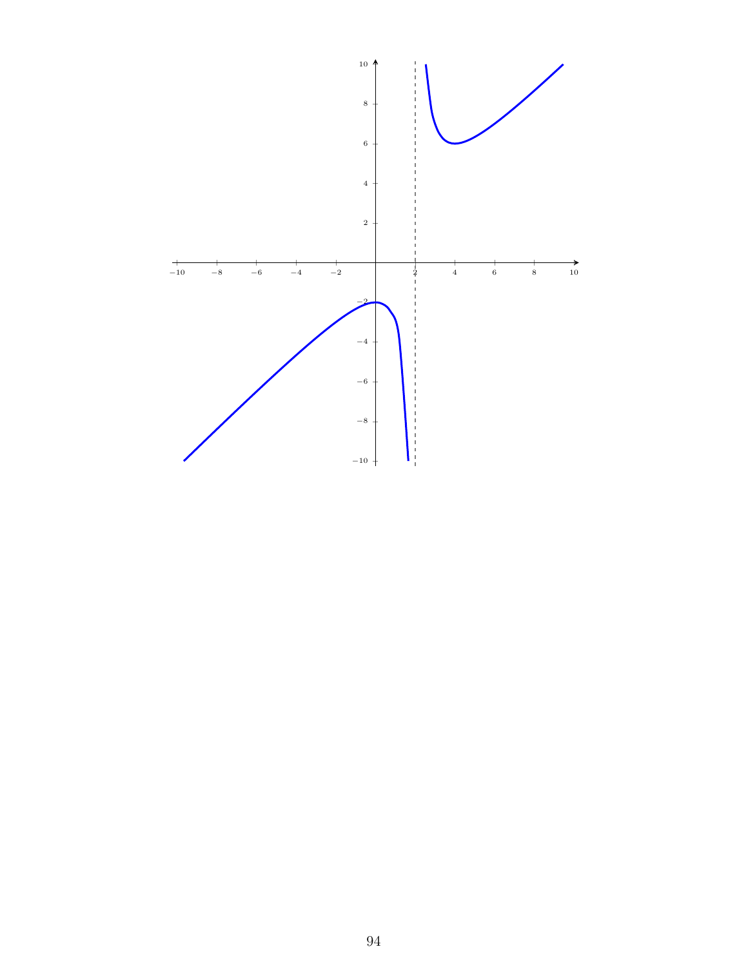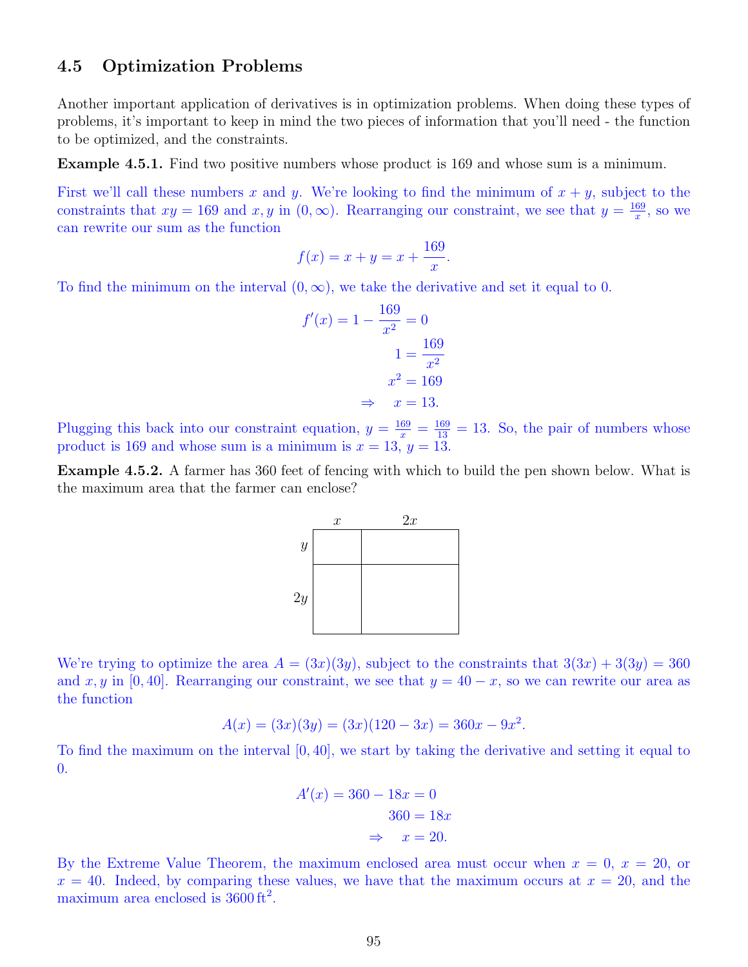#### 4.5 Optimization Problems

Another important application of derivatives is in optimization problems. When doing these types of problems, it's important to keep in mind the two pieces of information that you'll need - the function to be optimized, and the constraints.

Example 4.5.1. Find two positive numbers whose product is 169 and whose sum is a minimum.

First we'll call these numbers x and y. We're looking to find the minimum of  $x + y$ , subject to the constraints that  $xy = 169$  and  $x, y$  in  $(0, \infty)$ . Rearranging our constraint, we see that  $y = \frac{169}{x}$  $\frac{69}{x}$ , so we can rewrite our sum as the function

$$
f(x) = x + y = x + \frac{169}{x}.
$$

To find the minimum on the interval  $(0, \infty)$ , we take the derivative and set it equal to 0.

$$
f'(x) = 1 - \frac{169}{x^2} = 0
$$

$$
1 = \frac{169}{x^2}
$$

$$
x^2 = 169
$$

$$
\Rightarrow x = 13.
$$

Plugging this back into our constraint equation,  $y = \frac{169}{x} = \frac{169}{13} = 13$ . So, the pair of numbers whose product is 169 and whose sum is a minimum is  $x = 13$ ,  $y = 13$ .

Example 4.5.2. A farmer has 360 feet of fencing with which to build the pen shown below. What is the maximum area that the farmer can enclose?



We're trying to optimize the area  $A = (3x)(3y)$ , subject to the constraints that  $3(3x) + 3(3y) = 360$ and x, y in [0, 40]. Rearranging our constraint, we see that  $y = 40 - x$ , so we can rewrite our area as the function

$$
A(x) = (3x)(3y) = (3x)(120 - 3x) = 360x - 9x^2.
$$

To find the maximum on the interval  $[0, 40]$ , we start by taking the derivative and setting it equal to 0.

$$
A'(x) = 360 - 18x = 0
$$

$$
360 = 18x
$$

$$
\Rightarrow x = 20.
$$

By the Extreme Value Theorem, the maximum enclosed area must occur when  $x = 0, x = 20$ , or  $x = 40$ . Indeed, by comparing these values, we have that the maximum occurs at  $x = 20$ , and the maximum area enclosed is  $3600 \text{ ft}^2$ .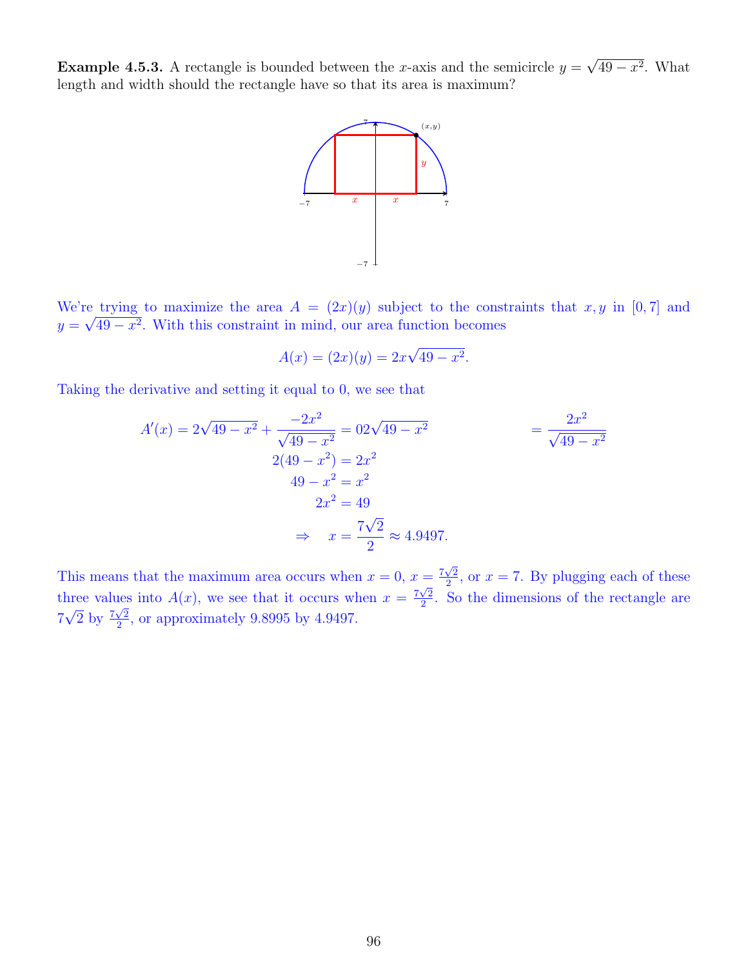**Example 4.5.3.** A rectangle is bounded between the x-axis and the semicircle  $y =$ √  $49 - x^2$ . What length and width should the rectangle have so that its area is maximum?



We're trying to maximize the area  $A = (2x)(y)$  subject to the constraints that  $x, y$  in [0,7] and  $y = \sqrt{49 - x^2}$ . With this constraint in mind, our area function becomes

$$
A(x) = (2x)(y) = 2x\sqrt{49 - x^2}.
$$

Taking the derivative and setting it equal to 0, we see that

$$
A'(x) = 2\sqrt{49 - x^2} + \frac{-2x^2}{\sqrt{49 - x^2}} = 0 \sqrt{49 - x^2} = \frac{2x^2}{\sqrt{49 - x^2}}
$$
  

$$
2(49 - x^2) = 2x^2
$$
  

$$
49 - x^2 = x^2
$$
  

$$
2x^2 = 49
$$
  

$$
\Rightarrow x = \frac{7\sqrt{2}}{2} \approx 4.9497.
$$

This means that the maximum area occurs when  $x = 0, x = \frac{7\sqrt{2}}{2}$  $\frac{\sqrt{2}}{2}$ , or  $x = 7$ . By plugging each of these three values into  $A(x)$ , we see that it occurs when  $x = \frac{7\sqrt{2}}{2}$ hree values into  $A(x)$ , we see that it occurs when  $x = \frac{7\sqrt{2}}{2}$ . So the dimensions of the rectangle are  $7\sqrt{2}$  by  $\frac{7\sqrt{2}}{2}$  $\frac{\sqrt{2}}{2}$ , or approximately 9.8995 by 4.9497.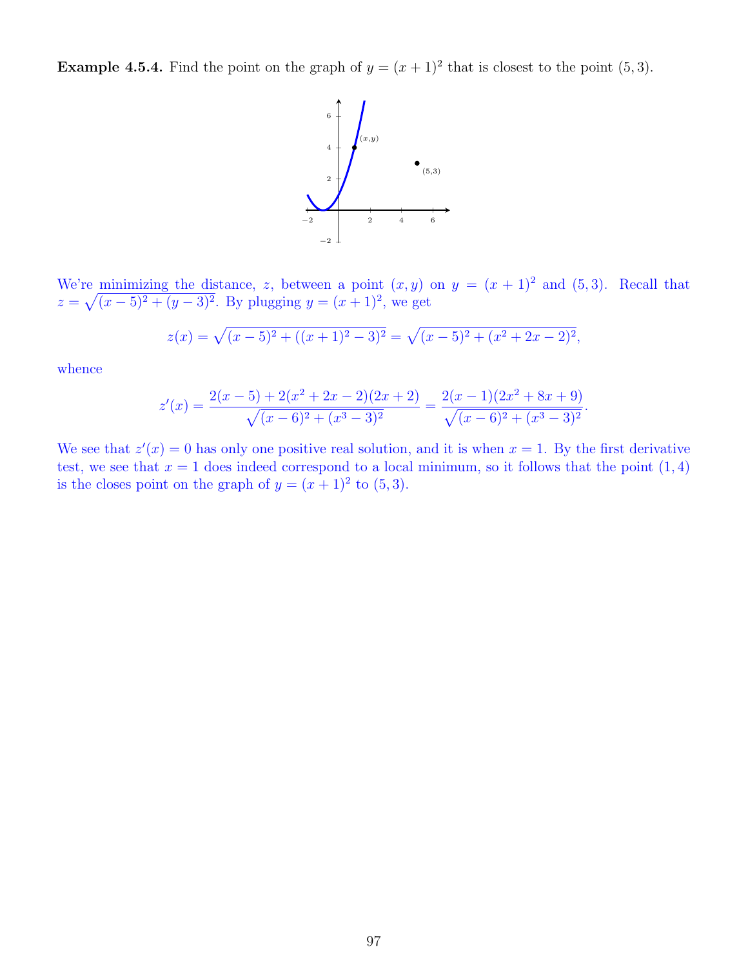**Example 4.5.4.** Find the point on the graph of  $y = (x + 1)^2$  that is closest to the point  $(5, 3)$ .



We're minimizing the distance, z, between a point  $(x, y)$  on  $y = (x + 1)^2$  and  $(5, 3)$ . Recall that  $z = \sqrt{(x-5)^2 + (y-3)^2}$ . By plugging  $y = (x+1)^2$ , we get

$$
z(x) = \sqrt{(x-5)^2 + ((x+1)^2 - 3)^2} = \sqrt{(x-5)^2 + (x^2 + 2x - 2)^2},
$$

whence

$$
z'(x) = \frac{2(x-5) + 2(x^2 + 2x - 2)(2x+2)}{\sqrt{(x-6)^2 + (x^3-3)^2}} = \frac{2(x-1)(2x^2 + 8x + 9)}{\sqrt{(x-6)^2 + (x^3-3)^2}}.
$$

We see that  $z'(x) = 0$  has only one positive real solution, and it is when  $x = 1$ . By the first derivative test, we see that  $x = 1$  does indeed correspond to a local minimum, so it follows that the point  $(1, 4)$ is the closes point on the graph of  $y = (x + 1)^2$  to  $(5, 3)$ .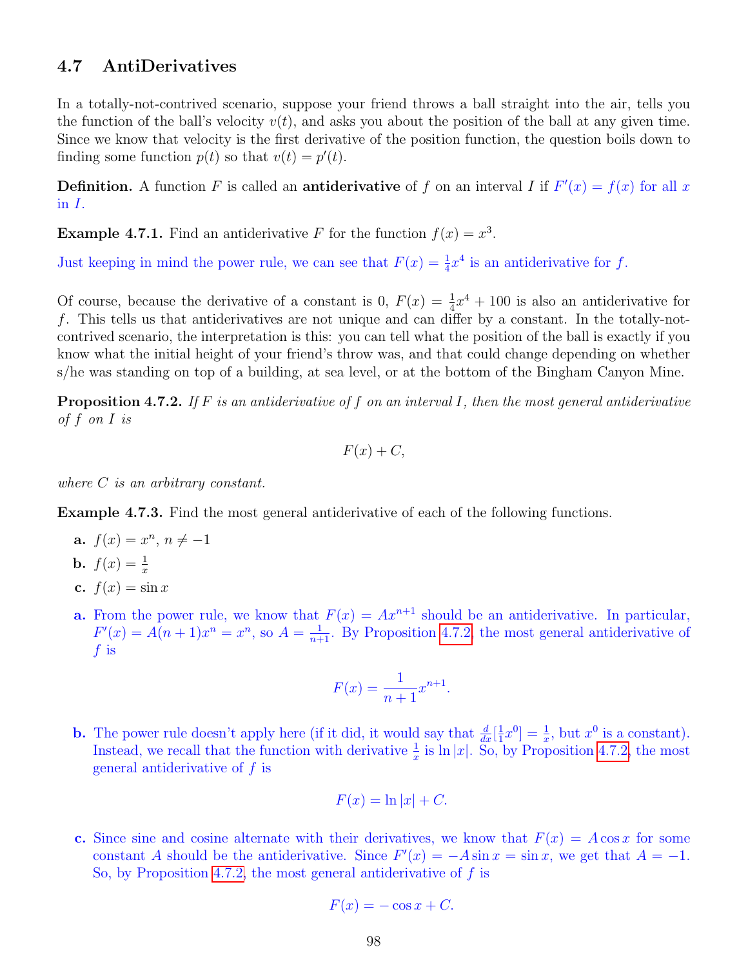# 4.7 AntiDerivatives

In a totally-not-contrived scenario, suppose your friend throws a ball straight into the air, tells you the function of the ball's velocity  $v(t)$ , and asks you about the position of the ball at any given time. Since we know that velocity is the first derivative of the position function, the question boils down to finding some function  $p(t)$  so that  $v(t) = p'(t)$ .

**Definition.** A function F is called an **antiderivative** of f on an interval I if  $F'(x) = f(x)$  for all x in I.

**Example 4.7.1.** Find an antiderivative F for the function  $f(x) = x^3$ .

Just keeping in mind the power rule, we can see that  $F(x) = \frac{1}{4}x^4$  is an antiderivative for f.

Of course, because the derivative of a constant is 0,  $F(x) = \frac{1}{4}x^4 + 100$  is also an antiderivative for f. This tells us that antiderivatives are not unique and can differ by a constant. In the totally-notcontrived scenario, the interpretation is this: you can tell what the position of the ball is exactly if you know what the initial height of your friend's throw was, and that could change depending on whether s/he was standing on top of a building, at sea level, or at the bottom of the Bingham Canyon Mine.

<span id="page-97-0"></span>**Proposition 4.7.2.** If F is an antiderivative of f on an interval I, then the most general antiderivative of f on I is

$$
F(x) + C,
$$

where C is an arbitrary constant.

Example 4.7.3. Find the most general antiderivative of each of the following functions.

a.  $f(x) = x^n, n \neq -1$ 

**b.** 
$$
f(x) = \frac{1}{x}
$$

- c.  $f(x) = \sin x$
- a. From the power rule, we know that  $F(x) = Ax^{n+1}$  should be an antiderivative. In particular,  $F'(x) = A(n+1)x^n = x^n$ , so  $A = \frac{1}{n+1}$ . By Proposition [4.7.2,](#page-97-0) the most general antiderivative of f is

$$
F(x) = \frac{1}{n+1}x^{n+1}.
$$

**b.** The power rule doesn't apply here (if it did, it would say that  $\frac{d}{dx}[\frac{1}{1}]$  $\frac{1}{1}x^0$  =  $\frac{1}{x}$ , but  $x^0$  is a constant). Instead, we recall that the function with derivative  $\frac{1}{x}$  is  $\ln |x|$ . So, by Proposition [4.7.2,](#page-97-0) the most general antiderivative of  $f$  is

$$
F(x) = \ln|x| + C.
$$

c. Since sine and cosine alternate with their derivatives, we know that  $F(x) = A \cos x$  for some constant A should be the antiderivative. Since  $F'(x) = -A \sin x = \sin x$ , we get that  $A = -1$ . So, by Proposition [4.7.2,](#page-97-0) the most general antiderivative of  $f$  is

$$
F(x) = -\cos x + C.
$$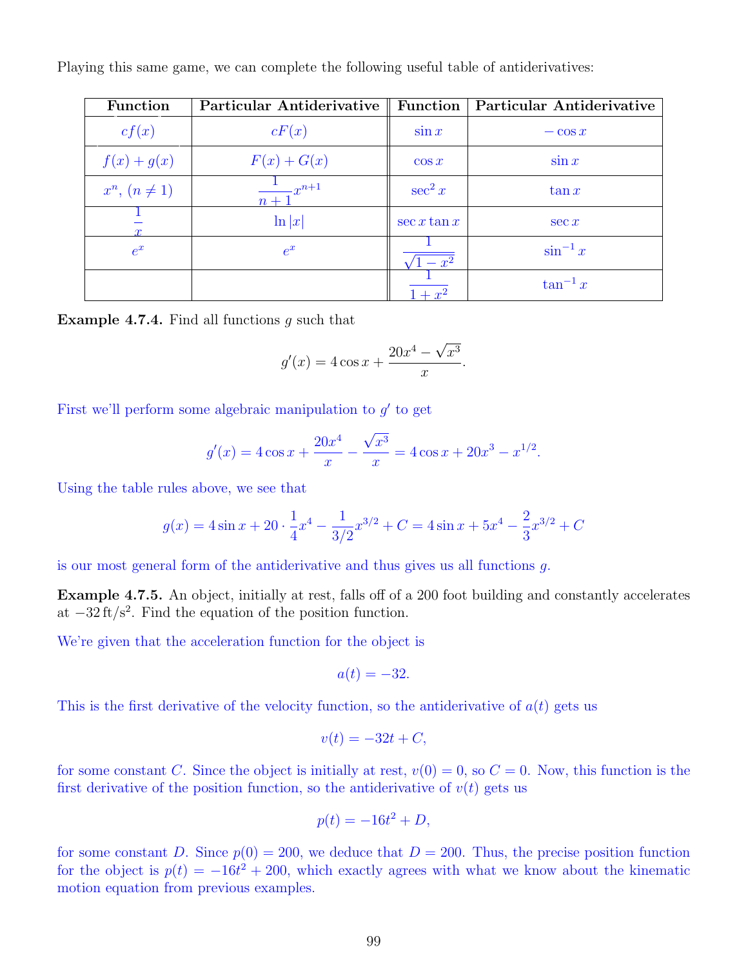| <b>Function</b>   | Particular Antiderivative | Function           | <b>Particular Antiderivative</b> |
|-------------------|---------------------------|--------------------|----------------------------------|
| cf(x)             | cF(x)                     | $\sin x$           | $-\cos x$                        |
| $f(x) + g(x)$     | $F(x) + G(x)$             | $\cos x$           | $\sin x$                         |
| $x^n, (n \neq 1)$ | $\frac{1}{n+1}x^{n+1}$    | $\sec^2 x$         | $\tan x$                         |
|                   | $\ln  x $                 | $\sec x \tan x$    | $\sec x$                         |
| $e^x$             | $e^x$                     | $\vert -x^2 \vert$ | $\sin^{-1} x$                    |
|                   |                           | $+ x^2$            | $\tan^{-1}x$                     |

Playing this same game, we can complete the following useful table of antiderivatives:

**Example 4.7.4.** Find all functions  $q$  such that

$$
g'(x) = 4\cos x + \frac{20x^4 - \sqrt{x^3}}{x}.
$$

First we'll perform some algebraic manipulation to  $g'$  to get

$$
g'(x) = 4\cos x + \frac{20x^4}{x} - \frac{\sqrt{x^3}}{x} = 4\cos x + 20x^3 - x^{1/2}.
$$

Using the table rules above, we see that

$$
g(x) = 4\sin x + 20 \cdot \frac{1}{4}x^4 - \frac{1}{3/2}x^{3/2} + C = 4\sin x + 5x^4 - \frac{2}{3}x^{3/2} + C
$$

is our most general form of the antiderivative and thus gives us all functions g.

Example 4.7.5. An object, initially at rest, falls off of a 200 foot building and constantly accelerates at  $-32 \text{ ft/s}^2$ . Find the equation of the position function.

We're given that the acceleration function for the object is

$$
a(t) = -32.
$$

This is the first derivative of the velocity function, so the antiderivative of  $a(t)$  gets us

$$
v(t) = -32t + C,
$$

for some constant C. Since the object is initially at rest,  $v(0) = 0$ , so  $C = 0$ . Now, this function is the first derivative of the position function, so the antiderivative of  $v(t)$  gets us

$$
p(t) = -16t^2 + D,
$$

for some constant D. Since  $p(0) = 200$ , we deduce that  $D = 200$ . Thus, the precise position function for the object is  $p(t) = -16t^2 + 200$ , which exactly agrees with what we know about the kinematic motion equation from previous examples.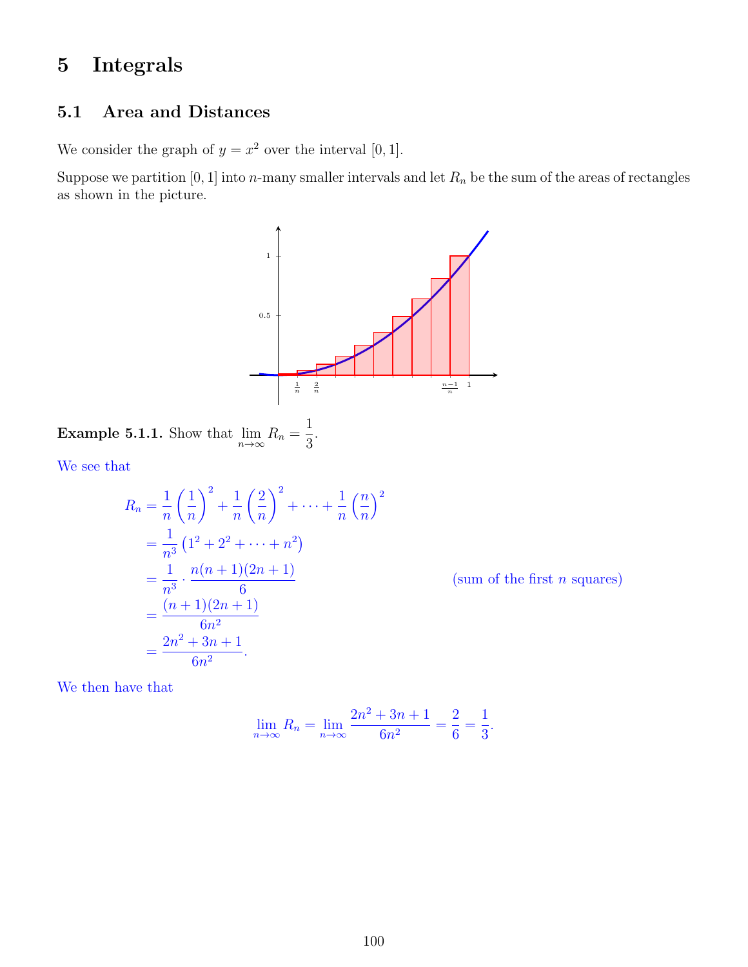# 5 Integrals

# 5.1 Area and Distances

We consider the graph of  $y = x^2$  over the interval [0, 1].

Suppose we partition  $[0, 1]$  into *n*-many smaller intervals and let  $R_n$  be the sum of the areas of rectangles as shown in the picture.



2

**Example 5.1.1.** Show that  $\lim_{n\to\infty} R_n =$ 1 3 .

We see that

$$
R_n = \frac{1}{n} \left(\frac{1}{n}\right)^2 + \frac{1}{n} \left(\frac{2}{n}\right)^2 + \dots + \frac{1}{n} \left(\frac{n}{n}\right)
$$
  
=  $\frac{1}{n^3} (1^2 + 2^2 + \dots + n^2)$   
=  $\frac{1}{n^3} \cdot \frac{n(n+1)(2n+1)}{6}$   
=  $\frac{(n+1)(2n+1)}{6n^2}$   
=  $\frac{2n^2 + 3n + 1}{6n^2}$ .

(sum of the first  $n$  squares)

We then have that

$$
\lim_{n \to \infty} R_n = \lim_{n \to \infty} \frac{2n^2 + 3n + 1}{6n^2} = \frac{2}{6} = \frac{1}{3}.
$$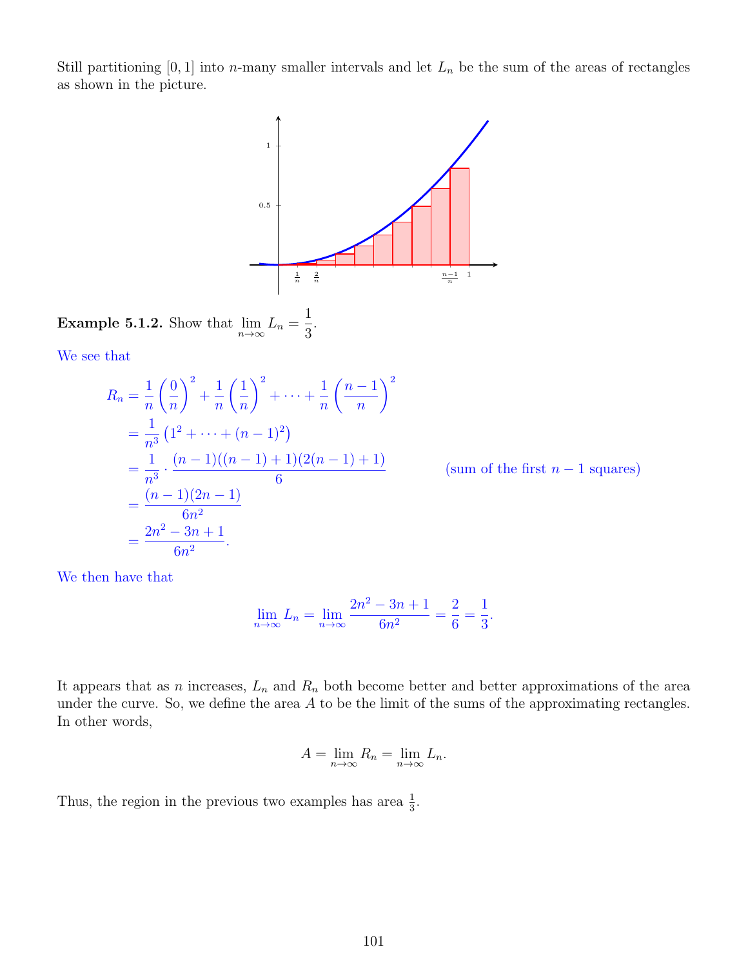Still partitioning  $[0, 1]$  into *n*-many smaller intervals and let  $L_n$  be the sum of the areas of rectangles as shown in the picture.



**Example 5.1.2.** Show that  $\lim_{n\to\infty} L_n =$ 1 3 .

We see that

$$
R_n = \frac{1}{n} \left(\frac{0}{n}\right)^2 + \frac{1}{n} \left(\frac{1}{n}\right)^2 + \dots + \frac{1}{n} \left(\frac{n-1}{n}\right)^2
$$
  
=  $\frac{1}{n^3} (1^2 + \dots + (n-1)^2)$   
=  $\frac{1}{n^3} \cdot \frac{(n-1)((n-1) + 1)(2(n-1) + 1)}{6}$  (sum of the first  $n - 1$  squares)  
=  $\frac{(n-1)(2n-1)}{6n^2}$   
=  $\frac{2n^2 - 3n + 1}{6n^2}$ .

We then have that

$$
\lim_{n \to \infty} L_n = \lim_{n \to \infty} \frac{2n^2 - 3n + 1}{6n^2} = \frac{2}{6} = \frac{1}{3}.
$$

It appears that as n increases,  $L_n$  and  $R_n$  both become better and better approximations of the area under the curve. So, we define the area  $A$  to be the limit of the sums of the approximating rectangles. In other words,

$$
A = \lim_{n \to \infty} R_n = \lim_{n \to \infty} L_n.
$$

Thus, the region in the previous two examples has area  $\frac{1}{3}$ .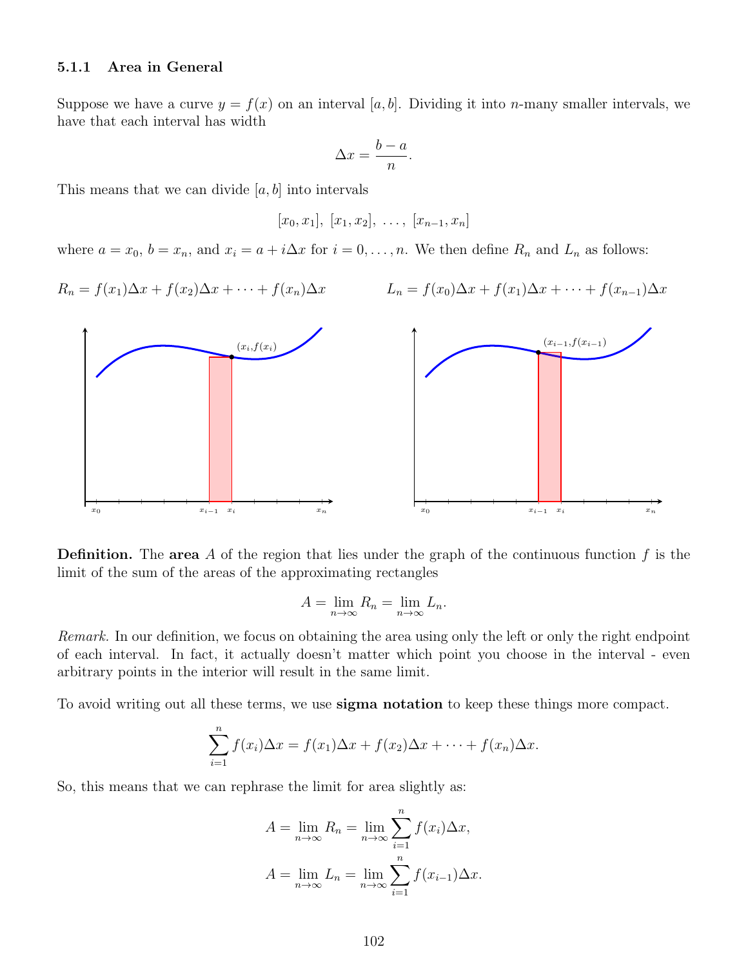#### 5.1.1 Area in General

Suppose we have a curve  $y = f(x)$  on an interval [a, b]. Dividing it into n-many smaller intervals, we have that each interval has width

$$
\Delta x = \frac{b-a}{n}.
$$

This means that we can divide  $[a, b]$  into intervals

$$
[x_0, x_1], [x_1, x_2], \ldots, [x_{n-1}, x_n]
$$

where  $a = x_0$ ,  $b = x_n$ , and  $x_i = a + i\Delta x$  for  $i = 0, \ldots, n$ . We then define  $R_n$  and  $L_n$  as follows:

$$
R_n = f(x_1)\Delta x + f(x_2)\Delta x + \dots + f(x_n)\Delta x \qquad L_n = f(x_0)\Delta x + f(x_1)\Delta x + \dots + f(x_{n-1})\Delta x
$$



**Definition.** The area A of the region that lies under the graph of the continuous function  $f$  is the limit of the sum of the areas of the approximating rectangles

$$
A = \lim_{n \to \infty} R_n = \lim_{n \to \infty} L_n.
$$

Remark. In our definition, we focus on obtaining the area using only the left or only the right endpoint of each interval. In fact, it actually doesn't matter which point you choose in the interval - even arbitrary points in the interior will result in the same limit.

To avoid writing out all these terms, we use **sigma notation** to keep these things more compact.

$$
\sum_{i=1}^n f(x_i) \Delta x = f(x_1) \Delta x + f(x_2) \Delta x + \cdots + f(x_n) \Delta x.
$$

So, this means that we can rephrase the limit for area slightly as:

$$
A = \lim_{n \to \infty} R_n = \lim_{n \to \infty} \sum_{i=1}^n f(x_i) \Delta x,
$$
  

$$
A = \lim_{n \to \infty} L_n = \lim_{n \to \infty} \sum_{i=1}^n f(x_{i-1}) \Delta x.
$$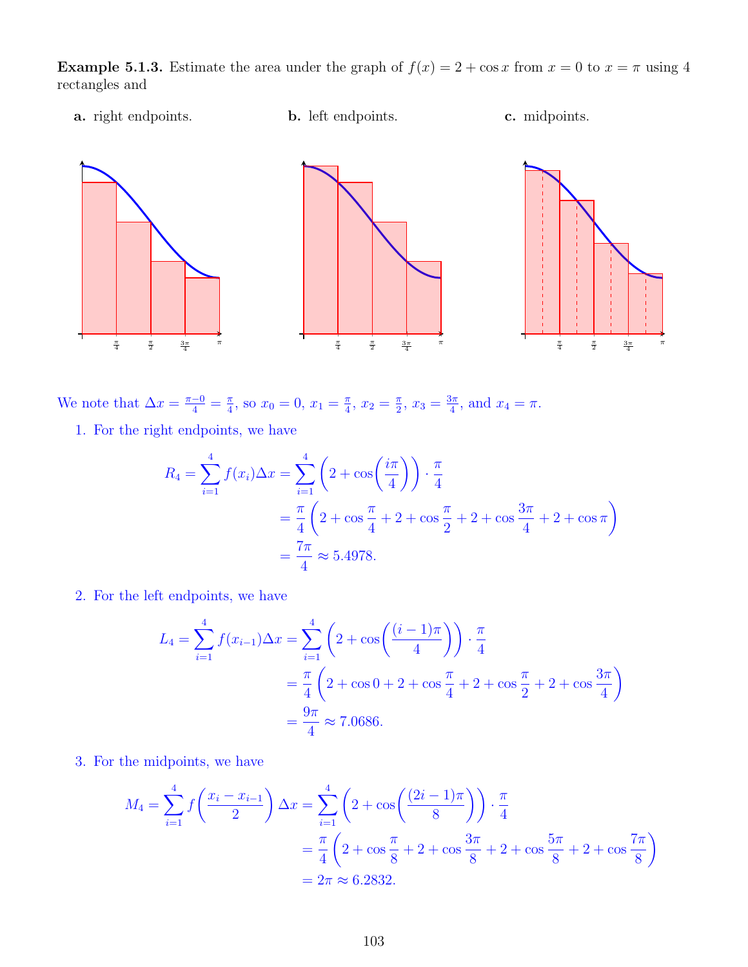**Example 5.1.3.** Estimate the area under the graph of  $f(x) = 2 + \cos x$  from  $x = 0$  to  $x = \pi$  using 4 rectangles and

- a. right endpoints. b. left endpoints. c. midpoints.
	-
- 



We note that  $\Delta x = \frac{\pi - 0}{4} = \frac{\pi}{4}$  $\frac{\pi}{4}$ , so  $x_0 = 0, x_1 = \frac{\pi}{4}$  $\frac{\pi}{4}$ ,  $x_2 = \frac{\pi}{2}$  $\frac{\pi}{2}$ ,  $x_3 = \frac{3\pi}{4}$  $\frac{3\pi}{4}$ , and  $x_4 = \pi$ .

1. For the right endpoints, we have

$$
R_4 = \sum_{i=1}^4 f(x_i) \Delta x = \sum_{i=1}^4 \left( 2 + \cos\left(\frac{i\pi}{4}\right) \right) \cdot \frac{\pi}{4}
$$
  
=  $\frac{\pi}{4} \left( 2 + \cos\frac{\pi}{4} + 2 + \cos\frac{\pi}{2} + 2 + \cos\frac{3\pi}{4} + 2 + \cos\pi \right)$   
=  $\frac{7\pi}{4} \approx 5.4978.$ 

2. For the left endpoints, we have

$$
L_4 = \sum_{i=1}^{4} f(x_{i-1}) \Delta x = \sum_{i=1}^{4} \left( 2 + \cos\left(\frac{(i-1)\pi}{4}\right) \right) \cdot \frac{\pi}{4}
$$
  
=  $\frac{\pi}{4} \left( 2 + \cos 0 + 2 + \cos \frac{\pi}{4} + 2 + \cos \frac{\pi}{2} + 2 + \cos \frac{3\pi}{4} \right)$   
=  $\frac{9\pi}{4} \approx 7.0686.$ 

3. For the midpoints, we have

$$
M_4 = \sum_{i=1}^4 f\left(\frac{x_i - x_{i-1}}{2}\right) \Delta x = \sum_{i=1}^4 \left(2 + \cos\left(\frac{(2i-1)\pi}{8}\right)\right) \cdot \frac{\pi}{4}
$$
  
=  $\frac{\pi}{4} \left(2 + \cos\frac{\pi}{8} + 2 + \cos\frac{3\pi}{8} + 2 + \cos\frac{5\pi}{8} + 2 + \cos\frac{7\pi}{8}\right)$   
=  $2\pi \approx 6.2832$ .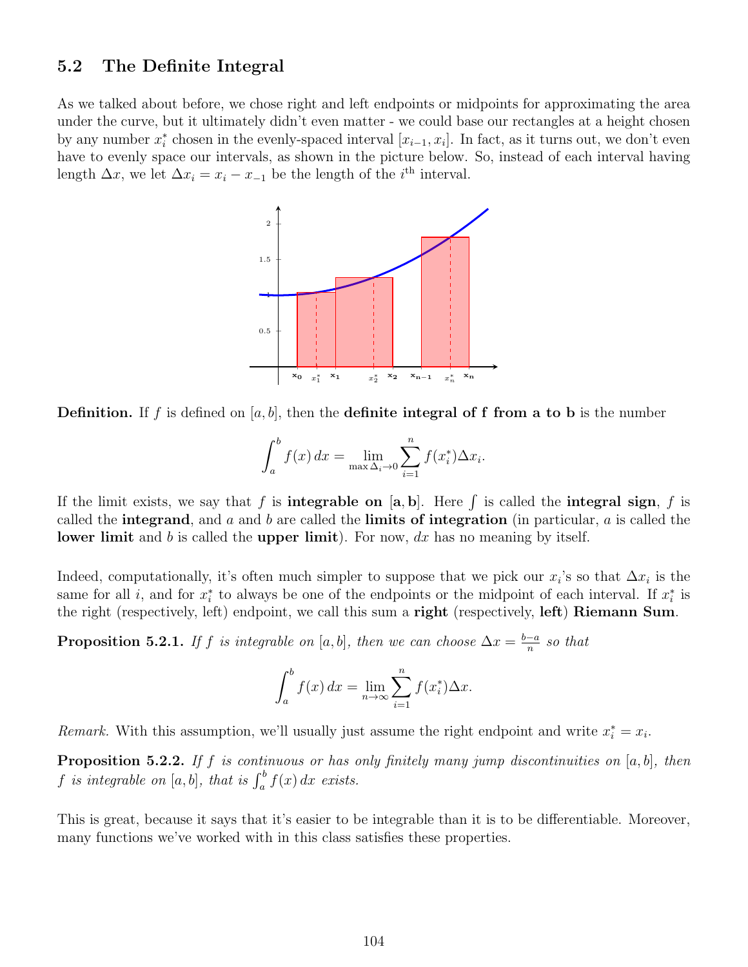# 5.2 The Definite Integral

As we talked about before, we chose right and left endpoints or midpoints for approximating the area under the curve, but it ultimately didn't even matter - we could base our rectangles at a height chosen by any number  $x_i^*$  chosen in the evenly-spaced interval  $[x_{i-1}, x_i]$ . In fact, as it turns out, we don't even have to evenly space our intervals, as shown in the picture below. So, instead of each interval having length  $\Delta x$ , we let  $\Delta x_i = x_i - x_{-1}$  be the length of the *i*<sup>th</sup> interval.



**Definition.** If f is defined on [a, b], then the **definite integral of f from a to b** is the number

$$
\int_a^b f(x) dx = \lim_{\max \Delta_i \to 0} \sum_{i=1}^n f(x_i^*) \Delta x_i.
$$

If the limit exists, we say that f is **integrable on** [a, b]. Here f is called the **integral sign**, f is called the **integrand**, and a and b are called the **limits of integration** (in particular, a is called the lower limit and b is called the upper limit). For now,  $dx$  has no meaning by itself.

Indeed, computationally, it's often much simpler to suppose that we pick our  $x_i$ 's so that  $\Delta x_i$  is the same for all *i*, and for  $x_i^*$  to always be one of the endpoints or the midpoint of each interval. If  $x_i^*$  is the right (respectively, left) endpoint, we call this sum a right (respectively, left) Riemann Sum.

**Proposition 5.2.1.** If f is integrable on [a, b], then we can choose  $\Delta x = \frac{b-a}{n}$  $\frac{-a}{n}$  so that

$$
\int_{a}^{b} f(x) dx = \lim_{n \to \infty} \sum_{i=1}^{n} f(x_i^*) \Delta x.
$$

Remark. With this assumption, we'll usually just assume the right endpoint and write  $x_i^* = x_i$ .

**Proposition 5.2.2.** If f is continuous or has only finitely many jump discontinuities on  $[a, b]$ , then f is integrable on  $[a, b]$ , that is  $\int_a^b f(x) dx$  exists.

This is great, because it says that it's easier to be integrable than it is to be differentiable. Moreover, many functions we've worked with in this class satisfies these properties.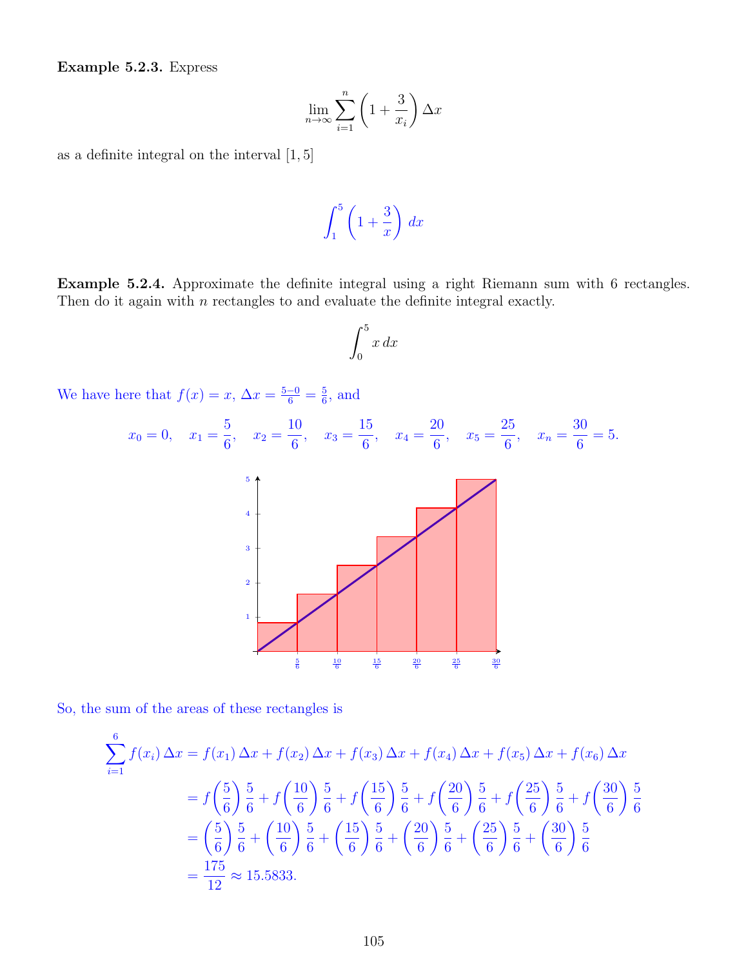Example 5.2.3. Express

$$
\lim_{n \to \infty} \sum_{i=1}^{n} \left( 1 + \frac{3}{x_i} \right) \Delta x
$$

as a definite integral on the interval [1, 5]

$$
\int_{1}^{5} \left(1 + \frac{3}{x}\right) \, dx
$$

Example 5.2.4. Approximate the definite integral using a right Riemann sum with 6 rectangles. Then do it again with  $n$  rectangles to and evaluate the definite integral exactly.

$$
\int_0^5 x \, dx
$$

We have here that  $f(x) = x, \Delta x = \frac{5-0}{6} = \frac{5}{6}$  $\frac{5}{6}$ , and

$$
x_0 = 0
$$
,  $x_1 = \frac{5}{6}$ ,  $x_2 = \frac{10}{6}$ ,  $x_3 = \frac{15}{6}$ ,  $x_4 = \frac{20}{6}$ ,  $x_5 = \frac{25}{6}$ ,  $x_n = \frac{30}{6} = 5$ .



So, the sum of the areas of these rectangles is

$$
\sum_{i=1}^{6} f(x_i) \Delta x = f(x_1) \Delta x + f(x_2) \Delta x + f(x_3) \Delta x + f(x_4) \Delta x + f(x_5) \Delta x + f(x_6) \Delta x
$$
  
=  $f\left(\frac{5}{6}\right) \frac{5}{6} + f\left(\frac{10}{6}\right) \frac{5}{6} + f\left(\frac{15}{6}\right) \frac{5}{6} + f\left(\frac{20}{6}\right) \frac{5}{6} + f\left(\frac{25}{6}\right) \frac{5}{6} + f\left(\frac{30}{6}\right) \frac{5}{6}$   
=  $\left(\frac{5}{6}\right) \frac{5}{6} + \left(\frac{10}{6}\right) \frac{5}{6} + \left(\frac{15}{6}\right) \frac{5}{6} + \left(\frac{20}{6}\right) \frac{5}{6} + \left(\frac{25}{6}\right) \frac{5}{6} + \left(\frac{30}{6}\right) \frac{5}{6}$   
=  $\frac{175}{12} \approx 15.5833$ .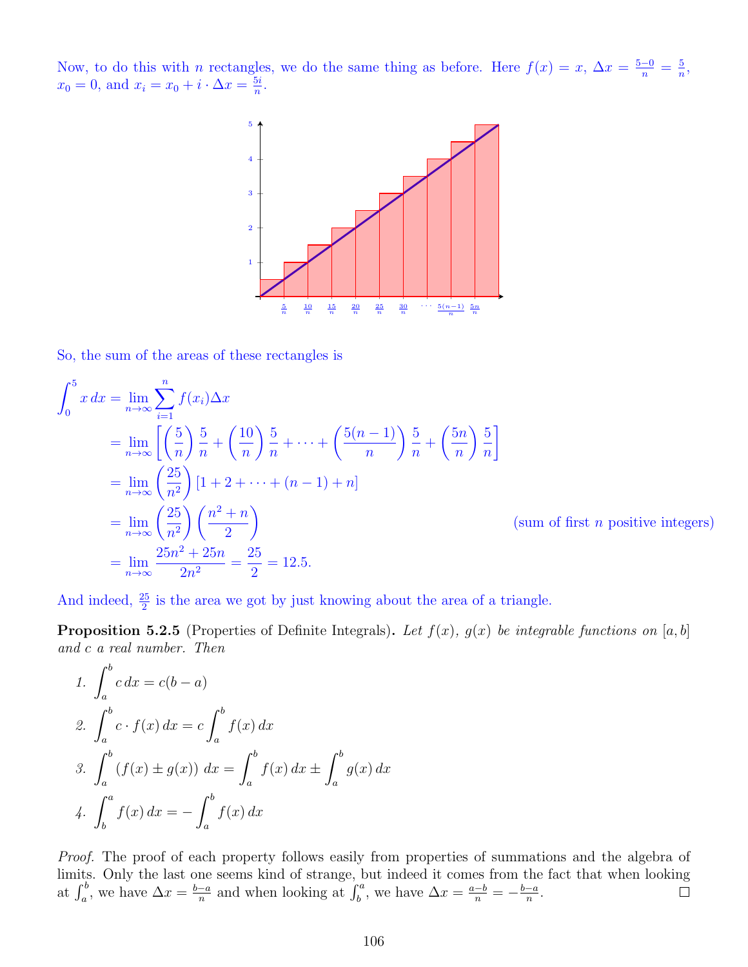Now, to do this with *n* rectangles, we do the same thing as before. Here  $f(x) = x$ ,  $\Delta x = \frac{5-0}{n} = \frac{5}{n}$  $\frac{5}{n},$  $x_0 = 0$ , and  $x_i = x_0 + i \cdot \Delta x = \frac{5i}{n}$  $\frac{5i}{n}$  .



So, the sum of the areas of these rectangles is

$$
\int_{0}^{5} x \, dx = \lim_{n \to \infty} \sum_{i=1}^{n} f(x_{i}) \Delta x
$$
  
= 
$$
\lim_{n \to \infty} \left[ \left( \frac{5}{n} \right) \frac{5}{n} + \left( \frac{10}{n} \right) \frac{5}{n} + \dots + \left( \frac{5(n-1)}{n} \right) \frac{5}{n} + \left( \frac{5n}{n} \right) \frac{5}{n} \right]
$$
  
= 
$$
\lim_{n \to \infty} \left( \frac{25}{n^{2}} \right) \left[ 1 + 2 + \dots + (n-1) + n \right]
$$
  
= 
$$
\lim_{n \to \infty} \left( \frac{25}{n^{2}} \right) \left( \frac{n^{2} + n}{2} \right)
$$
  
= 
$$
\lim_{n \to \infty} \frac{25n^{2} + 25n}{2n^{2}} = \frac{25}{2} = 12.5.
$$
 (sum of first *n* positive integers)

And indeed,  $\frac{25}{2}$  is the area we got by just knowing about the area of a triangle.

**Proposition 5.2.5** (Properties of Definite Integrals). Let  $f(x)$ ,  $g(x)$  be integrable functions on [a, b] and c a real number. Then

1. 
$$
\int_{a}^{b} c \, dx = c(b - a)
$$
  
\n2.  $\int_{a}^{b} c \cdot f(x) \, dx = c \int_{a}^{b} f(x) \, dx$   
\n3.  $\int_{a}^{b} (f(x) \pm g(x)) \, dx = \int_{a}^{b} f(x) \, dx \pm \int_{a}^{b} g(x) \, dx$   
\n4.  $\int_{b}^{a} f(x) \, dx = - \int_{a}^{b} f(x) \, dx$ 

Proof. The proof of each property follows easily from properties of summations and the algebra of limits. Only the last one seems kind of strange, but indeed it comes from the fact that when looking at  $\int_a^b$ , we have  $\Delta x = \frac{b-a}{n}$  $\frac{-a}{n}$  and when looking at  $\int_b^a$ , we have  $\Delta x = \frac{a-b}{n} = -\frac{b-a}{n}$  $\frac{-a}{n}$ .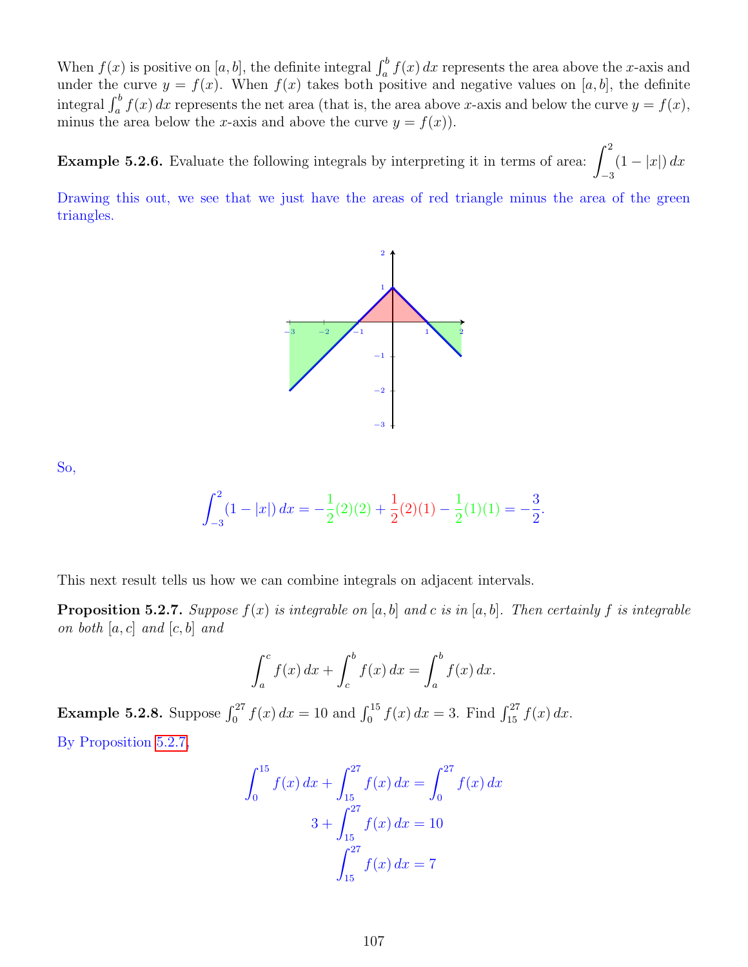When  $f(x)$  is positive on [a, b], the definite integral  $\int_a^b f(x) dx$  represents the area above the x-axis and under the curve  $y = f(x)$ . When  $f(x)$  takes both positive and negative values on [a, b], the definite integral  $\int_a^b f(x) dx$  represents the net area (that is, the area above x-axis and below the curve  $y = f(x)$ , minus the area below the x-axis and above the curve  $y = f(x)$ .

**Example 5.2.6.** Evaluate the following integrals by interpreting it in terms of area:  $\int_1^2$ −3  $(1-|x|) dx$ 

Drawing this out, we see that we just have the areas of red triangle minus the area of the green triangles.



So,

$$
\int_{-3}^{2} (1 - |x|) dx = -\frac{1}{2}(2)(2) + \frac{1}{2}(2)(1) - \frac{1}{2}(1)(1) = -\frac{3}{2}.
$$

This next result tells us how we can combine integrals on adjacent intervals.

<span id="page-106-0"></span>**Proposition 5.2.7.** Suppose  $f(x)$  is integrable on [a, b] and c is in [a, b]. Then certainly f is integrable on both  $[a, c]$  and  $[c, b]$  and

$$
\int_{a}^{c} f(x) \, dx + \int_{c}^{b} f(x) \, dx = \int_{a}^{b} f(x) \, dx.
$$

**Example 5.2.8.** Suppose  $\int_0^{27} f(x) dx = 10$  and  $\int_0^{15} f(x) dx = 3$ . Find  $\int_{15}^{27} f(x) dx$ . By Proposition [5.2.7,](#page-106-0)

$$
\int_0^{15} f(x) dx + \int_{15}^{27} f(x) dx = \int_0^{27} f(x) dx
$$

$$
3 + \int_{15}^{27} f(x) dx = 10
$$

$$
\int_{15}^{27} f(x) dx = 7
$$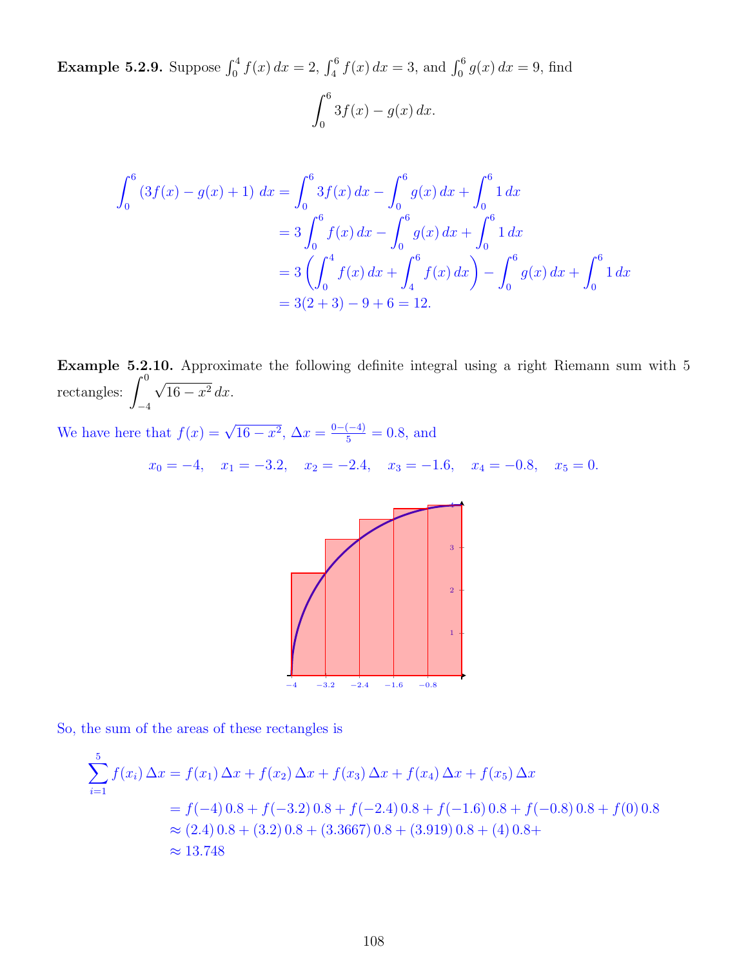**Example 5.2.9.** Suppose  $\int_0^4 f(x) dx = 2$ ,  $\int_4^6 f(x) dx = 3$ , and  $\int_0^6 g(x) dx = 9$ , find

$$
\int_0^6 3f(x) - g(x) \, dx.
$$

$$
\int_0^6 (3f(x) - g(x) + 1) dx = \int_0^6 3f(x) dx - \int_0^6 g(x) dx + \int_0^6 1 dx
$$
  
=  $3 \int_0^6 f(x) dx - \int_0^6 g(x) dx + \int_0^6 1 dx$   
=  $3 \left( \int_0^4 f(x) dx + \int_4^6 f(x) dx \right) - \int_0^6 g(x) dx + \int_0^6 1 dx$   
=  $3(2+3) - 9 + 6 = 12$ .

Example 5.2.10. Approximate the following definite integral using a right Riemann sum with 5 rectangles:  $\int_0^0$ −4 √  $16 - x^2 dx$ .

We have here that  $f(x) = \sqrt{16 - x^2}$ ,  $\Delta x = \frac{0 - (-4)}{5} = 0.8$ , and

 $x_0 = -4$ ,  $x_1 = -3.2$ ,  $x_2 = -2.4$ ,  $x_3 = -1.6$ ,  $x_4 = -0.8$ ,  $x_5 = 0$ .



So, the sum of the areas of these rectangles is

$$
\sum_{i=1}^{5} f(x_i) \Delta x = f(x_1) \Delta x + f(x_2) \Delta x + f(x_3) \Delta x + f(x_4) \Delta x + f(x_5) \Delta x
$$
  
=  $f(-4) \cdot 0.8 + f(-3.2) \cdot 0.8 + f(-2.4) \cdot 0.8 + f(-1.6) \cdot 0.8 + f(-0.8) \cdot 0.8 + f(0) \cdot 0.8$   
 $\approx (2.4) \cdot 0.8 + (3.2) \cdot 0.8 + (3.3667) \cdot 0.8 + (3.919) \cdot 0.8 + (4) \cdot 0.8 +$   
 $\approx 13.748$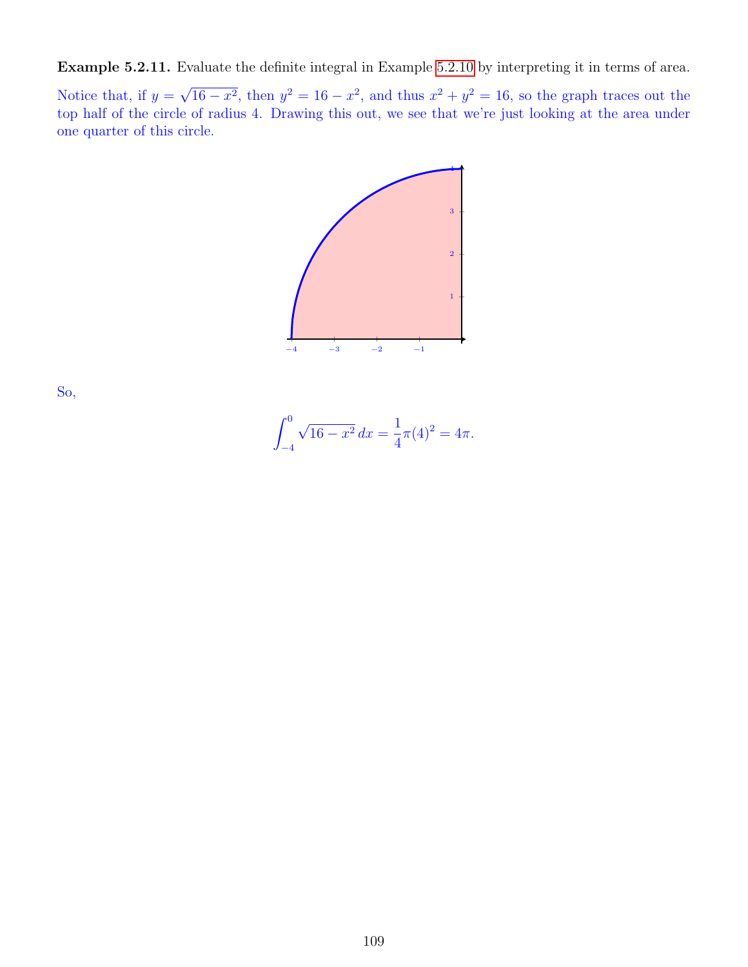Example 5.2.11. Evaluate the definite integral in Example [5.2.10](#page-107-0) by interpreting it in terms of area.

Notice that, if  $y =$ √  $16 - x^2$ , then  $y^2 = 16 - x^2$ , and thus  $x^2 + y^2 = 16$ , so the graph traces out the top half of the circle of radius 4. Drawing this out, we see that we're just looking at the area under one quarter of this circle.



So,

$$
\int_{-4}^{0} \sqrt{16 - x^2} \, dx = \frac{1}{4} \pi (4)^2 = 4\pi.
$$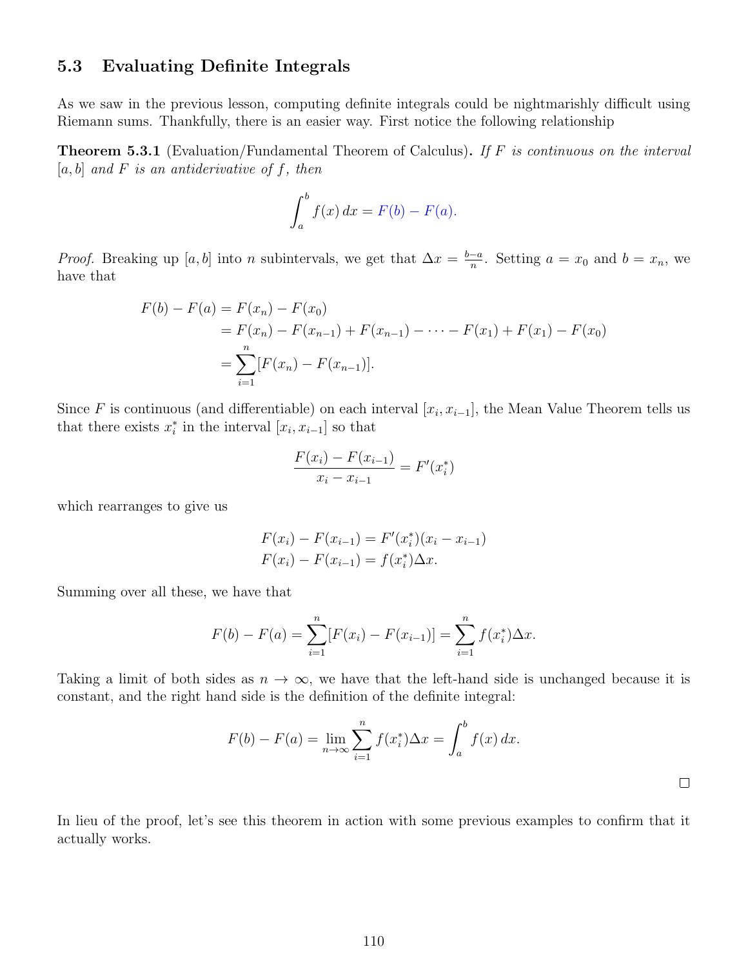## 5.3 Evaluating Definite Integrals

As we saw in the previous lesson, computing definite integrals could be nightmarishly difficult using Riemann sums. Thankfully, there is an easier way. First notice the following relationship

**Theorem 5.3.1** (Evaluation/Fundamental Theorem of Calculus). If F is continuous on the interval  $[a, b]$  and F is an antiderivative of f, then

$$
\int_a^b f(x) \, dx = F(b) - F(a).
$$

*Proof.* Breaking up [a, b] into n subintervals, we get that  $\Delta x = \frac{b-a}{n}$  $\frac{-a}{n}$ . Setting  $a = x_0$  and  $b = x_n$ , we have that

$$
F(b) - F(a) = F(x_n) - F(x_0)
$$
  
=  $F(x_n) - F(x_{n-1}) + F(x_{n-1}) - \dots - F(x_1) + F(x_1) - F(x_0)$   
= 
$$
\sum_{i=1}^{n} [F(x_n) - F(x_{n-1})].
$$

Since F is continuous (and differentiable) on each interval  $[x_i, x_{i-1}]$ , the Mean Value Theorem tells us that there exists  $x_i^*$  in the interval  $[x_i, x_{i-1}]$  so that

$$
\frac{F(x_i) - F(x_{i-1})}{x_i - x_{i-1}} = F'(x_i^*)
$$

which rearranges to give us

$$
F(x_i) - F(x_{i-1}) = F'(x_i^*)(x_i - x_{i-1})
$$
  

$$
F(x_i) - F(x_{i-1}) = f(x_i^*)\Delta x.
$$

Summing over all these, we have that

$$
F(b) - F(a) = \sum_{i=1}^{n} [F(x_i) - F(x_{i-1})] = \sum_{i=1}^{n} f(x_i^*) \Delta x.
$$

Taking a limit of both sides as  $n \to \infty$ , we have that the left-hand side is unchanged because it is constant, and the right hand side is the definition of the definite integral:

$$
F(b) - F(a) = \lim_{n \to \infty} \sum_{i=1}^{n} f(x_i^*) \Delta x = \int_{a}^{b} f(x) dx.
$$

In lieu of the proof, let's see this theorem in action with some previous examples to confirm that it actually works.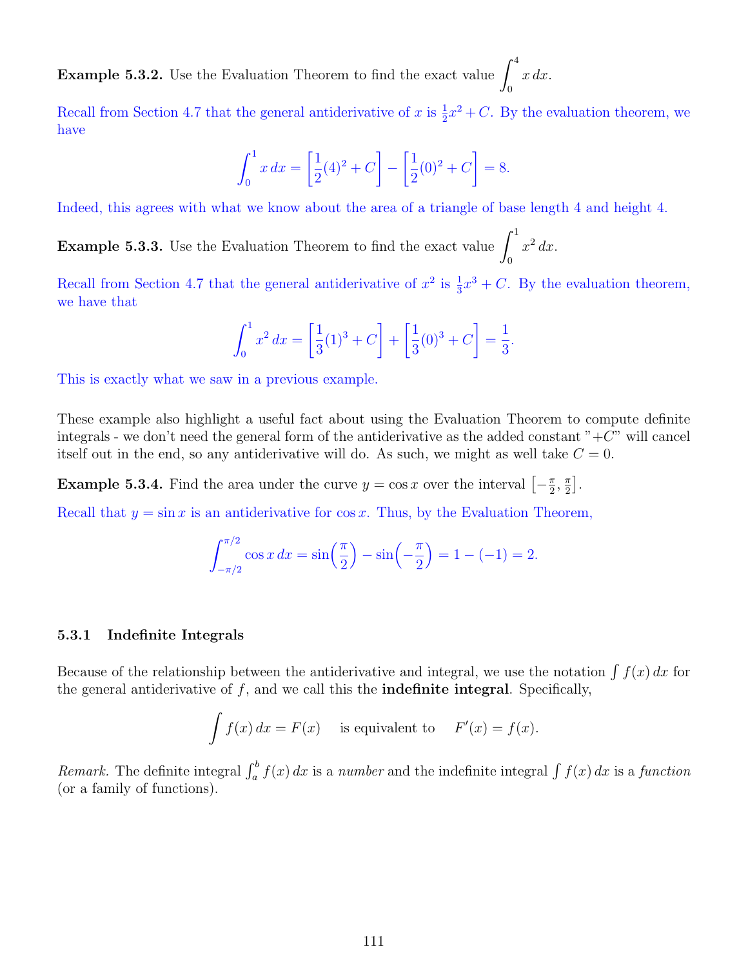**Example 5.3.2.** Use the Evaluation Theorem to find the exact value  $\int_0^4$ 0  $x dx$ .

Recall from Section 4.7 that the general antiderivative of x is  $\frac{1}{2}x^2 + C$ . By the evaluation theorem, we have

$$
\int_0^1 x \, dx = \left[ \frac{1}{2} (4)^2 + C \right] - \left[ \frac{1}{2} (0)^2 + C \right] = 8.
$$

Indeed, this agrees with what we know about the area of a triangle of base length 4 and height 4.

**Example 5.3.3.** Use the Evaluation Theorem to find the exact value  $\int_1^1$ 0  $x^2 dx$ .

Recall from Section 4.7 that the general antiderivative of  $x^2$  is  $\frac{1}{3}x^3 + C$ . By the evaluation theorem, we have that

$$
\int_0^1 x^2 dx = \left[\frac{1}{3}(1)^3 + C\right] + \left[\frac{1}{3}(0)^3 + C\right] = \frac{1}{3}.
$$

This is exactly what we saw in a previous example.

These example also highlight a useful fact about using the Evaluation Theorem to compute definite integrals - we don't need the general form of the antiderivative as the added constant " $+C$ " will cancel itself out in the end, so any antiderivative will do. As such, we might as well take  $C = 0$ .

**Example 5.3.4.** Find the area under the curve  $y = \cos x$  over the interval  $\left[-\frac{\pi}{2}\right]$  $\frac{\pi}{2}, \frac{\pi}{2}$  $\frac{\pi}{2}$ .

Recall that  $y = \sin x$  is an antiderivative for  $\cos x$ . Thus, by the Evaluation Theorem,

$$
\int_{-\pi/2}^{\pi/2} \cos x \, dx = \sin\left(\frac{\pi}{2}\right) - \sin\left(-\frac{\pi}{2}\right) = 1 - (-1) = 2.
$$

## 5.3.1 Indefinite Integrals

Because of the relationship between the antiderivative and integral, we use the notation  $\int f(x) dx$  for the general antiderivative of  $f$ , and we call this the **indefinite integral**. Specifically,

$$
\int f(x) dx = F(x)
$$
 is equivalent to  $F'(x) = f(x)$ .

Remark. The definite integral  $\int_a^b f(x) dx$  is a number and the indefinite integral  $\int f(x) dx$  is a function (or a family of functions).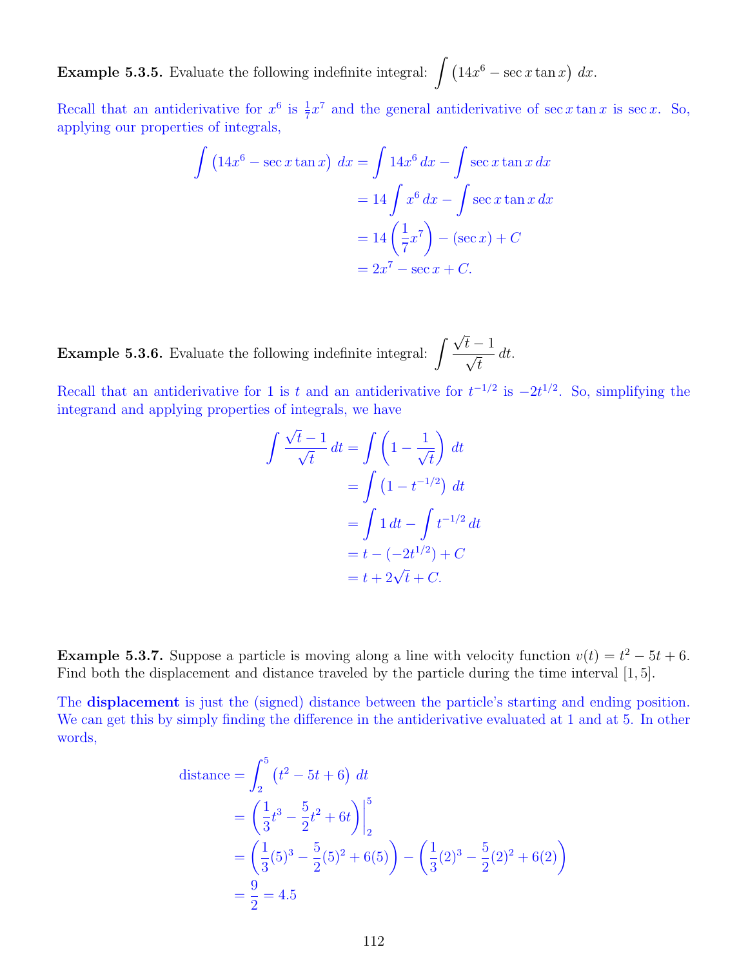**Example 5.3.5.** Evaluate the following indefinite integral:  $\int (14x^6 - \sec x \tan x) dx$ .

Recall that an antiderivative for  $x^6$  is  $\frac{1}{7}x^7$  and the general antiderivative of sec x tan x is sec x. So, applying our properties of integrals,

$$
\int (14x^6 - \sec x \tan x) dx = \int 14x^6 dx - \int \sec x \tan x dx
$$

$$
= 14 \int x^6 dx - \int \sec x \tan x dx
$$

$$
= 14 \left(\frac{1}{7}x^7\right) - (\sec x) + C
$$

$$
= 2x^7 - \sec x + C.
$$

**Example 5.3.6.** Evaluate the following indefinite integral:  $\int \frac{\sqrt{2}}{2}$  $\frac{t-1}{\sqrt{t}}$ t dt.

Recall that an antiderivative for 1 is t and an antiderivative for  $t^{-1/2}$  is  $-2t^{1/2}$ . So, simplifying the integrand and applying properties of integrals, we have

$$
\int \frac{\sqrt{t} - 1}{\sqrt{t}} dt = \int \left(1 - \frac{1}{\sqrt{t}}\right) dt
$$

$$
= \int \left(1 - t^{-1/2}\right) dt
$$

$$
= \int 1 dt - \int t^{-1/2} dt
$$

$$
= t - (-2t^{1/2}) + C
$$

$$
= t + 2\sqrt{t} + C.
$$

**Example 5.3.7.** Suppose a particle is moving along a line with velocity function  $v(t) = t^2 - 5t + 6$ . Find both the displacement and distance traveled by the particle during the time interval [1, 5].

The **displacement** is just the (signed) distance between the particle's starting and ending position. We can get this by simply finding the difference in the antiderivative evaluated at 1 and at 5. In other words,

distance = 
$$
\int_{2}^{5} (t^{2} - 5t + 6) dt
$$
  
= 
$$
(\frac{1}{3}t^{3} - \frac{5}{2}t^{2} + 6t) \Big|_{2}^{5}
$$
  
= 
$$
(\frac{1}{3}(5)^{3} - \frac{5}{2}(5)^{2} + 6(5)) - (\frac{1}{3}(2)^{3} - \frac{5}{2}(2)^{2} + 6(2))
$$
  
= 
$$
\frac{9}{2} = 4.5
$$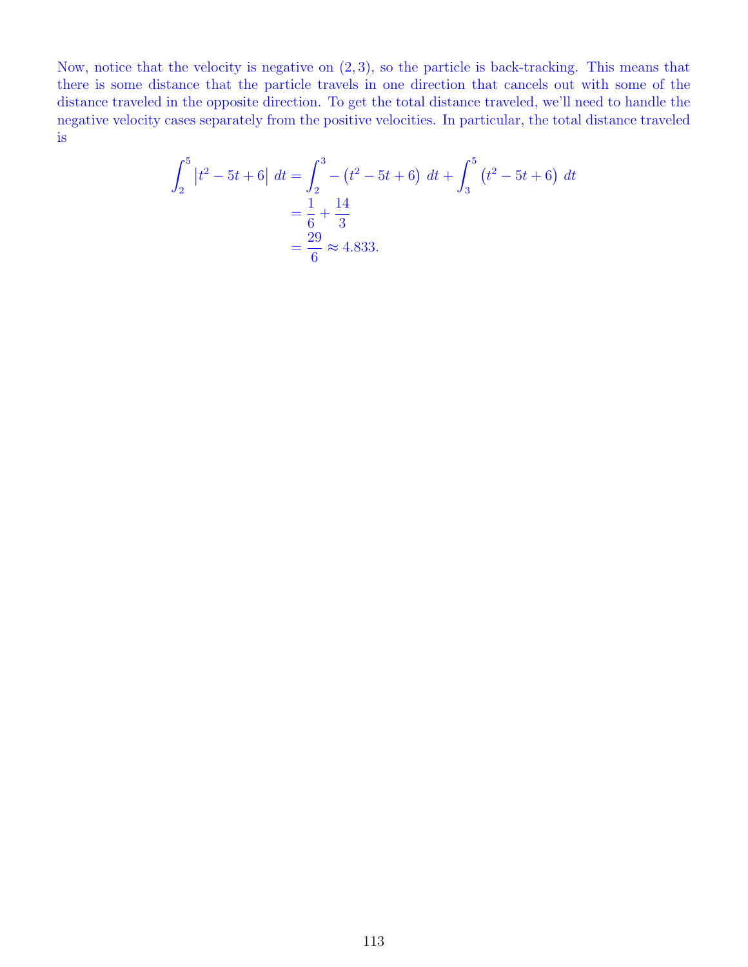Now, notice that the velocity is negative on (2, 3), so the particle is back-tracking. This means that there is some distance that the particle travels in one direction that cancels out with some of the distance traveled in the opposite direction. To get the total distance traveled, we'll need to handle the negative velocity cases separately from the positive velocities. In particular, the total distance traveled is

$$
\int_{2}^{5} |t^{2} - 5t + 6| dt = \int_{2}^{3} - (t^{2} - 5t + 6) dt + \int_{3}^{5} (t^{2} - 5t + 6) dt
$$
  
=  $\frac{1}{6} + \frac{14}{3}$   
=  $\frac{29}{6} \approx 4.833$ .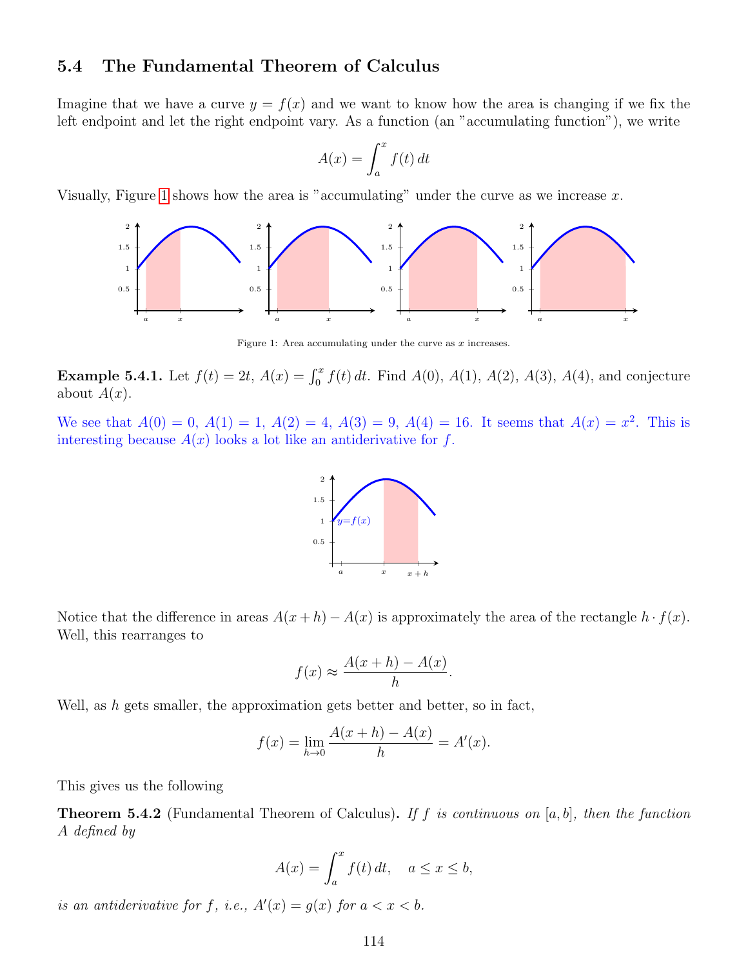## 5.4 The Fundamental Theorem of Calculus

Imagine that we have a curve  $y = f(x)$  and we want to know how the area is changing if we fix the left endpoint and let the right endpoint vary. As a function (an "accumulating function"), we write

$$
A(x) = \int_{a}^{x} f(t) dt
$$

<span id="page-113-0"></span>Visually, Figure [1](#page-113-0) shows how the area is "accumulating" under the curve as we increase  $x$ .



Figure 1: Area accumulating under the curve as  $x$  increases.

**Example 5.4.1.** Let  $f(t) = 2t$ ,  $A(x) = \int_0^x f(t) dt$ . Find  $A(0)$ ,  $A(1)$ ,  $A(2)$ ,  $A(3)$ ,  $A(4)$ , and conjecture about  $A(x)$ .

We see that  $A(0) = 0$ ,  $A(1) = 1$ ,  $A(2) = 4$ ,  $A(3) = 9$ ,  $A(4) = 16$ . It seems that  $A(x) = x^2$ . This is interesting because  $A(x)$  looks a lot like an antiderivative for f.



Notice that the difference in areas  $A(x+h) - A(x)$  is approximately the area of the rectangle  $h \cdot f(x)$ . Well, this rearranges to

$$
f(x) \approx \frac{A(x+h) - A(x)}{h}
$$

.

Well, as  $h$  gets smaller, the approximation gets better and better, so in fact,

$$
f(x) = \lim_{h \to 0} \frac{A(x+h) - A(x)}{h} = A'(x).
$$

This gives us the following

**Theorem 5.4.2** (Fundamental Theorem of Calculus). If f is continuous on  $[a, b]$ , then the function A defined by

$$
A(x) = \int_a^x f(t) dt, \quad a \le x \le b,
$$

is an antiderivative for f, i.e.,  $A'(x) = g(x)$  for  $a < x < b$ .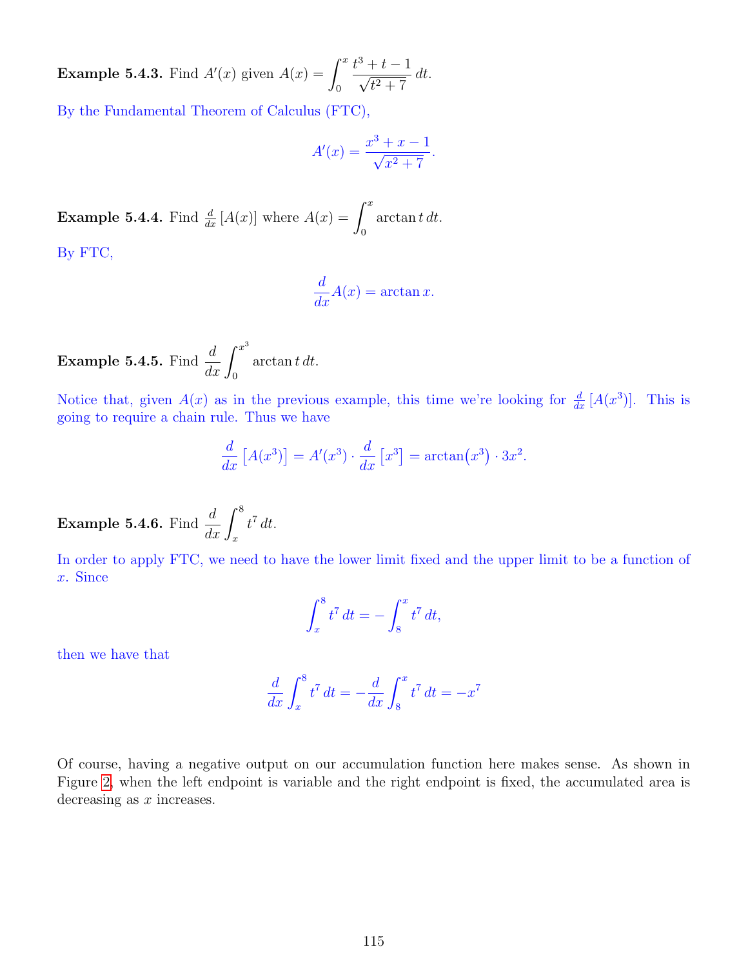**Example 5.4.3.** Find  $A'(x)$  given  $A(x) = \int^x$ 0  $\frac{t^3+t-1}{\sqrt{2}}$  $t^2 + 7$ dt.

By the Fundamental Theorem of Calculus (FTC),

$$
A'(x) = \frac{x^3 + x - 1}{\sqrt{x^2 + 7}}.
$$

**Example 5.4.4.** Find  $\frac{d}{dx}[A(x)]$  where  $A(x) = \int_0^x$  $\arctan t \, dt$ . By FTC,

$$
\frac{d}{dx}A(x) = \arctan x.
$$

**Example 5.4.5.** Find  $\frac{d}{dx} \int_0^{x^3}$ 0 arctan t dt.

Notice that, given  $A(x)$  as in the previous example, this time we're looking for  $\frac{d}{dx}[A(x^3)]$ . This is going to require a chain rule. Thus we have

$$
\frac{d}{dx}\left[A(x^3)\right] = A'(x^3) \cdot \frac{d}{dx}\left[x^3\right] = \arctan(x^3) \cdot 3x^2.
$$

**Example 5.4.6.** Find  $\frac{d}{dx} \int_x^8$  $t^7 dt$ .

In order to apply FTC, we need to have the lower limit fixed and the upper limit to be a function of x. Since

$$
\int_x^8 t^7 dt = -\int_8^x t^7 dt,
$$

then we have that

$$
\frac{d}{dx} \int_x^8 t^7 dt = -\frac{d}{dx} \int_8^x t^7 dt = -x^7
$$

Of course, having a negative output on our accumulation function here makes sense. As shown in Figure [2,](#page-115-0) when the left endpoint is variable and the right endpoint is fixed, the accumulated area is decreasing as x increases.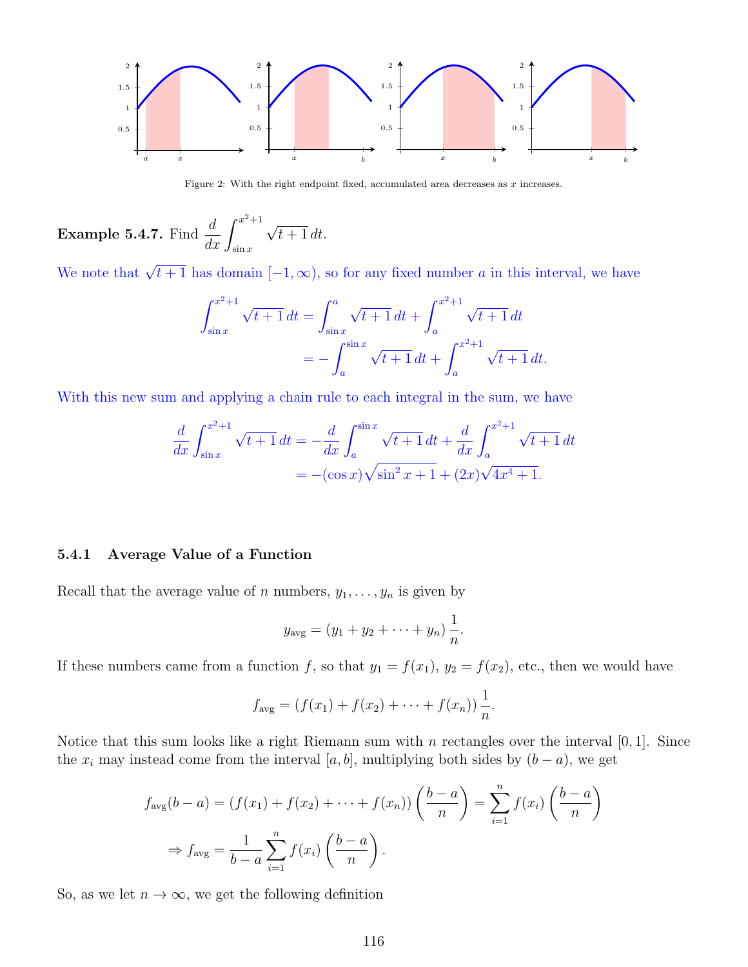<span id="page-115-0"></span>

Figure 2: With the right endpoint fixed, accumulated area decreases as  $x$  increases.

**Example 5.4.7.** Find  $\frac{d}{dx} \int_{\sin x}^{x^2+1}$  $\sin x$ √  $t+1 dt$ .

We note that  $\sqrt{t+1}$  has domain  $[-1,\infty)$ , so for any fixed number a in this interval, we have

$$
\int_{\sin x}^{x^2+1} \sqrt{t+1} \, dt = \int_{\sin x}^{a} \sqrt{t+1} \, dt + \int_{a}^{x^2+1} \sqrt{t+1} \, dt
$$

$$
= -\int_{a}^{\sin x} \sqrt{t+1} \, dt + \int_{a}^{x^2+1} \sqrt{t+1} \, dt.
$$

With this new sum and applying a chain rule to each integral in the sum, we have

$$
\frac{d}{dx} \int_{\sin x}^{x^2+1} \sqrt{t+1} \, dt = -\frac{d}{dx} \int_a^{\sin x} \sqrt{t+1} \, dt + \frac{d}{dx} \int_a^{x^2+1} \sqrt{t+1} \, dt
$$
\n
$$
= -(\cos x) \sqrt{\sin^2 x + 1} + (2x) \sqrt{4x^4 + 1}.
$$

## 5.4.1 Average Value of a Function

Recall that the average value of n numbers,  $y_1, \ldots, y_n$  is given by

$$
y_{\text{avg}} = (y_1 + y_2 + \dots + y_n) \frac{1}{n}
$$

.

If these numbers came from a function f, so that  $y_1 = f(x_1)$ ,  $y_2 = f(x_2)$ , etc., then we would have

$$
f_{\text{avg}} = (f(x_1) + f(x_2) + \cdots + f(x_n)) \frac{1}{n}.
$$

Notice that this sum looks like a right Riemann sum with n rectangles over the interval  $[0, 1]$ . Since the  $x_i$  may instead come from the interval [a, b], multiplying both sides by  $(b - a)$ , we get

$$
f_{\text{avg}}(b-a) = (f(x_1) + f(x_2) + \dots + f(x_n)) \left(\frac{b-a}{n}\right) = \sum_{i=1}^n f(x_i) \left(\frac{b-a}{n}\right)
$$

$$
\Rightarrow f_{\text{avg}} = \frac{1}{b-a} \sum_{i=1}^n f(x_i) \left(\frac{b-a}{n}\right).
$$

So, as we let  $n \to \infty$ , we get the following definition